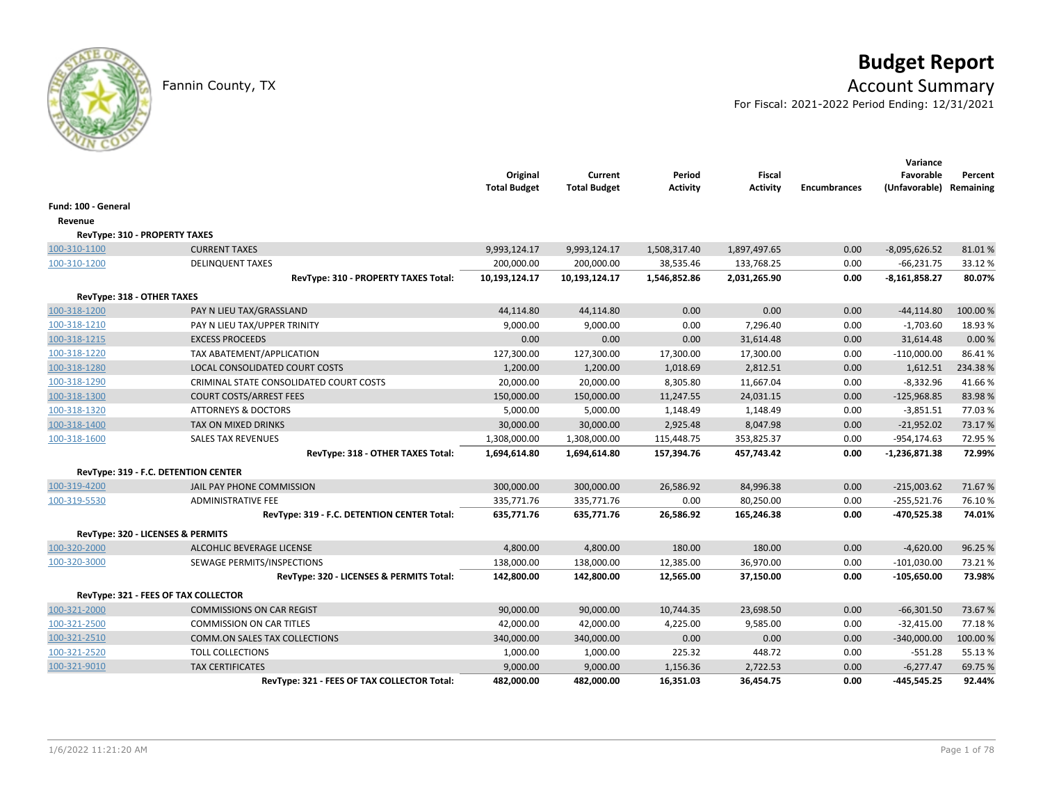# **Budget Report**

Fannin County, TX **Account Summary** 

For Fiscal: 2021-2022 Period Ending: 12/31/2021

|                            |                                             | Original<br><b>Total Budget</b> | Current<br><b>Total Budget</b> | Period<br><b>Activity</b> | <b>Fiscal</b><br><b>Activity</b> | <b>Encumbrances</b> | Variance<br>Favorable<br>(Unfavorable) Remaining | Percent  |
|----------------------------|---------------------------------------------|---------------------------------|--------------------------------|---------------------------|----------------------------------|---------------------|--------------------------------------------------|----------|
| Fund: 100 - General        |                                             |                                 |                                |                           |                                  |                     |                                                  |          |
| Revenue                    |                                             |                                 |                                |                           |                                  |                     |                                                  |          |
|                            | RevType: 310 - PROPERTY TAXES               |                                 |                                |                           |                                  |                     |                                                  |          |
| 100-310-1100               | <b>CURRENT TAXES</b>                        | 9,993,124.17                    | 9,993,124.17                   | 1,508,317.40              | 1,897,497.65                     | 0.00                | $-8,095,626.52$                                  | 81.01%   |
| 100-310-1200               | <b>DELINQUENT TAXES</b>                     | 200,000.00                      | 200,000.00                     | 38,535.46                 | 133,768.25                       | 0.00                | $-66,231.75$                                     | 33.12%   |
|                            | RevType: 310 - PROPERTY TAXES Total:        | 10,193,124.17                   | 10,193,124.17                  | 1,546,852.86              | 2,031,265.90                     | 0.00                | $-8,161,858.27$                                  | 80.07%   |
| RevType: 318 - OTHER TAXES |                                             |                                 |                                |                           |                                  |                     |                                                  |          |
| 100-318-1200               | PAY N LIEU TAX/GRASSLAND                    | 44,114.80                       | 44,114.80                      | 0.00                      | 0.00                             | 0.00                | $-44, 114.80$                                    | 100.00%  |
| 100-318-1210               | PAY N LIEU TAX/UPPER TRINITY                | 9,000.00                        | 9,000.00                       | 0.00                      | 7,296.40                         | 0.00                | $-1,703.60$                                      | 18.93%   |
| 100-318-1215               | <b>EXCESS PROCEEDS</b>                      | 0.00                            | 0.00                           | 0.00                      | 31,614.48                        | 0.00                | 31,614.48                                        | 0.00%    |
| 100-318-1220               | TAX ABATEMENT/APPLICATION                   | 127,300.00                      | 127,300.00                     | 17,300.00                 | 17,300.00                        | 0.00                | $-110,000.00$                                    | 86.41%   |
| 100-318-1280               | LOCAL CONSOLIDATED COURT COSTS              | 1,200.00                        | 1,200.00                       | 1,018.69                  | 2,812.51                         | 0.00                | 1,612.51                                         | 234.38%  |
| 100-318-1290               | CRIMINAL STATE CONSOLIDATED COURT COSTS     | 20,000.00                       | 20,000.00                      | 8,305.80                  | 11,667.04                        | 0.00                | $-8,332.96$                                      | 41.66%   |
| 100-318-1300               | <b>COURT COSTS/ARREST FEES</b>              | 150,000.00                      | 150,000.00                     | 11,247.55                 | 24,031.15                        | 0.00                | $-125,968.85$                                    | 83.98%   |
| 100-318-1320               | <b>ATTORNEYS &amp; DOCTORS</b>              | 5,000.00                        | 5,000.00                       | 1,148.49                  | 1,148.49                         | 0.00                | $-3,851.51$                                      | 77.03%   |
| 100-318-1400               | TAX ON MIXED DRINKS                         | 30,000.00                       | 30,000.00                      | 2,925.48                  | 8,047.98                         | 0.00                | $-21,952.02$                                     | 73.17%   |
| 100-318-1600               | <b>SALES TAX REVENUES</b>                   | 1,308,000.00                    | 1,308,000.00                   | 115,448.75                | 353,825.37                       | 0.00                | $-954, 174.63$                                   | 72.95%   |
|                            | RevType: 318 - OTHER TAXES Total:           | 1,694,614.80                    | 1,694,614.80                   | 157,394.76                | 457,743.42                       | 0.00                | -1,236,871.38                                    | 72.99%   |
|                            | RevType: 319 - F.C. DETENTION CENTER        |                                 |                                |                           |                                  |                     |                                                  |          |
| 100-319-4200               | JAIL PAY PHONE COMMISSION                   | 300,000.00                      | 300,000.00                     | 26,586.92                 | 84,996.38                        | 0.00                | $-215,003.62$                                    | 71.67%   |
| 100-319-5530               | ADMINISTRATIVE FEE                          | 335,771.76                      | 335,771.76                     | 0.00                      | 80,250.00                        | 0.00                | $-255,521.76$                                    | 76.10%   |
|                            | RevType: 319 - F.C. DETENTION CENTER Total: | 635,771.76                      | 635,771.76                     | 26,586.92                 | 165,246.38                       | 0.00                | -470,525.38                                      | 74.01%   |
|                            | RevType: 320 - LICENSES & PERMITS           |                                 |                                |                           |                                  |                     |                                                  |          |
| 100-320-2000               | ALCOHLIC BEVERAGE LICENSE                   | 4,800.00                        | 4,800.00                       | 180.00                    | 180.00                           | 0.00                | $-4,620.00$                                      | 96.25%   |
| 100-320-3000               | SEWAGE PERMITS/INSPECTIONS                  | 138,000.00                      | 138,000.00                     | 12,385.00                 | 36,970.00                        | 0.00                | $-101,030.00$                                    | 73.21%   |
|                            | RevType: 320 - LICENSES & PERMITS Total:    | 142,800.00                      | 142,800.00                     | 12,565.00                 | 37,150.00                        | 0.00                | $-105,650.00$                                    | 73.98%   |
|                            | RevType: 321 - FEES OF TAX COLLECTOR        |                                 |                                |                           |                                  |                     |                                                  |          |
| 100-321-2000               | <b>COMMISSIONS ON CAR REGIST</b>            | 90,000.00                       | 90,000.00                      | 10,744.35                 | 23,698.50                        | 0.00                | $-66,301.50$                                     | 73.67%   |
| 100-321-2500               | <b>COMMISSION ON CAR TITLES</b>             | 42,000.00                       | 42,000.00                      | 4,225.00                  | 9,585.00                         | 0.00                | $-32,415.00$                                     | 77.18%   |
| 100-321-2510               | <b>COMM.ON SALES TAX COLLECTIONS</b>        | 340,000.00                      | 340,000.00                     | 0.00                      | 0.00                             | 0.00                | $-340,000.00$                                    | 100.00 % |
| 100-321-2520               | <b>TOLL COLLECTIONS</b>                     | 1,000.00                        | 1,000.00                       | 225.32                    | 448.72                           | 0.00                | $-551.28$                                        | 55.13%   |
| 100-321-9010               | <b>TAX CERTIFICATES</b>                     | 9,000.00                        | 9,000.00                       | 1,156.36                  | 2,722.53                         | 0.00                | $-6,277.47$                                      | 69.75%   |
|                            | RevType: 321 - FEES OF TAX COLLECTOR Total: | 482,000.00                      | 482,000.00                     | 16,351.03                 | 36,454.75                        | 0.00                | -445,545.25                                      | 92.44%   |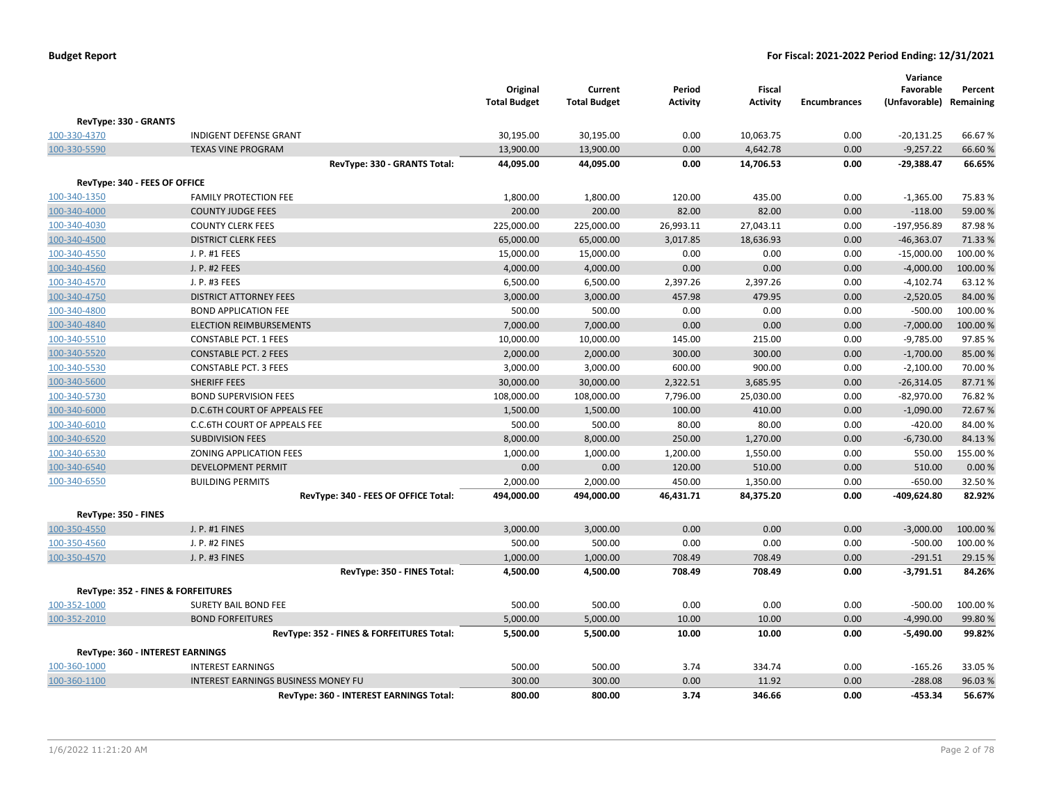|                                    |                                            | Original<br><b>Total Budget</b> | Current<br><b>Total Budget</b> | Period<br><b>Activity</b> | <b>Fiscal</b><br><b>Activity</b> | <b>Encumbrances</b> | Variance<br>Favorable<br>(Unfavorable) Remaining | Percent  |
|------------------------------------|--------------------------------------------|---------------------------------|--------------------------------|---------------------------|----------------------------------|---------------------|--------------------------------------------------|----------|
| RevType: 330 - GRANTS              |                                            |                                 |                                |                           |                                  |                     |                                                  |          |
| 100-330-4370                       | <b>INDIGENT DEFENSE GRANT</b>              | 30,195.00                       | 30,195.00                      | 0.00                      | 10,063.75                        | 0.00                | $-20,131.25$                                     | 66.67%   |
| 100-330-5590                       | <b>TEXAS VINE PROGRAM</b>                  | 13,900.00                       | 13,900.00                      | 0.00                      | 4,642.78                         | 0.00                | $-9,257.22$                                      | 66.60%   |
|                                    | RevType: 330 - GRANTS Total:               | 44,095.00                       | 44,095.00                      | 0.00                      | 14,706.53                        | 0.00                | $-29,388.47$                                     | 66.65%   |
| RevType: 340 - FEES OF OFFICE      |                                            |                                 |                                |                           |                                  |                     |                                                  |          |
| 100-340-1350                       | <b>FAMILY PROTECTION FEE</b>               | 1,800.00                        | 1,800.00                       | 120.00                    | 435.00                           | 0.00                | $-1,365.00$                                      | 75.83%   |
| 100-340-4000                       | <b>COUNTY JUDGE FEES</b>                   | 200.00                          | 200.00                         | 82.00                     | 82.00                            | 0.00                | $-118.00$                                        | 59.00 %  |
| 100-340-4030                       | <b>COUNTY CLERK FEES</b>                   | 225,000.00                      | 225,000.00                     | 26,993.11                 | 27,043.11                        | 0.00                | $-197,956.89$                                    | 87.98%   |
| 100-340-4500                       | <b>DISTRICT CLERK FEES</b>                 | 65,000.00                       | 65,000.00                      | 3,017.85                  | 18,636.93                        | 0.00                | $-46,363.07$                                     | 71.33%   |
| 100-340-4550                       | J. P. #1 FEES                              | 15,000.00                       | 15,000.00                      | 0.00                      | 0.00                             | 0.00                | $-15,000.00$                                     | 100.00%  |
| 100-340-4560                       | J. P. #2 FEES                              | 4,000.00                        | 4,000.00                       | 0.00                      | 0.00                             | 0.00                | $-4,000.00$                                      | 100.00%  |
| 100-340-4570                       | J. P. #3 FEES                              | 6,500.00                        | 6,500.00                       | 2,397.26                  | 2,397.26                         | 0.00                | $-4,102.74$                                      | 63.12%   |
| 100-340-4750                       | <b>DISTRICT ATTORNEY FEES</b>              | 3,000.00                        | 3,000.00                       | 457.98                    | 479.95                           | 0.00                | $-2,520.05$                                      | 84.00%   |
| 100-340-4800                       | <b>BOND APPLICATION FEE</b>                | 500.00                          | 500.00                         | 0.00                      | 0.00                             | 0.00                | $-500.00$                                        | 100.00%  |
| 100-340-4840                       | <b>ELECTION REIMBURSEMENTS</b>             | 7,000.00                        | 7,000.00                       | 0.00                      | 0.00                             | 0.00                | $-7,000.00$                                      | 100.00 % |
| 100-340-5510                       | <b>CONSTABLE PCT. 1 FEES</b>               | 10,000.00                       | 10,000.00                      | 145.00                    | 215.00                           | 0.00                | $-9,785.00$                                      | 97.85%   |
| 100-340-5520                       | <b>CONSTABLE PCT. 2 FEES</b>               | 2,000.00                        | 2,000.00                       | 300.00                    | 300.00                           | 0.00                | $-1,700.00$                                      | 85.00%   |
| 100-340-5530                       | <b>CONSTABLE PCT. 3 FEES</b>               | 3,000.00                        | 3,000.00                       | 600.00                    | 900.00                           | 0.00                | $-2,100.00$                                      | 70.00 %  |
| 100-340-5600                       | SHERIFF FEES                               | 30,000.00                       | 30,000.00                      | 2,322.51                  | 3,685.95                         | 0.00                | $-26,314.05$                                     | 87.71%   |
| 100-340-5730                       | <b>BOND SUPERVISION FEES</b>               | 108,000.00                      | 108,000.00                     | 7,796.00                  | 25,030.00                        | 0.00                | $-82,970.00$                                     | 76.82%   |
| 100-340-6000                       | D.C.6TH COURT OF APPEALS FEE               | 1,500.00                        | 1,500.00                       | 100.00                    | 410.00                           | 0.00                | $-1,090.00$                                      | 72.67%   |
| 100-340-6010                       | <b>C.C.6TH COURT OF APPEALS FEE</b>        | 500.00                          | 500.00                         | 80.00                     | 80.00                            | 0.00                | $-420.00$                                        | 84.00%   |
| 100-340-6520                       | <b>SUBDIVISION FEES</b>                    | 8,000.00                        | 8,000.00                       | 250.00                    | 1,270.00                         | 0.00                | $-6,730.00$                                      | 84.13%   |
| 100-340-6530                       | ZONING APPLICATION FEES                    | 1,000.00                        | 1,000.00                       | 1,200.00                  | 1,550.00                         | 0.00                | 550.00                                           | 155.00%  |
| 100-340-6540                       | <b>DEVELOPMENT PERMIT</b>                  | 0.00                            | 0.00                           | 120.00                    | 510.00                           | 0.00                | 510.00                                           | 0.00%    |
| 100-340-6550                       | <b>BUILDING PERMITS</b>                    | 2,000.00                        | 2,000.00                       | 450.00                    | 1,350.00                         | 0.00                | $-650.00$                                        | 32.50%   |
|                                    | RevType: 340 - FEES OF OFFICE Total:       | 494,000.00                      | 494,000.00                     | 46,431.71                 | 84,375.20                        | 0.00                | -409,624.80                                      | 82.92%   |
|                                    |                                            |                                 |                                |                           |                                  |                     |                                                  |          |
| RevType: 350 - FINES               |                                            |                                 |                                |                           |                                  |                     |                                                  |          |
| 100-350-4550                       | J. P. #1 FINES                             | 3,000.00                        | 3,000.00                       | 0.00                      | 0.00                             | 0.00                | $-3,000.00$                                      | 100.00 % |
| 100-350-4560                       | J. P. #2 FINES                             | 500.00                          | 500.00                         | 0.00                      | 0.00                             | 0.00                | $-500.00$                                        | 100.00%  |
| 100-350-4570                       | J. P. #3 FINES                             | 1,000.00                        | 1,000.00                       | 708.49                    | 708.49                           | 0.00                | $-291.51$                                        | 29.15 %  |
|                                    | RevType: 350 - FINES Total:                | 4,500.00                        | 4,500.00                       | 708.49                    | 708.49                           | 0.00                | $-3,791.51$                                      | 84.26%   |
| RevType: 352 - FINES & FORFEITURES |                                            |                                 |                                |                           |                                  |                     |                                                  |          |
| 100-352-1000                       | <b>SURETY BAIL BOND FEE</b>                | 500.00                          | 500.00                         | 0.00                      | 0.00                             | 0.00                | $-500.00$                                        | 100.00 % |
| 100-352-2010                       | <b>BOND FORFEITURES</b>                    | 5,000.00                        | 5,000.00                       | 10.00                     | 10.00                            | 0.00                | $-4,990.00$                                      | 99.80%   |
|                                    | RevType: 352 - FINES & FORFEITURES Total:  | 5,500.00                        | 5,500.00                       | 10.00                     | 10.00                            | 0.00                | $-5,490.00$                                      | 99.82%   |
| RevType: 360 - INTEREST EARNINGS   |                                            |                                 |                                |                           |                                  |                     |                                                  |          |
| 100-360-1000                       | <b>INTEREST EARNINGS</b>                   | 500.00                          | 500.00                         | 3.74                      | 334.74                           | 0.00                | $-165.26$                                        | 33.05 %  |
| 100-360-1100                       | <b>INTEREST EARNINGS BUSINESS MONEY FU</b> | 300.00                          | 300.00                         | 0.00                      | 11.92                            | 0.00                | $-288.08$                                        | 96.03%   |
|                                    | RevType: 360 - INTEREST EARNINGS Total:    | 800.00                          | 800.00                         | 3.74                      | 346.66                           | 0.00                | $-453.34$                                        | 56.67%   |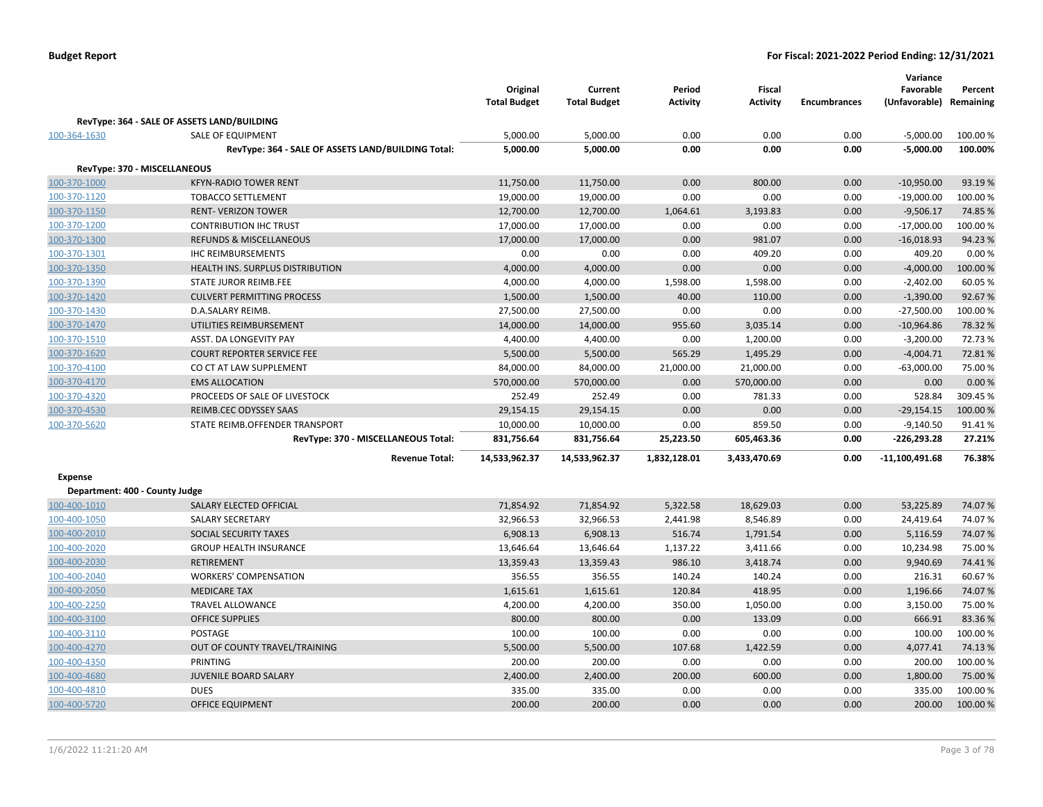|                                |                                                    | Original<br><b>Total Budget</b> | Current<br><b>Total Budget</b> | Period<br><b>Activity</b> | <b>Fiscal</b><br><b>Activity</b> | <b>Encumbrances</b> | Variance<br>Favorable<br>(Unfavorable) Remaining | Percent  |
|--------------------------------|----------------------------------------------------|---------------------------------|--------------------------------|---------------------------|----------------------------------|---------------------|--------------------------------------------------|----------|
|                                | RevType: 364 - SALE OF ASSETS LAND/BUILDING        |                                 |                                |                           |                                  |                     |                                                  |          |
| 100-364-1630                   | <b>SALE OF EQUIPMENT</b>                           | 5,000.00                        | 5,000.00                       | 0.00                      | 0.00                             | 0.00                | $-5,000.00$                                      | 100.00 % |
|                                | RevType: 364 - SALE OF ASSETS LAND/BUILDING Total: | 5,000.00                        | 5,000.00                       | 0.00                      | 0.00                             | 0.00                | $-5,000.00$                                      | 100.00%  |
| RevType: 370 - MISCELLANEOUS   |                                                    |                                 |                                |                           |                                  |                     |                                                  |          |
| 100-370-1000                   | <b>KFYN-RADIO TOWER RENT</b>                       | 11,750.00                       | 11,750.00                      | 0.00                      | 800.00                           | 0.00                | $-10,950.00$                                     | 93.19%   |
| 100-370-1120                   | <b>TOBACCO SETTLEMENT</b>                          | 19,000.00                       | 19,000.00                      | 0.00                      | 0.00                             | 0.00                | $-19,000.00$                                     | 100.00%  |
| 100-370-1150                   | <b>RENT- VERIZON TOWER</b>                         | 12,700.00                       | 12,700.00                      | 1,064.61                  | 3,193.83                         | 0.00                | $-9,506.17$                                      | 74.85%   |
| 100-370-1200                   | <b>CONTRIBUTION IHC TRUST</b>                      | 17,000.00                       | 17,000.00                      | 0.00                      | 0.00                             | 0.00                | $-17,000.00$                                     | 100.00%  |
| 100-370-1300                   | <b>REFUNDS &amp; MISCELLANEOUS</b>                 | 17,000.00                       | 17,000.00                      | 0.00                      | 981.07                           | 0.00                | $-16,018.93$                                     | 94.23%   |
| 100-370-1301                   | <b>IHC REIMBURSEMENTS</b>                          | 0.00                            | 0.00                           | 0.00                      | 409.20                           | 0.00                | 409.20                                           | 0.00%    |
| 100-370-1350                   | <b>HEALTH INS. SURPLUS DISTRIBUTION</b>            | 4,000.00                        | 4,000.00                       | 0.00                      | 0.00                             | 0.00                | $-4,000.00$                                      | 100.00%  |
| 100-370-1390                   | <b>STATE JUROR REIMB.FEE</b>                       | 4,000.00                        | 4,000.00                       | 1,598.00                  | 1,598.00                         | 0.00                | $-2,402.00$                                      | 60.05%   |
| 100-370-1420                   | <b>CULVERT PERMITTING PROCESS</b>                  | 1,500.00                        | 1,500.00                       | 40.00                     | 110.00                           | 0.00                | $-1,390.00$                                      | 92.67%   |
|                                | D.A.SALARY REIMB.                                  |                                 |                                | 0.00                      | 0.00                             | 0.00                |                                                  | 100.00%  |
| 100-370-1430                   | UTILITIES REIMBURSEMENT                            | 27,500.00                       | 27,500.00                      | 955.60                    | 3,035.14                         | 0.00                | $-27,500.00$<br>$-10,964.86$                     | 78.32 %  |
| 100-370-1470<br>100-370-1510   | ASST. DA LONGEVITY PAY                             | 14,000.00                       | 14,000.00                      | 0.00                      |                                  | 0.00                | $-3,200.00$                                      | 72.73%   |
|                                | <b>COURT REPORTER SERVICE FEE</b>                  | 4,400.00                        | 4,400.00                       | 565.29                    | 1,200.00<br>1,495.29             | 0.00                |                                                  | 72.81%   |
| 100-370-1620                   | CO CT AT LAW SUPPLEMENT                            | 5,500.00                        | 5,500.00<br>84,000.00          |                           | 21,000.00                        | 0.00                | $-4,004.71$<br>$-63,000.00$                      | 75.00 %  |
| 100-370-4100                   |                                                    | 84,000.00                       |                                | 21,000.00                 |                                  |                     |                                                  |          |
| 100-370-4170                   | <b>EMS ALLOCATION</b>                              | 570,000.00                      | 570,000.00                     | 0.00                      | 570,000.00                       | 0.00                | 0.00                                             | 0.00%    |
| 100-370-4320                   | PROCEEDS OF SALE OF LIVESTOCK                      | 252.49                          | 252.49                         | 0.00                      | 781.33                           | 0.00                | 528.84                                           | 309.45 % |
| 100-370-4530                   | REIMB.CEC ODYSSEY SAAS                             | 29,154.15                       | 29,154.15                      | 0.00                      | 0.00                             | 0.00                | $-29,154.15$                                     | 100.00%  |
| 100-370-5620                   | STATE REIMB.OFFENDER TRANSPORT                     | 10,000.00                       | 10,000.00                      | 0.00                      | 859.50                           | 0.00                | $-9,140.50$                                      | 91.41%   |
|                                | RevType: 370 - MISCELLANEOUS Total:                | 831,756.64                      | 831,756.64                     | 25,223.50                 | 605,463.36                       | 0.00                | -226,293.28                                      | 27.21%   |
|                                | <b>Revenue Total:</b>                              | 14,533,962.37                   | 14,533,962.37                  | 1,832,128.01              | 3,433,470.69                     | 0.00                | $-11,100,491.68$                                 | 76.38%   |
| <b>Expense</b>                 |                                                    |                                 |                                |                           |                                  |                     |                                                  |          |
| Department: 400 - County Judge |                                                    |                                 |                                |                           |                                  |                     |                                                  |          |
| 100-400-1010                   | SALARY ELECTED OFFICIAL                            | 71,854.92                       | 71,854.92                      | 5,322.58                  | 18,629.03                        | 0.00                | 53,225.89                                        | 74.07%   |
| 100-400-1050                   | <b>SALARY SECRETARY</b>                            | 32,966.53                       | 32,966.53                      | 2,441.98                  | 8,546.89                         | 0.00                | 24,419.64                                        | 74.07%   |
| 100-400-2010                   | SOCIAL SECURITY TAXES                              | 6,908.13                        | 6,908.13                       | 516.74                    | 1,791.54                         | 0.00                | 5,116.59                                         | 74.07%   |
| 100-400-2020                   | <b>GROUP HEALTH INSURANCE</b>                      | 13,646.64                       | 13,646.64                      | 1,137.22                  | 3,411.66                         | 0.00                | 10,234.98                                        | 75.00 %  |
| 100-400-2030                   | RETIREMENT                                         | 13,359.43                       | 13,359.43                      | 986.10                    | 3,418.74                         | 0.00                | 9,940.69                                         | 74.41%   |
| 100-400-2040                   | <b>WORKERS' COMPENSATION</b>                       | 356.55                          | 356.55                         | 140.24                    | 140.24                           | 0.00                | 216.31                                           | 60.67%   |
| 100-400-2050                   | <b>MEDICARE TAX</b>                                | 1,615.61                        | 1,615.61                       | 120.84                    | 418.95                           | 0.00                | 1,196.66                                         | 74.07%   |
| 100-400-2250                   | TRAVEL ALLOWANCE                                   | 4,200.00                        | 4,200.00                       | 350.00                    | 1,050.00                         | 0.00                | 3,150.00                                         | 75.00 %  |
| 100-400-3100                   | <b>OFFICE SUPPLIES</b>                             | 800.00                          | 800.00                         | 0.00                      | 133.09                           | 0.00                | 666.91                                           | 83.36%   |
| 100-400-3110                   | POSTAGE                                            | 100.00                          | 100.00                         | 0.00                      | 0.00                             | 0.00                | 100.00                                           | 100.00%  |
| 100-400-4270                   | OUT OF COUNTY TRAVEL/TRAINING                      | 5,500.00                        | 5,500.00                       | 107.68                    | 1,422.59                         | 0.00                | 4,077.41                                         | 74.13%   |
| 100-400-4350                   | PRINTING                                           | 200.00                          | 200.00                         | 0.00                      | 0.00                             | 0.00                | 200.00                                           | 100.00 % |
| 100-400-4680                   | <b>JUVENILE BOARD SALARY</b>                       | 2,400.00                        | 2,400.00                       | 200.00                    | 600.00                           | 0.00                | 1,800.00                                         | 75.00 %  |
| 100-400-4810                   | <b>DUES</b>                                        | 335.00                          | 335.00                         | 0.00                      | 0.00                             | 0.00                | 335.00                                           | 100.00%  |
| 100-400-5720                   | <b>OFFICE EQUIPMENT</b>                            | 200.00                          | 200.00                         | 0.00                      | 0.00                             | 0.00                | 200.00                                           | 100.00 % |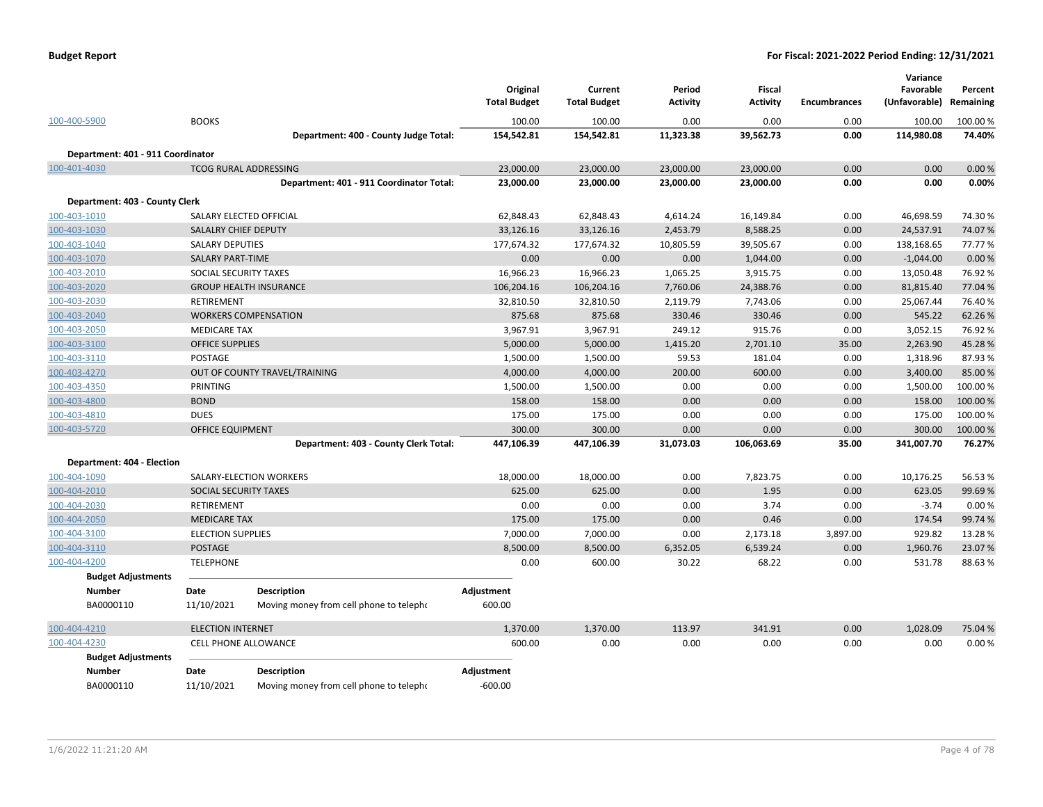|  | <b>Budget Report</b> |
|--|----------------------|
|--|----------------------|

|                                   |                              |                                          | Original<br><b>Total Budget</b> | Current<br><b>Total Budget</b> | Period<br><b>Activity</b> | <b>Fiscal</b><br><b>Activity</b> | <b>Encumbrances</b> | Variance<br>Favorable<br>(Unfavorable) | Percent<br>Remaining |
|-----------------------------------|------------------------------|------------------------------------------|---------------------------------|--------------------------------|---------------------------|----------------------------------|---------------------|----------------------------------------|----------------------|
| 100-400-5900                      | <b>BOOKS</b>                 |                                          | 100.00                          | 100.00                         | 0.00                      | 0.00                             | 0.00                | 100.00                                 | 100.00 %             |
|                                   |                              | Department: 400 - County Judge Total:    | 154,542.81                      | 154,542.81                     | 11,323.38                 | 39,562.73                        | 0.00                | 114,980.08                             | 74.40%               |
| Department: 401 - 911 Coordinator |                              |                                          |                                 |                                |                           |                                  |                     |                                        |                      |
| 100-401-4030                      | <b>TCOG RURAL ADDRESSING</b> |                                          | 23,000.00                       | 23,000.00                      | 23,000.00                 | 23,000.00                        | 0.00                | 0.00                                   | 0.00%                |
|                                   |                              | Department: 401 - 911 Coordinator Total: | 23,000.00                       | 23,000.00                      | 23,000.00                 | 23,000.00                        | 0.00                | 0.00                                   | 0.00%                |
| Department: 403 - County Clerk    |                              |                                          |                                 |                                |                           |                                  |                     |                                        |                      |
| 100-403-1010                      | SALARY ELECTED OFFICIAL      |                                          | 62,848.43                       | 62,848.43                      | 4,614.24                  | 16,149.84                        | 0.00                | 46,698.59                              | 74.30%               |
| 100-403-1030                      | SALALRY CHIEF DEPUTY         |                                          | 33,126.16                       | 33,126.16                      | 2,453.79                  | 8,588.25                         | 0.00                | 24,537.91                              | 74.07%               |
| 100-403-1040                      | <b>SALARY DEPUTIES</b>       |                                          | 177,674.32                      | 177,674.32                     | 10,805.59                 | 39,505.67                        | 0.00                | 138,168.65                             | 77.77%               |
| 100-403-1070                      | <b>SALARY PART-TIME</b>      |                                          | 0.00                            | 0.00                           | 0.00                      | 1,044.00                         | 0.00                | $-1,044.00$                            | 0.00%                |
| 100-403-2010                      | SOCIAL SECURITY TAXES        |                                          | 16,966.23                       | 16,966.23                      | 1,065.25                  | 3,915.75                         | 0.00                | 13,050.48                              | 76.92%               |
| 100-403-2020                      |                              | <b>GROUP HEALTH INSURANCE</b>            | 106,204.16                      | 106,204.16                     | 7,760.06                  | 24,388.76                        | 0.00                | 81,815.40                              | 77.04 %              |
| 100-403-2030                      | RETIREMENT                   |                                          | 32,810.50                       | 32,810.50                      | 2,119.79                  | 7,743.06                         | 0.00                | 25,067.44                              | 76.40%               |
| 100-403-2040                      |                              | <b>WORKERS COMPENSATION</b>              | 875.68                          | 875.68                         | 330.46                    | 330.46                           | 0.00                | 545.22                                 | 62.26%               |
| 100-403-2050                      | <b>MEDICARE TAX</b>          |                                          | 3,967.91                        | 3,967.91                       | 249.12                    | 915.76                           | 0.00                | 3,052.15                               | 76.92%               |
| 100-403-3100                      | <b>OFFICE SUPPLIES</b>       |                                          | 5,000.00                        | 5,000.00                       | 1,415.20                  | 2,701.10                         | 35.00               | 2,263.90                               | 45.28%               |
| 100-403-3110                      | <b>POSTAGE</b>               |                                          | 1,500.00                        | 1,500.00                       | 59.53                     | 181.04                           | 0.00                | 1,318.96                               | 87.93%               |
| 100-403-4270                      |                              | OUT OF COUNTY TRAVEL/TRAINING            | 4,000.00                        | 4,000.00                       | 200.00                    | 600.00                           | 0.00                | 3,400.00                               | 85.00 %              |
| 100-403-4350                      | PRINTING                     |                                          | 1,500.00                        | 1,500.00                       | 0.00                      | 0.00                             | 0.00                | 1,500.00                               | 100.00%              |
| 100-403-4800                      | <b>BOND</b>                  |                                          | 158.00                          | 158.00                         | 0.00                      | 0.00                             | 0.00                | 158.00                                 | 100.00 %             |
| 100-403-4810                      | <b>DUES</b>                  |                                          | 175.00                          | 175.00                         | 0.00                      | 0.00                             | 0.00                | 175.00                                 | 100.00%              |
| 100-403-5720                      | <b>OFFICE EQUIPMENT</b>      |                                          | 300.00                          | 300.00                         | 0.00                      | 0.00                             | 0.00                | 300.00                                 | 100.00%              |
|                                   |                              | Department: 403 - County Clerk Total:    | 447,106.39                      | 447,106.39                     | 31,073.03                 | 106,063.69                       | 35.00               | 341,007.70                             | 76.27%               |
| Department: 404 - Election        |                              |                                          |                                 |                                |                           |                                  |                     |                                        |                      |
| 100-404-1090                      |                              | SALARY-ELECTION WORKERS                  | 18,000.00                       | 18,000.00                      | 0.00                      | 7,823.75                         | 0.00                | 10,176.25                              | 56.53%               |
| 100-404-2010                      | SOCIAL SECURITY TAXES        |                                          | 625.00                          | 625.00                         | 0.00                      | 1.95                             | 0.00                | 623.05                                 | 99.69%               |
| 100-404-2030                      | <b>RETIREMENT</b>            |                                          | 0.00                            | 0.00                           | 0.00                      | 3.74                             | 0.00                | $-3.74$                                | 0.00%                |
| 100-404-2050                      | <b>MEDICARE TAX</b>          |                                          | 175.00                          | 175.00                         | 0.00                      | 0.46                             | 0.00                | 174.54                                 | 99.74 %              |
| 100-404-3100                      | <b>ELECTION SUPPLIES</b>     |                                          | 7,000.00                        | 7,000.00                       | 0.00                      | 2,173.18                         | 3,897.00            | 929.82                                 | 13.28%               |
| 100-404-3110                      | <b>POSTAGE</b>               |                                          | 8,500.00                        | 8,500.00                       | 6,352.05                  | 6,539.24                         | 0.00                | 1,960.76                               | 23.07%               |
| 100-404-4200                      | <b>TELEPHONE</b>             |                                          | 0.00                            | 600.00                         | 30.22                     | 68.22                            | 0.00                | 531.78                                 | 88.63%               |
| <b>Budget Adjustments</b>         |                              |                                          |                                 |                                |                           |                                  |                     |                                        |                      |
| <b>Number</b>                     | Date                         | <b>Description</b>                       | Adjustment                      |                                |                           |                                  |                     |                                        |                      |
| BA0000110                         | 11/10/2021                   | Moving money from cell phone to telepho  | 600.00                          |                                |                           |                                  |                     |                                        |                      |
| 100-404-4210                      | <b>ELECTION INTERNET</b>     |                                          | 1,370.00                        | 1,370.00                       | 113.97                    | 341.91                           | 0.00                | 1,028.09                               | 75.04 %              |
| 100-404-4230                      | CELL PHONE ALLOWANCE         |                                          | 600.00                          | 0.00                           | 0.00                      | 0.00                             | 0.00                | 0.00                                   | 0.00%                |
| <b>Budget Adjustments</b>         |                              |                                          |                                 |                                |                           |                                  |                     |                                        |                      |
| <b>Number</b>                     | Date                         | <b>Description</b>                       | Adjustment                      |                                |                           |                                  |                     |                                        |                      |
| BA0000110                         | 11/10/2021                   | Moving money from cell phone to telepho  | $-600.00$                       |                                |                           |                                  |                     |                                        |                      |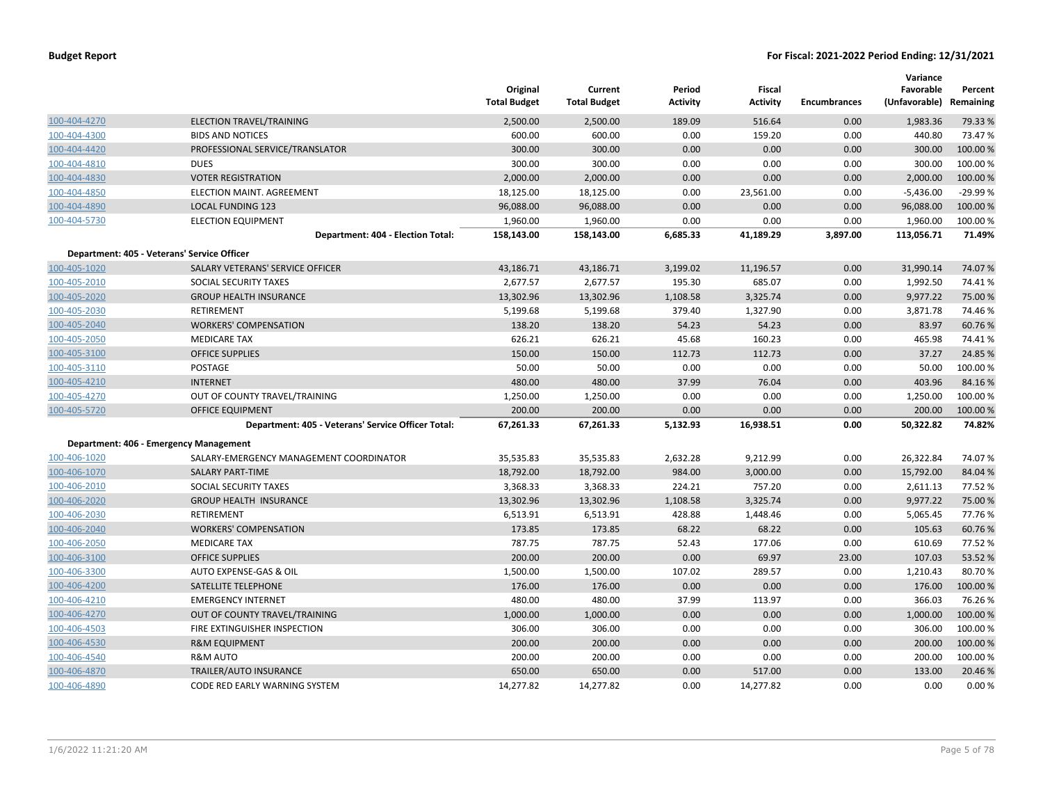|              |                                                    | Original<br><b>Total Budget</b> | Current<br><b>Total Budget</b> | Period<br><b>Activity</b> | Fiscal<br><b>Activity</b> | <b>Encumbrances</b> | Variance<br>Favorable<br>(Unfavorable) Remaining | Percent   |
|--------------|----------------------------------------------------|---------------------------------|--------------------------------|---------------------------|---------------------------|---------------------|--------------------------------------------------|-----------|
| 100-404-4270 | ELECTION TRAVEL/TRAINING                           | 2,500.00                        | 2,500.00                       | 189.09                    | 516.64                    | 0.00                | 1,983.36                                         | 79.33 %   |
| 100-404-4300 | <b>BIDS AND NOTICES</b>                            | 600.00                          | 600.00                         | 0.00                      | 159.20                    | 0.00                | 440.80                                           | 73.47%    |
| 100-404-4420 | PROFESSIONAL SERVICE/TRANSLATOR                    | 300.00                          | 300.00                         | 0.00                      | 0.00                      | 0.00                | 300.00                                           | 100.00%   |
| 100-404-4810 | <b>DUES</b>                                        | 300.00                          | 300.00                         | 0.00                      | 0.00                      | 0.00                | 300.00                                           | 100.00%   |
| 100-404-4830 | <b>VOTER REGISTRATION</b>                          | 2,000.00                        | 2,000.00                       | 0.00                      | 0.00                      | 0.00                | 2,000.00                                         | 100.00 %  |
| 100-404-4850 | ELECTION MAINT. AGREEMENT                          | 18,125.00                       | 18,125.00                      | 0.00                      | 23,561.00                 | 0.00                | $-5,436.00$                                      | $-29.99%$ |
| 100-404-4890 | <b>LOCAL FUNDING 123</b>                           | 96,088.00                       | 96,088.00                      | 0.00                      | 0.00                      | 0.00                | 96,088.00                                        | 100.00%   |
| 100-404-5730 | <b>ELECTION EQUIPMENT</b>                          | 1,960.00                        | 1,960.00                       | 0.00                      | 0.00                      | 0.00                | 1,960.00                                         | 100.00%   |
|              | Department: 404 - Election Total:                  | 158,143.00                      | 158,143.00                     | 6,685.33                  | 41,189.29                 | 3,897.00            | 113,056.71                                       | 71.49%    |
|              | Department: 405 - Veterans' Service Officer        |                                 |                                |                           |                           |                     |                                                  |           |
| 100-405-1020 | SALARY VETERANS' SERVICE OFFICER                   | 43,186.71                       | 43,186.71                      | 3,199.02                  | 11,196.57                 | 0.00                | 31,990.14                                        | 74.07%    |
| 100-405-2010 | SOCIAL SECURITY TAXES                              | 2,677.57                        | 2,677.57                       | 195.30                    | 685.07                    | 0.00                | 1,992.50                                         | 74.41%    |
| 100-405-2020 | <b>GROUP HEALTH INSURANCE</b>                      | 13,302.96                       | 13,302.96                      | 1,108.58                  | 3,325.74                  | 0.00                | 9,977.22                                         | 75.00 %   |
| 100-405-2030 | <b>RETIREMENT</b>                                  | 5,199.68                        | 5,199.68                       | 379.40                    | 1,327.90                  | 0.00                | 3,871.78                                         | 74.46%    |
| 100-405-2040 | <b>WORKERS' COMPENSATION</b>                       | 138.20                          | 138.20                         | 54.23                     | 54.23                     | 0.00                | 83.97                                            | 60.76%    |
| 100-405-2050 | <b>MEDICARE TAX</b>                                | 626.21                          | 626.21                         | 45.68                     | 160.23                    | 0.00                | 465.98                                           | 74.41%    |
| 100-405-3100 | <b>OFFICE SUPPLIES</b>                             | 150.00                          | 150.00                         | 112.73                    | 112.73                    | 0.00                | 37.27                                            | 24.85 %   |
| 100-405-3110 | POSTAGE                                            | 50.00                           | 50.00                          | 0.00                      | 0.00                      | 0.00                | 50.00                                            | 100.00%   |
| 100-405-4210 | <b>INTERNET</b>                                    | 480.00                          | 480.00                         | 37.99                     | 76.04                     | 0.00                | 403.96                                           | 84.16%    |
| 100-405-4270 | OUT OF COUNTY TRAVEL/TRAINING                      | 1,250.00                        | 1,250.00                       | 0.00                      | 0.00                      | 0.00                | 1,250.00                                         | 100.00%   |
| 100-405-5720 | <b>OFFICE EQUIPMENT</b>                            | 200.00                          | 200.00                         | 0.00                      | 0.00                      | 0.00                | 200.00                                           | 100.00%   |
|              | Department: 405 - Veterans' Service Officer Total: | 67,261.33                       | 67,261.33                      | 5,132.93                  | 16,938.51                 | 0.00                | 50,322.82                                        | 74.82%    |
|              | Department: 406 - Emergency Management             |                                 |                                |                           |                           |                     |                                                  |           |
| 100-406-1020 | SALARY-EMERGENCY MANAGEMENT COORDINATOR            | 35,535.83                       | 35,535.83                      | 2,632.28                  | 9,212.99                  | 0.00                | 26,322.84                                        | 74.07%    |
| 100-406-1070 | <b>SALARY PART-TIME</b>                            | 18,792.00                       | 18,792.00                      | 984.00                    | 3,000.00                  | 0.00                | 15,792.00                                        | 84.04 %   |
| 100-406-2010 | SOCIAL SECURITY TAXES                              | 3,368.33                        | 3,368.33                       | 224.21                    | 757.20                    | 0.00                | 2,611.13                                         | 77.52 %   |
| 100-406-2020 | <b>GROUP HEALTH INSURANCE</b>                      | 13,302.96                       | 13,302.96                      | 1,108.58                  | 3,325.74                  | 0.00                | 9,977.22                                         | 75.00 %   |
| 100-406-2030 | <b>RETIREMENT</b>                                  | 6,513.91                        | 6,513.91                       | 428.88                    | 1,448.46                  | 0.00                | 5,065.45                                         | 77.76%    |
| 100-406-2040 | <b>WORKERS' COMPENSATION</b>                       | 173.85                          | 173.85                         | 68.22                     | 68.22                     | 0.00                | 105.63                                           | 60.76%    |
| 100-406-2050 | <b>MEDICARE TAX</b>                                | 787.75                          | 787.75                         | 52.43                     | 177.06                    | 0.00                | 610.69                                           | 77.52 %   |
| 100-406-3100 | <b>OFFICE SUPPLIES</b>                             | 200.00                          | 200.00                         | 0.00                      | 69.97                     | 23.00               | 107.03                                           | 53.52 %   |
| 100-406-3300 | AUTO EXPENSE-GAS & OIL                             | 1,500.00                        | 1,500.00                       | 107.02                    | 289.57                    | 0.00                | 1,210.43                                         | 80.70%    |
| 100-406-4200 | SATELLITE TELEPHONE                                | 176.00                          | 176.00                         | 0.00                      | 0.00                      | 0.00                | 176.00                                           | 100.00%   |
| 100-406-4210 | <b>EMERGENCY INTERNET</b>                          | 480.00                          | 480.00                         | 37.99                     | 113.97                    | 0.00                | 366.03                                           | 76.26%    |
| 100-406-4270 | OUT OF COUNTY TRAVEL/TRAINING                      | 1,000.00                        | 1,000.00                       | 0.00                      | 0.00                      | 0.00                | 1,000.00                                         | 100.00%   |
| 100-406-4503 | FIRE EXTINGUISHER INSPECTION                       | 306.00                          | 306.00                         | 0.00                      | 0.00                      | 0.00                | 306.00                                           | 100.00%   |
| 100-406-4530 | <b>R&amp;M EQUIPMENT</b>                           | 200.00                          | 200.00                         | 0.00                      | 0.00                      | 0.00                | 200.00                                           | 100.00%   |
| 100-406-4540 | <b>R&amp;M AUTO</b>                                | 200.00                          | 200.00                         | 0.00                      | 0.00                      | 0.00                | 200.00                                           | 100.00%   |
| 100-406-4870 | TRAILER/AUTO INSURANCE                             | 650.00                          | 650.00                         | 0.00                      | 517.00                    | 0.00                | 133.00                                           | 20.46 %   |
| 100-406-4890 | CODE RED EARLY WARNING SYSTEM                      | 14,277.82                       | 14,277.82                      | 0.00                      | 14,277.82                 | 0.00                | 0.00                                             | 0.00%     |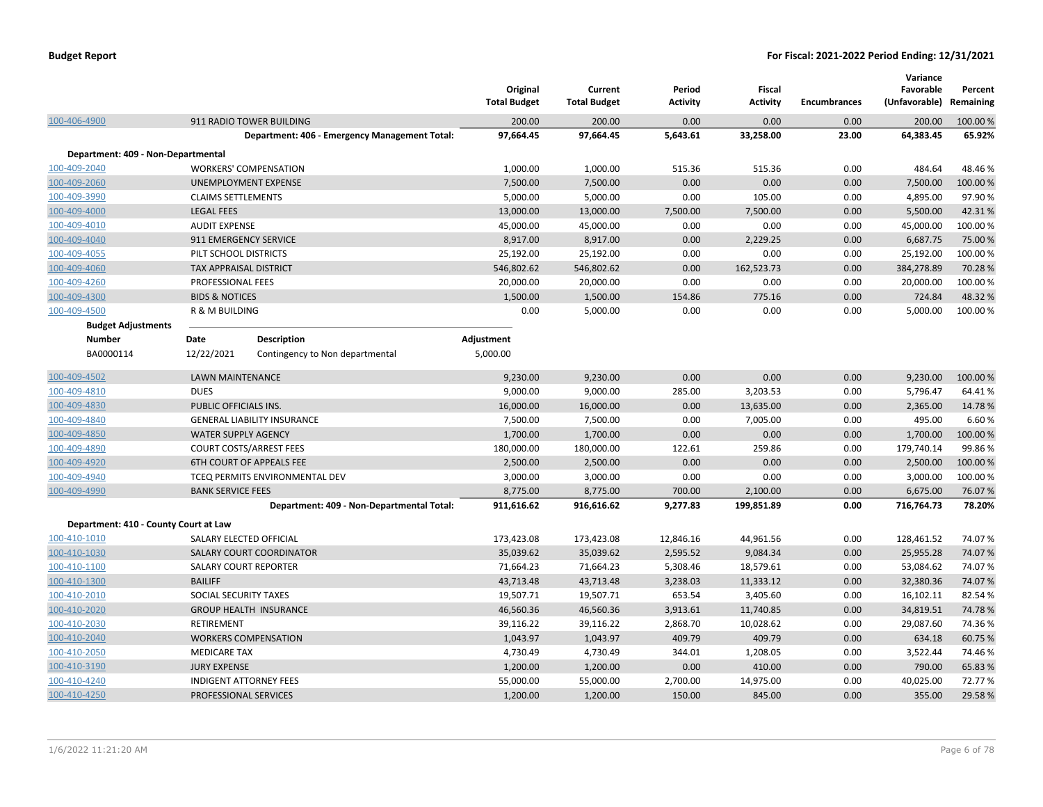|                                       |                                |                                               | Original<br><b>Total Budget</b> | Current<br><b>Total Budget</b> | Period<br><b>Activity</b> | <b>Fiscal</b><br><b>Activity</b> | <b>Encumbrances</b> | Variance<br>Favorable<br>(Unfavorable) | Percent<br>Remaining |
|---------------------------------------|--------------------------------|-----------------------------------------------|---------------------------------|--------------------------------|---------------------------|----------------------------------|---------------------|----------------------------------------|----------------------|
| 100-406-4900                          |                                | 911 RADIO TOWER BUILDING                      | 200.00                          | 200.00                         | 0.00                      | 0.00                             | 0.00                | 200.00                                 | 100.00 %             |
|                                       |                                | Department: 406 - Emergency Management Total: | 97,664.45                       | 97,664.45                      | 5,643.61                  | 33,258.00                        | 23.00               | 64,383.45                              | 65.92%               |
| Department: 409 - Non-Departmental    |                                |                                               |                                 |                                |                           |                                  |                     |                                        |                      |
| 100-409-2040                          | <b>WORKERS' COMPENSATION</b>   |                                               | 1,000.00                        | 1,000.00                       | 515.36                    | 515.36                           | 0.00                | 484.64                                 | 48.46%               |
| 100-409-2060                          | UNEMPLOYMENT EXPENSE           |                                               | 7,500.00                        | 7,500.00                       | 0.00                      | 0.00                             | 0.00                | 7,500.00                               | 100.00%              |
| 100-409-3990                          | <b>CLAIMS SETTLEMENTS</b>      |                                               | 5,000.00                        | 5,000.00                       | 0.00                      | 105.00                           | 0.00                | 4,895.00                               | 97.90%               |
| 100-409-4000                          | <b>LEGAL FEES</b>              |                                               | 13,000.00                       | 13,000.00                      | 7,500.00                  | 7,500.00                         | 0.00                | 5,500.00                               | 42.31%               |
| 100-409-4010                          | <b>AUDIT EXPENSE</b>           |                                               | 45,000.00                       | 45,000.00                      | 0.00                      | 0.00                             | 0.00                | 45,000.00                              | 100.00%              |
| 100-409-4040                          | 911 EMERGENCY SERVICE          |                                               | 8,917.00                        | 8,917.00                       | 0.00                      | 2,229.25                         | 0.00                | 6,687.75                               | 75.00 %              |
| 100-409-4055                          | PILT SCHOOL DISTRICTS          |                                               | 25,192.00                       | 25,192.00                      | 0.00                      | 0.00                             | 0.00                | 25,192.00                              | 100.00%              |
| 100-409-4060                          | <b>TAX APPRAISAL DISTRICT</b>  |                                               | 546,802.62                      | 546,802.62                     | 0.00                      | 162,523.73                       | 0.00                | 384,278.89                             | 70.28%               |
| 100-409-4260                          | PROFESSIONAL FEES              |                                               | 20,000.00                       | 20,000.00                      | 0.00                      | 0.00                             | 0.00                | 20,000.00                              | 100.00%              |
| 100-409-4300                          | <b>BIDS &amp; NOTICES</b>      |                                               | 1,500.00                        | 1,500.00                       | 154.86                    | 775.16                           | 0.00                | 724.84                                 | 48.32%               |
| 100-409-4500                          | R & M BUILDING                 |                                               | 0.00                            | 5,000.00                       | 0.00                      | 0.00                             | 0.00                | 5,000.00                               | 100.00%              |
| <b>Budget Adjustments</b>             |                                |                                               |                                 |                                |                           |                                  |                     |                                        |                      |
| <b>Number</b>                         | Date                           | <b>Description</b>                            | Adjustment                      |                                |                           |                                  |                     |                                        |                      |
| BA0000114                             | 12/22/2021                     | Contingency to Non departmental               | 5,000.00                        |                                |                           |                                  |                     |                                        |                      |
| 100-409-4502                          | <b>LAWN MAINTENANCE</b>        |                                               | 9,230.00                        | 9,230.00                       | 0.00                      | 0.00                             | 0.00                | 9,230.00                               | 100.00%              |
| 100-409-4810                          | <b>DUES</b>                    |                                               | 9,000.00                        | 9,000.00                       | 285.00                    | 3,203.53                         | 0.00                | 5,796.47                               | 64.41%               |
| 100-409-4830                          | PUBLIC OFFICIALS INS.          |                                               | 16,000.00                       | 16,000.00                      | 0.00                      | 13,635.00                        | 0.00                | 2,365.00                               | 14.78%               |
| 100-409-4840                          |                                | <b>GENERAL LIABILITY INSURANCE</b>            | 7,500.00                        | 7,500.00                       | 0.00                      | 7,005.00                         | 0.00                | 495.00                                 | 6.60%                |
| 100-409-4850                          | <b>WATER SUPPLY AGENCY</b>     |                                               | 1,700.00                        | 1,700.00                       | 0.00                      | 0.00                             | 0.00                | 1,700.00                               | 100.00%              |
| 100-409-4890                          | <b>COURT COSTS/ARREST FEES</b> |                                               | 180,000.00                      | 180,000.00                     | 122.61                    | 259.86                           | 0.00                | 179,740.14                             | 99.86%               |
| 100-409-4920                          |                                | 6TH COURT OF APPEALS FEE                      | 2,500.00                        | 2,500.00                       | 0.00                      | 0.00                             | 0.00                | 2,500.00                               | 100.00 %             |
| 100-409-4940                          |                                | TCEQ PERMITS ENVIRONMENTAL DEV                | 3,000.00                        | 3,000.00                       | 0.00                      | 0.00                             | 0.00                | 3,000.00                               | 100.00%              |
| 100-409-4990                          | <b>BANK SERVICE FEES</b>       |                                               | 8,775.00                        | 8,775.00                       | 700.00                    | 2,100.00                         | 0.00                | 6,675.00                               | 76.07%               |
|                                       |                                | Department: 409 - Non-Departmental Total:     | 911,616.62                      | 916,616.62                     | 9,277.83                  | 199,851.89                       | 0.00                | 716,764.73                             | 78.20%               |
| Department: 410 - County Court at Law |                                |                                               |                                 |                                |                           |                                  |                     |                                        |                      |
| 100-410-1010                          | SALARY ELECTED OFFICIAL        |                                               | 173,423.08                      | 173,423.08                     | 12,846.16                 | 44,961.56                        | 0.00                | 128,461.52                             | 74.07%               |
| 100-410-1030                          |                                | SALARY COURT COORDINATOR                      | 35,039.62                       | 35,039.62                      | 2,595.52                  | 9,084.34                         | 0.00                | 25,955.28                              | 74.07%               |
| 100-410-1100                          | SALARY COURT REPORTER          |                                               | 71,664.23                       | 71,664.23                      | 5,308.46                  | 18,579.61                        | 0.00                | 53,084.62                              | 74.07%               |
| 100-410-1300                          | <b>BAILIFF</b>                 |                                               | 43,713.48                       | 43,713.48                      | 3,238.03                  | 11,333.12                        | 0.00                | 32,380.36                              | 74.07%               |
| 100-410-2010                          | SOCIAL SECURITY TAXES          |                                               | 19,507.71                       | 19,507.71                      | 653.54                    | 3,405.60                         | 0.00                | 16,102.11                              | 82.54%               |
| 100-410-2020                          |                                | <b>GROUP HEALTH INSURANCE</b>                 | 46,560.36                       | 46,560.36                      | 3,913.61                  | 11,740.85                        | 0.00                | 34,819.51                              | 74.78%               |
| 100-410-2030                          | RETIREMENT                     |                                               | 39,116.22                       | 39,116.22                      | 2,868.70                  | 10,028.62                        | 0.00                | 29,087.60                              | 74.36%               |
| 100-410-2040                          | <b>WORKERS COMPENSATION</b>    |                                               | 1,043.97                        | 1,043.97                       | 409.79                    | 409.79                           | 0.00                | 634.18                                 | 60.75 %              |
| 100-410-2050                          | <b>MEDICARE TAX</b>            |                                               | 4,730.49                        | 4,730.49                       | 344.01                    | 1,208.05                         | 0.00                | 3,522.44                               | 74.46%               |
| 100-410-3190                          | <b>JURY EXPENSE</b>            |                                               | 1,200.00                        | 1,200.00                       | 0.00                      | 410.00                           | 0.00                | 790.00                                 | 65.83%               |
| 100-410-4240                          | <b>INDIGENT ATTORNEY FEES</b>  |                                               | 55,000.00                       | 55,000.00                      | 2,700.00                  | 14,975.00                        | 0.00                | 40,025.00                              | 72.77%               |
| 100-410-4250                          | PROFESSIONAL SERVICES          |                                               | 1,200.00                        | 1,200.00                       | 150.00                    | 845.00                           | 0.00                | 355.00                                 | 29.58%               |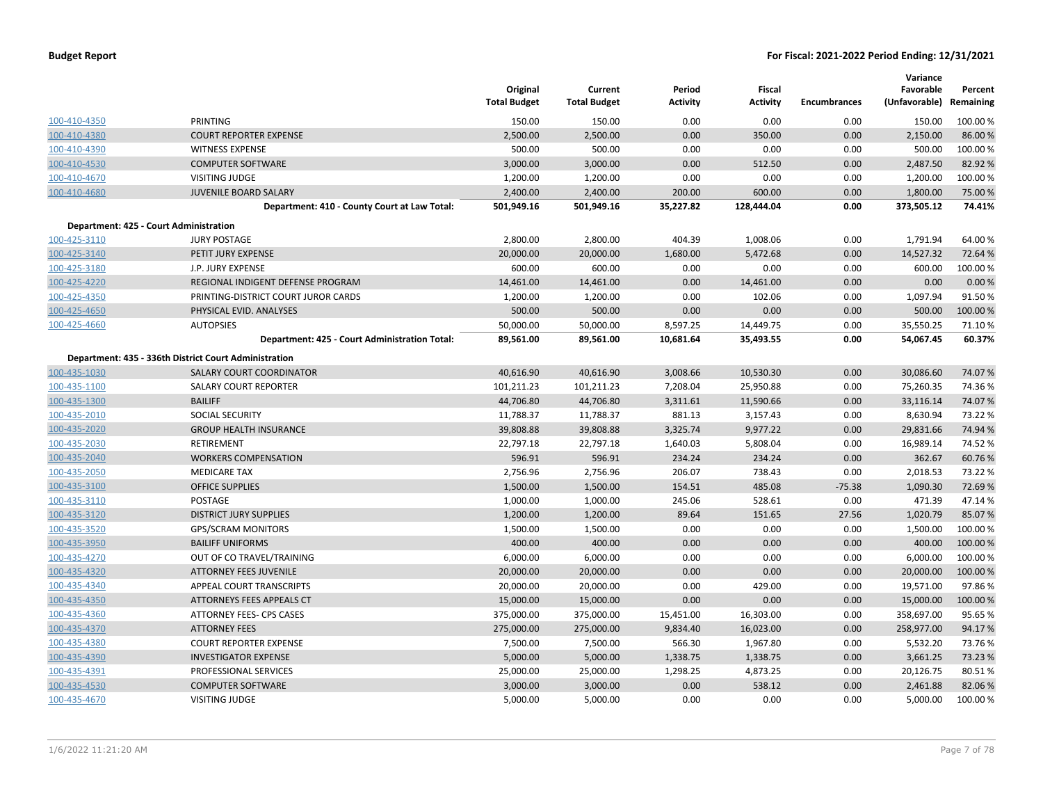|              |                                                       | Original<br><b>Total Budget</b> | Current<br><b>Total Budget</b> | Period<br><b>Activity</b> | Fiscal<br><b>Activity</b> | <b>Encumbrances</b> | Variance<br>Favorable<br>(Unfavorable) Remaining | Percent  |
|--------------|-------------------------------------------------------|---------------------------------|--------------------------------|---------------------------|---------------------------|---------------------|--------------------------------------------------|----------|
| 100-410-4350 | PRINTING                                              | 150.00                          | 150.00                         | 0.00                      | 0.00                      | 0.00                | 150.00                                           | 100.00 % |
| 100-410-4380 | <b>COURT REPORTER EXPENSE</b>                         | 2,500.00                        | 2,500.00                       | 0.00                      | 350.00                    | 0.00                | 2,150.00                                         | 86.00 %  |
| 100-410-4390 | <b>WITNESS EXPENSE</b>                                | 500.00                          | 500.00                         | 0.00                      | 0.00                      | 0.00                | 500.00                                           | 100.00%  |
| 100-410-4530 | <b>COMPUTER SOFTWARE</b>                              | 3,000.00                        | 3,000.00                       | 0.00                      | 512.50                    | 0.00                | 2,487.50                                         | 82.92 %  |
| 100-410-4670 | <b>VISITING JUDGE</b>                                 | 1,200.00                        | 1,200.00                       | 0.00                      | 0.00                      | 0.00                | 1,200.00                                         | 100.00%  |
| 100-410-4680 | JUVENILE BOARD SALARY                                 | 2,400.00                        | 2,400.00                       | 200.00                    | 600.00                    | 0.00                | 1,800.00                                         | 75.00 %  |
|              | Department: 410 - County Court at Law Total:          | 501,949.16                      | 501,949.16                     | 35,227.82                 | 128,444.04                | 0.00                | 373,505.12                                       | 74.41%   |
|              | Department: 425 - Court Administration                |                                 |                                |                           |                           |                     |                                                  |          |
| 100-425-3110 | <b>JURY POSTAGE</b>                                   | 2,800.00                        | 2,800.00                       | 404.39                    | 1,008.06                  | 0.00                | 1,791.94                                         | 64.00%   |
| 100-425-3140 | PETIT JURY EXPENSE                                    | 20,000.00                       | 20,000.00                      | 1,680.00                  | 5,472.68                  | 0.00                | 14,527.32                                        | 72.64%   |
| 100-425-3180 | J.P. JURY EXPENSE                                     | 600.00                          | 600.00                         | 0.00                      | 0.00                      | 0.00                | 600.00                                           | 100.00 % |
| 100-425-4220 | REGIONAL INDIGENT DEFENSE PROGRAM                     | 14,461.00                       | 14,461.00                      | 0.00                      | 14,461.00                 | 0.00                | 0.00                                             | 0.00%    |
| 100-425-4350 | PRINTING-DISTRICT COURT JUROR CARDS                   | 1,200.00                        | 1,200.00                       | 0.00                      | 102.06                    | 0.00                | 1,097.94                                         | 91.50%   |
| 100-425-4650 | PHYSICAL EVID. ANALYSES                               | 500.00                          | 500.00                         | 0.00                      | 0.00                      | 0.00                | 500.00                                           | 100.00%  |
| 100-425-4660 | <b>AUTOPSIES</b>                                      | 50,000.00                       | 50,000.00                      | 8,597.25                  | 14,449.75                 | 0.00                | 35,550.25                                        | 71.10%   |
|              | Department: 425 - Court Administration Total:         | 89,561.00                       | 89,561.00                      | 10,681.64                 | 35,493.55                 | 0.00                | 54,067.45                                        | 60.37%   |
|              | Department: 435 - 336th District Court Administration |                                 |                                |                           |                           |                     |                                                  |          |
| 100-435-1030 | SALARY COURT COORDINATOR                              | 40,616.90                       | 40,616.90                      | 3,008.66                  | 10,530.30                 | 0.00                | 30,086.60                                        | 74.07%   |
| 100-435-1100 | <b>SALARY COURT REPORTER</b>                          | 101,211.23                      | 101,211.23                     | 7,208.04                  | 25,950.88                 | 0.00                | 75,260.35                                        | 74.36%   |
| 100-435-1300 | <b>BAILIFF</b>                                        | 44,706.80                       | 44,706.80                      | 3,311.61                  | 11,590.66                 | 0.00                | 33,116.14                                        | 74.07%   |
| 100-435-2010 | <b>SOCIAL SECURITY</b>                                | 11,788.37                       | 11,788.37                      | 881.13                    | 3,157.43                  | 0.00                | 8,630.94                                         | 73.22 %  |
| 100-435-2020 | <b>GROUP HEALTH INSURANCE</b>                         | 39,808.88                       | 39,808.88                      | 3,325.74                  | 9,977.22                  | 0.00                | 29,831.66                                        | 74.94 %  |
| 100-435-2030 | RETIREMENT                                            | 22,797.18                       | 22,797.18                      | 1,640.03                  | 5,808.04                  | 0.00                | 16,989.14                                        | 74.52%   |
| 100-435-2040 | <b>WORKERS COMPENSATION</b>                           | 596.91                          | 596.91                         | 234.24                    | 234.24                    | 0.00                | 362.67                                           | 60.76%   |
| 100-435-2050 | <b>MEDICARE TAX</b>                                   | 2,756.96                        | 2,756.96                       | 206.07                    | 738.43                    | 0.00                | 2,018.53                                         | 73.22 %  |
| 100-435-3100 | <b>OFFICE SUPPLIES</b>                                | 1,500.00                        | 1,500.00                       | 154.51                    | 485.08                    | $-75.38$            | 1,090.30                                         | 72.69%   |
| 100-435-3110 | POSTAGE                                               | 1,000.00                        | 1,000.00                       | 245.06                    | 528.61                    | 0.00                | 471.39                                           | 47.14%   |
| 100-435-3120 | <b>DISTRICT JURY SUPPLIES</b>                         | 1,200.00                        | 1,200.00                       | 89.64                     | 151.65                    | 27.56               | 1,020.79                                         | 85.07 %  |
| 100-435-3520 | <b>GPS/SCRAM MONITORS</b>                             | 1,500.00                        | 1,500.00                       | 0.00                      | 0.00                      | 0.00                | 1,500.00                                         | 100.00%  |
| 100-435-3950 | <b>BAILIFF UNIFORMS</b>                               | 400.00                          | 400.00                         | 0.00                      | 0.00                      | 0.00                | 400.00                                           | 100.00 % |
| 100-435-4270 | OUT OF CO TRAVEL/TRAINING                             | 6,000.00                        | 6,000.00                       | 0.00                      | 0.00                      | 0.00                | 6,000.00                                         | 100.00%  |
| 100-435-4320 | <b>ATTORNEY FEES JUVENILE</b>                         | 20,000.00                       | 20,000.00                      | 0.00                      | 0.00                      | 0.00                | 20,000.00                                        | 100.00 % |
| 100-435-4340 | APPEAL COURT TRANSCRIPTS                              | 20,000.00                       | 20,000.00                      | 0.00                      | 429.00                    | 0.00                | 19,571.00                                        | 97.86%   |
| 100-435-4350 | ATTORNEYS FEES APPEALS CT                             | 15,000.00                       | 15,000.00                      | 0.00                      | 0.00                      | 0.00                | 15,000.00                                        | 100.00 % |
| 100-435-4360 | ATTORNEY FEES- CPS CASES                              | 375,000.00                      | 375,000.00                     | 15,451.00                 | 16,303.00                 | 0.00                | 358,697.00                                       | 95.65 %  |
| 100-435-4370 | <b>ATTORNEY FEES</b>                                  | 275,000.00                      | 275,000.00                     | 9,834.40                  | 16,023.00                 | 0.00                | 258,977.00                                       | 94.17%   |
| 100-435-4380 | <b>COURT REPORTER EXPENSE</b>                         | 7,500.00                        | 7,500.00                       | 566.30                    | 1,967.80                  | 0.00                | 5,532.20                                         | 73.76%   |
| 100-435-4390 | <b>INVESTIGATOR EXPENSE</b>                           | 5,000.00                        | 5,000.00                       | 1,338.75                  | 1,338.75                  | 0.00                | 3,661.25                                         | 73.23 %  |
| 100-435-4391 | PROFESSIONAL SERVICES                                 | 25,000.00                       | 25,000.00                      | 1,298.25                  | 4,873.25                  | 0.00                | 20,126.75                                        | 80.51%   |
| 100-435-4530 | <b>COMPUTER SOFTWARE</b>                              | 3,000.00                        | 3,000.00                       | 0.00                      | 538.12                    | 0.00                | 2,461.88                                         | 82.06%   |
| 100-435-4670 | <b>VISITING JUDGE</b>                                 | 5,000.00                        | 5,000.00                       | 0.00                      | 0.00                      | 0.00                | 5,000.00                                         | 100.00%  |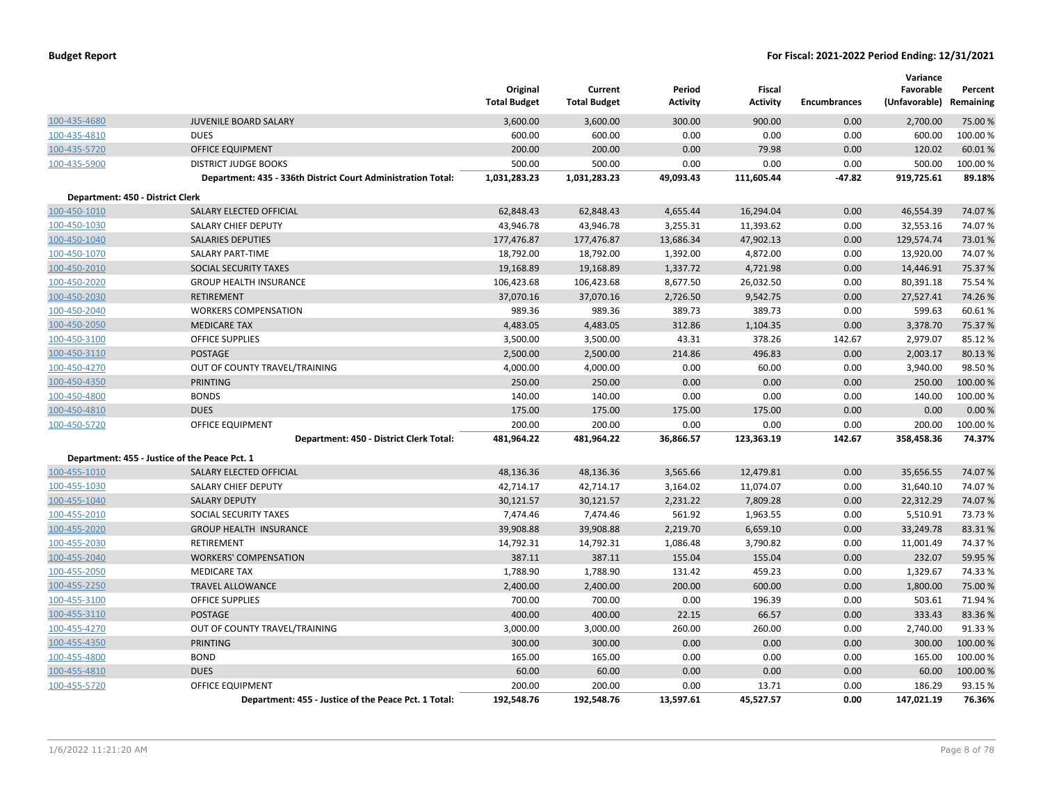|                                  |                                                              | Original<br><b>Total Budget</b> | Current<br><b>Total Budget</b> | Period<br><b>Activity</b> | Fiscal<br><b>Activity</b> | <b>Encumbrances</b> | Variance<br>Favorable<br>(Unfavorable) | Percent<br>Remaining |
|----------------------------------|--------------------------------------------------------------|---------------------------------|--------------------------------|---------------------------|---------------------------|---------------------|----------------------------------------|----------------------|
| 100-435-4680                     | JUVENILE BOARD SALARY                                        | 3,600.00                        | 3,600.00                       | 300.00                    | 900.00                    | 0.00                | 2,700.00                               | 75.00 %              |
| 100-435-4810                     | <b>DUES</b>                                                  | 600.00                          | 600.00                         | 0.00                      | 0.00                      | 0.00                | 600.00                                 | 100.00%              |
| 100-435-5720                     | OFFICE EQUIPMENT                                             | 200.00                          | 200.00                         | 0.00                      | 79.98                     | 0.00                | 120.02                                 | 60.01%               |
| 100-435-5900                     | <b>DISTRICT JUDGE BOOKS</b>                                  | 500.00                          | 500.00                         | 0.00                      | 0.00                      | 0.00                | 500.00                                 | 100.00%              |
|                                  | Department: 435 - 336th District Court Administration Total: | 1,031,283.23                    | 1,031,283.23                   | 49,093.43                 | 111,605.44                | $-47.82$            | 919,725.61                             | 89.18%               |
| Department: 450 - District Clerk |                                                              |                                 |                                |                           |                           |                     |                                        |                      |
| 100-450-1010                     | SALARY ELECTED OFFICIAL                                      | 62,848.43                       | 62,848.43                      | 4,655.44                  | 16,294.04                 | 0.00                | 46,554.39                              | 74.07%               |
| 100-450-1030                     | SALARY CHIEF DEPUTY                                          | 43,946.78                       | 43,946.78                      | 3,255.31                  | 11,393.62                 | 0.00                | 32,553.16                              | 74.07%               |
| 100-450-1040                     | <b>SALARIES DEPUTIES</b>                                     | 177,476.87                      | 177,476.87                     | 13,686.34                 | 47,902.13                 | 0.00                | 129,574.74                             | 73.01%               |
| 100-450-1070                     | SALARY PART-TIME                                             | 18,792.00                       | 18,792.00                      | 1,392.00                  | 4,872.00                  | 0.00                | 13,920.00                              | 74.07%               |
| 100-450-2010                     | <b>SOCIAL SECURITY TAXES</b>                                 | 19,168.89                       | 19,168.89                      | 1,337.72                  | 4,721.98                  | 0.00                | 14,446.91                              | 75.37%               |
| 100-450-2020                     | <b>GROUP HEALTH INSURANCE</b>                                | 106,423.68                      | 106,423.68                     | 8,677.50                  | 26,032.50                 | 0.00                | 80,391.18                              | 75.54 %              |
| 100-450-2030                     | <b>RETIREMENT</b>                                            | 37,070.16                       | 37,070.16                      | 2,726.50                  | 9,542.75                  | 0.00                | 27,527.41                              | 74.26%               |
| 100-450-2040                     | <b>WORKERS COMPENSATION</b>                                  | 989.36                          | 989.36                         | 389.73                    | 389.73                    | 0.00                | 599.63                                 | 60.61%               |
| 100-450-2050                     | <b>MEDICARE TAX</b>                                          | 4,483.05                        | 4,483.05                       | 312.86                    | 1,104.35                  | 0.00                | 3,378.70                               | 75.37%               |
| 100-450-3100                     | <b>OFFICE SUPPLIES</b>                                       | 3,500.00                        | 3,500.00                       | 43.31                     | 378.26                    | 142.67              | 2,979.07                               | 85.12%               |
| 100-450-3110                     | <b>POSTAGE</b>                                               | 2,500.00                        | 2,500.00                       | 214.86                    | 496.83                    | 0.00                | 2,003.17                               | 80.13%               |
| 100-450-4270                     | OUT OF COUNTY TRAVEL/TRAINING                                | 4,000.00                        | 4,000.00                       | 0.00                      | 60.00                     | 0.00                | 3,940.00                               | 98.50%               |
| 100-450-4350                     | <b>PRINTING</b>                                              | 250.00                          | 250.00                         | 0.00                      | 0.00                      | 0.00                | 250.00                                 | 100.00 %             |
| 100-450-4800                     | <b>BONDS</b>                                                 | 140.00                          | 140.00                         | 0.00                      | 0.00                      | 0.00                | 140.00                                 | 100.00%              |
| 100-450-4810                     | <b>DUES</b>                                                  | 175.00                          | 175.00                         | 175.00                    | 175.00                    | 0.00                | 0.00                                   | 0.00%                |
| 100-450-5720                     | <b>OFFICE EQUIPMENT</b>                                      | 200.00                          | 200.00                         | 0.00                      | 0.00                      | 0.00                | 200.00                                 | 100.00%              |
|                                  | Department: 450 - District Clerk Total:                      | 481,964.22                      | 481,964.22                     | 36,866.57                 | 123,363.19                | 142.67              | 358,458.36                             | 74.37%               |
|                                  | Department: 455 - Justice of the Peace Pct. 1                |                                 |                                |                           |                           |                     |                                        |                      |
| 100-455-1010                     | SALARY ELECTED OFFICIAL                                      | 48,136.36                       | 48,136.36                      | 3,565.66                  | 12,479.81                 | 0.00                | 35,656.55                              | 74.07%               |
| 100-455-1030                     | SALARY CHIEF DEPUTY                                          | 42,714.17                       | 42,714.17                      | 3,164.02                  | 11,074.07                 | 0.00                | 31,640.10                              | 74.07%               |
| 100-455-1040                     | <b>SALARY DEPUTY</b>                                         | 30,121.57                       | 30,121.57                      | 2,231.22                  | 7,809.28                  | 0.00                | 22,312.29                              | 74.07%               |
| 100-455-2010                     | SOCIAL SECURITY TAXES                                        | 7,474.46                        | 7,474.46                       | 561.92                    | 1,963.55                  | 0.00                | 5,510.91                               | 73.73 %              |
| 100-455-2020                     | <b>GROUP HEALTH INSURANCE</b>                                | 39,908.88                       | 39,908.88                      | 2,219.70                  | 6,659.10                  | 0.00                | 33,249.78                              | 83.31%               |
| 100-455-2030                     | RETIREMENT                                                   | 14,792.31                       | 14,792.31                      | 1,086.48                  | 3,790.82                  | 0.00                | 11,001.49                              | 74.37%               |
| 100-455-2040                     | <b>WORKERS' COMPENSATION</b>                                 | 387.11                          | 387.11                         | 155.04                    | 155.04                    | 0.00                | 232.07                                 | 59.95 %              |
| 100-455-2050                     | <b>MEDICARE TAX</b>                                          | 1,788.90                        | 1,788.90                       | 131.42                    | 459.23                    | 0.00                | 1,329.67                               | 74.33 %              |
| 100-455-2250                     | <b>TRAVEL ALLOWANCE</b>                                      | 2,400.00                        | 2,400.00                       | 200.00                    | 600.00                    | 0.00                | 1,800.00                               | 75.00 %              |
| 100-455-3100                     | <b>OFFICE SUPPLIES</b>                                       | 700.00                          | 700.00                         | 0.00                      | 196.39                    | 0.00                | 503.61                                 | 71.94 %              |
| 100-455-3110                     | POSTAGE                                                      | 400.00                          | 400.00                         | 22.15                     | 66.57                     | 0.00                | 333.43                                 | 83.36%               |
| 100-455-4270                     | OUT OF COUNTY TRAVEL/TRAINING                                | 3,000.00                        | 3,000.00                       | 260.00                    | 260.00                    | 0.00                | 2,740.00                               | 91.33%               |
| 100-455-4350                     | <b>PRINTING</b>                                              | 300.00                          | 300.00                         | 0.00                      | 0.00                      | 0.00                | 300.00                                 | 100.00 %             |
| 100-455-4800                     | <b>BOND</b>                                                  | 165.00                          | 165.00                         | 0.00                      | 0.00                      | 0.00                | 165.00                                 | 100.00 %             |
| 100-455-4810                     | <b>DUES</b>                                                  | 60.00                           | 60.00                          | 0.00                      | 0.00                      | 0.00                | 60.00                                  | 100.00%              |
| 100-455-5720                     | <b>OFFICE EQUIPMENT</b>                                      | 200.00                          | 200.00                         | 0.00                      | 13.71                     | 0.00                | 186.29                                 | 93.15%               |
|                                  | Department: 455 - Justice of the Peace Pct. 1 Total:         | 192,548.76                      | 192,548.76                     | 13,597.61                 | 45,527.57                 | 0.00                | 147,021.19                             | 76.36%               |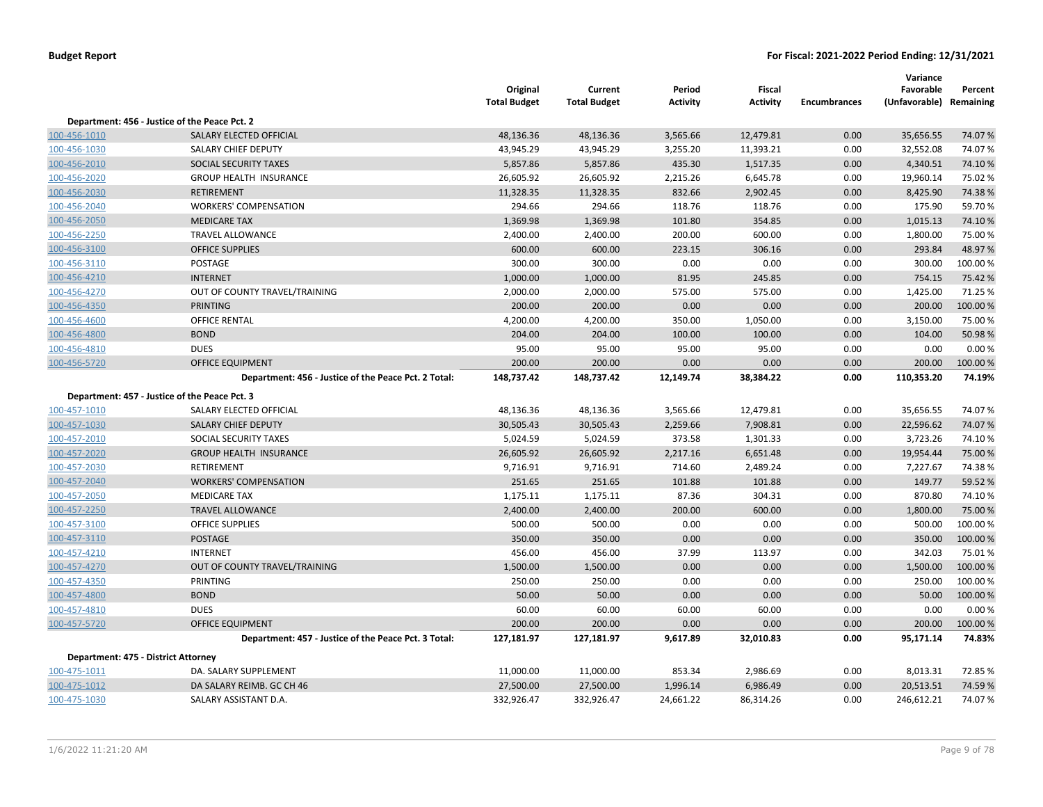|                                                      | Original<br><b>Total Budget</b>                              | Current<br><b>Total Budget</b> | Period<br><b>Activity</b> | <b>Fiscal</b><br><b>Activity</b> | <b>Encumbrances</b> | Variance<br>Favorable | Percent<br>Remaining      |
|------------------------------------------------------|--------------------------------------------------------------|--------------------------------|---------------------------|----------------------------------|---------------------|-----------------------|---------------------------|
| Department: 456 - Justice of the Peace Pct. 2        |                                                              |                                |                           |                                  |                     |                       |                           |
| SALARY ELECTED OFFICIAL                              | 48,136.36                                                    | 48,136.36                      | 3,565.66                  | 12,479.81                        | 0.00                | 35,656.55             | 74.07%                    |
| SALARY CHIEF DEPUTY                                  | 43,945.29                                                    | 43,945.29                      | 3,255.20                  | 11,393.21                        | 0.00                | 32,552.08             | 74.07%                    |
| SOCIAL SECURITY TAXES                                | 5,857.86                                                     | 5,857.86                       | 435.30                    | 1,517.35                         | 0.00                | 4,340.51              | 74.10%                    |
| <b>GROUP HEALTH INSURANCE</b>                        | 26,605.92                                                    | 26,605.92                      | 2,215.26                  | 6,645.78                         | 0.00                | 19,960.14             | 75.02 %                   |
| <b>RETIREMENT</b>                                    | 11,328.35                                                    | 11,328.35                      | 832.66                    | 2,902.45                         | 0.00                | 8,425.90              | 74.38%                    |
| <b>WORKERS' COMPENSATION</b>                         | 294.66                                                       | 294.66                         | 118.76                    | 118.76                           | 0.00                | 175.90                | 59.70%                    |
| <b>MEDICARE TAX</b>                                  | 1,369.98                                                     | 1,369.98                       | 101.80                    | 354.85                           | 0.00                | 1,015.13              | 74.10%                    |
| <b>TRAVEL ALLOWANCE</b>                              | 2,400.00                                                     | 2,400.00                       | 200.00                    | 600.00                           | 0.00                | 1,800.00              | 75.00 %                   |
| <b>OFFICE SUPPLIES</b>                               | 600.00                                                       | 600.00                         | 223.15                    | 306.16                           | 0.00                | 293.84                | 48.97%                    |
| POSTAGE                                              | 300.00                                                       | 300.00                         | 0.00                      | 0.00                             | 0.00                | 300.00                | 100.00%                   |
| <b>INTERNET</b>                                      | 1,000.00                                                     | 1,000.00                       | 81.95                     | 245.85                           | 0.00                | 754.15                | 75.42 %                   |
| OUT OF COUNTY TRAVEL/TRAINING                        | 2,000.00                                                     | 2,000.00                       | 575.00                    | 575.00                           | 0.00                | 1,425.00              | 71.25 %                   |
| <b>PRINTING</b>                                      | 200.00                                                       | 200.00                         | 0.00                      | 0.00                             | 0.00                | 200.00                | 100.00%                   |
| <b>OFFICE RENTAL</b>                                 | 4,200.00                                                     | 4,200.00                       | 350.00                    | 1,050.00                         | 0.00                | 3,150.00              | 75.00 %                   |
| <b>BOND</b>                                          | 204.00                                                       | 204.00                         | 100.00                    | 100.00                           | 0.00                | 104.00                | 50.98%                    |
| <b>DUES</b>                                          | 95.00                                                        | 95.00                          | 95.00                     | 95.00                            | 0.00                | 0.00                  | 0.00%                     |
| <b>OFFICE EQUIPMENT</b>                              | 200.00                                                       | 200.00                         | 0.00                      | 0.00                             | 0.00                | 200.00                | 100.00%                   |
| Department: 456 - Justice of the Peace Pct. 2 Total: | 148,737.42                                                   | 148,737.42                     | 12,149.74                 | 38,384.22                        | 0.00                | 110,353.20            | 74.19%                    |
| Department: 457 - Justice of the Peace Pct. 3        |                                                              |                                |                           |                                  |                     |                       |                           |
| SALARY ELECTED OFFICIAL                              | 48,136.36                                                    |                                |                           | 12,479.81                        | 0.00                | 35,656.55             | 74.07%                    |
| SALARY CHIEF DEPUTY                                  | 30,505.43                                                    | 30,505.43                      | 2,259.66                  | 7,908.81                         | 0.00                | 22,596.62             | 74.07%                    |
| SOCIAL SECURITY TAXES                                | 5,024.59                                                     | 5,024.59                       | 373.58                    | 1,301.33                         | 0.00                | 3,723.26              | 74.10%                    |
| <b>GROUP HEALTH INSURANCE</b>                        | 26,605.92                                                    | 26,605.92                      | 2,217.16                  | 6,651.48                         | 0.00                | 19,954.44             | 75.00 %                   |
| RETIREMENT                                           | 9,716.91                                                     | 9,716.91                       | 714.60                    | 2,489.24                         | 0.00                | 7,227.67              | 74.38%                    |
| <b>WORKERS' COMPENSATION</b>                         | 251.65                                                       | 251.65                         | 101.88                    | 101.88                           | 0.00                | 149.77                | 59.52 %                   |
| <b>MEDICARE TAX</b>                                  | 1,175.11                                                     | 1,175.11                       | 87.36                     | 304.31                           | 0.00                | 870.80                | 74.10%                    |
| <b>TRAVEL ALLOWANCE</b>                              | 2,400.00                                                     | 2,400.00                       | 200.00                    | 600.00                           | 0.00                | 1,800.00              | 75.00 %                   |
| <b>OFFICE SUPPLIES</b>                               | 500.00                                                       | 500.00                         | 0.00                      | 0.00                             | 0.00                | 500.00                | 100.00%                   |
| <b>POSTAGE</b>                                       | 350.00                                                       | 350.00                         | 0.00                      | 0.00                             | 0.00                | 350.00                | 100.00%                   |
| <b>INTERNET</b>                                      | 456.00                                                       | 456.00                         | 37.99                     | 113.97                           | 0.00                | 342.03                | 75.01%                    |
| OUT OF COUNTY TRAVEL/TRAINING                        | 1,500.00                                                     | 1,500.00                       | 0.00                      | 0.00                             | 0.00                | 1,500.00              | 100.00%                   |
| PRINTING                                             | 250.00                                                       | 250.00                         | 0.00                      | 0.00                             | 0.00                | 250.00                | 100.00%                   |
| <b>BOND</b>                                          | 50.00                                                        | 50.00                          | 0.00                      | 0.00                             | 0.00                | 50.00                 | 100.00%                   |
| <b>DUES</b>                                          | 60.00                                                        | 60.00                          | 60.00                     | 60.00                            | 0.00                | 0.00                  | 0.00%                     |
| <b>OFFICE EQUIPMENT</b>                              | 200.00                                                       | 200.00                         | 0.00                      | 0.00                             | 0.00                | 200.00                | 100.00 %                  |
| Department: 457 - Justice of the Peace Pct. 3 Total: | 127,181.97                                                   | 127,181.97                     | 9,617.89                  | 32,010.83                        | 0.00                | 95,171.14             | 74.83%                    |
|                                                      |                                                              |                                |                           |                                  |                     |                       |                           |
|                                                      |                                                              |                                |                           |                                  |                     |                       | 72.85%                    |
| DA SALARY REIMB. GC CH 46                            | 27,500.00                                                    | 27,500.00                      | 1,996.14                  | 6,986.49                         | 0.00                | 20,513.51             | 74.59%                    |
| SALARY ASSISTANT D.A.                                | 332,926.47                                                   | 332,926.47                     | 24,661.22                 | 86,314.26                        | 0.00                | 246,612.21            | 74.07%                    |
|                                                      | Department: 475 - District Attorney<br>DA. SALARY SUPPLEMENT | 11,000.00                      | 48,136.36<br>11,000.00    | 3,565.66<br>853.34               | 2,986.69            | 0.00                  | (Unfavorable)<br>8,013.31 |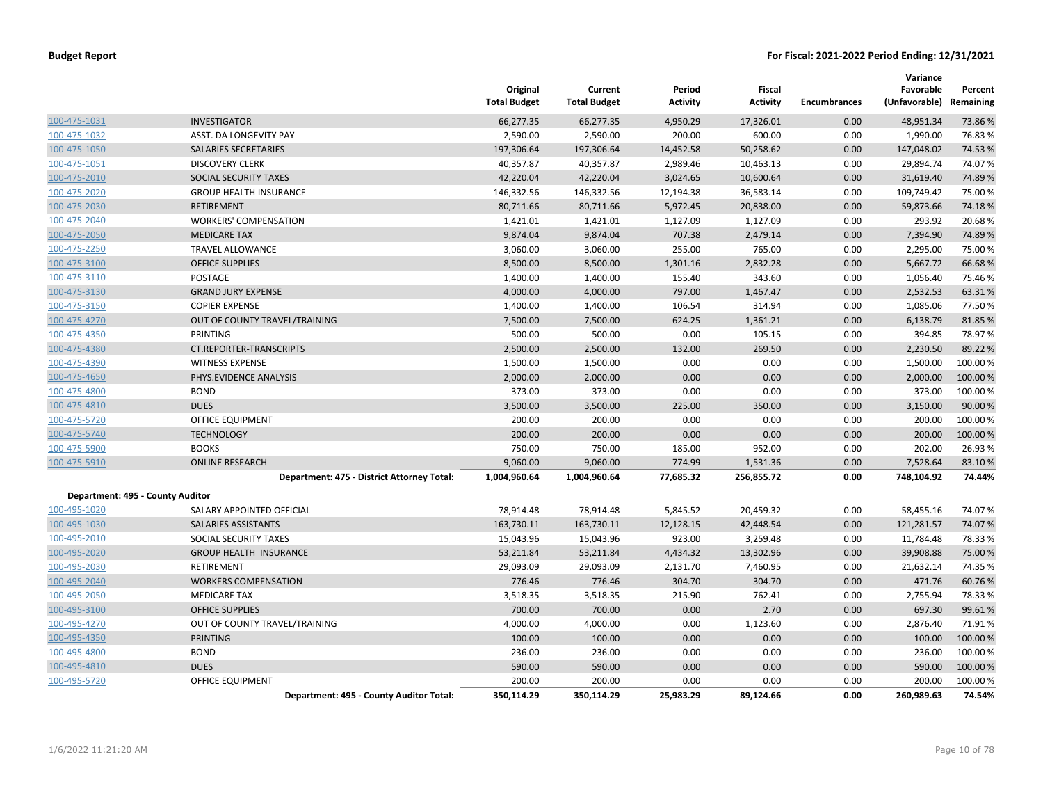|                                  |                                            | Original<br><b>Total Budget</b> | Current<br><b>Total Budget</b> | Period<br>Activity | Fiscal<br><b>Activity</b> | <b>Encumbrances</b> | Variance<br>Favorable<br>(Unfavorable) | Percent<br>Remaining |
|----------------------------------|--------------------------------------------|---------------------------------|--------------------------------|--------------------|---------------------------|---------------------|----------------------------------------|----------------------|
| 100-475-1031                     | <b>INVESTIGATOR</b>                        | 66,277.35                       | 66,277.35                      | 4,950.29           | 17,326.01                 | 0.00                | 48,951.34                              | 73.86%               |
| 100-475-1032                     | ASST. DA LONGEVITY PAY                     | 2,590.00                        | 2,590.00                       | 200.00             | 600.00                    | 0.00                | 1,990.00                               | 76.83%               |
| 100-475-1050                     | SALARIES SECRETARIES                       | 197,306.64                      | 197,306.64                     | 14,452.58          | 50,258.62                 | 0.00                | 147,048.02                             | 74.53 %              |
| 100-475-1051                     | <b>DISCOVERY CLERK</b>                     | 40,357.87                       | 40,357.87                      | 2,989.46           | 10,463.13                 | 0.00                | 29,894.74                              | 74.07%               |
| 100-475-2010                     | SOCIAL SECURITY TAXES                      | 42,220.04                       | 42,220.04                      | 3,024.65           | 10,600.64                 | 0.00                | 31,619.40                              | 74.89%               |
| 100-475-2020                     | <b>GROUP HEALTH INSURANCE</b>              | 146,332.56                      | 146,332.56                     | 12,194.38          | 36,583.14                 | 0.00                | 109,749.42                             | 75.00 %              |
| 100-475-2030                     | <b>RETIREMENT</b>                          | 80,711.66                       | 80,711.66                      | 5,972.45           | 20,838.00                 | 0.00                | 59,873.66                              | 74.18%               |
| 100-475-2040                     | <b>WORKERS' COMPENSATION</b>               | 1,421.01                        | 1,421.01                       | 1,127.09           | 1,127.09                  | 0.00                | 293.92                                 | 20.68%               |
| 100-475-2050                     | <b>MEDICARE TAX</b>                        | 9,874.04                        | 9,874.04                       | 707.38             | 2,479.14                  | 0.00                | 7,394.90                               | 74.89%               |
| 100-475-2250                     | TRAVEL ALLOWANCE                           | 3,060.00                        | 3,060.00                       | 255.00             | 765.00                    | 0.00                | 2,295.00                               | 75.00 %              |
| 100-475-3100                     | <b>OFFICE SUPPLIES</b>                     | 8,500.00                        | 8,500.00                       | 1,301.16           | 2,832.28                  | 0.00                | 5,667.72                               | 66.68%               |
| 100-475-3110                     | POSTAGE                                    | 1,400.00                        | 1,400.00                       | 155.40             | 343.60                    | 0.00                | 1,056.40                               | 75.46 %              |
| 100-475-3130                     | <b>GRAND JURY EXPENSE</b>                  | 4,000.00                        | 4,000.00                       | 797.00             | 1,467.47                  | 0.00                | 2,532.53                               | 63.31%               |
| 100-475-3150                     | <b>COPIER EXPENSE</b>                      | 1,400.00                        | 1,400.00                       | 106.54             | 314.94                    | 0.00                | 1,085.06                               | 77.50%               |
| 100-475-4270                     | OUT OF COUNTY TRAVEL/TRAINING              | 7,500.00                        | 7,500.00                       | 624.25             | 1,361.21                  | 0.00                | 6,138.79                               | 81.85 %              |
| 100-475-4350                     | PRINTING                                   | 500.00                          | 500.00                         | 0.00               | 105.15                    | 0.00                | 394.85                                 | 78.97%               |
| 100-475-4380                     | CT.REPORTER-TRANSCRIPTS                    | 2,500.00                        | 2,500.00                       | 132.00             | 269.50                    | 0.00                | 2,230.50                               | 89.22 %              |
| 100-475-4390                     | <b>WITNESS EXPENSE</b>                     | 1,500.00                        | 1,500.00                       | 0.00               | 0.00                      | 0.00                | 1,500.00                               | 100.00%              |
| 100-475-4650                     | PHYS.EVIDENCE ANALYSIS                     | 2,000.00                        | 2,000.00                       | 0.00               | 0.00                      | 0.00                | 2,000.00                               | 100.00 %             |
| 100-475-4800                     | <b>BOND</b>                                | 373.00                          | 373.00                         | 0.00               | 0.00                      | 0.00                | 373.00                                 | 100.00%              |
| 100-475-4810                     | <b>DUES</b>                                | 3,500.00                        | 3,500.00                       | 225.00             | 350.00                    | 0.00                | 3,150.00                               | 90.00 %              |
| 100-475-5720                     | OFFICE EQUIPMENT                           | 200.00                          | 200.00                         | 0.00               | 0.00                      | 0.00                | 200.00                                 | 100.00 %             |
| 100-475-5740                     | <b>TECHNOLOGY</b>                          | 200.00                          | 200.00                         | 0.00               | 0.00                      | 0.00                | 200.00                                 | 100.00%              |
| 100-475-5900                     | <b>BOOKS</b>                               | 750.00                          | 750.00                         | 185.00             | 952.00                    | 0.00                | $-202.00$                              | $-26.93%$            |
| 100-475-5910                     | <b>ONLINE RESEARCH</b>                     | 9,060.00                        | 9,060.00                       | 774.99             | 1,531.36                  | 0.00                | 7,528.64                               | 83.10%               |
|                                  | Department: 475 - District Attorney Total: | 1,004,960.64                    | 1,004,960.64                   | 77,685.32          | 256,855.72                | 0.00                | 748,104.92                             | 74.44%               |
| Department: 495 - County Auditor |                                            |                                 |                                |                    |                           |                     |                                        |                      |
| 100-495-1020                     | SALARY APPOINTED OFFICIAL                  | 78,914.48                       | 78,914.48                      | 5,845.52           | 20,459.32                 | 0.00                | 58,455.16                              | 74.07%               |
| 100-495-1030                     | SALARIES ASSISTANTS                        | 163,730.11                      | 163,730.11                     | 12,128.15          | 42,448.54                 | 0.00                | 121,281.57                             | 74.07%               |
| 100-495-2010                     | SOCIAL SECURITY TAXES                      | 15,043.96                       | 15,043.96                      | 923.00             | 3,259.48                  | 0.00                | 11,784.48                              | 78.33 %              |
| 100-495-2020                     | <b>GROUP HEALTH INSURANCE</b>              | 53,211.84                       | 53,211.84                      | 4,434.32           | 13,302.96                 | 0.00                | 39,908.88                              | 75.00 %              |
| 100-495-2030                     | <b>RETIREMENT</b>                          | 29,093.09                       | 29,093.09                      | 2,131.70           | 7,460.95                  | 0.00                | 21,632.14                              | 74.35 %              |
| 100-495-2040                     | <b>WORKERS COMPENSATION</b>                | 776.46                          | 776.46                         | 304.70             | 304.70                    | 0.00                | 471.76                                 | 60.76%               |
| 100-495-2050                     | <b>MEDICARE TAX</b>                        | 3,518.35                        | 3,518.35                       | 215.90             | 762.41                    | 0.00                | 2,755.94                               | 78.33 %              |
| 100-495-3100                     | <b>OFFICE SUPPLIES</b>                     | 700.00                          | 700.00                         | 0.00               | 2.70                      | 0.00                | 697.30                                 | 99.61%               |
| 100-495-4270                     | OUT OF COUNTY TRAVEL/TRAINING              | 4,000.00                        | 4,000.00                       | 0.00               | 1,123.60                  | 0.00                | 2,876.40                               | 71.91%               |
| 100-495-4350                     | <b>PRINTING</b>                            | 100.00                          | 100.00                         | 0.00               | 0.00                      | 0.00                | 100.00                                 | 100.00 %             |
| 100-495-4800                     | <b>BOND</b>                                | 236.00                          | 236.00                         | 0.00               | 0.00                      | 0.00                | 236.00                                 | 100.00%              |
| 100-495-4810                     | <b>DUES</b>                                | 590.00                          | 590.00                         | 0.00               | 0.00                      | 0.00                | 590.00                                 | 100.00%              |
| 100-495-5720                     | <b>OFFICE EQUIPMENT</b>                    | 200.00                          | 200.00                         | 0.00               | 0.00                      | 0.00                | 200.00                                 | 100.00%              |
|                                  | Department: 495 - County Auditor Total:    | 350,114.29                      | 350,114.29                     | 25,983.29          | 89,124.66                 | 0.00                | 260,989.63                             | 74.54%               |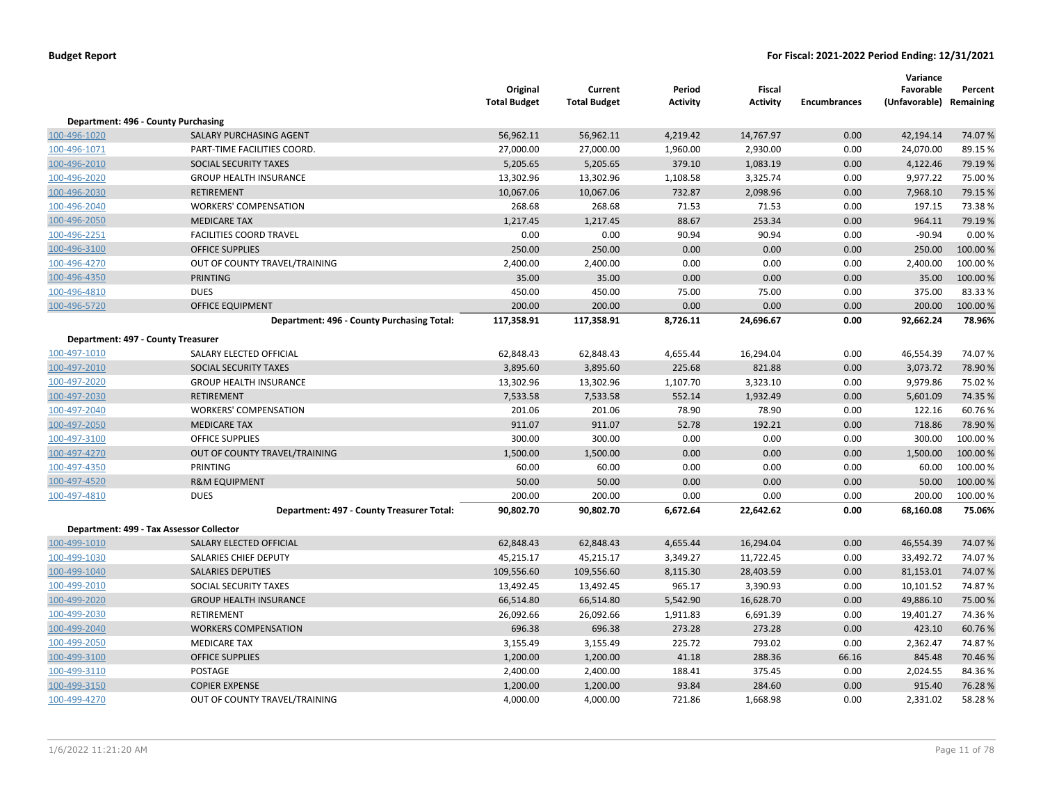|                                    |                                            | Original<br><b>Total Budget</b> | Current<br><b>Total Budget</b> | Period<br><b>Activity</b> | Fiscal<br><b>Activity</b> | <b>Encumbrances</b> | Variance<br>Favorable<br>(Unfavorable) Remaining | Percent  |
|------------------------------------|--------------------------------------------|---------------------------------|--------------------------------|---------------------------|---------------------------|---------------------|--------------------------------------------------|----------|
|                                    | Department: 496 - County Purchasing        |                                 |                                |                           |                           |                     |                                                  |          |
| 100-496-1020                       | SALARY PURCHASING AGENT                    | 56,962.11                       | 56,962.11                      | 4,219.42                  | 14,767.97                 | 0.00                | 42,194.14                                        | 74.07%   |
| 100-496-1071                       | PART-TIME FACILITIES COORD.                | 27,000.00                       | 27,000.00                      | 1,960.00                  | 2,930.00                  | 0.00                | 24,070.00                                        | 89.15%   |
| 100-496-2010                       | SOCIAL SECURITY TAXES                      | 5,205.65                        | 5,205.65                       | 379.10                    | 1,083.19                  | 0.00                | 4,122.46                                         | 79.19%   |
| 100-496-2020                       | <b>GROUP HEALTH INSURANCE</b>              | 13,302.96                       | 13,302.96                      | 1,108.58                  | 3,325.74                  | 0.00                | 9,977.22                                         | 75.00 %  |
| 100-496-2030                       | <b>RETIREMENT</b>                          | 10,067.06                       | 10,067.06                      | 732.87                    | 2,098.96                  | 0.00                | 7,968.10                                         | 79.15 %  |
| 100-496-2040                       | <b>WORKERS' COMPENSATION</b>               | 268.68                          | 268.68                         | 71.53                     | 71.53                     | 0.00                | 197.15                                           | 73.38%   |
| 100-496-2050                       | <b>MEDICARE TAX</b>                        | 1,217.45                        | 1,217.45                       | 88.67                     | 253.34                    | 0.00                | 964.11                                           | 79.19%   |
| 100-496-2251                       | <b>FACILITIES COORD TRAVEL</b>             | 0.00                            | 0.00                           | 90.94                     | 90.94                     | 0.00                | $-90.94$                                         | 0.00%    |
| 100-496-3100                       | <b>OFFICE SUPPLIES</b>                     | 250.00                          | 250.00                         | 0.00                      | 0.00                      | 0.00                | 250.00                                           | 100.00%  |
| 100-496-4270                       | OUT OF COUNTY TRAVEL/TRAINING              | 2,400.00                        | 2,400.00                       | 0.00                      | 0.00                      | 0.00                | 2,400.00                                         | 100.00%  |
| 100-496-4350                       | <b>PRINTING</b>                            | 35.00                           | 35.00                          | 0.00                      | 0.00                      | 0.00                | 35.00                                            | 100.00%  |
| 100-496-4810                       | <b>DUES</b>                                | 450.00                          | 450.00                         | 75.00                     | 75.00                     | 0.00                | 375.00                                           | 83.33%   |
| 100-496-5720                       | <b>OFFICE EQUIPMENT</b>                    | 200.00                          | 200.00                         | 0.00                      | 0.00                      | 0.00                | 200.00                                           | 100.00 % |
|                                    | Department: 496 - County Purchasing Total: | 117,358.91                      | 117,358.91                     | 8,726.11                  | 24,696.67                 | 0.00                | 92,662.24                                        | 78.96%   |
| Department: 497 - County Treasurer |                                            |                                 |                                |                           |                           |                     |                                                  |          |
| 100-497-1010                       | SALARY ELECTED OFFICIAL                    | 62,848.43                       | 62,848.43                      | 4,655.44                  | 16,294.04                 | 0.00                | 46,554.39                                        | 74.07%   |
| 100-497-2010                       | SOCIAL SECURITY TAXES                      | 3,895.60                        | 3,895.60                       | 225.68                    | 821.88                    | 0.00                | 3,073.72                                         | 78.90%   |
| 100-497-2020                       | <b>GROUP HEALTH INSURANCE</b>              | 13,302.96                       | 13,302.96                      | 1,107.70                  | 3,323.10                  | 0.00                | 9,979.86                                         | 75.02%   |
| 100-497-2030                       | <b>RETIREMENT</b>                          | 7,533.58                        | 7,533.58                       | 552.14                    | 1,932.49                  | 0.00                | 5,601.09                                         | 74.35 %  |
| 100-497-2040                       | <b>WORKERS' COMPENSATION</b>               | 201.06                          | 201.06                         | 78.90                     | 78.90                     | 0.00                | 122.16                                           | 60.76%   |
| 100-497-2050                       | <b>MEDICARE TAX</b>                        | 911.07                          | 911.07                         | 52.78                     | 192.21                    | 0.00                | 718.86                                           | 78.90%   |
| 100-497-3100                       | <b>OFFICE SUPPLIES</b>                     | 300.00                          | 300.00                         | 0.00                      | 0.00                      | 0.00                | 300.00                                           | 100.00%  |
| 100-497-4270                       | OUT OF COUNTY TRAVEL/TRAINING              | 1,500.00                        | 1,500.00                       | 0.00                      | 0.00                      | 0.00                | 1,500.00                                         | 100.00 % |
| 100-497-4350                       | PRINTING                                   | 60.00                           | 60.00                          | 0.00                      | 0.00                      | 0.00                | 60.00                                            | 100.00%  |
| 100-497-4520                       | <b>R&amp;M EQUIPMENT</b>                   | 50.00                           | 50.00                          | 0.00                      | 0.00                      | 0.00                | 50.00                                            | 100.00%  |
| 100-497-4810                       | <b>DUES</b>                                | 200.00                          | 200.00                         | 0.00                      | 0.00                      | 0.00                | 200.00                                           | 100.00%  |
|                                    | Department: 497 - County Treasurer Total:  | 90,802.70                       | 90,802.70                      | 6,672.64                  | 22,642.62                 | 0.00                | 68,160.08                                        | 75.06%   |
|                                    | Department: 499 - Tax Assessor Collector   |                                 |                                |                           |                           |                     |                                                  |          |
| 100-499-1010                       | SALARY ELECTED OFFICIAL                    | 62,848.43                       | 62,848.43                      | 4,655.44                  | 16,294.04                 | 0.00                | 46,554.39                                        | 74.07%   |
| 100-499-1030                       | <b>SALARIES CHIEF DEPUTY</b>               | 45,215.17                       | 45,215.17                      | 3,349.27                  | 11,722.45                 | 0.00                | 33,492.72                                        | 74.07%   |
| 100-499-1040                       | <b>SALARIES DEPUTIES</b>                   | 109,556.60                      | 109,556.60                     | 8,115.30                  | 28,403.59                 | 0.00                | 81,153.01                                        | 74.07%   |
| 100-499-2010                       | SOCIAL SECURITY TAXES                      | 13,492.45                       | 13,492.45                      | 965.17                    | 3,390.93                  | 0.00                | 10,101.52                                        | 74.87%   |
| 100-499-2020                       | <b>GROUP HEALTH INSURANCE</b>              | 66,514.80                       | 66,514.80                      | 5,542.90                  | 16,628.70                 | 0.00                | 49,886.10                                        | 75.00 %  |
| 100-499-2030                       | RETIREMENT                                 | 26,092.66                       | 26,092.66                      | 1,911.83                  | 6,691.39                  | 0.00                | 19,401.27                                        | 74.36%   |
| 100-499-2040                       | <b>WORKERS COMPENSATION</b>                | 696.38                          | 696.38                         | 273.28                    | 273.28                    | 0.00                | 423.10                                           | 60.76%   |
| 100-499-2050                       | <b>MEDICARE TAX</b>                        | 3,155.49                        | 3,155.49                       | 225.72                    | 793.02                    | 0.00                | 2,362.47                                         | 74.87%   |
| 100-499-3100                       | <b>OFFICE SUPPLIES</b>                     | 1,200.00                        | 1,200.00                       | 41.18                     | 288.36                    | 66.16               | 845.48                                           | 70.46 %  |
| 100-499-3110                       | POSTAGE                                    | 2,400.00                        | 2,400.00                       | 188.41                    | 375.45                    | 0.00                | 2,024.55                                         | 84.36%   |
| 100-499-3150                       | <b>COPIER EXPENSE</b>                      | 1,200.00                        | 1,200.00                       | 93.84                     | 284.60                    | 0.00                | 915.40                                           | 76.28%   |
| 100-499-4270                       | OUT OF COUNTY TRAVEL/TRAINING              | 4,000.00                        | 4,000.00                       | 721.86                    | 1,668.98                  | 0.00                | 2,331.02                                         | 58.28%   |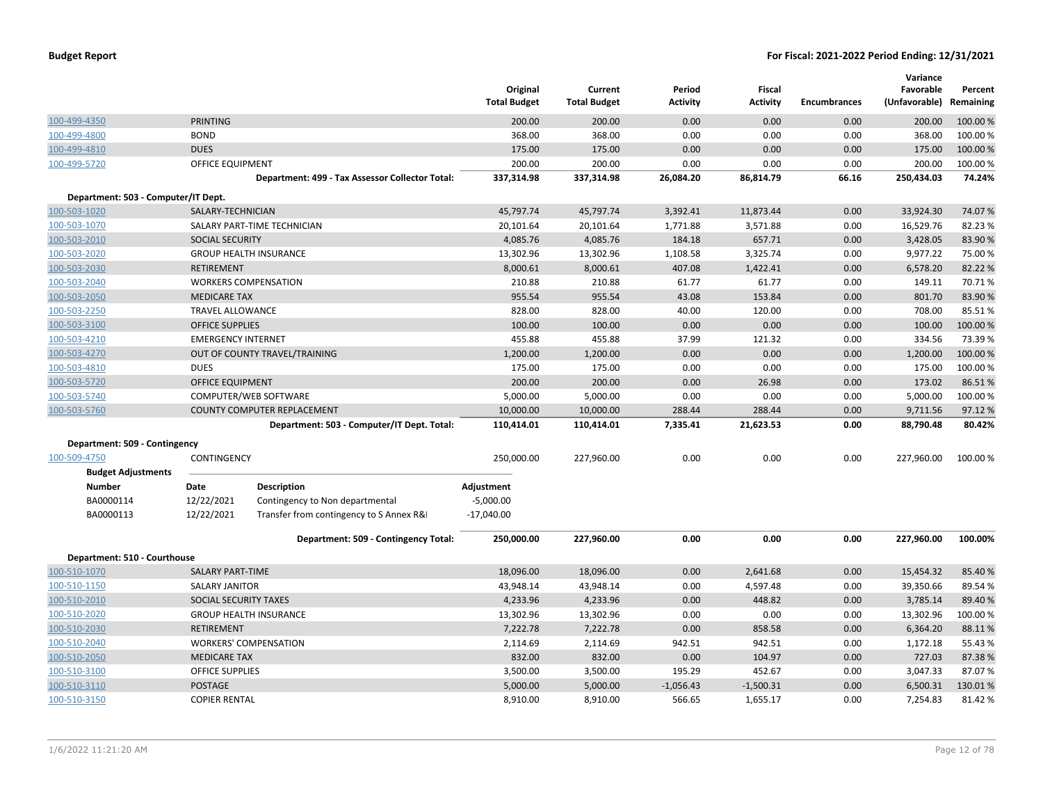|                                     |                           |                                                 | Original<br><b>Total Budget</b> | Current<br><b>Total Budget</b> | Period<br><b>Activity</b> | <b>Fiscal</b><br><b>Activity</b> | <b>Encumbrances</b> | Variance<br>Favorable<br>(Unfavorable) | Percent<br>Remaining |
|-------------------------------------|---------------------------|-------------------------------------------------|---------------------------------|--------------------------------|---------------------------|----------------------------------|---------------------|----------------------------------------|----------------------|
| 100-499-4350                        | <b>PRINTING</b>           |                                                 | 200.00                          | 200.00                         | 0.00                      | 0.00                             | 0.00                | 200.00                                 | 100.00 %             |
| 100-499-4800                        | <b>BOND</b>               |                                                 | 368.00                          | 368.00                         | 0.00                      | 0.00                             | 0.00                | 368.00                                 | 100.00 %             |
| 100-499-4810                        | <b>DUES</b>               |                                                 | 175.00                          | 175.00                         | 0.00                      | 0.00                             | 0.00                | 175.00                                 | 100.00 %             |
| 100-499-5720                        | OFFICE EQUIPMENT          |                                                 | 200.00                          | 200.00                         | 0.00                      | 0.00                             | 0.00                | 200.00                                 | 100.00%              |
|                                     |                           | Department: 499 - Tax Assessor Collector Total: | 337,314.98                      | 337,314.98                     | 26,084.20                 | 86,814.79                        | 66.16               | 250,434.03                             | 74.24%               |
| Department: 503 - Computer/IT Dept. |                           |                                                 |                                 |                                |                           |                                  |                     |                                        |                      |
| 100-503-1020                        | SALARY-TECHNICIAN         |                                                 | 45,797.74                       | 45,797.74                      | 3,392.41                  | 11,873.44                        | 0.00                | 33,924.30                              | 74.07%               |
| 100-503-1070                        |                           | SALARY PART-TIME TECHNICIAN                     | 20,101.64                       | 20,101.64                      | 1,771.88                  | 3,571.88                         | 0.00                | 16,529.76                              | 82.23%               |
| 100-503-2010                        | <b>SOCIAL SECURITY</b>    |                                                 | 4,085.76                        | 4,085.76                       | 184.18                    | 657.71                           | 0.00                | 3,428.05                               | 83.90%               |
| 100-503-2020                        |                           | <b>GROUP HEALTH INSURANCE</b>                   | 13,302.96                       | 13,302.96                      | 1,108.58                  | 3,325.74                         | 0.00                | 9,977.22                               | 75.00 %              |
| 100-503-2030                        | <b>RETIREMENT</b>         |                                                 | 8,000.61                        | 8,000.61                       | 407.08                    | 1,422.41                         | 0.00                | 6,578.20                               | 82.22%               |
| 100-503-2040                        |                           | <b>WORKERS COMPENSATION</b>                     | 210.88                          | 210.88                         | 61.77                     | 61.77                            | 0.00                | 149.11                                 | 70.71%               |
| 100-503-2050                        | <b>MEDICARE TAX</b>       |                                                 | 955.54                          | 955.54                         | 43.08                     | 153.84                           | 0.00                | 801.70                                 | 83.90%               |
| 100-503-2250                        | <b>TRAVEL ALLOWANCE</b>   |                                                 | 828.00                          | 828.00                         | 40.00                     | 120.00                           | 0.00                | 708.00                                 | 85.51%               |
| 100-503-3100                        | <b>OFFICE SUPPLIES</b>    |                                                 | 100.00                          | 100.00                         | 0.00                      | 0.00                             | 0.00                | 100.00                                 | 100.00%              |
| 100-503-4210                        | <b>EMERGENCY INTERNET</b> |                                                 | 455.88                          | 455.88                         | 37.99                     | 121.32                           | 0.00                | 334.56                                 | 73.39%               |
| 100-503-4270                        |                           | OUT OF COUNTY TRAVEL/TRAINING                   | 1,200.00                        | 1,200.00                       | 0.00                      | 0.00                             | 0.00                | 1,200.00                               | 100.00 %             |
| 100-503-4810                        | <b>DUES</b>               |                                                 | 175.00                          | 175.00                         | 0.00                      | 0.00                             | 0.00                | 175.00                                 | 100.00%              |
| 100-503-5720                        | <b>OFFICE EQUIPMENT</b>   |                                                 | 200.00                          | 200.00                         | 0.00                      | 26.98                            | 0.00                | 173.02                                 | 86.51%               |
| 100-503-5740                        |                           | COMPUTER/WEB SOFTWARE                           | 5,000.00                        | 5,000.00                       | 0.00                      | 0.00                             | 0.00                | 5,000.00                               | 100.00%              |
| 100-503-5760                        |                           | <b>COUNTY COMPUTER REPLACEMENT</b>              | 10,000.00                       | 10,000.00                      | 288.44                    | 288.44                           | 0.00                | 9,711.56                               | 97.12%               |
|                                     |                           | Department: 503 - Computer/IT Dept. Total:      | 110,414.01                      | 110,414.01                     | 7,335.41                  | 21,623.53                        | 0.00                | 88,790.48                              | 80.42%               |
| Department: 509 - Contingency       |                           |                                                 |                                 |                                |                           |                                  |                     |                                        |                      |
| 100-509-4750                        | CONTINGENCY               |                                                 | 250,000.00                      | 227,960.00                     | 0.00                      | 0.00                             | 0.00                | 227,960.00                             | 100.00 %             |
| <b>Budget Adjustments</b>           |                           |                                                 |                                 |                                |                           |                                  |                     |                                        |                      |
| <b>Number</b>                       | Date                      | <b>Description</b>                              | Adjustment                      |                                |                           |                                  |                     |                                        |                      |
| BA0000114                           | 12/22/2021                | Contingency to Non departmental                 | $-5,000.00$                     |                                |                           |                                  |                     |                                        |                      |
| BA0000113                           | 12/22/2021                | Transfer from contingency to S Annex R&         | $-17,040.00$                    |                                |                           |                                  |                     |                                        |                      |
|                                     |                           | Department: 509 - Contingency Total:            | 250,000.00                      | 227,960.00                     | 0.00                      | 0.00                             | 0.00                | 227,960.00                             | 100.00%              |
| Department: 510 - Courthouse        |                           |                                                 |                                 |                                |                           |                                  |                     |                                        |                      |
| 100-510-1070                        | <b>SALARY PART-TIME</b>   |                                                 | 18,096.00                       | 18,096.00                      | 0.00                      | 2,641.68                         | 0.00                | 15,454.32                              | 85.40%               |
| 100-510-1150                        | <b>SALARY JANITOR</b>     |                                                 | 43,948.14                       | 43,948.14                      | 0.00                      | 4,597.48                         | 0.00                | 39,350.66                              | 89.54 %              |
| 100-510-2010                        | SOCIAL SECURITY TAXES     |                                                 | 4,233.96                        | 4,233.96                       | 0.00                      | 448.82                           | 0.00                | 3,785.14                               | 89.40%               |
| 100-510-2020                        |                           | <b>GROUP HEALTH INSURANCE</b>                   | 13,302.96                       | 13,302.96                      | 0.00                      | 0.00                             | 0.00                | 13,302.96                              | 100.00%              |
| 100-510-2030                        | <b>RETIREMENT</b>         |                                                 | 7,222.78                        | 7,222.78                       | 0.00                      | 858.58                           | 0.00                | 6,364.20                               | 88.11%               |
| 100-510-2040                        |                           | <b>WORKERS' COMPENSATION</b>                    | 2,114.69                        | 2,114.69                       | 942.51                    | 942.51                           | 0.00                | 1,172.18                               | 55.43 %              |
| 100-510-2050                        | <b>MEDICARE TAX</b>       |                                                 | 832.00                          | 832.00                         | 0.00                      | 104.97                           | 0.00                | 727.03                                 | 87.38%               |
| 100-510-3100                        | <b>OFFICE SUPPLIES</b>    |                                                 | 3,500.00                        | 3,500.00                       | 195.29                    | 452.67                           | 0.00                | 3,047.33                               | 87.07%               |
| 100-510-3110                        | <b>POSTAGE</b>            |                                                 | 5,000.00                        | 5,000.00                       | $-1,056.43$               | $-1,500.31$                      | 0.00                | 6,500.31                               | 130.01%              |
| 100-510-3150                        | <b>COPIER RENTAL</b>      |                                                 | 8,910.00                        | 8,910.00                       | 566.65                    | 1,655.17                         | 0.00                | 7,254.83                               | 81.42%               |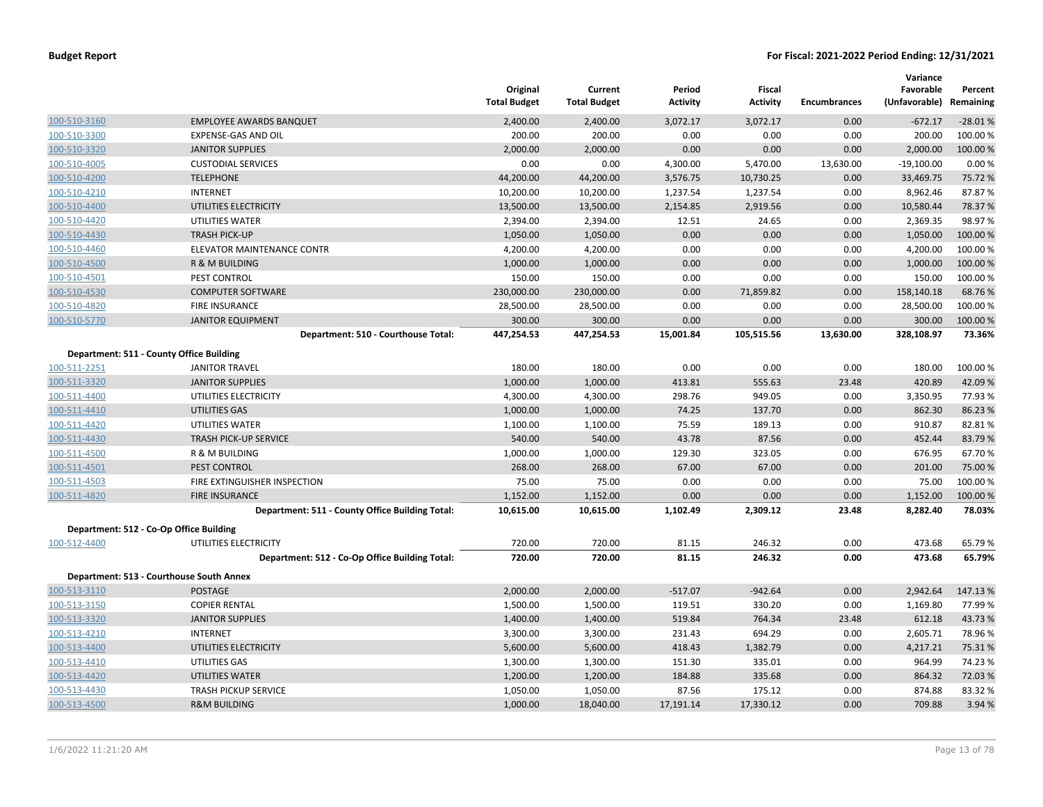|                                                 | Original<br><b>Total Budget</b>                                                                                                                                                                                                                                                                                                                                                                                                                                            | Current<br><b>Total Budget</b>                                                                                                                                                      | Period<br><b>Activity</b>                                                                                                                                                           | Fiscal<br><b>Activity</b>                                                                                                                          | <b>Encumbrances</b>                                                                                                                                    | Variance<br>Favorable<br>(Unfavorable) Remaining                                                                       | Percent                                                                                                                                                     |
|-------------------------------------------------|----------------------------------------------------------------------------------------------------------------------------------------------------------------------------------------------------------------------------------------------------------------------------------------------------------------------------------------------------------------------------------------------------------------------------------------------------------------------------|-------------------------------------------------------------------------------------------------------------------------------------------------------------------------------------|-------------------------------------------------------------------------------------------------------------------------------------------------------------------------------------|----------------------------------------------------------------------------------------------------------------------------------------------------|--------------------------------------------------------------------------------------------------------------------------------------------------------|------------------------------------------------------------------------------------------------------------------------|-------------------------------------------------------------------------------------------------------------------------------------------------------------|
| <b>EMPLOYEE AWARDS BANQUET</b>                  | 2,400.00                                                                                                                                                                                                                                                                                                                                                                                                                                                                   | 2,400.00                                                                                                                                                                            | 3,072.17                                                                                                                                                                            | 3,072.17                                                                                                                                           | 0.00                                                                                                                                                   | $-672.17$                                                                                                              | $-28.01%$                                                                                                                                                   |
| EXPENSE-GAS AND OIL                             | 200.00                                                                                                                                                                                                                                                                                                                                                                                                                                                                     | 200.00                                                                                                                                                                              | 0.00                                                                                                                                                                                | 0.00                                                                                                                                               | 0.00                                                                                                                                                   | 200.00                                                                                                                 | 100.00%                                                                                                                                                     |
| <b>JANITOR SUPPLIES</b>                         | 2,000.00                                                                                                                                                                                                                                                                                                                                                                                                                                                                   | 2,000.00                                                                                                                                                                            | 0.00                                                                                                                                                                                | 0.00                                                                                                                                               | 0.00                                                                                                                                                   | 2,000.00                                                                                                               | 100.00%                                                                                                                                                     |
| <b>CUSTODIAL SERVICES</b>                       | 0.00                                                                                                                                                                                                                                                                                                                                                                                                                                                                       | 0.00                                                                                                                                                                                | 4,300.00                                                                                                                                                                            | 5,470.00                                                                                                                                           | 13,630.00                                                                                                                                              | $-19,100.00$                                                                                                           | 0.00%                                                                                                                                                       |
| <b>TELEPHONE</b>                                | 44,200.00                                                                                                                                                                                                                                                                                                                                                                                                                                                                  | 44,200.00                                                                                                                                                                           | 3,576.75                                                                                                                                                                            | 10,730.25                                                                                                                                          | 0.00                                                                                                                                                   | 33,469.75                                                                                                              | 75.72 %                                                                                                                                                     |
| <b>INTERNET</b>                                 | 10,200.00                                                                                                                                                                                                                                                                                                                                                                                                                                                                  | 10,200.00                                                                                                                                                                           | 1,237.54                                                                                                                                                                            | 1,237.54                                                                                                                                           | 0.00                                                                                                                                                   | 8,962.46                                                                                                               | 87.87%                                                                                                                                                      |
| UTILITIES ELECTRICITY                           | 13,500.00                                                                                                                                                                                                                                                                                                                                                                                                                                                                  | 13,500.00                                                                                                                                                                           | 2,154.85                                                                                                                                                                            | 2,919.56                                                                                                                                           | 0.00                                                                                                                                                   | 10,580.44                                                                                                              | 78.37 %                                                                                                                                                     |
| UTILITIES WATER                                 | 2,394.00                                                                                                                                                                                                                                                                                                                                                                                                                                                                   | 2,394.00                                                                                                                                                                            | 12.51                                                                                                                                                                               | 24.65                                                                                                                                              | 0.00                                                                                                                                                   | 2,369.35                                                                                                               | 98.97%                                                                                                                                                      |
| <b>TRASH PICK-UP</b>                            | 1,050.00                                                                                                                                                                                                                                                                                                                                                                                                                                                                   | 1,050.00                                                                                                                                                                            | 0.00                                                                                                                                                                                | 0.00                                                                                                                                               | 0.00                                                                                                                                                   | 1,050.00                                                                                                               | 100.00 %                                                                                                                                                    |
| ELEVATOR MAINTENANCE CONTR                      | 4,200.00                                                                                                                                                                                                                                                                                                                                                                                                                                                                   | 4,200.00                                                                                                                                                                            | 0.00                                                                                                                                                                                | 0.00                                                                                                                                               | 0.00                                                                                                                                                   | 4,200.00                                                                                                               | 100.00%                                                                                                                                                     |
| <b>R &amp; M BUILDING</b>                       | 1,000.00                                                                                                                                                                                                                                                                                                                                                                                                                                                                   | 1,000.00                                                                                                                                                                            | 0.00                                                                                                                                                                                | 0.00                                                                                                                                               | 0.00                                                                                                                                                   | 1,000.00                                                                                                               | 100.00 %                                                                                                                                                    |
| PEST CONTROL                                    | 150.00                                                                                                                                                                                                                                                                                                                                                                                                                                                                     | 150.00                                                                                                                                                                              | 0.00                                                                                                                                                                                | 0.00                                                                                                                                               | 0.00                                                                                                                                                   | 150.00                                                                                                                 | 100.00 %                                                                                                                                                    |
| <b>COMPUTER SOFTWARE</b>                        | 230,000.00                                                                                                                                                                                                                                                                                                                                                                                                                                                                 | 230,000.00                                                                                                                                                                          | 0.00                                                                                                                                                                                | 71,859.82                                                                                                                                          | 0.00                                                                                                                                                   | 158,140.18                                                                                                             | 68.76%                                                                                                                                                      |
| <b>FIRE INSURANCE</b>                           | 28,500.00                                                                                                                                                                                                                                                                                                                                                                                                                                                                  | 28,500.00                                                                                                                                                                           | 0.00                                                                                                                                                                                | 0.00                                                                                                                                               | 0.00                                                                                                                                                   | 28,500.00                                                                                                              | 100.00%                                                                                                                                                     |
| <b>JANITOR EQUIPMENT</b>                        | 300.00                                                                                                                                                                                                                                                                                                                                                                                                                                                                     | 300.00                                                                                                                                                                              | 0.00                                                                                                                                                                                | 0.00                                                                                                                                               | 0.00                                                                                                                                                   | 300.00                                                                                                                 | 100.00 %                                                                                                                                                    |
| Department: 510 - Courthouse Total:             | 447,254.53                                                                                                                                                                                                                                                                                                                                                                                                                                                                 | 447,254.53                                                                                                                                                                          | 15,001.84                                                                                                                                                                           | 105,515.56                                                                                                                                         | 13,630.00                                                                                                                                              | 328,108.97                                                                                                             | 73.36%                                                                                                                                                      |
|                                                 |                                                                                                                                                                                                                                                                                                                                                                                                                                                                            |                                                                                                                                                                                     |                                                                                                                                                                                     |                                                                                                                                                    |                                                                                                                                                        |                                                                                                                        |                                                                                                                                                             |
|                                                 |                                                                                                                                                                                                                                                                                                                                                                                                                                                                            |                                                                                                                                                                                     |                                                                                                                                                                                     |                                                                                                                                                    |                                                                                                                                                        |                                                                                                                        | 100.00%                                                                                                                                                     |
|                                                 |                                                                                                                                                                                                                                                                                                                                                                                                                                                                            |                                                                                                                                                                                     |                                                                                                                                                                                     |                                                                                                                                                    |                                                                                                                                                        |                                                                                                                        | 42.09%                                                                                                                                                      |
|                                                 |                                                                                                                                                                                                                                                                                                                                                                                                                                                                            |                                                                                                                                                                                     |                                                                                                                                                                                     |                                                                                                                                                    |                                                                                                                                                        |                                                                                                                        | 77.93 %                                                                                                                                                     |
|                                                 |                                                                                                                                                                                                                                                                                                                                                                                                                                                                            |                                                                                                                                                                                     |                                                                                                                                                                                     |                                                                                                                                                    |                                                                                                                                                        |                                                                                                                        | 86.23 %                                                                                                                                                     |
|                                                 |                                                                                                                                                                                                                                                                                                                                                                                                                                                                            |                                                                                                                                                                                     |                                                                                                                                                                                     |                                                                                                                                                    |                                                                                                                                                        |                                                                                                                        | 82.81%                                                                                                                                                      |
|                                                 |                                                                                                                                                                                                                                                                                                                                                                                                                                                                            |                                                                                                                                                                                     |                                                                                                                                                                                     |                                                                                                                                                    |                                                                                                                                                        |                                                                                                                        | 83.79 %                                                                                                                                                     |
|                                                 |                                                                                                                                                                                                                                                                                                                                                                                                                                                                            |                                                                                                                                                                                     |                                                                                                                                                                                     |                                                                                                                                                    |                                                                                                                                                        |                                                                                                                        | 67.70%                                                                                                                                                      |
|                                                 |                                                                                                                                                                                                                                                                                                                                                                                                                                                                            |                                                                                                                                                                                     |                                                                                                                                                                                     |                                                                                                                                                    |                                                                                                                                                        |                                                                                                                        | 75.00 %                                                                                                                                                     |
|                                                 |                                                                                                                                                                                                                                                                                                                                                                                                                                                                            |                                                                                                                                                                                     |                                                                                                                                                                                     |                                                                                                                                                    |                                                                                                                                                        |                                                                                                                        | 100.00%                                                                                                                                                     |
|                                                 |                                                                                                                                                                                                                                                                                                                                                                                                                                                                            |                                                                                                                                                                                     |                                                                                                                                                                                     |                                                                                                                                                    |                                                                                                                                                        |                                                                                                                        | 100.00 %                                                                                                                                                    |
| Department: 511 - County Office Building Total: | 10,615.00                                                                                                                                                                                                                                                                                                                                                                                                                                                                  | 10,615.00                                                                                                                                                                           | 1,102.49                                                                                                                                                                            | 2,309.12                                                                                                                                           | 23.48                                                                                                                                                  | 8,282.40                                                                                                               | 78.03%                                                                                                                                                      |
|                                                 |                                                                                                                                                                                                                                                                                                                                                                                                                                                                            |                                                                                                                                                                                     |                                                                                                                                                                                     |                                                                                                                                                    |                                                                                                                                                        |                                                                                                                        |                                                                                                                                                             |
| UTILITIES ELECTRICITY                           | 720.00                                                                                                                                                                                                                                                                                                                                                                                                                                                                     | 720.00                                                                                                                                                                              | 81.15                                                                                                                                                                               | 246.32                                                                                                                                             | 0.00                                                                                                                                                   | 473.68                                                                                                                 | 65.79%                                                                                                                                                      |
| Department: 512 - Co-Op Office Building Total:  | 720.00                                                                                                                                                                                                                                                                                                                                                                                                                                                                     | 720.00                                                                                                                                                                              | 81.15                                                                                                                                                                               | 246.32                                                                                                                                             | 0.00                                                                                                                                                   | 473.68                                                                                                                 | 65.79%                                                                                                                                                      |
|                                                 |                                                                                                                                                                                                                                                                                                                                                                                                                                                                            |                                                                                                                                                                                     |                                                                                                                                                                                     |                                                                                                                                                    |                                                                                                                                                        |                                                                                                                        |                                                                                                                                                             |
| POSTAGE                                         | 2,000.00                                                                                                                                                                                                                                                                                                                                                                                                                                                                   | 2,000.00                                                                                                                                                                            | $-517.07$                                                                                                                                                                           | $-942.64$                                                                                                                                          | 0.00                                                                                                                                                   | 2,942.64                                                                                                               | 147.13%                                                                                                                                                     |
| <b>COPIER RENTAL</b>                            |                                                                                                                                                                                                                                                                                                                                                                                                                                                                            |                                                                                                                                                                                     |                                                                                                                                                                                     |                                                                                                                                                    |                                                                                                                                                        |                                                                                                                        | 77.99%                                                                                                                                                      |
|                                                 |                                                                                                                                                                                                                                                                                                                                                                                                                                                                            |                                                                                                                                                                                     |                                                                                                                                                                                     |                                                                                                                                                    |                                                                                                                                                        |                                                                                                                        | 43.73 %                                                                                                                                                     |
|                                                 |                                                                                                                                                                                                                                                                                                                                                                                                                                                                            |                                                                                                                                                                                     |                                                                                                                                                                                     |                                                                                                                                                    |                                                                                                                                                        |                                                                                                                        | 78.96%                                                                                                                                                      |
|                                                 |                                                                                                                                                                                                                                                                                                                                                                                                                                                                            |                                                                                                                                                                                     |                                                                                                                                                                                     |                                                                                                                                                    |                                                                                                                                                        |                                                                                                                        | 75.31%                                                                                                                                                      |
|                                                 |                                                                                                                                                                                                                                                                                                                                                                                                                                                                            |                                                                                                                                                                                     |                                                                                                                                                                                     |                                                                                                                                                    |                                                                                                                                                        |                                                                                                                        | 74.23%                                                                                                                                                      |
| <b>UTILITIES WATER</b>                          |                                                                                                                                                                                                                                                                                                                                                                                                                                                                            |                                                                                                                                                                                     |                                                                                                                                                                                     |                                                                                                                                                    | 0.00                                                                                                                                                   | 864.32                                                                                                                 | 72.03 %                                                                                                                                                     |
| <b>TRASH PICKUP SERVICE</b>                     | 1,050.00                                                                                                                                                                                                                                                                                                                                                                                                                                                                   | 1,050.00                                                                                                                                                                            | 87.56                                                                                                                                                                               | 175.12                                                                                                                                             | 0.00                                                                                                                                                   | 874.88                                                                                                                 | 83.32%                                                                                                                                                      |
| <b>R&amp;M BUILDING</b>                         | 1,000.00                                                                                                                                                                                                                                                                                                                                                                                                                                                                   | 18,040.00                                                                                                                                                                           | 17,191.14                                                                                                                                                                           | 17,330.12                                                                                                                                          | 0.00                                                                                                                                                   | 709.88                                                                                                                 | 3.94 %                                                                                                                                                      |
|                                                 | Department: 511 - County Office Building<br><b>JANITOR TRAVEL</b><br><b>JANITOR SUPPLIES</b><br>UTILITIES ELECTRICITY<br><b>UTILITIES GAS</b><br>UTILITIES WATER<br><b>TRASH PICK-UP SERVICE</b><br>R & M BUILDING<br>PEST CONTROL<br>FIRE EXTINGUISHER INSPECTION<br><b>FIRE INSURANCE</b><br>Department: 512 - Co-Op Office Building<br>Department: 513 - Courthouse South Annex<br><b>JANITOR SUPPLIES</b><br><b>INTERNET</b><br>UTILITIES ELECTRICITY<br>UTILITIES GAS | 180.00<br>1,000.00<br>4,300.00<br>1,000.00<br>1,100.00<br>540.00<br>1,000.00<br>268.00<br>75.00<br>1,152.00<br>1,500.00<br>1,400.00<br>3,300.00<br>5,600.00<br>1,300.00<br>1,200.00 | 180.00<br>1,000.00<br>4,300.00<br>1,000.00<br>1,100.00<br>540.00<br>1,000.00<br>268.00<br>75.00<br>1,152.00<br>1,500.00<br>1,400.00<br>3,300.00<br>5,600.00<br>1,300.00<br>1,200.00 | 0.00<br>413.81<br>298.76<br>74.25<br>75.59<br>43.78<br>129.30<br>67.00<br>0.00<br>0.00<br>119.51<br>519.84<br>231.43<br>418.43<br>151.30<br>184.88 | 0.00<br>555.63<br>949.05<br>137.70<br>189.13<br>87.56<br>323.05<br>67.00<br>0.00<br>0.00<br>330.20<br>764.34<br>694.29<br>1,382.79<br>335.01<br>335.68 | 0.00<br>23.48<br>0.00<br>0.00<br>0.00<br>0.00<br>0.00<br>0.00<br>0.00<br>0.00<br>0.00<br>23.48<br>0.00<br>0.00<br>0.00 | 180.00<br>420.89<br>3,350.95<br>862.30<br>910.87<br>452.44<br>676.95<br>201.00<br>75.00<br>1,152.00<br>1,169.80<br>612.18<br>2,605.71<br>4,217.21<br>964.99 |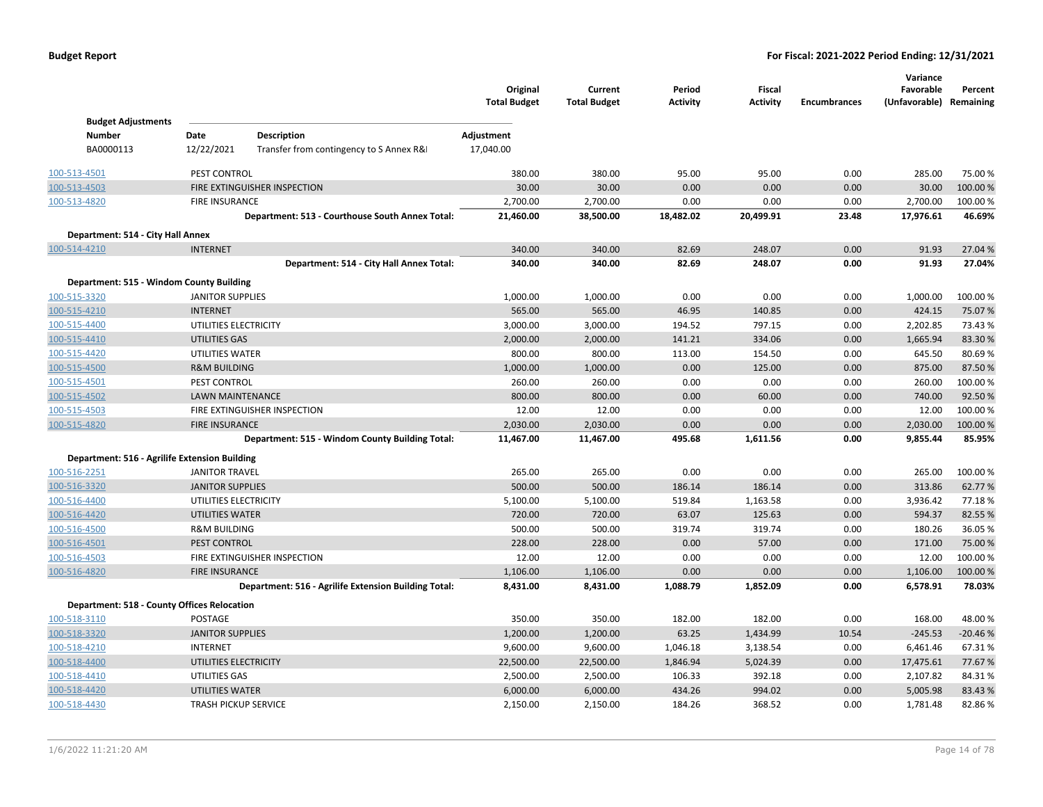|                                               |                             |                                                      | Original<br><b>Total Budget</b> | Current<br><b>Total Budget</b> | Period<br><b>Activity</b> | <b>Fiscal</b><br><b>Activity</b> | <b>Encumbrances</b> | Variance<br>Favorable<br>(Unfavorable) Remaining | Percent   |
|-----------------------------------------------|-----------------------------|------------------------------------------------------|---------------------------------|--------------------------------|---------------------------|----------------------------------|---------------------|--------------------------------------------------|-----------|
| <b>Budget Adjustments</b><br><b>Number</b>    | Date                        | <b>Description</b>                                   | Adjustment                      |                                |                           |                                  |                     |                                                  |           |
| BA0000113                                     | 12/22/2021                  | Transfer from contingency to S Annex R&              | 17,040.00                       |                                |                           |                                  |                     |                                                  |           |
|                                               |                             |                                                      |                                 |                                |                           |                                  |                     |                                                  |           |
| 100-513-4501                                  | PEST CONTROL                |                                                      | 380.00                          | 380.00                         | 95.00                     | 95.00                            | 0.00                | 285.00                                           | 75.00 %   |
| 100-513-4503                                  |                             | FIRE EXTINGUISHER INSPECTION                         | 30.00                           | 30.00                          | 0.00                      | 0.00                             | 0.00                | 30.00                                            | 100.00%   |
| 100-513-4820                                  | <b>FIRE INSURANCE</b>       |                                                      | 2,700.00                        | 2,700.00                       | 0.00                      | 0.00                             | 0.00                | 2,700.00                                         | 100.00%   |
|                                               |                             | Department: 513 - Courthouse South Annex Total:      | 21,460.00                       | 38,500.00                      | 18,482.02                 | 20,499.91                        | 23.48               | 17,976.61                                        | 46.69%    |
| Department: 514 - City Hall Annex             |                             |                                                      |                                 |                                |                           |                                  |                     |                                                  |           |
| 100-514-4210                                  | <b>INTERNET</b>             |                                                      | 340.00                          | 340.00                         | 82.69                     | 248.07                           | 0.00                | 91.93                                            | 27.04 %   |
|                                               |                             | Department: 514 - City Hall Annex Total:             | 340.00                          | 340.00                         | 82.69                     | 248.07                           | 0.00                | 91.93                                            | 27.04%    |
| Department: 515 - Windom County Building      |                             |                                                      |                                 |                                |                           |                                  |                     |                                                  |           |
| 100-515-3320                                  | <b>JANITOR SUPPLIES</b>     |                                                      | 1,000.00                        | 1,000.00                       | 0.00                      | 0.00                             | 0.00                | 1,000.00                                         | 100.00 %  |
| 100-515-4210                                  | <b>INTERNET</b>             |                                                      | 565.00                          | 565.00                         | 46.95                     | 140.85                           | 0.00                | 424.15                                           | 75.07%    |
| 100-515-4400                                  | UTILITIES ELECTRICITY       |                                                      | 3,000.00                        | 3,000.00                       | 194.52                    | 797.15                           | 0.00                | 2,202.85                                         | 73.43%    |
| 100-515-4410                                  | <b>UTILITIES GAS</b>        |                                                      | 2,000.00                        | 2,000.00                       | 141.21                    | 334.06                           | 0.00                | 1,665.94                                         | 83.30%    |
| 100-515-4420                                  | UTILITIES WATER             |                                                      | 800.00                          | 800.00                         | 113.00                    | 154.50                           | 0.00                | 645.50                                           | 80.69%    |
| 100-515-4500                                  | <b>R&amp;M BUILDING</b>     |                                                      | 1,000.00                        | 1,000.00                       | 0.00                      | 125.00                           | 0.00                | 875.00                                           | 87.50%    |
| 100-515-4501                                  | PEST CONTROL                |                                                      | 260.00                          | 260.00                         | 0.00                      | 0.00                             | 0.00                | 260.00                                           | 100.00 %  |
| 100-515-4502                                  | LAWN MAINTENANCE            |                                                      | 800.00                          | 800.00                         | 0.00                      | 60.00                            | 0.00                | 740.00                                           | 92.50%    |
| 100-515-4503                                  |                             | FIRE EXTINGUISHER INSPECTION                         | 12.00                           | 12.00                          | 0.00                      | 0.00                             | 0.00                | 12.00                                            | 100.00%   |
| 100-515-4820                                  | <b>FIRE INSURANCE</b>       |                                                      | 2,030.00                        | 2,030.00                       | 0.00                      | 0.00                             | 0.00                | 2,030.00                                         | 100.00 %  |
|                                               |                             | Department: 515 - Windom County Building Total:      | 11,467.00                       | 11,467.00                      | 495.68                    | 1,611.56                         | 0.00                | 9,855.44                                         | 85.95%    |
| Department: 516 - Agrilife Extension Building |                             |                                                      |                                 |                                |                           |                                  |                     |                                                  |           |
| 100-516-2251                                  | <b>JANITOR TRAVEL</b>       |                                                      | 265.00                          | 265.00                         | 0.00                      | 0.00                             | 0.00                | 265.00                                           | 100.00 %  |
| 100-516-3320                                  | <b>JANITOR SUPPLIES</b>     |                                                      | 500.00                          | 500.00                         | 186.14                    | 186.14                           | 0.00                | 313.86                                           | 62.77%    |
| 100-516-4400                                  | UTILITIES ELECTRICITY       |                                                      | 5,100.00                        | 5,100.00                       | 519.84                    | 1,163.58                         | 0.00                | 3,936.42                                         | 77.18%    |
| 100-516-4420                                  | <b>UTILITIES WATER</b>      |                                                      | 720.00                          | 720.00                         | 63.07                     | 125.63                           | 0.00                | 594.37                                           | 82.55%    |
| 100-516-4500                                  | <b>R&amp;M BUILDING</b>     |                                                      | 500.00                          | 500.00                         | 319.74                    | 319.74                           | 0.00                | 180.26                                           | 36.05%    |
| 100-516-4501                                  | PEST CONTROL                |                                                      | 228.00                          | 228.00                         | 0.00                      | 57.00                            | 0.00                | 171.00                                           | 75.00 %   |
| 100-516-4503                                  |                             | FIRE EXTINGUISHER INSPECTION                         | 12.00                           | 12.00                          | 0.00                      | 0.00                             | 0.00                | 12.00                                            | 100.00 %  |
| 100-516-4820                                  | <b>FIRE INSURANCE</b>       |                                                      | 1,106.00                        | 1,106.00                       | 0.00                      | 0.00                             | 0.00                | 1,106.00                                         | 100.00 %  |
|                                               |                             | Department: 516 - Agrilife Extension Building Total: | 8,431.00                        | 8,431.00                       | 1,088.79                  | 1,852.09                         | 0.00                | 6,578.91                                         | 78.03%    |
| Department: 518 - County Offices Relocation   |                             |                                                      |                                 |                                |                           |                                  |                     |                                                  |           |
| 100-518-3110                                  | POSTAGE                     |                                                      | 350.00                          | 350.00                         | 182.00                    | 182.00                           | 0.00                | 168.00                                           | 48.00%    |
| 100-518-3320                                  | <b>JANITOR SUPPLIES</b>     |                                                      | 1,200.00                        | 1,200.00                       | 63.25                     | 1,434.99                         | 10.54               | $-245.53$                                        | $-20.46%$ |
| 100-518-4210                                  | <b>INTERNET</b>             |                                                      | 9,600.00                        | 9,600.00                       | 1,046.18                  | 3,138.54                         | 0.00                | 6,461.46                                         | 67.31%    |
| 100-518-4400                                  | UTILITIES ELECTRICITY       |                                                      | 22,500.00                       | 22,500.00                      | 1,846.94                  | 5,024.39                         | 0.00                | 17,475.61                                        | 77.67%    |
| 100-518-4410                                  | UTILITIES GAS               |                                                      | 2,500.00                        | 2,500.00                       | 106.33                    | 392.18                           | 0.00                | 2,107.82                                         | 84.31%    |
| 100-518-4420                                  | <b>UTILITIES WATER</b>      |                                                      | 6,000.00                        | 6,000.00                       | 434.26                    | 994.02                           | 0.00                | 5,005.98                                         | 83.43%    |
| 100-518-4430                                  | <b>TRASH PICKUP SERVICE</b> |                                                      | 2,150.00                        | 2,150.00                       | 184.26                    | 368.52                           | 0.00                | 1,781.48                                         | 82.86%    |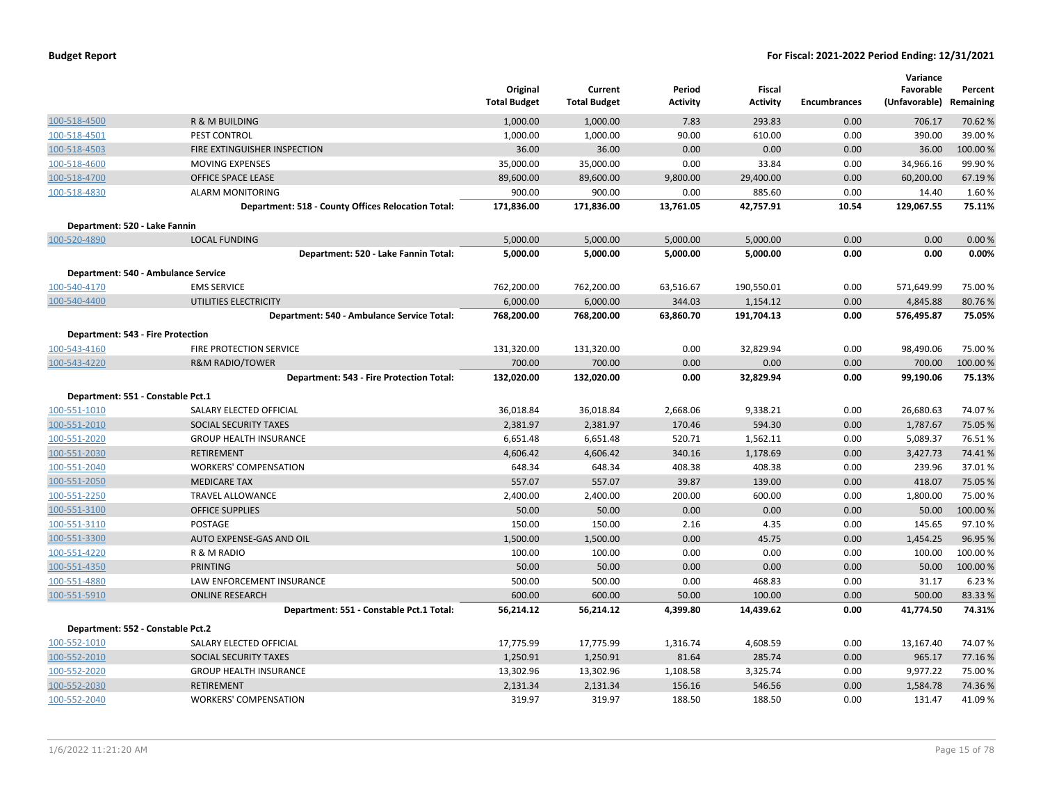|                                          |                                                    | Original<br><b>Total Budget</b> | Current<br><b>Total Budget</b> | Period<br><b>Activity</b> | Fiscal<br><b>Activity</b> | <b>Encumbrances</b> | Variance<br>Favorable<br>(Unfavorable) Remaining | Percent  |
|------------------------------------------|----------------------------------------------------|---------------------------------|--------------------------------|---------------------------|---------------------------|---------------------|--------------------------------------------------|----------|
| 100-518-4500                             | R & M BUILDING                                     | 1,000.00                        | 1,000.00                       | 7.83                      | 293.83                    | 0.00                | 706.17                                           | 70.62 %  |
| 100-518-4501                             | PEST CONTROL                                       | 1,000.00                        | 1,000.00                       | 90.00                     | 610.00                    | 0.00                | 390.00                                           | 39.00 %  |
| 100-518-4503                             | FIRE EXTINGUISHER INSPECTION                       | 36.00                           | 36.00                          | 0.00                      | 0.00                      | 0.00                | 36.00                                            | 100.00 % |
| 100-518-4600                             | <b>MOVING EXPENSES</b>                             | 35,000.00                       | 35,000.00                      | 0.00                      | 33.84                     | 0.00                | 34,966.16                                        | 99.90 %  |
| 100-518-4700                             | <b>OFFICE SPACE LEASE</b>                          | 89,600.00                       | 89,600.00                      | 9,800.00                  | 29,400.00                 | 0.00                | 60,200.00                                        | 67.19%   |
| 100-518-4830                             | <b>ALARM MONITORING</b>                            | 900.00                          | 900.00                         | 0.00                      | 885.60                    | 0.00                | 14.40                                            | 1.60%    |
|                                          | Department: 518 - County Offices Relocation Total: | 171,836.00                      | 171,836.00                     | 13,761.05                 | 42,757.91                 | 10.54               | 129,067.55                                       | 75.11%   |
| Department: 520 - Lake Fannin            |                                                    |                                 |                                |                           |                           |                     |                                                  |          |
| 100-520-4890                             | <b>LOCAL FUNDING</b>                               | 5,000.00                        | 5,000.00                       | 5,000.00                  | 5,000.00                  | 0.00                | 0.00                                             | 0.00%    |
|                                          | Department: 520 - Lake Fannin Total:               | 5,000.00                        | 5,000.00                       | 5,000.00                  | 5,000.00                  | 0.00                | 0.00                                             | 0.00%    |
|                                          | Department: 540 - Ambulance Service                |                                 |                                |                           |                           |                     |                                                  |          |
| 100-540-4170                             | <b>EMS SERVICE</b>                                 | 762,200.00                      | 762,200.00                     | 63,516.67                 | 190,550.01                | 0.00                | 571,649.99                                       | 75.00 %  |
| 100-540-4400                             | UTILITIES ELECTRICITY                              | 6,000.00                        | 6,000.00                       | 344.03                    | 1,154.12                  | 0.00                | 4,845.88                                         | 80.76%   |
|                                          | Department: 540 - Ambulance Service Total:         | 768,200.00                      | 768,200.00                     | 63,860.70                 | 191,704.13                | 0.00                | 576,495.87                                       | 75.05%   |
| <b>Department: 543 - Fire Protection</b> |                                                    |                                 |                                |                           |                           |                     |                                                  |          |
| 100-543-4160                             | FIRE PROTECTION SERVICE                            | 131,320.00                      | 131,320.00                     | 0.00                      | 32,829.94                 | 0.00                | 98,490.06                                        | 75.00 %  |
| 100-543-4220                             | <b>R&amp;M RADIO/TOWER</b>                         | 700.00                          | 700.00                         | 0.00                      | 0.00                      | 0.00                | 700.00                                           | 100.00 % |
|                                          | Department: 543 - Fire Protection Total:           | 132,020.00                      | 132,020.00                     | 0.00                      | 32,829.94                 | 0.00                | 99,190.06                                        | 75.13%   |
| Department: 551 - Constable Pct.1        |                                                    |                                 |                                |                           |                           |                     |                                                  |          |
| 100-551-1010                             | SALARY ELECTED OFFICIAL                            | 36,018.84                       | 36,018.84                      | 2,668.06                  | 9,338.21                  | 0.00                | 26,680.63                                        | 74.07%   |
| 100-551-2010                             | SOCIAL SECURITY TAXES                              | 2,381.97                        | 2,381.97                       | 170.46                    | 594.30                    | 0.00                | 1,787.67                                         | 75.05 %  |
| 100-551-2020                             | <b>GROUP HEALTH INSURANCE</b>                      | 6,651.48                        | 6,651.48                       | 520.71                    | 1,562.11                  | 0.00                | 5,089.37                                         | 76.51%   |
| 100-551-2030                             | <b>RETIREMENT</b>                                  | 4,606.42                        | 4,606.42                       | 340.16                    | 1,178.69                  | 0.00                | 3,427.73                                         | 74.41%   |
| 100-551-2040                             | <b>WORKERS' COMPENSATION</b>                       | 648.34                          | 648.34                         | 408.38                    | 408.38                    | 0.00                | 239.96                                           | 37.01%   |
| 100-551-2050                             | <b>MEDICARE TAX</b>                                | 557.07                          | 557.07                         | 39.87                     | 139.00                    | 0.00                | 418.07                                           | 75.05 %  |
| 100-551-2250                             | <b>TRAVEL ALLOWANCE</b>                            | 2,400.00                        | 2,400.00                       | 200.00                    | 600.00                    | 0.00                | 1,800.00                                         | 75.00 %  |
| 100-551-3100                             | <b>OFFICE SUPPLIES</b>                             | 50.00                           | 50.00                          | 0.00                      | 0.00                      | 0.00                | 50.00                                            | 100.00 % |
| 100-551-3110                             | POSTAGE                                            | 150.00                          | 150.00                         | 2.16                      | 4.35                      | 0.00                | 145.65                                           | 97.10%   |
| 100-551-3300                             | AUTO EXPENSE-GAS AND OIL                           | 1,500.00                        | 1,500.00                       | 0.00                      | 45.75                     | 0.00                | 1,454.25                                         | 96.95 %  |
| 100-551-4220                             | R & M RADIO                                        | 100.00                          | 100.00                         | 0.00                      | 0.00                      | 0.00                | 100.00                                           | 100.00%  |
| 100-551-4350                             | PRINTING                                           | 50.00                           | 50.00                          | 0.00                      | 0.00                      | 0.00                | 50.00                                            | 100.00 % |
| 100-551-4880                             | LAW ENFORCEMENT INSURANCE                          | 500.00                          | 500.00                         | 0.00                      | 468.83                    | 0.00                | 31.17                                            | 6.23 %   |
| 100-551-5910                             | <b>ONLINE RESEARCH</b>                             | 600.00                          | 600.00                         | 50.00                     | 100.00                    | 0.00                | 500.00                                           | 83.33 %  |
|                                          | Department: 551 - Constable Pct.1 Total:           | 56,214.12                       | 56,214.12                      | 4,399.80                  | 14,439.62                 | 0.00                | 41,774.50                                        | 74.31%   |
| Department: 552 - Constable Pct.2        |                                                    |                                 |                                |                           |                           |                     |                                                  |          |
| 100-552-1010                             | SALARY ELECTED OFFICIAL                            | 17,775.99                       | 17,775.99                      | 1,316.74                  | 4,608.59                  | 0.00                | 13,167.40                                        | 74.07%   |
| 100-552-2010                             | SOCIAL SECURITY TAXES                              | 1,250.91                        | 1,250.91                       | 81.64                     | 285.74                    | 0.00                | 965.17                                           | 77.16 %  |
| 100-552-2020                             | <b>GROUP HEALTH INSURANCE</b>                      | 13,302.96                       | 13,302.96                      | 1,108.58                  | 3,325.74                  | 0.00                | 9,977.22                                         | 75.00 %  |
| 100-552-2030                             | <b>RETIREMENT</b>                                  | 2,131.34                        | 2,131.34                       | 156.16                    | 546.56                    | 0.00                | 1,584.78                                         | 74.36%   |
| 100-552-2040                             | <b>WORKERS' COMPENSATION</b>                       | 319.97                          | 319.97                         | 188.50                    | 188.50                    | 0.00                | 131.47                                           | 41.09%   |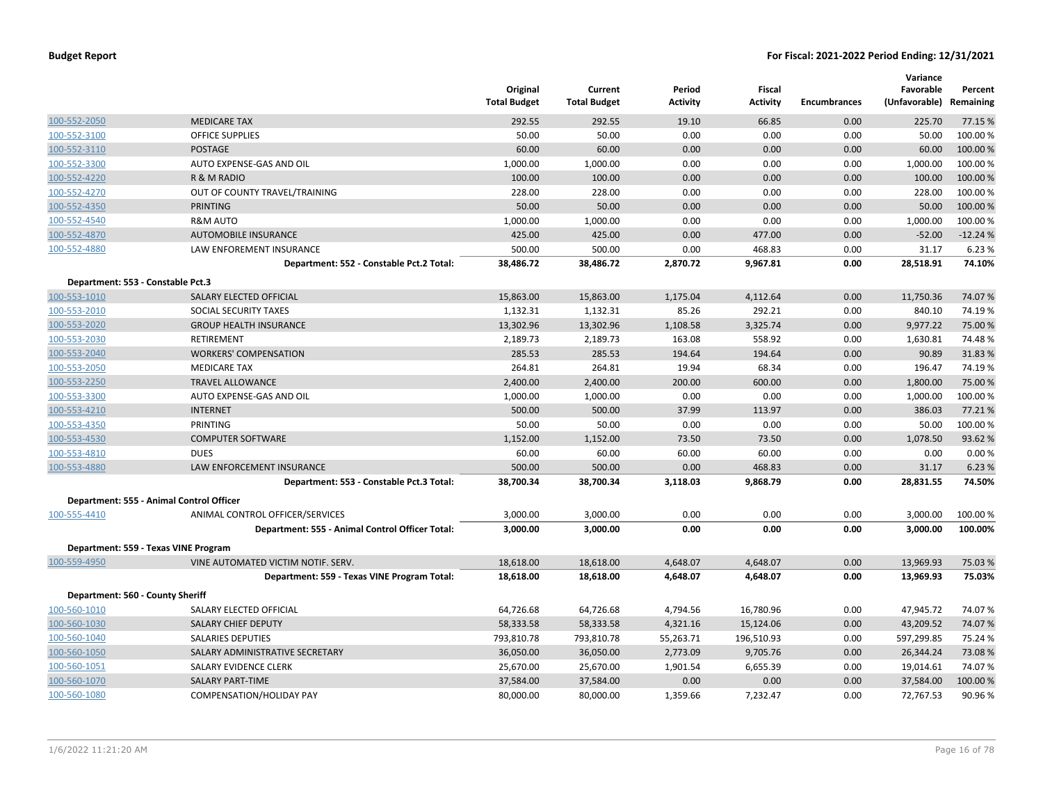|                                          |                                                 | Original<br><b>Total Budget</b> | Current<br><b>Total Budget</b> | Period<br><b>Activity</b> | Fiscal<br><b>Activity</b> | <b>Encumbrances</b> | Variance<br>Favorable<br>(Unfavorable) | Percent<br>Remaining |
|------------------------------------------|-------------------------------------------------|---------------------------------|--------------------------------|---------------------------|---------------------------|---------------------|----------------------------------------|----------------------|
| 100-552-2050                             | <b>MEDICARE TAX</b>                             | 292.55                          | 292.55                         | 19.10                     | 66.85                     | 0.00                | 225.70                                 | 77.15 %              |
| 100-552-3100                             | <b>OFFICE SUPPLIES</b>                          | 50.00                           | 50.00                          | 0.00                      | 0.00                      | 0.00                | 50.00                                  | 100.00%              |
| 100-552-3110                             | <b>POSTAGE</b>                                  | 60.00                           | 60.00                          | 0.00                      | 0.00                      | 0.00                | 60.00                                  | 100.00 %             |
| 100-552-3300                             | AUTO EXPENSE-GAS AND OIL                        | 1,000.00                        | 1,000.00                       | 0.00                      | 0.00                      | 0.00                | 1,000.00                               | 100.00 %             |
| 100-552-4220                             | R & M RADIO                                     | 100.00                          | 100.00                         | 0.00                      | 0.00                      | 0.00                | 100.00                                 | 100.00%              |
| 100-552-4270                             | OUT OF COUNTY TRAVEL/TRAINING                   | 228.00                          | 228.00                         | 0.00                      | 0.00                      | 0.00                | 228.00                                 | 100.00 %             |
| 100-552-4350                             | PRINTING                                        | 50.00                           | 50.00                          | 0.00                      | 0.00                      | 0.00                | 50.00                                  | 100.00%              |
| 100-552-4540                             | R&M AUTO                                        | 1,000.00                        | 1,000.00                       | 0.00                      | 0.00                      | 0.00                | 1,000.00                               | 100.00 %             |
| 100-552-4870                             | <b>AUTOMOBILE INSURANCE</b>                     | 425.00                          | 425.00                         | 0.00                      | 477.00                    | 0.00                | $-52.00$                               | $-12.24%$            |
| 100-552-4880                             | LAW ENFOREMENT INSURANCE                        | 500.00                          | 500.00                         | 0.00                      | 468.83                    | 0.00                | 31.17                                  | 6.23 %               |
|                                          | Department: 552 - Constable Pct.2 Total:        | 38,486.72                       | 38,486.72                      | 2,870.72                  | 9,967.81                  | 0.00                | 28,518.91                              | 74.10%               |
| Department: 553 - Constable Pct.3        |                                                 |                                 |                                |                           |                           |                     |                                        |                      |
| 100-553-1010                             | SALARY ELECTED OFFICIAL                         | 15,863.00                       | 15,863.00                      | 1,175.04                  | 4,112.64                  | 0.00                | 11,750.36                              | 74.07%               |
| 100-553-2010                             | SOCIAL SECURITY TAXES                           | 1,132.31                        | 1,132.31                       | 85.26                     | 292.21                    | 0.00                | 840.10                                 | 74.19%               |
| 100-553-2020                             | <b>GROUP HEALTH INSURANCE</b>                   | 13,302.96                       | 13,302.96                      | 1,108.58                  | 3,325.74                  | 0.00                | 9,977.22                               | 75.00 %              |
| 100-553-2030                             | <b>RETIREMENT</b>                               | 2,189.73                        | 2,189.73                       | 163.08                    | 558.92                    | 0.00                | 1,630.81                               | 74.48%               |
| 100-553-2040                             | <b>WORKERS' COMPENSATION</b>                    | 285.53                          | 285.53                         | 194.64                    | 194.64                    | 0.00                | 90.89                                  | 31.83%               |
| 100-553-2050                             | <b>MEDICARE TAX</b>                             | 264.81                          | 264.81                         | 19.94                     | 68.34                     | 0.00                | 196.47                                 | 74.19%               |
| 100-553-2250                             | <b>TRAVEL ALLOWANCE</b>                         | 2,400.00                        | 2,400.00                       | 200.00                    | 600.00                    | 0.00                | 1,800.00                               | 75.00 %              |
| 100-553-3300                             | AUTO EXPENSE-GAS AND OIL                        | 1,000.00                        | 1,000.00                       | 0.00                      | 0.00                      | 0.00                | 1,000.00                               | 100.00%              |
| 100-553-4210                             | <b>INTERNET</b>                                 | 500.00                          | 500.00                         | 37.99                     | 113.97                    | 0.00                | 386.03                                 | 77.21%               |
| 100-553-4350                             | <b>PRINTING</b>                                 | 50.00                           | 50.00                          | 0.00                      | 0.00                      | 0.00                | 50.00                                  | 100.00%              |
| 100-553-4530                             | <b>COMPUTER SOFTWARE</b>                        | 1,152.00                        | 1,152.00                       | 73.50                     | 73.50                     | 0.00                | 1,078.50                               | 93.62%               |
| 100-553-4810                             | <b>DUES</b>                                     | 60.00                           | 60.00                          | 60.00                     | 60.00                     | 0.00                | 0.00                                   | 0.00%                |
| 100-553-4880                             | <b>LAW ENFORCEMENT INSURANCE</b>                | 500.00                          | 500.00                         | 0.00                      | 468.83                    | 0.00                | 31.17                                  | 6.23 %               |
|                                          | Department: 553 - Constable Pct.3 Total:        | 38,700.34                       | 38,700.34                      | 3,118.03                  | 9,868.79                  | 0.00                | 28,831.55                              | 74.50%               |
| Department: 555 - Animal Control Officer |                                                 |                                 |                                |                           |                           |                     |                                        |                      |
| 100-555-4410                             | ANIMAL CONTROL OFFICER/SERVICES                 | 3,000.00                        | 3,000.00                       | 0.00                      | 0.00                      | 0.00                | 3,000.00                               | 100.00 %             |
|                                          | Department: 555 - Animal Control Officer Total: | 3,000.00                        | 3,000.00                       | 0.00                      | 0.00                      | 0.00                | 3,000.00                               | 100.00%              |
| Department: 559 - Texas VINE Program     |                                                 |                                 |                                |                           |                           |                     |                                        |                      |
| 100-559-4950                             | VINE AUTOMATED VICTIM NOTIF. SERV.              | 18,618.00                       | 18,618.00                      | 4,648.07                  | 4,648.07                  | 0.00                | 13,969.93                              | 75.03 %              |
|                                          | Department: 559 - Texas VINE Program Total:     | 18,618.00                       | 18,618.00                      | 4,648.07                  | 4,648.07                  | 0.00                | 13,969.93                              | 75.03%               |
| Department: 560 - County Sheriff         |                                                 |                                 |                                |                           |                           |                     |                                        |                      |
| 100-560-1010                             | SALARY ELECTED OFFICIAL                         | 64,726.68                       | 64,726.68                      | 4,794.56                  | 16,780.96                 | 0.00                | 47,945.72                              | 74.07%               |
| 100-560-1030                             | SALARY CHIEF DEPUTY                             | 58,333.58                       | 58,333.58                      | 4,321.16                  | 15,124.06                 | 0.00                | 43,209.52                              | 74.07%               |
| 100-560-1040                             | <b>SALARIES DEPUTIES</b>                        | 793,810.78                      | 793,810.78                     | 55,263.71                 | 196,510.93                | 0.00                | 597,299.85                             | 75.24 %              |
| 100-560-1050                             | SALARY ADMINISTRATIVE SECRETARY                 | 36,050.00                       | 36,050.00                      | 2,773.09                  | 9,705.76                  | 0.00                | 26,344.24                              | 73.08%               |
| 100-560-1051                             | SALARY EVIDENCE CLERK                           | 25,670.00                       | 25,670.00                      | 1,901.54                  | 6,655.39                  | 0.00                | 19,014.61                              | 74.07%               |
| 100-560-1070                             | <b>SALARY PART-TIME</b>                         | 37,584.00                       | 37,584.00                      | 0.00                      | 0.00                      | 0.00                | 37,584.00                              | 100.00%              |
| 100-560-1080                             | <b>COMPENSATION/HOLIDAY PAY</b>                 | 80,000.00                       | 80,000.00                      | 1,359.66                  | 7,232.47                  | 0.00                | 72,767.53                              | 90.96%               |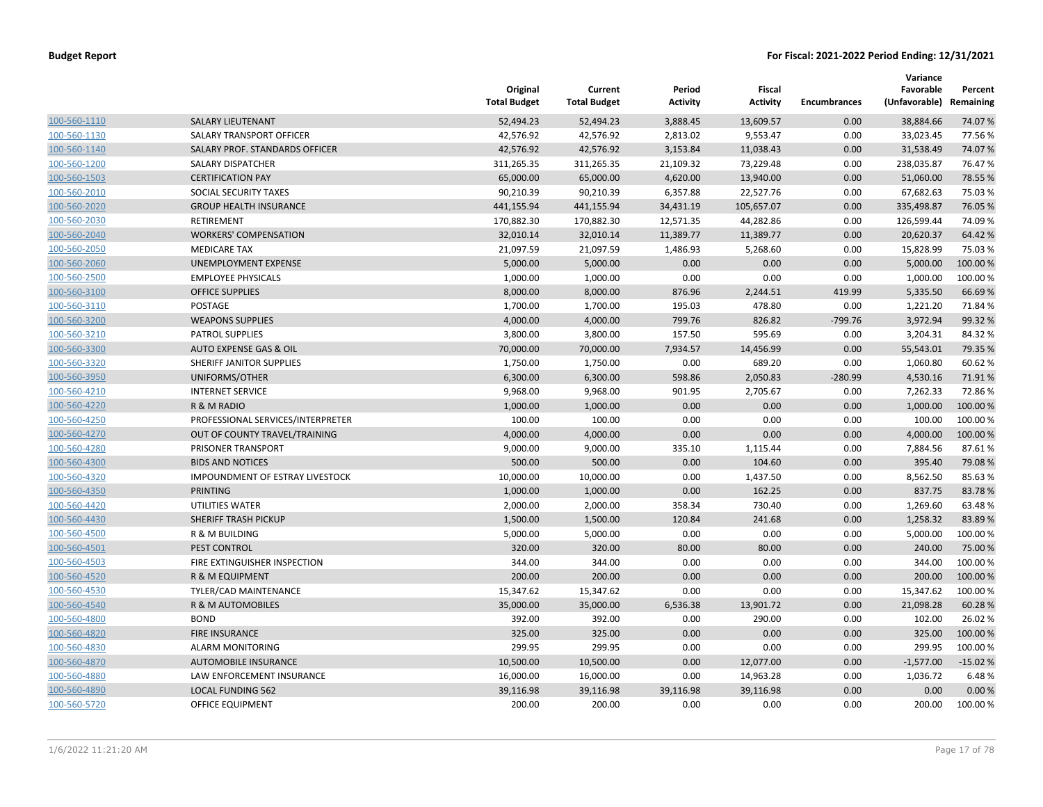|              |                                   | Original<br><b>Total Budget</b> | Current<br><b>Total Budget</b> | Period<br><b>Activity</b> | Fiscal<br><b>Activity</b> | <b>Encumbrances</b> | Variance<br>Favorable<br>(Unfavorable) | Percent<br>Remaining |
|--------------|-----------------------------------|---------------------------------|--------------------------------|---------------------------|---------------------------|---------------------|----------------------------------------|----------------------|
| 100-560-1110 | <b>SALARY LIEUTENANT</b>          | 52,494.23                       | 52,494.23                      | 3,888.45                  | 13,609.57                 | 0.00                | 38,884.66                              | 74.07%               |
| 100-560-1130 | SALARY TRANSPORT OFFICER          | 42,576.92                       | 42,576.92                      | 2,813.02                  | 9,553.47                  | 0.00                | 33,023.45                              | 77.56%               |
| 100-560-1140 | SALARY PROF. STANDARDS OFFICER    | 42,576.92                       | 42,576.92                      | 3,153.84                  | 11,038.43                 | 0.00                | 31,538.49                              | 74.07%               |
| 100-560-1200 | SALARY DISPATCHER                 | 311,265.35                      | 311,265.35                     | 21,109.32                 | 73,229.48                 | 0.00                | 238,035.87                             | 76.47%               |
| 100-560-1503 | <b>CERTIFICATION PAY</b>          | 65,000.00                       | 65,000.00                      | 4,620.00                  | 13,940.00                 | 0.00                | 51,060.00                              | 78.55 %              |
| 100-560-2010 | SOCIAL SECURITY TAXES             | 90,210.39                       | 90,210.39                      | 6,357.88                  | 22,527.76                 | 0.00                | 67,682.63                              | 75.03%               |
| 100-560-2020 | <b>GROUP HEALTH INSURANCE</b>     | 441,155.94                      | 441,155.94                     | 34,431.19                 | 105,657.07                | 0.00                | 335,498.87                             | 76.05 %              |
| 100-560-2030 | <b>RETIREMENT</b>                 | 170,882.30                      | 170,882.30                     | 12,571.35                 | 44,282.86                 | 0.00                | 126,599.44                             | 74.09%               |
| 100-560-2040 | <b>WORKERS' COMPENSATION</b>      | 32,010.14                       | 32,010.14                      | 11,389.77                 | 11,389.77                 | 0.00                | 20,620.37                              | 64.42 %              |
| 100-560-2050 | <b>MEDICARE TAX</b>               | 21,097.59                       | 21,097.59                      | 1,486.93                  | 5,268.60                  | 0.00                | 15,828.99                              | 75.03%               |
| 100-560-2060 | UNEMPLOYMENT EXPENSE              | 5,000.00                        | 5,000.00                       | 0.00                      | 0.00                      | 0.00                | 5,000.00                               | 100.00 %             |
| 100-560-2500 | <b>EMPLOYEE PHYSICALS</b>         | 1,000.00                        | 1,000.00                       | 0.00                      | 0.00                      | 0.00                | 1,000.00                               | 100.00%              |
| 100-560-3100 | <b>OFFICE SUPPLIES</b>            | 8,000.00                        | 8,000.00                       | 876.96                    | 2,244.51                  | 419.99              | 5,335.50                               | 66.69%               |
| 100-560-3110 | POSTAGE                           | 1,700.00                        | 1,700.00                       | 195.03                    | 478.80                    | 0.00                | 1,221.20                               | 71.84%               |
| 100-560-3200 | <b>WEAPONS SUPPLIES</b>           | 4,000.00                        | 4,000.00                       | 799.76                    | 826.82                    | $-799.76$           | 3,972.94                               | 99.32 %              |
| 100-560-3210 | <b>PATROL SUPPLIES</b>            | 3,800.00                        | 3,800.00                       | 157.50                    | 595.69                    | 0.00                | 3,204.31                               | 84.32%               |
| 100-560-3300 | AUTO EXPENSE GAS & OIL            | 70,000.00                       | 70,000.00                      | 7,934.57                  | 14,456.99                 | 0.00                | 55,543.01                              | 79.35 %              |
| 100-560-3320 | SHERIFF JANITOR SUPPLIES          | 1,750.00                        | 1,750.00                       | 0.00                      | 689.20                    | 0.00                | 1,060.80                               | 60.62%               |
| 100-560-3950 | UNIFORMS/OTHER                    | 6,300.00                        | 6,300.00                       | 598.86                    | 2,050.83                  | $-280.99$           | 4,530.16                               | 71.91%               |
| 100-560-4210 | <b>INTERNET SERVICE</b>           | 9,968.00                        | 9,968.00                       | 901.95                    | 2,705.67                  | 0.00                | 7,262.33                               | 72.86%               |
| 100-560-4220 | R & M RADIO                       | 1,000.00                        | 1,000.00                       | 0.00                      | 0.00                      | 0.00                | 1,000.00                               | 100.00%              |
| 100-560-4250 | PROFESSIONAL SERVICES/INTERPRETER | 100.00                          | 100.00                         | 0.00                      | 0.00                      | 0.00                | 100.00                                 | 100.00%              |
| 100-560-4270 | OUT OF COUNTY TRAVEL/TRAINING     | 4,000.00                        | 4,000.00                       | 0.00                      | 0.00                      | 0.00                | 4,000.00                               | 100.00 %             |
| 100-560-4280 | PRISONER TRANSPORT                | 9,000.00                        | 9,000.00                       | 335.10                    | 1,115.44                  | 0.00                | 7,884.56                               | 87.61%               |
| 100-560-4300 | <b>BIDS AND NOTICES</b>           | 500.00                          | 500.00                         | 0.00                      | 104.60                    | 0.00                | 395.40                                 | 79.08%               |
| 100-560-4320 | IMPOUNDMENT OF ESTRAY LIVESTOCK   | 10,000.00                       | 10,000.00                      | 0.00                      | 1,437.50                  | 0.00                | 8,562.50                               | 85.63%               |
| 100-560-4350 | <b>PRINTING</b>                   | 1,000.00                        | 1,000.00                       | 0.00                      | 162.25                    | 0.00                | 837.75                                 | 83.78%               |
| 100-560-4420 | UTILITIES WATER                   | 2,000.00                        | 2,000.00                       | 358.34                    | 730.40                    | 0.00                | 1,269.60                               | 63.48%               |
| 100-560-4430 | SHERIFF TRASH PICKUP              | 1,500.00                        | 1,500.00                       | 120.84                    | 241.68                    | 0.00                | 1,258.32                               | 83.89%               |
| 100-560-4500 | <b>R &amp; M BUILDING</b>         | 5,000.00                        | 5,000.00                       | 0.00                      | 0.00                      | 0.00                | 5,000.00                               | 100.00%              |
| 100-560-4501 | <b>PEST CONTROL</b>               | 320.00                          | 320.00                         | 80.00                     | 80.00                     | 0.00                | 240.00                                 | 75.00 %              |
| 100-560-4503 | FIRE EXTINGUISHER INSPECTION      | 344.00                          | 344.00                         | 0.00                      | 0.00                      | 0.00                | 344.00                                 | 100.00 %             |
| 100-560-4520 | R & M EQUIPMENT                   | 200.00                          | 200.00                         | 0.00                      | 0.00                      | 0.00                | 200.00                                 | 100.00 %             |
| 100-560-4530 | TYLER/CAD MAINTENANCE             | 15,347.62                       | 15,347.62                      | 0.00                      | 0.00                      | 0.00                | 15,347.62                              | 100.00%              |
| 100-560-4540 | R & M AUTOMOBILES                 | 35,000.00                       | 35,000.00                      | 6,536.38                  | 13,901.72                 | 0.00                | 21,098.28                              | 60.28%               |
| 100-560-4800 | <b>BOND</b>                       | 392.00                          | 392.00                         | 0.00                      | 290.00                    | 0.00                | 102.00                                 | 26.02%               |
| 100-560-4820 | <b>FIRE INSURANCE</b>             | 325.00                          | 325.00                         | 0.00                      | 0.00                      | 0.00                | 325.00                                 | 100.00%              |
| 100-560-4830 | <b>ALARM MONITORING</b>           | 299.95                          | 299.95                         | 0.00                      | 0.00                      | 0.00                | 299.95                                 | 100.00%              |
| 100-560-4870 | <b>AUTOMOBILE INSURANCE</b>       | 10,500.00                       | 10,500.00                      | 0.00                      | 12,077.00                 | 0.00                | $-1,577.00$                            | $-15.02%$            |
| 100-560-4880 | LAW ENFORCEMENT INSURANCE         | 16,000.00                       | 16,000.00                      | 0.00                      | 14,963.28                 | 0.00                | 1,036.72                               | 6.48%                |
| 100-560-4890 | <b>LOCAL FUNDING 562</b>          | 39,116.98                       | 39,116.98                      | 39,116.98                 | 39,116.98                 | 0.00                | 0.00                                   | 0.00%                |
| 100-560-5720 | <b>OFFICE EQUIPMENT</b>           | 200.00                          | 200.00                         | 0.00                      | 0.00                      | 0.00                | 200.00                                 | 100.00%              |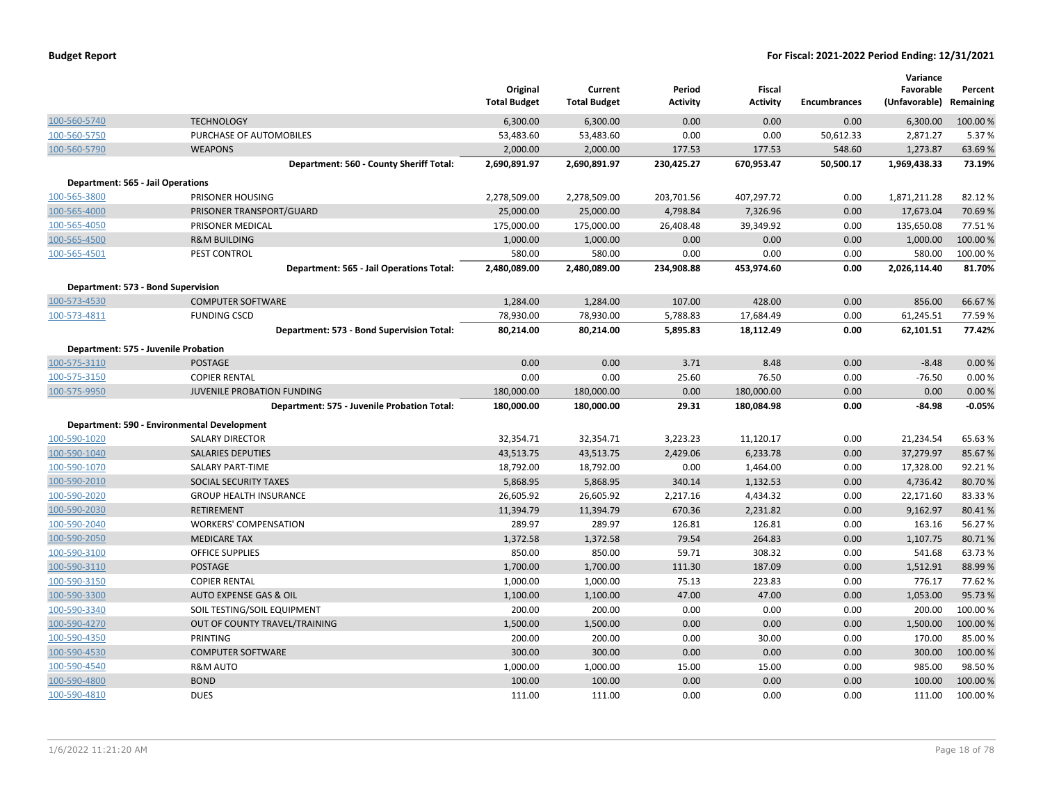|                                      |                                             | Original<br><b>Total Budget</b> | Current<br><b>Total Budget</b> | Period<br><b>Activity</b> | <b>Fiscal</b><br><b>Activity</b> | <b>Encumbrances</b> | Variance<br>Favorable<br>(Unfavorable) | Percent<br>Remaining |
|--------------------------------------|---------------------------------------------|---------------------------------|--------------------------------|---------------------------|----------------------------------|---------------------|----------------------------------------|----------------------|
| 100-560-5740                         | <b>TECHNOLOGY</b>                           | 6,300.00                        | 6,300.00                       | 0.00                      | 0.00                             | 0.00                | 6,300.00                               | 100.00 %             |
| 100-560-5750                         | PURCHASE OF AUTOMOBILES                     | 53,483.60                       | 53,483.60                      | 0.00                      | 0.00                             | 50,612.33           | 2,871.27                               | 5.37%                |
| 100-560-5790                         | <b>WEAPONS</b>                              | 2,000.00                        | 2,000.00                       | 177.53                    | 177.53                           | 548.60              | 1,273.87                               | 63.69%               |
|                                      | Department: 560 - County Sheriff Total:     | 2,690,891.97                    | 2,690,891.97                   | 230,425.27                | 670,953.47                       | 50,500.17           | 1,969,438.33                           | 73.19%               |
| Department: 565 - Jail Operations    |                                             |                                 |                                |                           |                                  |                     |                                        |                      |
| 100-565-3800                         | PRISONER HOUSING                            | 2,278,509.00                    | 2,278,509.00                   | 203,701.56                | 407,297.72                       | 0.00                | 1,871,211.28                           | 82.12%               |
| 100-565-4000                         | PRISONER TRANSPORT/GUARD                    | 25,000.00                       | 25,000.00                      | 4,798.84                  | 7,326.96                         | 0.00                | 17,673.04                              | 70.69%               |
| 100-565-4050                         | PRISONER MEDICAL                            | 175,000.00                      | 175,000.00                     | 26,408.48                 | 39,349.92                        | 0.00                | 135,650.08                             | 77.51%               |
| 100-565-4500                         | <b>R&amp;M BUILDING</b>                     | 1,000.00                        | 1,000.00                       | 0.00                      | 0.00                             | 0.00                | 1,000.00                               | 100.00 %             |
| 100-565-4501                         | PEST CONTROL                                | 580.00                          | 580.00                         | 0.00                      | 0.00                             | 0.00                | 580.00                                 | 100.00%              |
|                                      | Department: 565 - Jail Operations Total:    | 2,480,089.00                    | 2,480,089.00                   | 234,908.88                | 453,974.60                       | 0.00                | 2,026,114.40                           | 81.70%               |
| Department: 573 - Bond Supervision   |                                             |                                 |                                |                           |                                  |                     |                                        |                      |
| 100-573-4530                         | <b>COMPUTER SOFTWARE</b>                    | 1,284.00                        | 1,284.00                       | 107.00                    | 428.00                           | 0.00                | 856.00                                 | 66.67%               |
| 100-573-4811                         | <b>FUNDING CSCD</b>                         | 78,930.00                       | 78,930.00                      | 5,788.83                  | 17,684.49                        | 0.00                | 61,245.51                              | 77.59%               |
|                                      | Department: 573 - Bond Supervision Total:   | 80,214.00                       | 80,214.00                      | 5,895.83                  | 18,112.49                        | 0.00                | 62,101.51                              | 77.42%               |
| Department: 575 - Juvenile Probation |                                             |                                 |                                |                           |                                  |                     |                                        |                      |
| 100-575-3110                         | <b>POSTAGE</b>                              | 0.00                            | 0.00                           | 3.71                      | 8.48                             | 0.00                | $-8.48$                                | 0.00%                |
| 100-575-3150                         | <b>COPIER RENTAL</b>                        | 0.00                            | 0.00                           | 25.60                     | 76.50                            | 0.00                | $-76.50$                               | 0.00%                |
| 100-575-9950                         | JUVENILE PROBATION FUNDING                  | 180,000.00                      | 180,000.00                     | 0.00                      | 180,000.00                       | 0.00                | 0.00                                   | 0.00%                |
|                                      | Department: 575 - Juvenile Probation Total: | 180,000.00                      | 180,000.00                     | 29.31                     | 180,084.98                       | 0.00                | $-84.98$                               | $-0.05%$             |
|                                      | Department: 590 - Environmental Development |                                 |                                |                           |                                  |                     |                                        |                      |
| 100-590-1020                         | <b>SALARY DIRECTOR</b>                      | 32,354.71                       | 32,354.71                      | 3,223.23                  | 11,120.17                        | 0.00                | 21,234.54                              | 65.63%               |
| 100-590-1040                         | <b>SALARIES DEPUTIES</b>                    | 43,513.75                       | 43,513.75                      | 2,429.06                  | 6,233.78                         | 0.00                | 37,279.97                              | 85.67%               |
| 100-590-1070                         | SALARY PART-TIME                            | 18,792.00                       | 18,792.00                      | 0.00                      | 1,464.00                         | 0.00                | 17,328.00                              | 92.21%               |
| 100-590-2010                         | SOCIAL SECURITY TAXES                       | 5,868.95                        | 5,868.95                       | 340.14                    | 1,132.53                         | 0.00                | 4,736.42                               | 80.70%               |
| 100-590-2020                         | <b>GROUP HEALTH INSURANCE</b>               | 26,605.92                       | 26,605.92                      | 2,217.16                  | 4,434.32                         | 0.00                | 22,171.60                              | 83.33%               |
| 100-590-2030                         | <b>RETIREMENT</b>                           | 11,394.79                       | 11,394.79                      | 670.36                    | 2,231.82                         | 0.00                | 9,162.97                               | 80.41%               |
| 100-590-2040                         | <b>WORKERS' COMPENSATION</b>                | 289.97                          | 289.97                         | 126.81                    | 126.81                           | 0.00                | 163.16                                 | 56.27%               |
| 100-590-2050                         | <b>MEDICARE TAX</b>                         | 1,372.58                        | 1,372.58                       | 79.54                     | 264.83                           | 0.00                | 1,107.75                               | 80.71%               |
| 100-590-3100                         | <b>OFFICE SUPPLIES</b>                      | 850.00                          | 850.00                         | 59.71                     | 308.32                           | 0.00                | 541.68                                 | 63.73%               |
| 100-590-3110                         | <b>POSTAGE</b>                              | 1,700.00                        | 1,700.00                       | 111.30                    | 187.09                           | 0.00                | 1,512.91                               | 88.99%               |
| 100-590-3150                         | <b>COPIER RENTAL</b>                        | 1,000.00                        | 1,000.00                       | 75.13                     | 223.83                           | 0.00                | 776.17                                 | 77.62%               |
| 100-590-3300                         | AUTO EXPENSE GAS & OIL                      | 1,100.00                        | 1,100.00                       | 47.00                     | 47.00                            | 0.00                | 1,053.00                               | 95.73%               |
| 100-590-3340                         | SOIL TESTING/SOIL EQUIPMENT                 | 200.00                          | 200.00                         | 0.00                      | 0.00                             | 0.00                | 200.00                                 | 100.00%              |
| 100-590-4270                         | OUT OF COUNTY TRAVEL/TRAINING               | 1,500.00                        | 1,500.00                       | 0.00                      | 0.00                             | 0.00                | 1,500.00                               | 100.00%              |
| 100-590-4350                         | PRINTING                                    | 200.00                          | 200.00                         | 0.00                      | 30.00                            | 0.00                | 170.00                                 | 85.00 %              |
| 100-590-4530                         | <b>COMPUTER SOFTWARE</b>                    | 300.00                          | 300.00                         | 0.00                      | 0.00                             | 0.00                | 300.00                                 | 100.00%              |
| 100-590-4540                         | <b>R&amp;M AUTO</b>                         | 1,000.00                        | 1,000.00                       | 15.00                     | 15.00                            | 0.00                | 985.00                                 | 98.50%               |
| 100-590-4800                         | <b>BOND</b>                                 | 100.00                          | 100.00                         | 0.00                      | 0.00                             | 0.00                | 100.00                                 | 100.00 %             |
| 100-590-4810                         | <b>DUES</b>                                 | 111.00                          | 111.00                         | 0.00                      | 0.00                             | 0.00                | 111.00                                 | 100.00%              |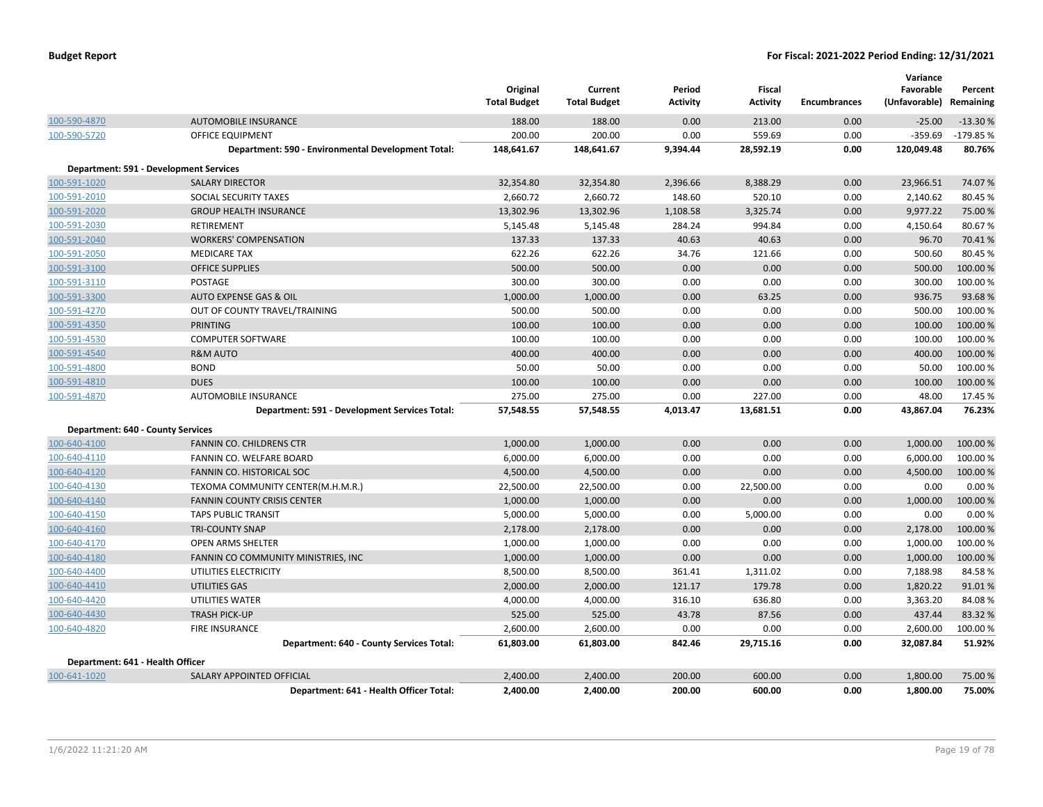|                                          |                                                    | Original<br><b>Total Budget</b> | Current<br><b>Total Budget</b> | Period<br><b>Activity</b> | <b>Fiscal</b><br><b>Activity</b> | <b>Encumbrances</b> | Variance<br>Favorable<br>(Unfavorable) | Percent<br>Remaining |
|------------------------------------------|----------------------------------------------------|---------------------------------|--------------------------------|---------------------------|----------------------------------|---------------------|----------------------------------------|----------------------|
| 100-590-4870                             | <b>AUTOMOBILE INSURANCE</b>                        | 188.00                          | 188.00                         | 0.00                      | 213.00                           | 0.00                | $-25.00$                               | $-13.30%$            |
| 100-590-5720                             | OFFICE EQUIPMENT                                   | 200.00                          | 200.00                         | 0.00                      | 559.69                           | 0.00                | $-359.69$                              | -179.85 %            |
|                                          | Department: 590 - Environmental Development Total: | 148,641.67                      | 148,641.67                     | 9,394.44                  | 28,592.19                        | 0.00                | 120,049.48                             | 80.76%               |
|                                          | <b>Department: 591 - Development Services</b>      |                                 |                                |                           |                                  |                     |                                        |                      |
| 100-591-1020                             | <b>SALARY DIRECTOR</b>                             | 32,354.80                       | 32,354.80                      | 2,396.66                  | 8,388.29                         | 0.00                | 23,966.51                              | 74.07%               |
| 100-591-2010                             | SOCIAL SECURITY TAXES                              | 2,660.72                        | 2,660.72                       | 148.60                    | 520.10                           | 0.00                | 2,140.62                               | 80.45%               |
| 100-591-2020                             | <b>GROUP HEALTH INSURANCE</b>                      | 13,302.96                       | 13,302.96                      | 1,108.58                  | 3,325.74                         | 0.00                | 9,977.22                               | 75.00 %              |
| 100-591-2030                             | RETIREMENT                                         | 5,145.48                        | 5,145.48                       | 284.24                    | 994.84                           | 0.00                | 4,150.64                               | 80.67%               |
| 100-591-2040                             | <b>WORKERS' COMPENSATION</b>                       | 137.33                          | 137.33                         | 40.63                     | 40.63                            | 0.00                | 96.70                                  | 70.41%               |
| 100-591-2050                             | <b>MEDICARE TAX</b>                                | 622.26                          | 622.26                         | 34.76                     | 121.66                           | 0.00                | 500.60                                 | 80.45%               |
| 100-591-3100                             | <b>OFFICE SUPPLIES</b>                             | 500.00                          | 500.00                         | 0.00                      | 0.00                             | 0.00                | 500.00                                 | 100.00%              |
| 100-591-3110                             | POSTAGE                                            | 300.00                          | 300.00                         | 0.00                      | 0.00                             | 0.00                | 300.00                                 | 100.00%              |
| 100-591-3300                             | AUTO EXPENSE GAS & OIL                             | 1,000.00                        | 1,000.00                       | 0.00                      | 63.25                            | 0.00                | 936.75                                 | 93.68%               |
| 100-591-4270                             | OUT OF COUNTY TRAVEL/TRAINING                      | 500.00                          | 500.00                         | 0.00                      | 0.00                             | 0.00                | 500.00                                 | 100.00 %             |
| 100-591-4350                             | <b>PRINTING</b>                                    | 100.00                          | 100.00                         | 0.00                      | 0.00                             | 0.00                | 100.00                                 | 100.00%              |
| 100-591-4530                             | <b>COMPUTER SOFTWARE</b>                           | 100.00                          | 100.00                         | 0.00                      | 0.00                             | 0.00                | 100.00                                 | 100.00%              |
| 100-591-4540                             | <b>R&amp;M AUTO</b>                                | 400.00                          | 400.00                         | 0.00                      | 0.00                             | 0.00                | 400.00                                 | 100.00 %             |
| 100-591-4800                             | <b>BOND</b>                                        | 50.00                           | 50.00                          | 0.00                      | 0.00                             | 0.00                | 50.00                                  | 100.00%              |
| 100-591-4810                             | <b>DUES</b>                                        | 100.00                          | 100.00                         | 0.00                      | 0.00                             | 0.00                | 100.00                                 | 100.00%              |
| 100-591-4870                             | <b>AUTOMOBILE INSURANCE</b>                        | 275.00                          | 275.00                         | 0.00                      | 227.00                           | 0.00                | 48.00                                  | 17.45 %              |
|                                          | Department: 591 - Development Services Total:      | 57,548.55                       | 57,548.55                      | 4,013.47                  | 13,681.51                        | 0.00                | 43,867.04                              | 76.23%               |
| <b>Department: 640 - County Services</b> |                                                    |                                 |                                |                           |                                  |                     |                                        |                      |
| 100-640-4100                             | FANNIN CO. CHILDRENS CTR                           | 1,000.00                        | 1,000.00                       | 0.00                      | 0.00                             | 0.00                | 1,000.00                               | 100.00 %             |
| 100-640-4110                             | FANNIN CO. WELFARE BOARD                           | 6,000.00                        | 6,000.00                       | 0.00                      | 0.00                             | 0.00                | 6,000.00                               | 100.00%              |
| 100-640-4120                             | FANNIN CO. HISTORICAL SOC                          | 4,500.00                        | 4,500.00                       | 0.00                      | 0.00                             | 0.00                | 4,500.00                               | 100.00 %             |
| 100-640-4130                             | TEXOMA COMMUNITY CENTER(M.H.M.R.)                  | 22,500.00                       | 22,500.00                      | 0.00                      | 22,500.00                        | 0.00                | 0.00                                   | 0.00%                |
| 100-640-4140                             | <b>FANNIN COUNTY CRISIS CENTER</b>                 | 1,000.00                        | 1,000.00                       | 0.00                      | 0.00                             | 0.00                | 1,000.00                               | 100.00%              |
| 100-640-4150                             | <b>TAPS PUBLIC TRANSIT</b>                         | 5,000.00                        | 5,000.00                       | 0.00                      | 5,000.00                         | 0.00                | 0.00                                   | 0.00%                |
| 100-640-4160                             | <b>TRI-COUNTY SNAP</b>                             | 2,178.00                        | 2,178.00                       | 0.00                      | 0.00                             | 0.00                | 2,178.00                               | 100.00%              |
| 100-640-4170                             | <b>OPEN ARMS SHELTER</b>                           | 1,000.00                        | 1,000.00                       | 0.00                      | 0.00                             | 0.00                | 1,000.00                               | 100.00%              |
| 100-640-4180                             | FANNIN CO COMMUNITY MINISTRIES, INC                | 1,000.00                        | 1,000.00                       | 0.00                      | 0.00                             | 0.00                | 1,000.00                               | 100.00 %             |
| 100-640-4400                             | UTILITIES ELECTRICITY                              | 8,500.00                        | 8,500.00                       | 361.41                    | 1,311.02                         | 0.00                | 7,188.98                               | 84.58%               |
| 100-640-4410                             | UTILITIES GAS                                      | 2,000.00                        | 2,000.00                       | 121.17                    | 179.78                           | 0.00                | 1,820.22                               | 91.01%               |
| 100-640-4420                             | UTILITIES WATER                                    | 4,000.00                        | 4,000.00                       | 316.10                    | 636.80                           | 0.00                | 3,363.20                               | 84.08%               |
| 100-640-4430                             | <b>TRASH PICK-UP</b>                               | 525.00                          | 525.00                         | 43.78                     | 87.56                            | 0.00                | 437.44                                 | 83.32 %              |
| 100-640-4820                             | <b>FIRE INSURANCE</b>                              | 2,600.00                        | 2,600.00                       | 0.00                      | 0.00                             | 0.00                | 2,600.00                               | 100.00%              |
|                                          | Department: 640 - County Services Total:           | 61,803.00                       | 61,803.00                      | 842.46                    | 29,715.16                        | 0.00                | 32,087.84                              | 51.92%               |
| Department: 641 - Health Officer         |                                                    |                                 |                                |                           |                                  |                     |                                        |                      |
| 100-641-1020                             | <b>SALARY APPOINTED OFFICIAL</b>                   | 2,400.00                        | 2,400.00                       | 200.00                    | 600.00                           | 0.00                | 1,800.00                               | 75.00 %              |
|                                          | Department: 641 - Health Officer Total:            | 2,400.00                        | 2,400.00                       | 200.00                    | 600.00                           | 0.00                | 1,800.00                               | 75.00%               |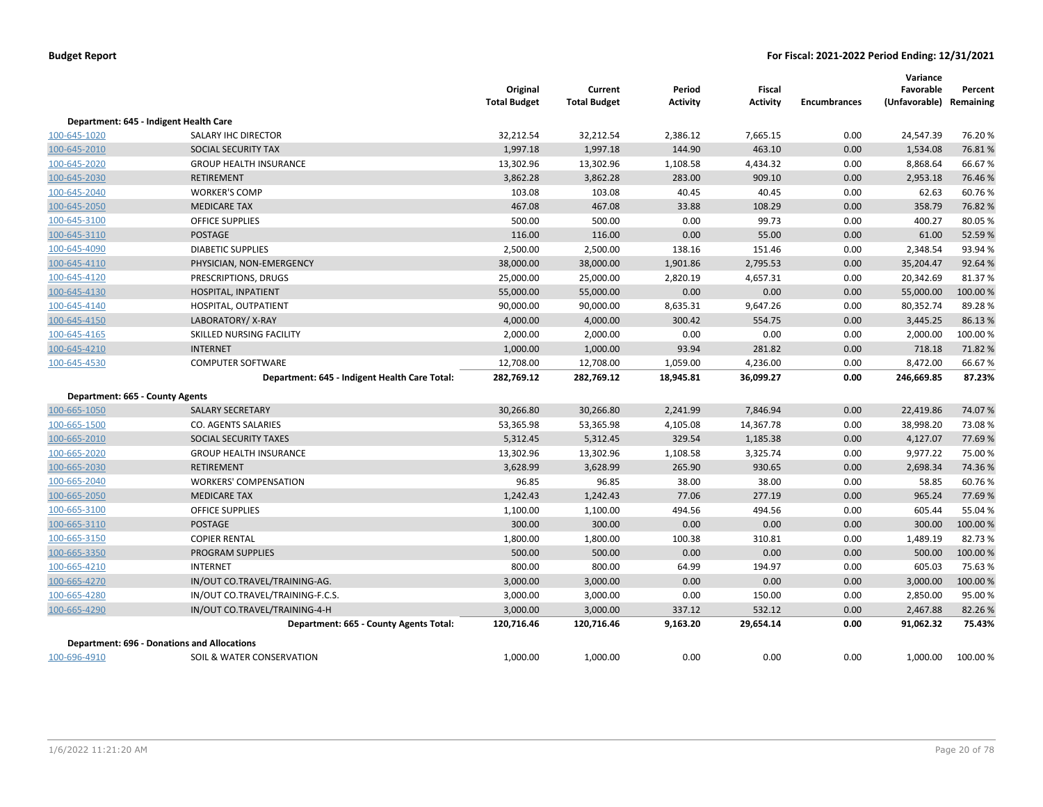|                                 |                                                    | Original<br><b>Total Budget</b> | Current<br><b>Total Budget</b> | Period<br><b>Activity</b> | Fiscal<br><b>Activity</b> | <b>Encumbrances</b> | Variance<br>Favorable<br>(Unfavorable) | Percent<br>Remaining |
|---------------------------------|----------------------------------------------------|---------------------------------|--------------------------------|---------------------------|---------------------------|---------------------|----------------------------------------|----------------------|
|                                 | Department: 645 - Indigent Health Care             |                                 |                                |                           |                           |                     |                                        |                      |
| 100-645-1020                    | SALARY IHC DIRECTOR                                | 32,212.54                       | 32,212.54                      | 2,386.12                  | 7,665.15                  | 0.00                | 24,547.39                              | 76.20%               |
| 100-645-2010                    | SOCIAL SECURITY TAX                                | 1,997.18                        | 1,997.18                       | 144.90                    | 463.10                    | 0.00                | 1,534.08                               | 76.81%               |
| 100-645-2020                    | <b>GROUP HEALTH INSURANCE</b>                      | 13,302.96                       | 13,302.96                      | 1,108.58                  | 4,434.32                  | 0.00                | 8,868.64                               | 66.67%               |
| 100-645-2030                    | <b>RETIREMENT</b>                                  | 3,862.28                        | 3,862.28                       | 283.00                    | 909.10                    | 0.00                | 2,953.18                               | 76.46%               |
| 100-645-2040                    | <b>WORKER'S COMP</b>                               | 103.08                          | 103.08                         | 40.45                     | 40.45                     | 0.00                | 62.63                                  | 60.76%               |
| 100-645-2050                    | <b>MEDICARE TAX</b>                                | 467.08                          | 467.08                         | 33.88                     | 108.29                    | 0.00                | 358.79                                 | 76.82%               |
| 100-645-3100                    | <b>OFFICE SUPPLIES</b>                             | 500.00                          | 500.00                         | 0.00                      | 99.73                     | 0.00                | 400.27                                 | 80.05%               |
| 100-645-3110                    | <b>POSTAGE</b>                                     | 116.00                          | 116.00                         | 0.00                      | 55.00                     | 0.00                | 61.00                                  | 52.59%               |
| 100-645-4090                    | <b>DIABETIC SUPPLIES</b>                           | 2,500.00                        | 2,500.00                       | 138.16                    | 151.46                    | 0.00                | 2,348.54                               | 93.94 %              |
| 100-645-4110                    | PHYSICIAN, NON-EMERGENCY                           | 38,000.00                       | 38,000.00                      | 1,901.86                  | 2,795.53                  | 0.00                | 35,204.47                              | 92.64%               |
| 100-645-4120                    | PRESCRIPTIONS, DRUGS                               | 25,000.00                       | 25,000.00                      | 2,820.19                  | 4,657.31                  | 0.00                | 20,342.69                              | 81.37%               |
| 100-645-4130                    | HOSPITAL, INPATIENT                                | 55,000.00                       | 55,000.00                      | 0.00                      | 0.00                      | 0.00                | 55,000.00                              | 100.00 %             |
| 100-645-4140                    | HOSPITAL, OUTPATIENT                               | 90,000.00                       | 90,000.00                      | 8,635.31                  | 9,647.26                  | 0.00                | 80,352.74                              | 89.28%               |
| 100-645-4150                    | LABORATORY/X-RAY                                   | 4,000.00                        | 4,000.00                       | 300.42                    | 554.75                    | 0.00                | 3,445.25                               | 86.13%               |
| 100-645-4165                    | SKILLED NURSING FACILITY                           | 2,000.00                        | 2,000.00                       | 0.00                      | 0.00                      | 0.00                | 2,000.00                               | 100.00%              |
| 100-645-4210                    | <b>INTERNET</b>                                    | 1,000.00                        | 1,000.00                       | 93.94                     | 281.82                    | 0.00                | 718.18                                 | 71.82%               |
| 100-645-4530                    | <b>COMPUTER SOFTWARE</b>                           | 12,708.00                       | 12,708.00                      | 1,059.00                  | 4,236.00                  | 0.00                | 8,472.00                               | 66.67%               |
|                                 | Department: 645 - Indigent Health Care Total:      | 282,769.12                      | 282,769.12                     | 18,945.81                 | 36,099.27                 | 0.00                | 246,669.85                             | 87.23%               |
| Department: 665 - County Agents |                                                    |                                 |                                |                           |                           |                     |                                        |                      |
| 100-665-1050                    | <b>SALARY SECRETARY</b>                            | 30,266.80                       | 30,266.80                      | 2,241.99                  | 7,846.94                  | 0.00                | 22,419.86                              | 74.07%               |
| 100-665-1500                    | CO. AGENTS SALARIES                                | 53,365.98                       | 53,365.98                      | 4,105.08                  | 14,367.78                 | 0.00                | 38,998.20                              | 73.08%               |
| 100-665-2010                    | SOCIAL SECURITY TAXES                              | 5,312.45                        | 5,312.45                       | 329.54                    | 1,185.38                  | 0.00                | 4,127.07                               | 77.69%               |
| 100-665-2020                    | <b>GROUP HEALTH INSURANCE</b>                      | 13,302.96                       | 13,302.96                      | 1,108.58                  | 3,325.74                  | 0.00                | 9,977.22                               | 75.00%               |
| 100-665-2030                    | <b>RETIREMENT</b>                                  | 3,628.99                        | 3,628.99                       | 265.90                    | 930.65                    | 0.00                | 2,698.34                               | 74.36%               |
| 100-665-2040                    | <b>WORKERS' COMPENSATION</b>                       | 96.85                           | 96.85                          | 38.00                     | 38.00                     | 0.00                | 58.85                                  | 60.76%               |
| 100-665-2050                    | <b>MEDICARE TAX</b>                                | 1,242.43                        | 1,242.43                       | 77.06                     | 277.19                    | 0.00                | 965.24                                 | 77.69%               |
| 100-665-3100                    | <b>OFFICE SUPPLIES</b>                             | 1,100.00                        | 1,100.00                       | 494.56                    | 494.56                    | 0.00                | 605.44                                 | 55.04 %              |
| 100-665-3110                    | <b>POSTAGE</b>                                     | 300.00                          | 300.00                         | 0.00                      | 0.00                      | 0.00                | 300.00                                 | 100.00%              |
| 100-665-3150                    | <b>COPIER RENTAL</b>                               | 1,800.00                        | 1,800.00                       | 100.38                    | 310.81                    | 0.00                | 1,489.19                               | 82.73%               |
| 100-665-3350                    | <b>PROGRAM SUPPLIES</b>                            | 500.00                          | 500.00                         | 0.00                      | 0.00                      | 0.00                | 500.00                                 | 100.00%              |
| 100-665-4210                    | <b>INTERNET</b>                                    | 800.00                          | 800.00                         | 64.99                     | 194.97                    | 0.00                | 605.03                                 | 75.63%               |
| 100-665-4270                    | IN/OUT CO.TRAVEL/TRAINING-AG.                      | 3,000.00                        | 3,000.00                       | 0.00                      | 0.00                      | 0.00                | 3,000.00                               | 100.00%              |
| 100-665-4280                    | IN/OUT CO.TRAVEL/TRAINING-F.C.S.                   | 3,000.00                        | 3,000.00                       | 0.00                      | 150.00                    | 0.00                | 2,850.00                               | 95.00%               |
| 100-665-4290                    | IN/OUT CO.TRAVEL/TRAINING-4-H                      | 3,000.00                        | 3,000.00                       | 337.12                    | 532.12                    | 0.00                | 2,467.88                               | 82.26%               |
|                                 | Department: 665 - County Agents Total:             | 120,716.46                      | 120,716.46                     | 9,163.20                  | 29,654.14                 | 0.00                | 91,062.32                              | 75.43%               |
|                                 | <b>Department: 696 - Donations and Allocations</b> |                                 |                                |                           |                           |                     |                                        |                      |
| 100-696-4910                    | SOIL & WATER CONSERVATION                          | 1,000.00                        | 1,000.00                       | 0.00                      | 0.00                      | 0.00                | 1,000.00                               | 100.00 %             |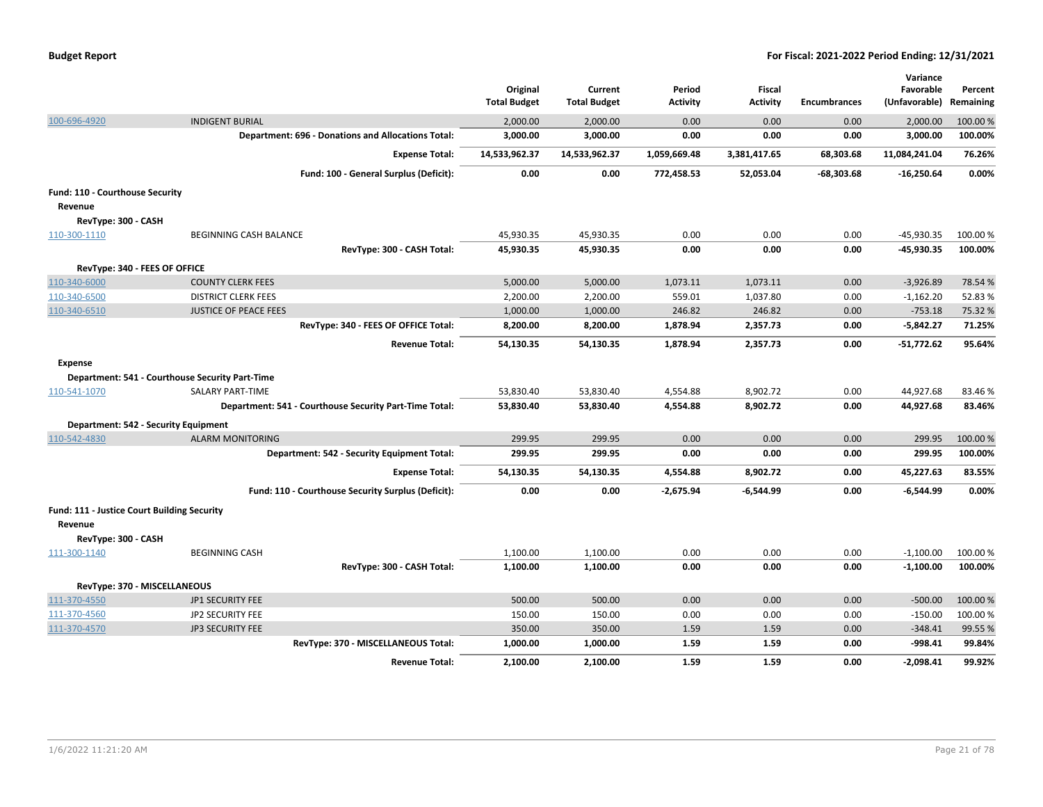|                                             |                                                           | Original<br><b>Total Budget</b> | Current<br><b>Total Budget</b> | Period<br>Activity | Fiscal<br><b>Activity</b> | <b>Encumbrances</b> | Variance<br>Favorable<br>(Unfavorable) | Percent<br>Remaining |
|---------------------------------------------|-----------------------------------------------------------|---------------------------------|--------------------------------|--------------------|---------------------------|---------------------|----------------------------------------|----------------------|
| 100-696-4920                                | <b>INDIGENT BURIAL</b>                                    | 2,000.00                        | 2,000.00                       | 0.00               | 0.00                      | 0.00                | 2,000.00                               | 100.00 %             |
|                                             | <b>Department: 696 - Donations and Allocations Total:</b> | 3,000.00                        | 3,000.00                       | 0.00               | 0.00                      | 0.00                | 3,000.00                               | 100.00%              |
|                                             | <b>Expense Total:</b>                                     | 14,533,962.37                   | 14,533,962.37                  | 1,059,669.48       | 3,381,417.65              | 68,303.68           | 11,084,241.04                          | 76.26%               |
|                                             | Fund: 100 - General Surplus (Deficit):                    | 0.00                            | 0.00                           | 772,458.53         | 52,053.04                 | $-68,303.68$        | $-16,250.64$                           | 0.00%                |
| Fund: 110 - Courthouse Security             |                                                           |                                 |                                |                    |                           |                     |                                        |                      |
| Revenue                                     |                                                           |                                 |                                |                    |                           |                     |                                        |                      |
| RevType: 300 - CASH                         |                                                           |                                 |                                |                    |                           |                     |                                        |                      |
| 110-300-1110                                | BEGINNING CASH BALANCE                                    | 45,930.35                       | 45,930.35                      | 0.00               | 0.00                      | 0.00                | $-45,930.35$                           | 100.00 %             |
|                                             | RevType: 300 - CASH Total:                                | 45,930.35                       | 45,930.35                      | 0.00               | 0.00                      | 0.00                | -45,930.35                             | 100.00%              |
| RevType: 340 - FEES OF OFFICE               |                                                           |                                 |                                |                    |                           |                     |                                        |                      |
| 110-340-6000                                | <b>COUNTY CLERK FEES</b>                                  | 5,000.00                        | 5,000.00                       | 1,073.11           | 1,073.11                  | 0.00                | $-3,926.89$                            | 78.54 %              |
| 110-340-6500                                | <b>DISTRICT CLERK FEES</b>                                | 2,200.00                        | 2,200.00                       | 559.01             | 1,037.80                  | 0.00                | $-1,162.20$                            | 52.83%               |
| 110-340-6510                                | <b>JUSTICE OF PEACE FEES</b>                              | 1,000.00                        | 1,000.00                       | 246.82             | 246.82                    | 0.00                | $-753.18$                              | 75.32 %              |
|                                             | RevType: 340 - FEES OF OFFICE Total:                      | 8,200.00                        | 8,200.00                       | 1,878.94           | 2,357.73                  | 0.00                | $-5,842.27$                            | 71.25%               |
|                                             | <b>Revenue Total:</b>                                     | 54,130.35                       | 54,130.35                      | 1,878.94           | 2,357.73                  | 0.00                | $-51,772.62$                           | 95.64%               |
| <b>Expense</b>                              |                                                           |                                 |                                |                    |                           |                     |                                        |                      |
|                                             | Department: 541 - Courthouse Security Part-Time           |                                 |                                |                    |                           |                     |                                        |                      |
| 110-541-1070                                | SALARY PART-TIME                                          | 53,830.40                       | 53,830.40                      | 4,554.88           | 8,902.72                  | 0.00                | 44,927.68                              | 83.46%               |
|                                             | Department: 541 - Courthouse Security Part-Time Total:    | 53,830.40                       | 53,830.40                      | 4,554.88           | 8,902.72                  | 0.00                | 44,927.68                              | 83.46%               |
|                                             | Department: 542 - Security Equipment                      |                                 |                                |                    |                           |                     |                                        |                      |
| 110-542-4830                                | <b>ALARM MONITORING</b>                                   | 299.95                          | 299.95                         | 0.00               | 0.00                      | 0.00                | 299.95                                 | 100.00 %             |
|                                             | Department: 542 - Security Equipment Total:               | 299.95                          | 299.95                         | 0.00               | 0.00                      | 0.00                | 299.95                                 | 100.00%              |
|                                             | <b>Expense Total:</b>                                     | 54,130.35                       | 54,130.35                      | 4,554.88           | 8,902.72                  | 0.00                | 45,227.63                              | 83.55%               |
|                                             | Fund: 110 - Courthouse Security Surplus (Deficit):        | 0.00                            | 0.00                           | $-2,675.94$        | $-6,544.99$               | 0.00                | -6,544.99                              | 0.00%                |
| Fund: 111 - Justice Court Building Security |                                                           |                                 |                                |                    |                           |                     |                                        |                      |
| Revenue                                     |                                                           |                                 |                                |                    |                           |                     |                                        |                      |
| RevType: 300 - CASH                         |                                                           |                                 |                                |                    |                           |                     |                                        |                      |
| 111-300-1140                                | <b>BEGINNING CASH</b>                                     | 1,100.00                        | 1,100.00                       | 0.00               | 0.00                      | 0.00                | $-1,100.00$                            | 100.00 %             |
|                                             | RevType: 300 - CASH Total:                                | 1,100.00                        | 1,100.00                       | 0.00               | 0.00                      | 0.00                | $-1,100.00$                            | 100.00%              |
| RevType: 370 - MISCELLANEOUS                |                                                           |                                 |                                |                    |                           |                     |                                        |                      |
| 111-370-4550                                | <b>JP1 SECURITY FEE</b>                                   | 500.00                          | 500.00                         | 0.00               | 0.00                      | 0.00                | $-500.00$                              | 100.00 %             |
| 111-370-4560                                | JP2 SECURITY FEE                                          | 150.00                          | 150.00                         | 0.00               | 0.00                      | 0.00                | $-150.00$                              | 100.00 %             |
| 111-370-4570                                | <b>JP3 SECURITY FEE</b>                                   | 350.00                          | 350.00                         | 1.59               | 1.59                      | 0.00                | $-348.41$                              | 99.55%               |
|                                             | RevType: 370 - MISCELLANEOUS Total:                       | 1,000.00                        | 1,000.00                       | 1.59               | 1.59                      | 0.00                | -998.41                                | 99.84%               |
|                                             | <b>Revenue Total:</b>                                     | 2,100.00                        | 2.100.00                       | 1.59               | 1.59                      | 0.00                | $-2,098.41$                            | 99.92%               |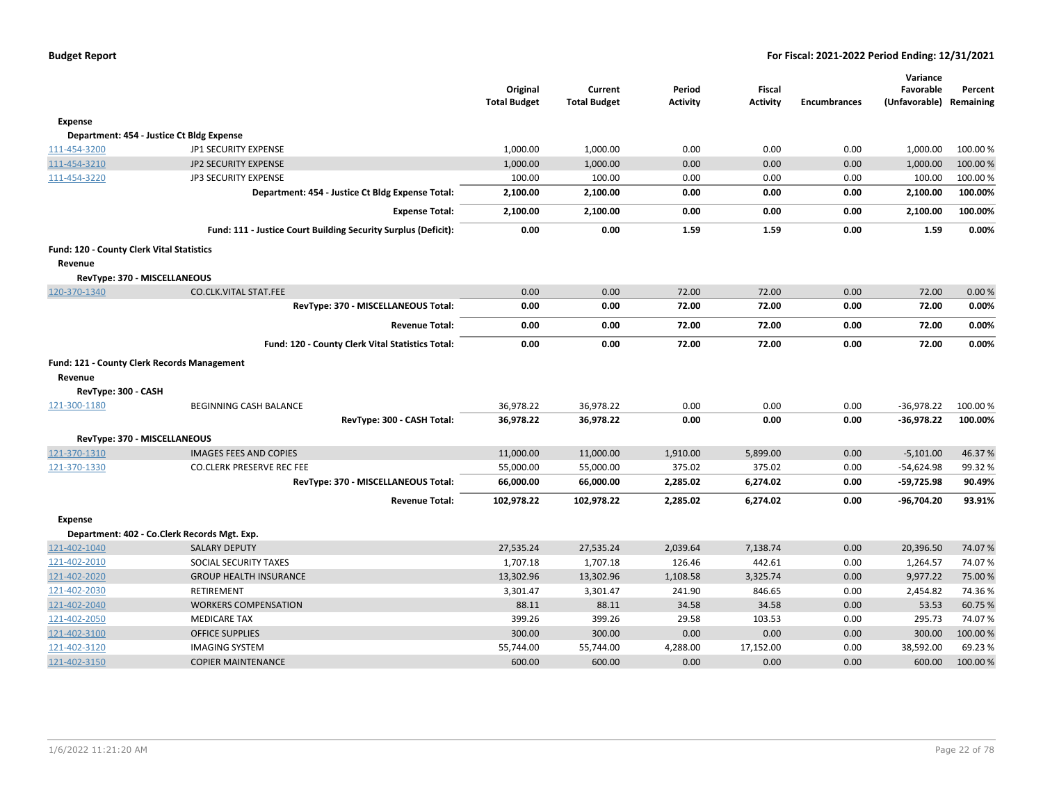|                                           |                                                                | Original<br><b>Total Budget</b> | Current<br><b>Total Budget</b> | Period<br><b>Activity</b> | <b>Fiscal</b><br><b>Activity</b> | <b>Encumbrances</b> | Variance<br>Favorable<br>(Unfavorable) Remaining | Percent  |
|-------------------------------------------|----------------------------------------------------------------|---------------------------------|--------------------------------|---------------------------|----------------------------------|---------------------|--------------------------------------------------|----------|
| <b>Expense</b>                            |                                                                |                                 |                                |                           |                                  |                     |                                                  |          |
|                                           | Department: 454 - Justice Ct Bldg Expense                      |                                 |                                |                           |                                  |                     |                                                  |          |
| 111-454-3200                              | JP1 SECURITY EXPENSE                                           | 1,000.00                        | 1,000.00                       | 0.00                      | 0.00                             | 0.00                | 1,000.00                                         | 100.00 % |
| 111-454-3210                              | <b>JP2 SECURITY EXPENSE</b>                                    | 1,000.00                        | 1,000.00                       | 0.00                      | 0.00                             | 0.00                | 1,000.00                                         | 100.00%  |
| 111-454-3220                              | JP3 SECURITY EXPENSE                                           | 100.00                          | 100.00                         | 0.00                      | 0.00                             | 0.00                | 100.00                                           | 100.00%  |
|                                           | Department: 454 - Justice Ct Bldg Expense Total:               | 2,100.00                        | 2,100.00                       | 0.00                      | 0.00                             | 0.00                | 2,100.00                                         | 100.00%  |
|                                           | <b>Expense Total:</b>                                          | 2,100.00                        | 2,100.00                       | 0.00                      | 0.00                             | 0.00                | 2,100.00                                         | 100.00%  |
|                                           | Fund: 111 - Justice Court Building Security Surplus (Deficit): | 0.00                            | 0.00                           | 1.59                      | 1.59                             | 0.00                | 1.59                                             | 0.00%    |
| Fund: 120 - County Clerk Vital Statistics |                                                                |                                 |                                |                           |                                  |                     |                                                  |          |
| Revenue                                   |                                                                |                                 |                                |                           |                                  |                     |                                                  |          |
| RevType: 370 - MISCELLANEOUS              |                                                                |                                 |                                |                           |                                  |                     |                                                  |          |
| 120-370-1340                              | <b>CO.CLK.VITAL STAT.FEE</b>                                   | 0.00                            | 0.00                           | 72.00                     | 72.00                            | 0.00                | 72.00                                            | 0.00%    |
|                                           | RevType: 370 - MISCELLANEOUS Total:                            | 0.00                            | 0.00                           | 72.00                     | 72.00                            | 0.00                | 72.00                                            | 0.00%    |
|                                           | <b>Revenue Total:</b>                                          | 0.00                            | 0.00                           | 72.00                     | 72.00                            | 0.00                | 72.00                                            | 0.00%    |
|                                           | Fund: 120 - County Clerk Vital Statistics Total:               | 0.00                            | 0.00                           | 72.00                     | 72.00                            | 0.00                | 72.00                                            | 0.00%    |
| Revenue                                   | Fund: 121 - County Clerk Records Management                    |                                 |                                |                           |                                  |                     |                                                  |          |
| RevType: 300 - CASH                       |                                                                |                                 |                                |                           |                                  |                     |                                                  |          |
| 121-300-1180                              | <b>BEGINNING CASH BALANCE</b>                                  | 36,978.22                       | 36,978.22                      | 0.00                      | 0.00                             | 0.00                | $-36,978.22$                                     | 100.00%  |
|                                           | RevType: 300 - CASH Total:                                     | 36,978.22                       | 36,978.22                      | 0.00                      | 0.00                             | 0.00                | -36,978.22                                       | 100.00%  |
| RevType: 370 - MISCELLANEOUS              |                                                                |                                 |                                |                           |                                  |                     |                                                  |          |
| 121-370-1310                              | <b>IMAGES FEES AND COPIES</b>                                  | 11,000.00                       | 11,000.00                      | 1,910.00                  | 5,899.00                         | 0.00                | $-5,101.00$                                      | 46.37%   |
| 121-370-1330                              | <b>CO.CLERK PRESERVE REC FEE</b>                               | 55,000.00                       | 55,000.00                      | 375.02                    | 375.02                           | 0.00                | $-54,624.98$                                     | 99.32 %  |
|                                           | RevType: 370 - MISCELLANEOUS Total:                            | 66,000.00                       | 66,000.00                      | 2,285.02                  | 6,274.02                         | 0.00                | $-59,725.98$                                     | 90.49%   |
|                                           | <b>Revenue Total:</b>                                          | 102,978.22                      | 102,978.22                     | 2,285.02                  | 6,274.02                         | 0.00                | -96,704.20                                       | 93.91%   |
| <b>Expense</b>                            |                                                                |                                 |                                |                           |                                  |                     |                                                  |          |
|                                           | Department: 402 - Co.Clerk Records Mgt. Exp.                   |                                 |                                |                           |                                  |                     |                                                  |          |
| 121-402-1040                              | <b>SALARY DEPUTY</b>                                           | 27.535.24                       | 27,535.24                      | 2,039.64                  | 7,138.74                         | 0.00                | 20,396.50                                        | 74.07%   |
| 121-402-2010                              | SOCIAL SECURITY TAXES                                          | 1,707.18                        | 1,707.18                       | 126.46                    | 442.61                           | 0.00                | 1,264.57                                         | 74.07%   |
| 121-402-2020                              | <b>GROUP HEALTH INSURANCE</b>                                  | 13,302.96                       | 13,302.96                      | 1,108.58                  | 3,325.74                         | 0.00                | 9,977.22                                         | 75.00 %  |
| 121-402-2030                              | <b>RETIREMENT</b>                                              | 3,301.47                        | 3,301.47                       | 241.90                    | 846.65                           | 0.00                | 2,454.82                                         | 74.36%   |
| 121-402-2040                              | <b>WORKERS COMPENSATION</b>                                    | 88.11                           | 88.11                          | 34.58                     | 34.58                            | 0.00                | 53.53                                            | 60.75%   |
| 121-402-2050                              | <b>MEDICARE TAX</b>                                            | 399.26                          | 399.26                         | 29.58                     | 103.53                           | 0.00                | 295.73                                           | 74.07%   |
| 121-402-3100                              | <b>OFFICE SUPPLIES</b>                                         | 300.00                          | 300.00                         | 0.00                      | 0.00                             | 0.00                | 300.00                                           | 100.00 % |
| 121-402-3120                              | <b>IMAGING SYSTEM</b>                                          | 55,744.00                       | 55,744.00                      | 4,288.00                  | 17,152.00                        | 0.00                | 38,592.00                                        | 69.23%   |
| 121-402-3150                              | <b>COPIER MAINTENANCE</b>                                      | 600.00                          | 600.00                         | 0.00                      | 0.00                             | 0.00                | 600.00                                           | 100.00 % |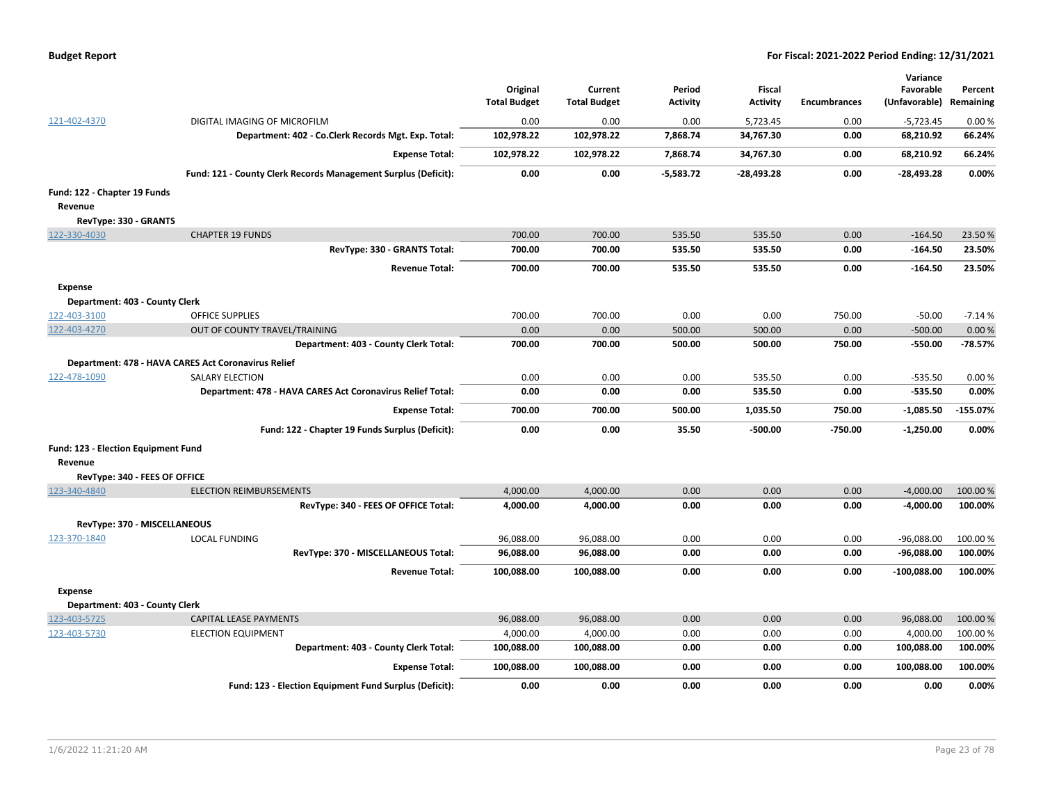| <b>Budget Report</b> |  |
|----------------------|--|
|----------------------|--|

|                                     |                                                                | Original<br><b>Total Budget</b> | Current<br><b>Total Budget</b> | Period<br><b>Activity</b> | <b>Fiscal</b><br><b>Activity</b> | <b>Encumbrances</b> | Variance<br>Favorable<br>(Unfavorable) Remaining | Percent    |
|-------------------------------------|----------------------------------------------------------------|---------------------------------|--------------------------------|---------------------------|----------------------------------|---------------------|--------------------------------------------------|------------|
| 121-402-4370                        | DIGITAL IMAGING OF MICROFILM                                   | 0.00                            | 0.00                           | 0.00                      | 5,723.45                         | 0.00                | $-5,723.45$                                      | 0.00%      |
|                                     | Department: 402 - Co.Clerk Records Mgt. Exp. Total:            | 102,978.22                      | 102,978.22                     | 7,868.74                  | 34,767.30                        | 0.00                | 68,210.92                                        | 66.24%     |
|                                     | <b>Expense Total:</b>                                          | 102,978.22                      | 102,978.22                     | 7,868.74                  | 34,767.30                        | 0.00                | 68,210.92                                        | 66.24%     |
|                                     | Fund: 121 - County Clerk Records Management Surplus (Deficit): | 0.00                            | 0.00                           | $-5,583.72$               | $-28,493.28$                     | 0.00                | $-28,493.28$                                     | 0.00%      |
| Fund: 122 - Chapter 19 Funds        |                                                                |                                 |                                |                           |                                  |                     |                                                  |            |
| Revenue                             |                                                                |                                 |                                |                           |                                  |                     |                                                  |            |
| RevType: 330 - GRANTS               |                                                                |                                 |                                |                           |                                  |                     |                                                  |            |
| 122-330-4030                        | <b>CHAPTER 19 FUNDS</b>                                        | 700.00                          | 700.00                         | 535.50                    | 535.50                           | 0.00                | $-164.50$                                        | 23.50%     |
|                                     | RevType: 330 - GRANTS Total:                                   | 700.00                          | 700.00                         | 535.50                    | 535.50                           | 0.00                | $-164.50$                                        | 23.50%     |
|                                     | <b>Revenue Total:</b>                                          | 700.00                          | 700.00                         | 535.50                    | 535.50                           | 0.00                | $-164.50$                                        | 23.50%     |
| Expense                             |                                                                |                                 |                                |                           |                                  |                     |                                                  |            |
| Department: 403 - County Clerk      |                                                                |                                 |                                |                           |                                  |                     |                                                  |            |
| 122-403-3100                        | <b>OFFICE SUPPLIES</b>                                         | 700.00                          | 700.00                         | 0.00                      | 0.00                             | 750.00              | $-50.00$                                         | $-7.14%$   |
| 122-403-4270                        | OUT OF COUNTY TRAVEL/TRAINING                                  | 0.00                            | 0.00                           | 500.00                    | 500.00                           | 0.00                | $-500.00$                                        | 0.00%      |
|                                     | Department: 403 - County Clerk Total:                          | 700.00                          | 700.00                         | 500.00                    | 500.00                           | 750.00              | $-550.00$                                        | $-78.57%$  |
|                                     | Department: 478 - HAVA CARES Act Coronavirus Relief            |                                 |                                |                           |                                  |                     |                                                  |            |
| 122-478-1090                        | <b>SALARY ELECTION</b>                                         | 0.00                            | 0.00                           | 0.00                      | 535.50                           | 0.00                | $-535.50$                                        | 0.00%      |
|                                     | Department: 478 - HAVA CARES Act Coronavirus Relief Total:     | 0.00                            | 0.00                           | 0.00                      | 535.50                           | 0.00                | $-535.50$                                        | 0.00%      |
|                                     | <b>Expense Total:</b>                                          | 700.00                          | 700.00                         | 500.00                    | 1,035.50                         | 750.00              | $-1,085.50$                                      | $-155.07%$ |
|                                     | Fund: 122 - Chapter 19 Funds Surplus (Deficit):                | 0.00                            | 0.00                           | 35.50                     | $-500.00$                        | $-750.00$           | $-1,250.00$                                      | 0.00%      |
| Fund: 123 - Election Equipment Fund |                                                                |                                 |                                |                           |                                  |                     |                                                  |            |
| Revenue                             |                                                                |                                 |                                |                           |                                  |                     |                                                  |            |
| RevType: 340 - FEES OF OFFICE       |                                                                |                                 |                                |                           |                                  |                     |                                                  |            |
| 123-340-4840                        | <b>ELECTION REIMBURSEMENTS</b>                                 | 4,000.00                        | 4,000.00                       | 0.00                      | 0.00                             | 0.00                | $-4,000.00$                                      | 100.00 %   |
|                                     | RevType: 340 - FEES OF OFFICE Total:                           | 4,000.00                        | 4,000.00                       | 0.00                      | 0.00                             | 0.00                | -4,000.00                                        | 100.00%    |
| RevType: 370 - MISCELLANEOUS        |                                                                |                                 |                                |                           |                                  |                     |                                                  |            |
| 123-370-1840                        | <b>LOCAL FUNDING</b>                                           | 96,088.00                       | 96,088.00                      | 0.00                      | 0.00                             | 0.00                | $-96,088.00$                                     | 100.00 %   |
|                                     | RevType: 370 - MISCELLANEOUS Total:                            | 96,088.00                       | 96,088.00                      | 0.00                      | 0.00                             | 0.00                | -96,088.00                                       | 100.00%    |
|                                     | <b>Revenue Total:</b>                                          | 100,088.00                      | 100,088.00                     | 0.00                      | 0.00                             | 0.00                | $-100,088.00$                                    | 100.00%    |
| <b>Expense</b>                      |                                                                |                                 |                                |                           |                                  |                     |                                                  |            |
| Department: 403 - County Clerk      |                                                                |                                 |                                |                           |                                  |                     |                                                  |            |
| 123-403-5725                        | <b>CAPITAL LEASE PAYMENTS</b>                                  | 96,088.00                       | 96,088.00                      | 0.00                      | 0.00                             | 0.00                | 96,088.00                                        | 100.00 %   |
| 123-403-5730                        | <b>ELECTION EQUIPMENT</b>                                      | 4,000.00                        | 4,000.00                       | 0.00                      | 0.00                             | 0.00                | 4,000.00                                         | 100.00%    |
|                                     | Department: 403 - County Clerk Total:                          | 100,088.00                      | 100,088.00                     | 0.00                      | 0.00                             | 0.00                | 100,088.00                                       | 100.00%    |
|                                     | <b>Expense Total:</b>                                          | 100,088.00                      | 100,088.00                     | 0.00                      | 0.00                             | 0.00                | 100,088.00                                       | 100.00%    |
|                                     | Fund: 123 - Election Equipment Fund Surplus (Deficit):         | 0.00                            | 0.00                           | 0.00                      | 0.00                             | 0.00                | 0.00                                             | 0.00%      |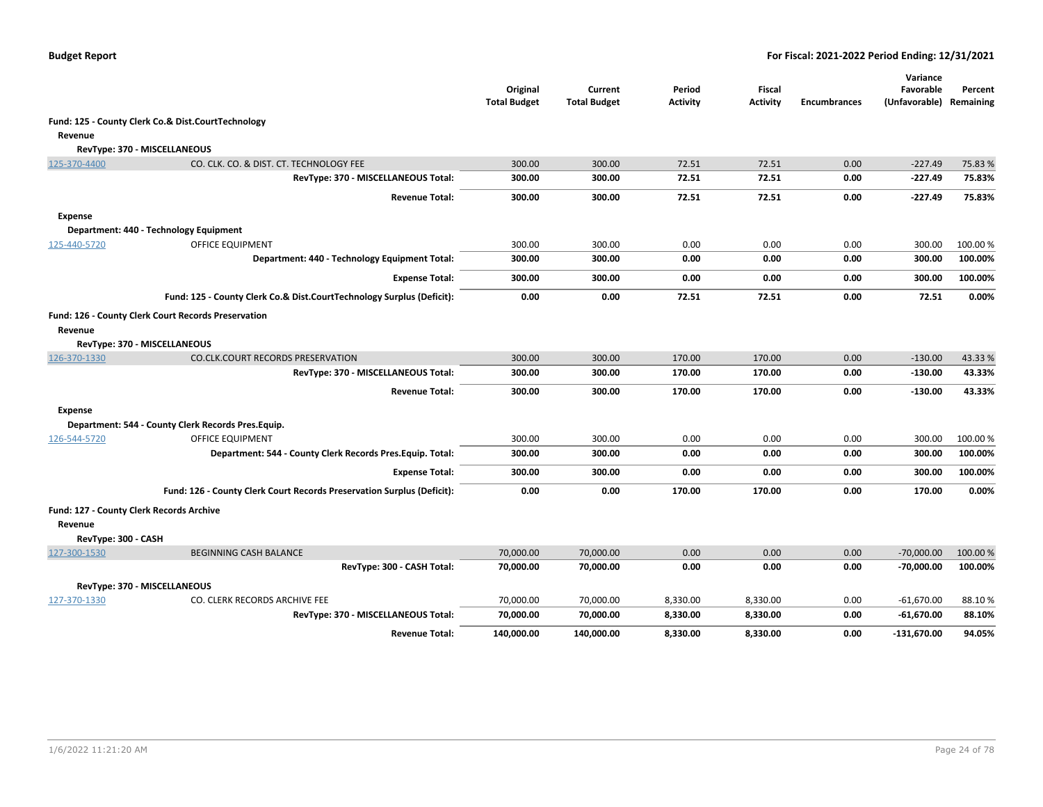|                     |                                                                        | Original<br><b>Total Budget</b> | Current<br><b>Total Budget</b> | Period<br><b>Activity</b> | <b>Fiscal</b><br><b>Activity</b> | <b>Encumbrances</b> | Variance<br>Favorable<br>(Unfavorable) Remaining | Percent  |
|---------------------|------------------------------------------------------------------------|---------------------------------|--------------------------------|---------------------------|----------------------------------|---------------------|--------------------------------------------------|----------|
|                     | Fund: 125 - County Clerk Co.& Dist.CourtTechnology                     |                                 |                                |                           |                                  |                     |                                                  |          |
| Revenue             |                                                                        |                                 |                                |                           |                                  |                     |                                                  |          |
|                     | RevType: 370 - MISCELLANEOUS                                           |                                 |                                |                           |                                  |                     |                                                  |          |
| 125-370-4400        | CO. CLK. CO. & DIST. CT. TECHNOLOGY FEE                                | 300.00                          | 300.00                         | 72.51                     | 72.51                            | 0.00                | $-227.49$                                        | 75.83 %  |
|                     | RevType: 370 - MISCELLANEOUS Total:                                    | 300.00                          | 300.00                         | 72.51                     | 72.51                            | 0.00                | $-227.49$                                        | 75.83%   |
|                     | <b>Revenue Total:</b>                                                  | 300.00                          | 300.00                         | 72.51                     | 72.51                            | 0.00                | $-227.49$                                        | 75.83%   |
| <b>Expense</b>      |                                                                        |                                 |                                |                           |                                  |                     |                                                  |          |
|                     | Department: 440 - Technology Equipment                                 |                                 |                                |                           |                                  |                     |                                                  |          |
| 125-440-5720        | <b>OFFICE EQUIPMENT</b>                                                | 300.00                          | 300.00                         | 0.00                      | 0.00                             | 0.00                | 300.00                                           | 100.00 % |
|                     | Department: 440 - Technology Equipment Total:                          | 300.00                          | 300.00                         | 0.00                      | 0.00                             | 0.00                | 300.00                                           | 100.00%  |
|                     | <b>Expense Total:</b>                                                  | 300.00                          | 300.00                         | 0.00                      | 0.00                             | 0.00                | 300.00                                           | 100.00%  |
|                     | Fund: 125 - County Clerk Co.& Dist.CourtTechnology Surplus (Deficit):  | 0.00                            | 0.00                           | 72.51                     | 72.51                            | 0.00                | 72.51                                            | 0.00%    |
|                     | Fund: 126 - County Clerk Court Records Preservation                    |                                 |                                |                           |                                  |                     |                                                  |          |
| Revenue             |                                                                        |                                 |                                |                           |                                  |                     |                                                  |          |
|                     | RevType: 370 - MISCELLANEOUS                                           |                                 |                                |                           |                                  |                     |                                                  |          |
| 126-370-1330        | <b>CO.CLK.COURT RECORDS PRESERVATION</b>                               | 300.00                          | 300.00                         | 170.00                    | 170.00                           | 0.00                | $-130.00$                                        | 43.33%   |
|                     | RevType: 370 - MISCELLANEOUS Total:                                    | 300.00                          | 300.00                         | 170.00                    | 170.00                           | 0.00                | $-130.00$                                        | 43.33%   |
|                     | <b>Revenue Total:</b>                                                  | 300.00                          | 300.00                         | 170.00                    | 170.00                           | 0.00                | $-130.00$                                        | 43.33%   |
| <b>Expense</b>      |                                                                        |                                 |                                |                           |                                  |                     |                                                  |          |
|                     | Department: 544 - County Clerk Records Pres. Equip.                    |                                 |                                |                           |                                  |                     |                                                  |          |
| 126-544-5720        | <b>OFFICE EQUIPMENT</b>                                                | 300.00                          | 300.00                         | 0.00                      | 0.00                             | 0.00                | 300.00                                           | 100.00 % |
|                     | Department: 544 - County Clerk Records Pres. Equip. Total:             | 300.00                          | 300.00                         | 0.00                      | 0.00                             | 0.00                | 300.00                                           | 100.00%  |
|                     | <b>Expense Total:</b>                                                  | 300.00                          | 300.00                         | 0.00                      | 0.00                             | 0.00                | 300.00                                           | 100.00%  |
|                     | Fund: 126 - County Clerk Court Records Preservation Surplus (Deficit): | 0.00                            | 0.00                           | 170.00                    | 170.00                           | 0.00                | 170.00                                           | 0.00%    |
|                     | Fund: 127 - County Clerk Records Archive                               |                                 |                                |                           |                                  |                     |                                                  |          |
| Revenue             |                                                                        |                                 |                                |                           |                                  |                     |                                                  |          |
| RevType: 300 - CASH |                                                                        |                                 |                                |                           |                                  |                     |                                                  |          |
| 127-300-1530        | <b>BEGINNING CASH BALANCE</b>                                          | 70,000.00                       | 70,000.00                      | 0.00                      | 0.00                             | 0.00                | $-70,000.00$                                     | 100.00 % |
|                     | RevType: 300 - CASH Total:                                             | 70,000.00                       | 70,000.00                      | 0.00                      | 0.00                             | 0.00                | $-70,000.00$                                     | 100.00%  |
|                     | RevType: 370 - MISCELLANEOUS                                           |                                 |                                |                           |                                  |                     |                                                  |          |
| 127-370-1330        | CO. CLERK RECORDS ARCHIVE FEE                                          | 70,000.00                       | 70,000.00                      | 8,330.00                  | 8,330.00                         | 0.00                | $-61,670.00$                                     | 88.10%   |
|                     | RevType: 370 - MISCELLANEOUS Total:                                    | 70,000.00                       | 70,000.00                      | 8,330.00                  | 8,330.00                         | 0.00                | $-61,670.00$                                     | 88.10%   |
|                     | <b>Revenue Total:</b>                                                  | 140,000.00                      | 140,000.00                     | 8,330.00                  | 8,330.00                         | 0.00                | $-131,670.00$                                    | 94.05%   |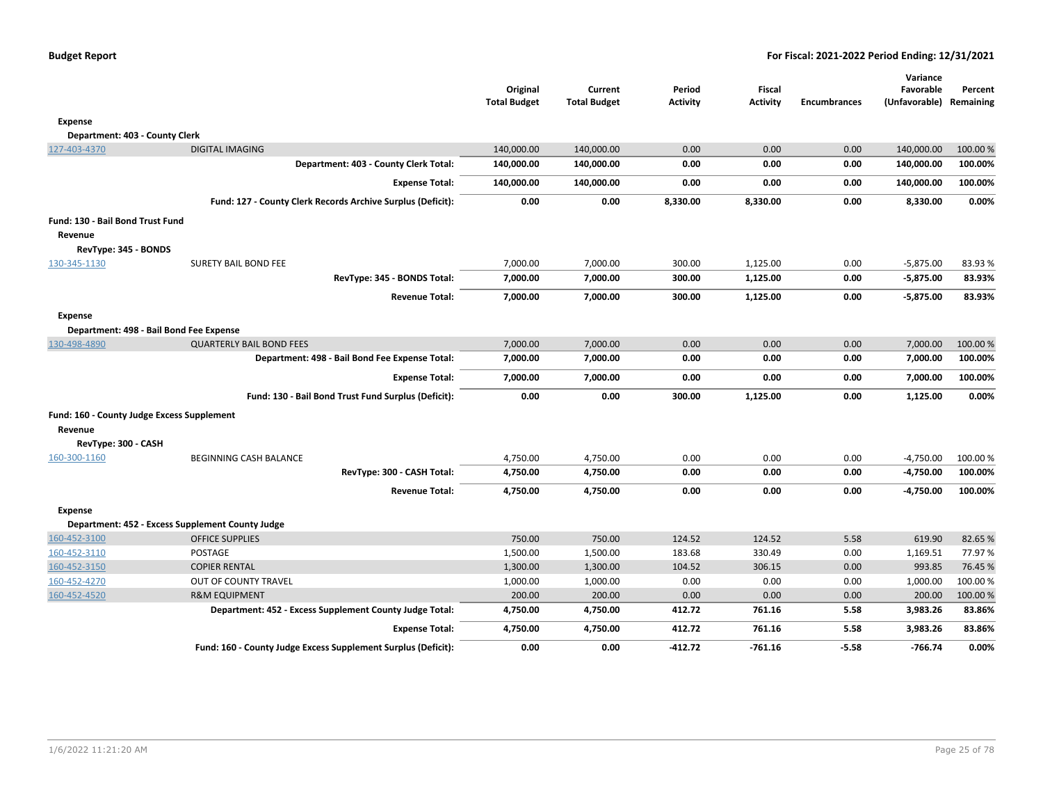| <b>Budget Report</b> |  |
|----------------------|--|
|----------------------|--|

|                                                           |                                                               | Original<br><b>Total Budget</b> | Current<br><b>Total Budget</b> | Period<br><b>Activity</b> | <b>Fiscal</b><br><b>Activity</b> | <b>Encumbrances</b> | Variance<br>Favorable<br>(Unfavorable) Remaining | Percent  |
|-----------------------------------------------------------|---------------------------------------------------------------|---------------------------------|--------------------------------|---------------------------|----------------------------------|---------------------|--------------------------------------------------|----------|
| <b>Expense</b>                                            |                                                               |                                 |                                |                           |                                  |                     |                                                  |          |
| Department: 403 - County Clerk                            |                                                               |                                 |                                |                           |                                  |                     |                                                  |          |
| 127-403-4370                                              | <b>DIGITAL IMAGING</b>                                        | 140,000.00                      | 140,000.00                     | 0.00                      | 0.00                             | 0.00                | 140,000.00                                       | 100.00 % |
|                                                           | Department: 403 - County Clerk Total:                         | 140,000.00                      | 140,000.00                     | 0.00                      | 0.00                             | 0.00                | 140,000.00                                       | 100.00%  |
|                                                           | <b>Expense Total:</b>                                         | 140,000.00                      | 140,000.00                     | 0.00                      | 0.00                             | 0.00                | 140,000.00                                       | 100.00%  |
|                                                           | Fund: 127 - County Clerk Records Archive Surplus (Deficit):   | 0.00                            | 0.00                           | 8,330.00                  | 8,330.00                         | 0.00                | 8,330.00                                         | 0.00%    |
| Fund: 130 - Bail Bond Trust Fund                          |                                                               |                                 |                                |                           |                                  |                     |                                                  |          |
| Revenue                                                   |                                                               |                                 |                                |                           |                                  |                     |                                                  |          |
| RevType: 345 - BONDS                                      |                                                               |                                 |                                |                           |                                  |                     |                                                  |          |
| 130-345-1130                                              | <b>SURETY BAIL BOND FEE</b>                                   | 7,000.00                        | 7,000.00                       | 300.00                    | 1,125.00                         | 0.00                | $-5,875.00$                                      | 83.93%   |
|                                                           | RevType: 345 - BONDS Total:                                   | 7,000.00                        | 7,000.00                       | 300.00                    | 1,125.00                         | 0.00                | $-5,875.00$                                      | 83.93%   |
|                                                           | <b>Revenue Total:</b>                                         | 7,000.00                        | 7,000.00                       | 300.00                    | 1,125.00                         | 0.00                | $-5,875.00$                                      | 83.93%   |
| <b>Expense</b><br>Department: 498 - Bail Bond Fee Expense |                                                               |                                 |                                |                           |                                  |                     |                                                  |          |
| 130-498-4890                                              | <b>QUARTERLY BAIL BOND FEES</b>                               | 7,000.00                        | 7,000.00                       | 0.00                      | 0.00                             | 0.00                | 7,000.00                                         | 100.00 % |
|                                                           | Department: 498 - Bail Bond Fee Expense Total:                | 7,000.00                        | 7,000.00                       | 0.00                      | 0.00                             | 0.00                | 7,000.00                                         | 100.00%  |
|                                                           | <b>Expense Total:</b>                                         | 7,000.00                        | 7,000.00                       | 0.00                      | 0.00                             | 0.00                | 7,000.00                                         | 100.00%  |
|                                                           | Fund: 130 - Bail Bond Trust Fund Surplus (Deficit):           | 0.00                            | 0.00                           | 300.00                    | 1,125.00                         | 0.00                | 1,125.00                                         | 0.00%    |
| Fund: 160 - County Judge Excess Supplement                |                                                               |                                 |                                |                           |                                  |                     |                                                  |          |
| Revenue                                                   |                                                               |                                 |                                |                           |                                  |                     |                                                  |          |
| RevType: 300 - CASH                                       |                                                               |                                 |                                |                           |                                  |                     |                                                  |          |
| 160-300-1160                                              | BEGINNING CASH BALANCE                                        | 4,750.00                        | 4,750.00                       | 0.00                      | 0.00                             | 0.00                | $-4,750.00$                                      | 100.00%  |
|                                                           | RevType: 300 - CASH Total:                                    | 4,750.00                        | 4,750.00                       | 0.00                      | 0.00                             | 0.00                | $-4,750.00$                                      | 100.00%  |
|                                                           | <b>Revenue Total:</b>                                         | 4,750.00                        | 4,750.00                       | 0.00                      | 0.00                             | 0.00                | $-4,750.00$                                      | 100.00%  |
| <b>Expense</b>                                            |                                                               |                                 |                                |                           |                                  |                     |                                                  |          |
|                                                           | Department: 452 - Excess Supplement County Judge              |                                 |                                |                           |                                  |                     |                                                  |          |
| 160-452-3100                                              | <b>OFFICE SUPPLIES</b>                                        | 750.00                          | 750.00                         | 124.52                    | 124.52                           | 5.58                | 619.90                                           | 82.65%   |
| 160-452-3110                                              | POSTAGE                                                       | 1,500.00                        | 1,500.00                       | 183.68                    | 330.49                           | 0.00                | 1,169.51                                         | 77.97%   |
| 160-452-3150                                              | <b>COPIER RENTAL</b>                                          | 1,300.00                        | 1,300.00                       | 104.52                    | 306.15                           | 0.00                | 993.85                                           | 76.45 %  |
| 160-452-4270                                              | OUT OF COUNTY TRAVEL                                          | 1,000.00                        | 1,000.00                       | 0.00                      | 0.00                             | 0.00                | 1,000.00                                         | 100.00%  |
| 160-452-4520                                              | <b>R&amp;M EQUIPMENT</b>                                      | 200.00                          | 200.00                         | 0.00                      | 0.00                             | 0.00                | 200.00                                           | 100.00 % |
|                                                           | Department: 452 - Excess Supplement County Judge Total:       | 4,750.00                        | 4,750.00                       | 412.72                    | 761.16                           | 5.58                | 3,983.26                                         | 83.86%   |
|                                                           | <b>Expense Total:</b>                                         | 4,750.00                        | 4,750.00                       | 412.72                    | 761.16                           | 5.58                | 3,983.26                                         | 83.86%   |
|                                                           | Fund: 160 - County Judge Excess Supplement Surplus (Deficit): | 0.00                            | 0.00                           | $-412.72$                 | $-761.16$                        | $-5.58$             | $-766.74$                                        | 0.00%    |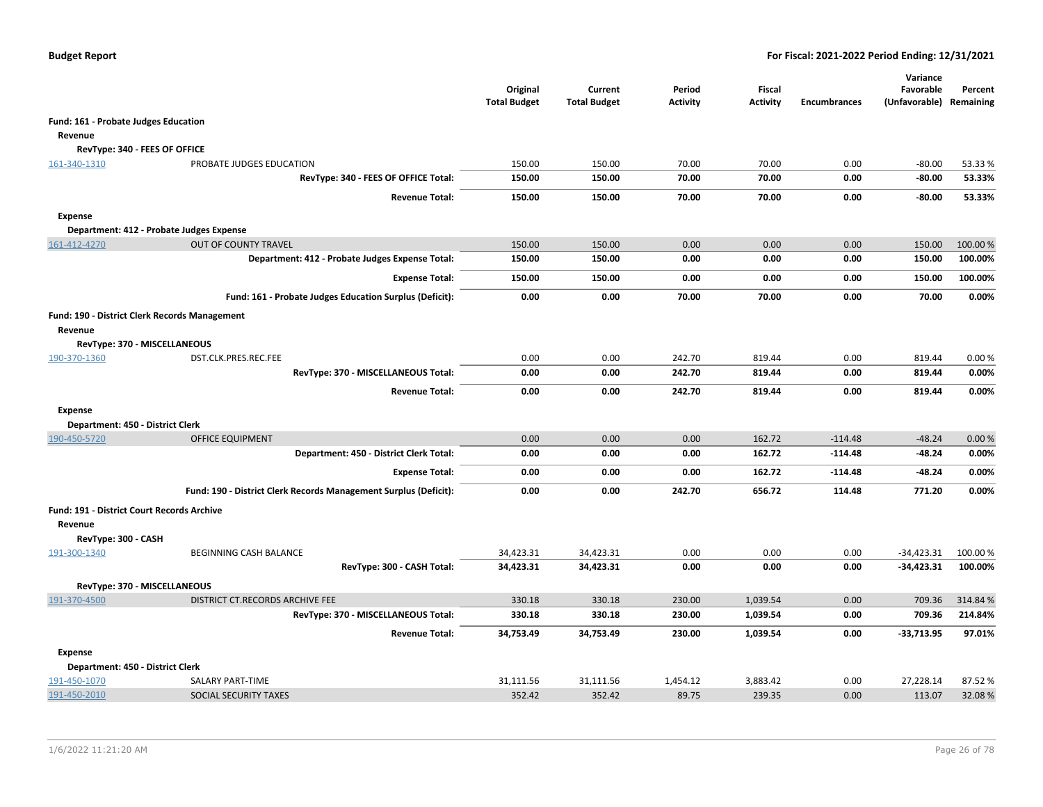|                                                          |                                                                  | Original<br><b>Total Budget</b> | Current<br><b>Total Budget</b> | Period<br><b>Activity</b> | Fiscal<br><b>Activity</b> | <b>Encumbrances</b> | Variance<br>Favorable<br>(Unfavorable) Remaining | Percent             |
|----------------------------------------------------------|------------------------------------------------------------------|---------------------------------|--------------------------------|---------------------------|---------------------------|---------------------|--------------------------------------------------|---------------------|
| Fund: 161 - Probate Judges Education                     |                                                                  |                                 |                                |                           |                           |                     |                                                  |                     |
| Revenue                                                  |                                                                  |                                 |                                |                           |                           |                     |                                                  |                     |
| RevType: 340 - FEES OF OFFICE                            |                                                                  |                                 |                                |                           |                           |                     |                                                  |                     |
| 161-340-1310                                             | PROBATE JUDGES EDUCATION                                         | 150.00                          | 150.00                         | 70.00                     | 70.00                     | 0.00                | $-80.00$                                         | 53.33%              |
|                                                          | RevType: 340 - FEES OF OFFICE Total:                             | 150.00                          | 150.00                         | 70.00                     | 70.00                     | 0.00                | $-80.00$                                         | 53.33%              |
|                                                          | <b>Revenue Total:</b>                                            | 150.00                          | 150.00                         | 70.00                     | 70.00                     | 0.00                | $-80.00$                                         | 53.33%              |
| <b>Expense</b>                                           |                                                                  |                                 |                                |                           |                           |                     |                                                  |                     |
| Department: 412 - Probate Judges Expense                 |                                                                  |                                 |                                |                           |                           |                     |                                                  |                     |
| 161-412-4270                                             | <b>OUT OF COUNTY TRAVEL</b>                                      | 150.00                          | 150.00                         | 0.00                      | 0.00                      | 0.00                | 150.00                                           | 100.00 %            |
|                                                          | Department: 412 - Probate Judges Expense Total:                  | 150.00                          | 150.00                         | 0.00                      | 0.00                      | 0.00                | 150.00                                           | 100.00%             |
|                                                          | <b>Expense Total:</b>                                            | 150.00                          | 150.00                         | 0.00                      | 0.00                      | 0.00                | 150.00                                           | 100.00%             |
|                                                          | Fund: 161 - Probate Judges Education Surplus (Deficit):          | 0.00                            | 0.00                           | 70.00                     | 70.00                     | 0.00                | 70.00                                            | 0.00%               |
| Fund: 190 - District Clerk Records Management<br>Revenue |                                                                  |                                 |                                |                           |                           |                     |                                                  |                     |
| RevType: 370 - MISCELLANEOUS                             |                                                                  |                                 |                                |                           |                           |                     |                                                  |                     |
| 190-370-1360                                             | DST.CLK.PRES.REC.FEE                                             | 0.00                            | 0.00                           | 242.70                    | 819.44                    | 0.00                | 819.44                                           | 0.00%               |
|                                                          | RevType: 370 - MISCELLANEOUS Total:                              | 0.00                            | 0.00                           | 242.70                    | 819.44                    | 0.00                | 819.44                                           | 0.00%               |
|                                                          | <b>Revenue Total:</b>                                            | 0.00                            | 0.00                           | 242.70                    | 819.44                    | 0.00                | 819.44                                           | 0.00%               |
| <b>Expense</b>                                           |                                                                  |                                 |                                |                           |                           |                     |                                                  |                     |
| Department: 450 - District Clerk                         |                                                                  |                                 |                                |                           |                           |                     |                                                  |                     |
| 190-450-5720                                             | <b>OFFICE EQUIPMENT</b>                                          | 0.00                            | 0.00                           | 0.00                      | 162.72                    | $-114.48$           | $-48.24$                                         | 0.00%               |
|                                                          | Department: 450 - District Clerk Total:                          | 0.00                            | 0.00                           | 0.00                      | 162.72                    | $-114.48$           | $-48.24$                                         | 0.00%               |
|                                                          | <b>Expense Total:</b>                                            | 0.00                            | 0.00                           | 0.00                      | 162.72                    | $-114.48$           | $-48.24$                                         | 0.00%               |
|                                                          | Fund: 190 - District Clerk Records Management Surplus (Deficit): | 0.00                            | 0.00                           | 242.70                    | 656.72                    | 114.48              | 771.20                                           | 0.00%               |
| Fund: 191 - District Court Records Archive<br>Revenue    |                                                                  |                                 |                                |                           |                           |                     |                                                  |                     |
| RevType: 300 - CASH                                      |                                                                  |                                 |                                |                           |                           |                     |                                                  |                     |
| 191-300-1340                                             | <b>BEGINNING CASH BALANCE</b><br>RevType: 300 - CASH Total:      | 34,423.31<br>34,423.31          | 34,423.31<br>34,423.31         | 0.00<br>0.00              | 0.00<br>0.00              | 0.00<br>0.00        | $-34,423.31$<br>$-34,423.31$                     | 100.00 %<br>100.00% |
| RevType: 370 - MISCELLANEOUS                             |                                                                  |                                 |                                |                           |                           |                     |                                                  |                     |
| 191-370-4500                                             | DISTRICT CT.RECORDS ARCHIVE FEE                                  | 330.18                          | 330.18                         | 230.00                    | 1,039.54                  | 0.00                | 709.36                                           | 314.84 %            |
|                                                          | RevType: 370 - MISCELLANEOUS Total:                              | 330.18                          | 330.18                         | 230.00                    | 1,039.54                  | 0.00                | 709.36                                           | 214.84%             |
|                                                          | <b>Revenue Total:</b>                                            | 34,753.49                       | 34,753.49                      | 230.00                    | 1,039.54                  | 0.00                | $-33,713.95$                                     | 97.01%              |
| <b>Expense</b>                                           |                                                                  |                                 |                                |                           |                           |                     |                                                  |                     |
| Department: 450 - District Clerk                         |                                                                  |                                 |                                |                           |                           |                     |                                                  |                     |
| 191-450-1070                                             | SALARY PART-TIME                                                 | 31,111.56                       | 31,111.56                      | 1,454.12                  | 3,883.42                  | 0.00                | 27,228.14                                        | 87.52 %             |
| 191-450-2010                                             | SOCIAL SECURITY TAXES                                            | 352.42                          | 352.42                         | 89.75                     | 239.35                    | 0.00                | 113.07                                           | 32.08%              |
|                                                          |                                                                  |                                 |                                |                           |                           |                     |                                                  |                     |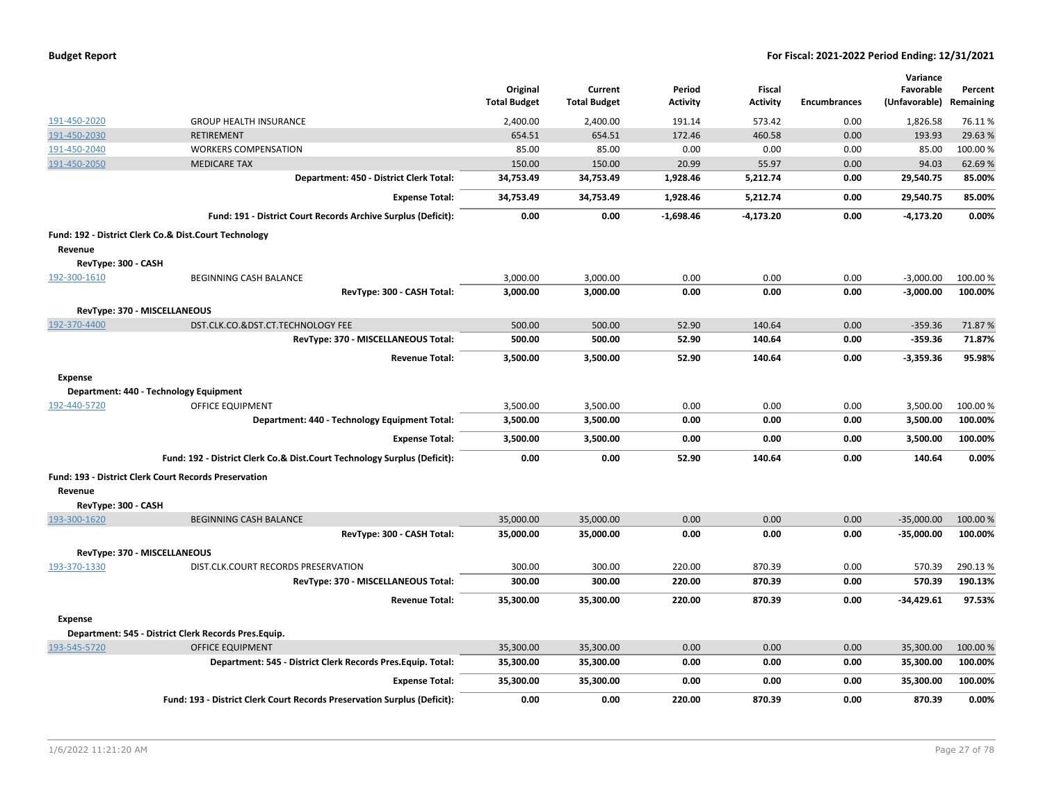|  |  |  | <b>Budget Report</b> |
|--|--|--|----------------------|
|--|--|--|----------------------|

|                     |                                                                          |                                 |                                |                           |                           |                     | Variance                             |          |
|---------------------|--------------------------------------------------------------------------|---------------------------------|--------------------------------|---------------------------|---------------------------|---------------------|--------------------------------------|----------|
|                     |                                                                          | Original<br><b>Total Budget</b> | Current<br><b>Total Budget</b> | Period<br><b>Activity</b> | Fiscal<br><b>Activity</b> | <b>Encumbrances</b> | Favorable<br>(Unfavorable) Remaining | Percent  |
| 191-450-2020        | <b>GROUP HEALTH INSURANCE</b>                                            | 2,400.00                        |                                | 191.14                    | 573.42                    | 0.00                | 1,826.58                             | 76.11%   |
| 191-450-2030        | <b>RETIREMENT</b>                                                        | 654.51                          | 2,400.00<br>654.51             | 172.46                    | 460.58                    | 0.00                | 193.93                               | 29.63%   |
|                     |                                                                          |                                 |                                |                           |                           |                     |                                      |          |
| 191-450-2040        | <b>WORKERS COMPENSATION</b>                                              | 85.00                           | 85.00                          | 0.00                      | 0.00                      | 0.00                | 85.00                                | 100.00 % |
| 191-450-2050        | <b>MEDICARE TAX</b>                                                      | 150.00                          | 150.00                         | 20.99                     | 55.97                     | 0.00                | 94.03                                | 62.69%   |
|                     | Department: 450 - District Clerk Total:                                  | 34,753.49                       | 34,753.49                      | 1,928.46                  | 5,212.74                  | 0.00                | 29,540.75                            | 85.00%   |
|                     | <b>Expense Total:</b>                                                    | 34,753.49                       | 34,753.49                      | 1,928.46                  | 5,212.74                  | 0.00                | 29,540.75                            | 85.00%   |
|                     | Fund: 191 - District Court Records Archive Surplus (Deficit):            | 0.00                            | 0.00                           | $-1,698.46$               | $-4,173.20$               | 0.00                | $-4,173.20$                          | 0.00%    |
|                     | Fund: 192 - District Clerk Co.& Dist.Court Technology                    |                                 |                                |                           |                           |                     |                                      |          |
| Revenue             |                                                                          |                                 |                                |                           |                           |                     |                                      |          |
| RevType: 300 - CASH |                                                                          |                                 |                                |                           |                           |                     |                                      |          |
| 192-300-1610        | BEGINNING CASH BALANCE                                                   | 3,000.00                        | 3,000.00                       | 0.00                      | 0.00                      | 0.00                | $-3,000.00$                          | 100.00 % |
|                     | RevType: 300 - CASH Total:                                               | 3,000.00                        | 3,000.00                       | 0.00                      | 0.00                      | 0.00                | $-3,000.00$                          | 100.00%  |
|                     | RevType: 370 - MISCELLANEOUS                                             |                                 |                                |                           |                           |                     |                                      |          |
| 192-370-4400        | DST.CLK.CO.&DST.CT.TECHNOLOGY FEE                                        | 500.00                          | 500.00                         | 52.90                     | 140.64                    | 0.00                | $-359.36$                            | 71.87%   |
|                     | RevType: 370 - MISCELLANEOUS Total:                                      | 500.00                          | 500.00                         | 52.90                     | 140.64                    | 0.00                | $-359.36$                            | 71.87%   |
|                     | <b>Revenue Total:</b>                                                    | 3,500.00                        | 3,500.00                       | 52.90                     | 140.64                    | 0.00                | $-3,359.36$                          | 95.98%   |
| <b>Expense</b>      |                                                                          |                                 |                                |                           |                           |                     |                                      |          |
|                     | Department: 440 - Technology Equipment                                   |                                 |                                |                           |                           |                     |                                      |          |
| 192-440-5720        | <b>OFFICE EQUIPMENT</b>                                                  | 3,500.00                        | 3,500.00                       | 0.00                      | 0.00                      | 0.00                | 3,500.00                             | 100.00 % |
|                     | Department: 440 - Technology Equipment Total:                            | 3,500.00                        | 3,500.00                       | 0.00                      | 0.00                      | 0.00                | 3,500.00                             | 100.00%  |
|                     | <b>Expense Total:</b>                                                    | 3,500.00                        | 3,500.00                       | 0.00                      | 0.00                      | 0.00                | 3,500.00                             | 100.00%  |
|                     | Fund: 192 - District Clerk Co.& Dist.Court Technology Surplus (Deficit): | 0.00                            | 0.00                           | 52.90                     | 140.64                    | 0.00                | 140.64                               | 0.00%    |
|                     | <b>Fund: 193 - District Clerk Court Records Preservation</b>             |                                 |                                |                           |                           |                     |                                      |          |
| Revenue             |                                                                          |                                 |                                |                           |                           |                     |                                      |          |
| RevType: 300 - CASH |                                                                          |                                 |                                |                           |                           |                     |                                      |          |
| 193-300-1620        | <b>BEGINNING CASH BALANCE</b>                                            | 35,000.00                       | 35,000.00                      | 0.00                      | 0.00                      | 0.00                | $-35,000.00$                         | 100.00 % |
|                     | RevType: 300 - CASH Total:                                               | 35,000.00                       | 35,000.00                      | 0.00                      | 0.00                      | 0.00                | $-35,000.00$                         | 100.00%  |
|                     | RevType: 370 - MISCELLANEOUS                                             |                                 |                                |                           |                           |                     |                                      |          |
| 193-370-1330        | DIST.CLK.COURT RECORDS PRESERVATION                                      | 300.00                          | 300.00                         | 220.00                    | 870.39                    | 0.00                | 570.39                               | 290.13%  |
|                     | RevType: 370 - MISCELLANEOUS Total:                                      | 300.00                          | 300.00                         | 220.00                    | 870.39                    | 0.00                | 570.39                               | 190.13%  |
|                     | <b>Revenue Total:</b>                                                    | 35,300.00                       | 35,300.00                      | 220.00                    | 870.39                    | 0.00                | $-34,429.61$                         | 97.53%   |
| <b>Expense</b>      |                                                                          |                                 |                                |                           |                           |                     |                                      |          |
|                     | Department: 545 - District Clerk Records Pres.Equip.                     |                                 |                                |                           |                           |                     |                                      |          |
| 193-545-5720        | <b>OFFICE EQUIPMENT</b>                                                  | 35,300.00                       | 35,300.00                      | 0.00                      | 0.00                      | 0.00                | 35,300.00                            | 100.00%  |
|                     | Department: 545 - District Clerk Records Pres. Equip. Total:             | 35,300.00                       | 35,300.00                      | 0.00                      | 0.00                      | 0.00                | 35,300.00                            | 100.00%  |
|                     |                                                                          |                                 |                                |                           | 0.00                      | 0.00                |                                      |          |
|                     | <b>Expense Total:</b>                                                    | 35,300.00                       | 35,300.00                      | 0.00                      |                           |                     | 35,300.00                            | 100.00%  |
|                     | Fund: 193 - District Clerk Court Records Preservation Surplus (Deficit): | 0.00                            | 0.00                           | 220.00                    | 870.39                    | 0.00                | 870.39                               | 0.00%    |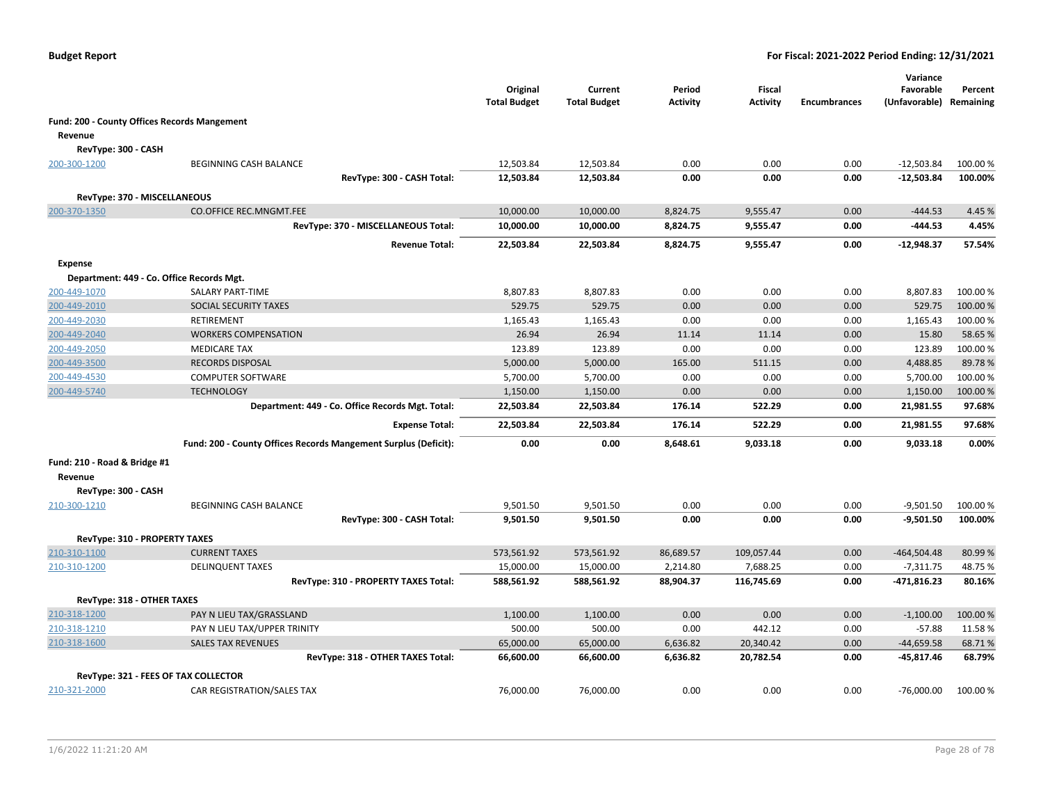|                                      |                                                                 | Original<br><b>Total Budget</b> | Current<br><b>Total Budget</b> | Period<br><b>Activity</b> | <b>Fiscal</b><br><b>Activity</b> | <b>Encumbrances</b> | Variance<br>Favorable<br>(Unfavorable) | Percent<br>Remaining |
|--------------------------------------|-----------------------------------------------------------------|---------------------------------|--------------------------------|---------------------------|----------------------------------|---------------------|----------------------------------------|----------------------|
|                                      | <b>Fund: 200 - County Offices Records Mangement</b>             |                                 |                                |                           |                                  |                     |                                        |                      |
| Revenue                              |                                                                 |                                 |                                |                           |                                  |                     |                                        |                      |
| RevType: 300 - CASH                  |                                                                 |                                 |                                |                           |                                  |                     |                                        |                      |
| 200-300-1200                         | BEGINNING CASH BALANCE                                          | 12,503.84                       | 12,503.84                      | 0.00                      | 0.00                             | 0.00                | $-12,503.84$                           | 100.00 %             |
|                                      | RevType: 300 - CASH Total:                                      | 12,503.84                       | 12,503.84                      | 0.00                      | 0.00                             | 0.00                | $-12,503.84$                           | 100.00%              |
| RevType: 370 - MISCELLANEOUS         |                                                                 |                                 |                                |                           |                                  |                     |                                        |                      |
| 200-370-1350                         | <b>CO.OFFICE REC.MNGMT.FEE</b>                                  | 10,000.00                       | 10,000.00                      | 8,824.75                  | 9,555.47                         | 0.00                | $-444.53$                              | 4.45 %               |
|                                      | RevType: 370 - MISCELLANEOUS Total:                             | 10,000.00                       | 10,000.00                      | 8,824.75                  | 9,555.47                         | 0.00                | $-444.53$                              | 4.45%                |
|                                      | <b>Revenue Total:</b>                                           | 22,503.84                       | 22,503.84                      | 8,824.75                  | 9,555.47                         | 0.00                | $-12,948.37$                           | 57.54%               |
| Expense                              |                                                                 |                                 |                                |                           |                                  |                     |                                        |                      |
|                                      | Department: 449 - Co. Office Records Mgt.                       |                                 |                                |                           |                                  |                     |                                        |                      |
| 200-449-1070                         | <b>SALARY PART-TIME</b>                                         | 8,807.83                        | 8,807.83                       | 0.00                      | 0.00                             | 0.00                | 8,807.83                               | 100.00 %             |
| 200-449-2010                         | SOCIAL SECURITY TAXES                                           | 529.75                          | 529.75                         | 0.00                      | 0.00                             | 0.00                | 529.75                                 | 100.00 %             |
| 200-449-2030                         | RETIREMENT                                                      | 1,165.43                        | 1,165.43                       | 0.00                      | 0.00                             | 0.00                | 1,165.43                               | 100.00%              |
| 200-449-2040                         | <b>WORKERS COMPENSATION</b>                                     | 26.94                           | 26.94                          | 11.14                     | 11.14                            | 0.00                | 15.80                                  | 58.65%               |
| 200-449-2050                         | <b>MEDICARE TAX</b>                                             | 123.89                          | 123.89                         | 0.00                      | 0.00                             | 0.00                | 123.89                                 | 100.00%              |
| 200-449-3500                         | <b>RECORDS DISPOSAL</b>                                         | 5,000.00                        | 5,000.00                       | 165.00                    | 511.15                           | 0.00                | 4,488.85                               | 89.78%               |
| 200-449-4530                         | <b>COMPUTER SOFTWARE</b>                                        | 5,700.00                        | 5,700.00                       | 0.00                      | 0.00                             | 0.00                | 5,700.00                               | 100.00 %             |
| 200-449-5740                         | <b>TECHNOLOGY</b>                                               | 1,150.00                        | 1,150.00                       | 0.00                      | 0.00                             | 0.00                | 1,150.00                               | 100.00%              |
|                                      | Department: 449 - Co. Office Records Mgt. Total:                | 22,503.84                       | 22,503.84                      | 176.14                    | 522.29                           | 0.00                | 21,981.55                              | 97.68%               |
|                                      | <b>Expense Total:</b>                                           | 22,503.84                       | 22,503.84                      | 176.14                    | 522.29                           | 0.00                | 21,981.55                              | 97.68%               |
|                                      | Fund: 200 - County Offices Records Mangement Surplus (Deficit): | 0.00                            | 0.00                           | 8,648.61                  | 9,033.18                         | 0.00                | 9,033.18                               | 0.00%                |
| Fund: 210 - Road & Bridge #1         |                                                                 |                                 |                                |                           |                                  |                     |                                        |                      |
| Revenue                              |                                                                 |                                 |                                |                           |                                  |                     |                                        |                      |
| RevType: 300 - CASH                  |                                                                 |                                 |                                |                           |                                  |                     |                                        |                      |
| 210-300-1210                         | <b>BEGINNING CASH BALANCE</b>                                   | 9,501.50                        | 9,501.50                       | 0.00                      | 0.00                             | 0.00                | $-9,501.50$                            | 100.00 %             |
|                                      | RevType: 300 - CASH Total:                                      | 9,501.50                        | 9,501.50                       | 0.00                      | 0.00                             | 0.00                | $-9,501.50$                            | 100.00%              |
| <b>RevType: 310 - PROPERTY TAXES</b> |                                                                 |                                 |                                |                           |                                  |                     |                                        |                      |
| 210-310-1100                         | <b>CURRENT TAXES</b>                                            | 573,561.92                      | 573,561.92                     | 86,689.57                 | 109,057.44                       | 0.00                | $-464,504.48$                          | 80.99%               |
| 210-310-1200                         | <b>DELINQUENT TAXES</b>                                         | 15,000.00                       | 15,000.00                      | 2,214.80                  | 7,688.25                         | 0.00                | $-7,311.75$                            | 48.75%               |
|                                      | RevType: 310 - PROPERTY TAXES Total:                            | 588,561.92                      | 588,561.92                     | 88,904.37                 | 116,745.69                       | 0.00                | -471,816.23                            | 80.16%               |
| RevType: 318 - OTHER TAXES           |                                                                 |                                 |                                |                           |                                  |                     |                                        |                      |
| 210-318-1200                         | PAY N LIEU TAX/GRASSLAND                                        | 1,100.00                        | 1,100.00                       | 0.00                      | 0.00                             | 0.00                | $-1,100.00$                            | 100.00 %             |
| 210-318-1210                         | PAY N LIEU TAX/UPPER TRINITY                                    | 500.00                          | 500.00                         | 0.00                      | 442.12                           | 0.00                | $-57.88$                               | 11.58%               |
| 210-318-1600                         | <b>SALES TAX REVENUES</b>                                       | 65,000.00                       | 65,000.00                      | 6,636.82                  | 20,340.42                        | 0.00                | $-44,659.58$                           | 68.71%               |
|                                      | RevType: 318 - OTHER TAXES Total:                               | 66,600.00                       | 66,600.00                      | 6,636.82                  | 20,782.54                        | 0.00                | -45,817.46                             | 68.79%               |
|                                      | RevType: 321 - FEES OF TAX COLLECTOR                            |                                 |                                |                           |                                  |                     |                                        |                      |
| 210-321-2000                         | CAR REGISTRATION/SALES TAX                                      | 76,000.00                       | 76,000.00                      | 0.00                      | 0.00                             | 0.00                | $-76,000.00$                           | 100.00 %             |
|                                      |                                                                 |                                 |                                |                           |                                  |                     |                                        |                      |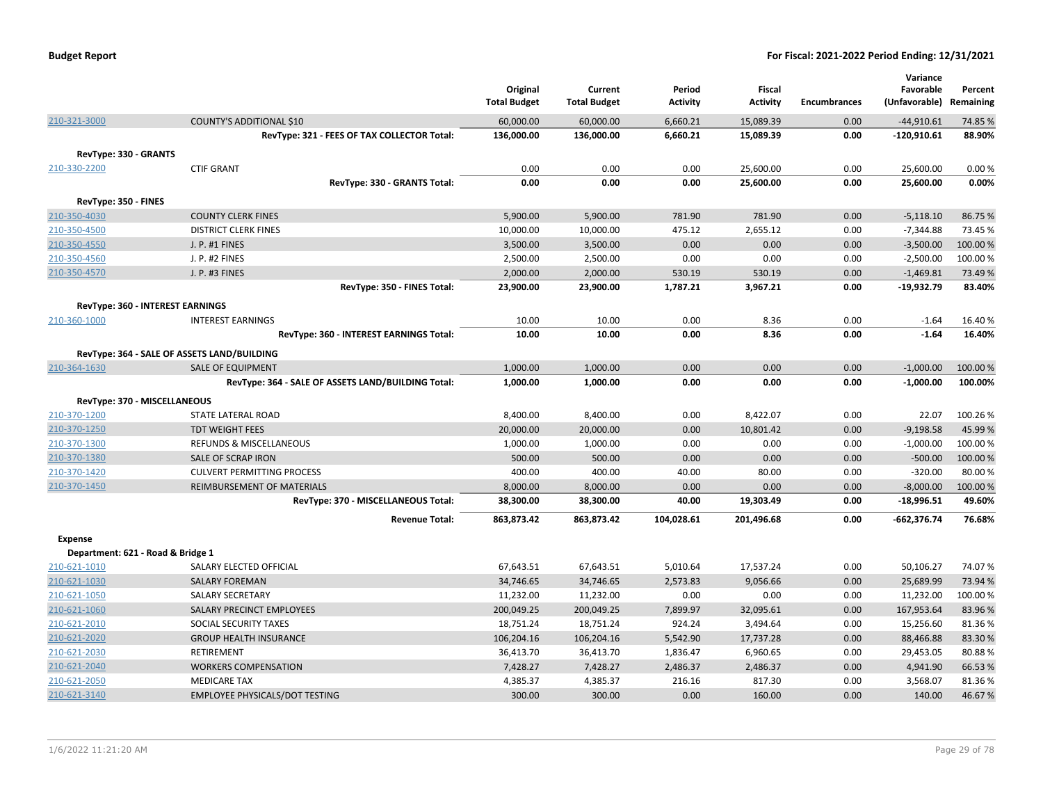| <b>Budget Report</b> |  |
|----------------------|--|
|----------------------|--|

|                       |                                                                   |                     |                     |                 |                 |                     | Variance      |                    |
|-----------------------|-------------------------------------------------------------------|---------------------|---------------------|-----------------|-----------------|---------------------|---------------|--------------------|
|                       |                                                                   | Original            | Current             | Period          | <b>Fiscal</b>   |                     | Favorable     | Percent            |
|                       |                                                                   | <b>Total Budget</b> | <b>Total Budget</b> | <b>Activity</b> | <b>Activity</b> | <b>Encumbrances</b> | (Unfavorable) | Remaining          |
| 210-321-3000          | COUNTY'S ADDITIONAL \$10                                          | 60,000.00           | 60,000.00           | 6,660.21        | 15,089.39       | 0.00                | $-44,910.61$  | 74.85 %            |
|                       | RevType: 321 - FEES OF TAX COLLECTOR Total:                       | 136,000.00          | 136,000.00          | 6,660.21        | 15,089.39       | 0.00                | $-120,910.61$ | 88.90%             |
| RevType: 330 - GRANTS |                                                                   |                     |                     |                 |                 |                     |               |                    |
| 210-330-2200          | <b>CTIF GRANT</b>                                                 | 0.00                | 0.00                | 0.00            | 25,600.00       | 0.00                | 25,600.00     | 0.00%              |
|                       | RevType: 330 - GRANTS Total:                                      | 0.00                | 0.00                | 0.00            | 25,600.00       | 0.00                | 25,600.00     | 0.00%              |
| RevType: 350 - FINES  |                                                                   |                     |                     |                 |                 |                     |               |                    |
| 210-350-4030          | <b>COUNTY CLERK FINES</b>                                         | 5,900.00            | 5,900.00            | 781.90          | 781.90          | 0.00                | $-5,118.10$   | 86.75%             |
| 210-350-4500          | <b>DISTRICT CLERK FINES</b>                                       | 10,000.00           | 10,000.00           | 475.12          | 2,655.12        | 0.00                | $-7,344.88$   | 73.45 %            |
| 210-350-4550          | J. P. #1 FINES                                                    | 3,500.00            | 3,500.00            | 0.00            | 0.00            | 0.00                | $-3,500.00$   | 100.00 %           |
| 210-350-4560          | J. P. #2 FINES                                                    | 2,500.00            | 2,500.00            | 0.00            | 0.00            | 0.00                | $-2,500.00$   | 100.00%            |
| 210-350-4570          | J. P. #3 FINES                                                    | 2,000.00            | 2,000.00            | 530.19          | 530.19          | 0.00                | $-1,469.81$   | 73.49 %            |
|                       | RevType: 350 - FINES Total:                                       | 23,900.00           | 23,900.00           | 1,787.21        | 3,967.21        | 0.00                | -19,932.79    | 83.40%             |
|                       | RevType: 360 - INTEREST EARNINGS                                  |                     |                     |                 |                 |                     |               |                    |
| 210-360-1000          | <b>INTEREST EARNINGS</b>                                          | 10.00               | 10.00               | 0.00            | 8.36            | 0.00                | $-1.64$       | 16.40%             |
|                       | RevType: 360 - INTEREST EARNINGS Total:                           | 10.00               | 10.00               | 0.00            | 8.36            | 0.00                | $-1.64$       | 16.40%             |
|                       | RevType: 364 - SALE OF ASSETS LAND/BUILDING                       |                     |                     |                 |                 |                     |               |                    |
| 210-364-1630          | <b>SALE OF EQUIPMENT</b>                                          | 1,000.00            | 1,000.00            | 0.00            | 0.00            | 0.00                | $-1,000.00$   | 100.00 %           |
|                       | RevType: 364 - SALE OF ASSETS LAND/BUILDING Total:                | 1,000.00            | 1,000.00            | 0.00            | 0.00            | 0.00                | $-1,000.00$   | 100.00%            |
|                       |                                                                   |                     |                     |                 |                 |                     |               |                    |
|                       | RevType: 370 - MISCELLANEOUS                                      |                     |                     |                 |                 |                     |               |                    |
| 210-370-1200          | STATE LATERAL ROAD                                                | 8,400.00            | 8,400.00            | 0.00            | 8,422.07        | 0.00                | 22.07         | 100.26%            |
| 210-370-1250          | <b>TDT WEIGHT FEES</b>                                            | 20,000.00           | 20,000.00           | 0.00            | 10,801.42       | 0.00                | $-9,198.58$   | 45.99 %            |
| 210-370-1300          | REFUNDS & MISCELLANEOUS                                           | 1,000.00            | 1,000.00            | 0.00            | 0.00            | 0.00                | $-1,000.00$   | 100.00%            |
| 210-370-1380          | <b>SALE OF SCRAP IRON</b>                                         | 500.00              | 500.00              | 0.00            | 0.00            | 0.00                | $-500.00$     | 100.00 %           |
| 210-370-1420          | <b>CULVERT PERMITTING PROCESS</b>                                 | 400.00              | 400.00              | 40.00           | 80.00           | 0.00                | $-320.00$     | 80.00%             |
| 210-370-1450          | REIMBURSEMENT OF MATERIALS<br>RevType: 370 - MISCELLANEOUS Total: | 8,000.00            | 8,000.00            | 0.00<br>40.00   | 0.00            | 0.00<br>0.00        | $-8,000.00$   | 100.00 %<br>49.60% |
|                       |                                                                   | 38,300.00           | 38,300.00           |                 | 19,303.49       |                     | -18,996.51    |                    |
|                       | <b>Revenue Total:</b>                                             | 863,873.42          | 863,873.42          | 104,028.61      | 201,496.68      | 0.00                | $-662,376.74$ | 76.68%             |
| <b>Expense</b>        |                                                                   |                     |                     |                 |                 |                     |               |                    |
|                       | Department: 621 - Road & Bridge 1                                 |                     |                     |                 |                 |                     |               |                    |
| 210-621-1010          | SALARY ELECTED OFFICIAL                                           | 67,643.51           | 67,643.51           | 5,010.64        | 17,537.24       | 0.00                | 50,106.27     | 74.07%             |
| 210-621-1030          | <b>SALARY FOREMAN</b>                                             | 34,746.65           | 34,746.65           | 2,573.83        | 9,056.66        | 0.00                | 25,689.99     | 73.94 %            |
| 210-621-1050          | SALARY SECRETARY                                                  | 11,232.00           | 11,232.00           | 0.00            | 0.00            | 0.00                | 11,232.00     | 100.00 %           |
| 210-621-1060          | SALARY PRECINCT EMPLOYEES                                         | 200,049.25          | 200,049.25          | 7,899.97        | 32,095.61       | 0.00                | 167,953.64    | 83.96%             |
| 210-621-2010          | SOCIAL SECURITY TAXES                                             | 18,751.24           | 18,751.24           | 924.24          | 3,494.64        | 0.00                | 15,256.60     | 81.36%             |
| 210-621-2020          | <b>GROUP HEALTH INSURANCE</b>                                     | 106,204.16          | 106,204.16          | 5,542.90        | 17,737.28       | 0.00                | 88,466.88     | 83.30%             |
| 210-621-2030          | RETIREMENT                                                        | 36,413.70           | 36,413.70           | 1,836.47        | 6,960.65        | 0.00                | 29,453.05     | 80.88%             |
| 210-621-2040          | <b>WORKERS COMPENSATION</b>                                       | 7,428.27            | 7,428.27            | 2,486.37        | 2,486.37        | 0.00                | 4,941.90      | 66.53 %            |
| 210-621-2050          | <b>MEDICARE TAX</b>                                               | 4,385.37            | 4,385.37            | 216.16          | 817.30          | 0.00                | 3,568.07      | 81.36%             |
| 210-621-3140          | <b>EMPLOYEE PHYSICALS/DOT TESTING</b>                             | 300.00              | 300.00              | 0.00            | 160.00          | 0.00                | 140.00        | 46.67%             |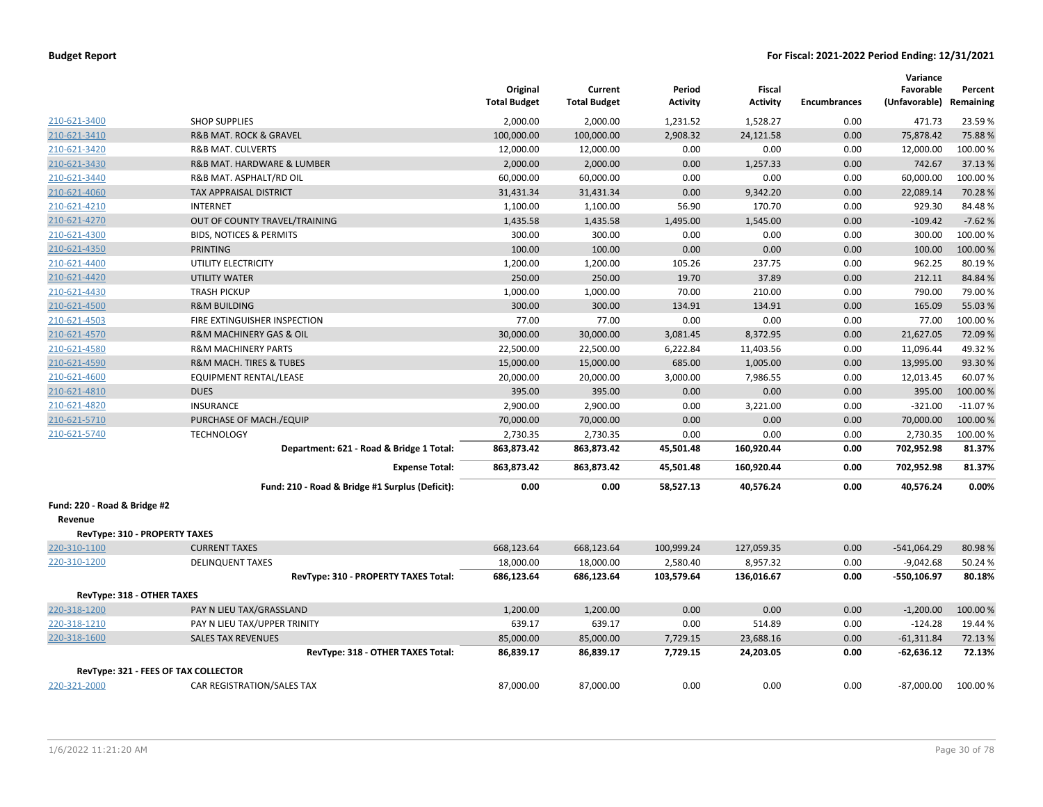|                               |                                                 | Original<br><b>Total Budget</b> | Current<br><b>Total Budget</b> | Period<br><b>Activity</b> | Fiscal<br><b>Activity</b> | <b>Encumbrances</b> | Variance<br>Favorable<br>(Unfavorable) | Percent<br>Remaining |
|-------------------------------|-------------------------------------------------|---------------------------------|--------------------------------|---------------------------|---------------------------|---------------------|----------------------------------------|----------------------|
| 210-621-3400                  | <b>SHOP SUPPLIES</b>                            | 2,000.00                        | 2,000.00                       | 1,231.52                  | 1,528.27                  | 0.00                | 471.73                                 | 23.59%               |
| 210-621-3410                  | <b>R&amp;B MAT. ROCK &amp; GRAVEL</b>           | 100,000.00                      | 100,000.00                     | 2,908.32                  | 24,121.58                 | 0.00                | 75,878.42                              | 75.88%               |
| 210-621-3420                  | <b>R&amp;B MAT. CULVERTS</b>                    | 12,000.00                       | 12,000.00                      | 0.00                      | 0.00                      | 0.00                | 12,000.00                              | 100.00%              |
| 210-621-3430                  | R&B MAT. HARDWARE & LUMBER                      | 2,000.00                        | 2,000.00                       | 0.00                      | 1,257.33                  | 0.00                | 742.67                                 | 37.13 %              |
| 210-621-3440                  | R&B MAT. ASPHALT/RD OIL                         | 60,000.00                       | 60,000.00                      | 0.00                      | 0.00                      | 0.00                | 60,000.00                              | 100.00%              |
| 210-621-4060                  | <b>TAX APPRAISAL DISTRICT</b>                   | 31,431.34                       | 31,431.34                      | 0.00                      | 9,342.20                  | 0.00                | 22,089.14                              | 70.28%               |
| 210-621-4210                  | <b>INTERNET</b>                                 | 1,100.00                        | 1,100.00                       | 56.90                     | 170.70                    | 0.00                | 929.30                                 | 84.48%               |
| 210-621-4270                  | OUT OF COUNTY TRAVEL/TRAINING                   | 1,435.58                        | 1,435.58                       | 1,495.00                  | 1,545.00                  | 0.00                | $-109.42$                              | $-7.62%$             |
| 210-621-4300                  | <b>BIDS, NOTICES &amp; PERMITS</b>              | 300.00                          | 300.00                         | 0.00                      | 0.00                      | 0.00                | 300.00                                 | 100.00%              |
| 210-621-4350                  | <b>PRINTING</b>                                 | 100.00                          | 100.00                         | 0.00                      | 0.00                      | 0.00                | 100.00                                 | 100.00%              |
| 210-621-4400                  | UTILITY ELECTRICITY                             | 1,200.00                        | 1,200.00                       | 105.26                    | 237.75                    | 0.00                | 962.25                                 | 80.19%               |
| 210-621-4420                  | <b>UTILITY WATER</b>                            | 250.00                          | 250.00                         | 19.70                     | 37.89                     | 0.00                | 212.11                                 | 84.84 %              |
| 210-621-4430                  | <b>TRASH PICKUP</b>                             | 1,000.00                        | 1,000.00                       | 70.00                     | 210.00                    | 0.00                | 790.00                                 | 79.00%               |
| 210-621-4500                  | <b>R&amp;M BUILDING</b>                         | 300.00                          | 300.00                         | 134.91                    | 134.91                    | 0.00                | 165.09                                 | 55.03 %              |
| 210-621-4503                  | FIRE EXTINGUISHER INSPECTION                    | 77.00                           | 77.00                          | 0.00                      | 0.00                      | 0.00                | 77.00                                  | 100.00%              |
| 210-621-4570                  | <b>R&amp;M MACHINERY GAS &amp; OIL</b>          | 30,000.00                       | 30,000.00                      | 3,081.45                  | 8,372.95                  | 0.00                | 21,627.05                              | 72.09%               |
| 210-621-4580                  | <b>R&amp;M MACHINERY PARTS</b>                  | 22,500.00                       | 22,500.00                      | 6,222.84                  | 11,403.56                 | 0.00                | 11,096.44                              | 49.32%               |
| 210-621-4590                  | <b>R&amp;M MACH. TIRES &amp; TUBES</b>          | 15,000.00                       | 15,000.00                      | 685.00                    | 1,005.00                  | 0.00                | 13,995.00                              | 93.30%               |
| 210-621-4600                  | EQUIPMENT RENTAL/LEASE                          | 20,000.00                       | 20,000.00                      | 3,000.00                  | 7,986.55                  | 0.00                | 12,013.45                              | 60.07%               |
| 210-621-4810                  | <b>DUES</b>                                     | 395.00                          | 395.00                         | 0.00                      | 0.00                      | 0.00                | 395.00                                 | 100.00 %             |
| 210-621-4820                  | <b>INSURANCE</b>                                | 2,900.00                        | 2,900.00                       | 0.00                      | 3,221.00                  | 0.00                | $-321.00$                              | $-11.07%$            |
| 210-621-5710                  | PURCHASE OF MACH./EQUIP                         | 70,000.00                       | 70,000.00                      | 0.00                      | 0.00                      | 0.00                | 70,000.00                              | 100.00%              |
| 210-621-5740                  | <b>TECHNOLOGY</b>                               | 2,730.35                        | 2,730.35                       | 0.00                      | 0.00                      | 0.00                | 2,730.35                               | 100.00 %             |
|                               | Department: 621 - Road & Bridge 1 Total:        | 863,873.42                      | 863,873.42                     | 45,501.48                 | 160,920.44                | 0.00                | 702,952.98                             | 81.37%               |
|                               | <b>Expense Total:</b>                           | 863,873.42                      | 863,873.42                     | 45,501.48                 | 160,920.44                | 0.00                | 702,952.98                             | 81.37%               |
|                               | Fund: 210 - Road & Bridge #1 Surplus (Deficit): | 0.00                            | 0.00                           | 58,527.13                 | 40,576.24                 | 0.00                | 40,576.24                              | 0.00%                |
| Fund: 220 - Road & Bridge #2  |                                                 |                                 |                                |                           |                           |                     |                                        |                      |
| Revenue                       |                                                 |                                 |                                |                           |                           |                     |                                        |                      |
| RevType: 310 - PROPERTY TAXES |                                                 |                                 |                                |                           |                           |                     |                                        |                      |
| 220-310-1100                  | <b>CURRENT TAXES</b>                            | 668,123.64                      | 668,123.64                     | 100,999.24                | 127,059.35                | 0.00                | $-541,064.29$                          | 80.98%               |
| 220-310-1200                  | <b>DELINQUENT TAXES</b>                         | 18,000.00                       | 18,000.00                      | 2,580.40                  | 8,957.32                  | 0.00                | $-9,042.68$                            | 50.24 %              |
|                               | RevType: 310 - PROPERTY TAXES Total:            | 686,123.64                      | 686,123.64                     | 103,579.64                | 136,016.67                | 0.00                | -550,106.97                            | 80.18%               |
| RevType: 318 - OTHER TAXES    |                                                 |                                 |                                |                           |                           |                     |                                        |                      |
| 220-318-1200                  | PAY N LIEU TAX/GRASSLAND                        | 1,200.00                        | 1,200.00                       | 0.00                      | 0.00                      | 0.00                | $-1,200.00$                            | 100.00%              |
| 220-318-1210                  | PAY N LIEU TAX/UPPER TRINITY                    | 639.17                          | 639.17                         | 0.00                      | 514.89                    | 0.00                | $-124.28$                              | 19.44 %              |
| 220-318-1600                  | <b>SALES TAX REVENUES</b>                       | 85,000.00                       | 85,000.00                      | 7,729.15                  | 23,688.16                 | 0.00                | $-61,311.84$                           | 72.13 %              |
|                               | RevType: 318 - OTHER TAXES Total:               | 86,839.17                       | 86,839.17                      | 7,729.15                  | 24,203.05                 | 0.00                | $-62,636.12$                           | 72.13%               |
|                               | RevType: 321 - FEES OF TAX COLLECTOR            |                                 |                                |                           |                           |                     |                                        |                      |
| 220-321-2000                  | CAR REGISTRATION/SALES TAX                      | 87,000.00                       | 87,000.00                      | 0.00                      | 0.00                      | 0.00                | $-87,000.00$                           | 100.00%              |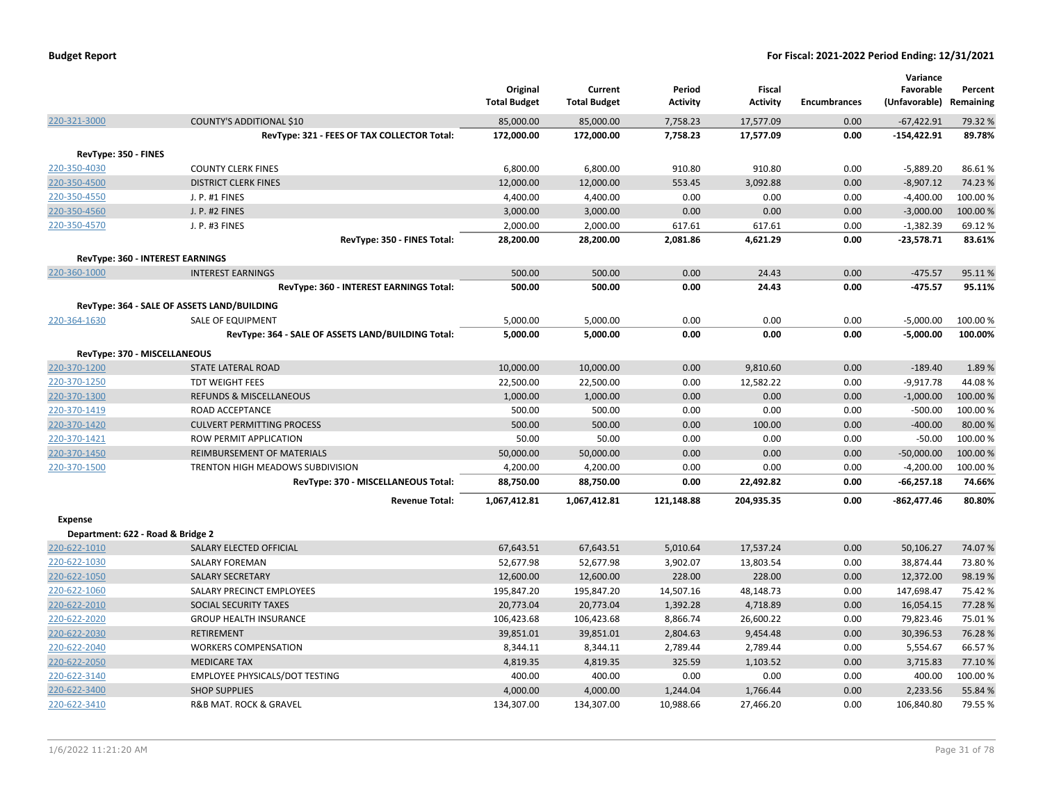|                                   |                                                    | Original<br><b>Total Budget</b> | Current<br><b>Total Budget</b> | Period<br>Activity | Fiscal<br><b>Activity</b> | <b>Encumbrances</b> | Variance<br>Favorable<br>(Unfavorable) | Percent<br>Remaining |
|-----------------------------------|----------------------------------------------------|---------------------------------|--------------------------------|--------------------|---------------------------|---------------------|----------------------------------------|----------------------|
| 220-321-3000                      | COUNTY'S ADDITIONAL \$10                           | 85,000.00                       | 85,000.00                      | 7,758.23           | 17,577.09                 | 0.00                | $-67,422.91$                           | 79.32 %              |
|                                   | RevType: 321 - FEES OF TAX COLLECTOR Total:        | 172,000.00                      | 172,000.00                     | 7,758.23           | 17,577.09                 | 0.00                | $-154,422.91$                          | 89.78%               |
| RevType: 350 - FINES              |                                                    |                                 |                                |                    |                           |                     |                                        |                      |
| 220-350-4030                      | <b>COUNTY CLERK FINES</b>                          | 6,800.00                        | 6,800.00                       | 910.80             | 910.80                    | 0.00                | $-5,889.20$                            | 86.61%               |
| 220-350-4500                      | <b>DISTRICT CLERK FINES</b>                        | 12,000.00                       | 12,000.00                      | 553.45             | 3,092.88                  | 0.00                | $-8,907.12$                            | 74.23 %              |
| 220-350-4550                      | J. P. #1 FINES                                     | 4,400.00                        | 4,400.00                       | 0.00               | 0.00                      | 0.00                | $-4,400.00$                            | 100.00%              |
| 220-350-4560                      | <b>J. P. #2 FINES</b>                              | 3,000.00                        | 3,000.00                       | 0.00               | 0.00                      | 0.00                | $-3,000.00$                            | 100.00 %             |
| 220-350-4570                      | J. P. #3 FINES                                     | 2,000.00                        | 2,000.00                       | 617.61             | 617.61                    | 0.00                | $-1,382.39$                            | 69.12%               |
|                                   | RevType: 350 - FINES Total:                        | 28,200.00                       | 28,200.00                      | 2,081.86           | 4,621.29                  | 0.00                | $-23,578.71$                           | 83.61%               |
|                                   | RevType: 360 - INTEREST EARNINGS                   |                                 |                                |                    |                           |                     |                                        |                      |
| 220-360-1000                      | <b>INTEREST EARNINGS</b>                           | 500.00                          | 500.00                         | 0.00               | 24.43                     | 0.00                | $-475.57$                              | 95.11%               |
|                                   | RevType: 360 - INTEREST EARNINGS Total:            | 500.00                          | 500.00                         | 0.00               | 24.43                     | 0.00                | $-475.57$                              | 95.11%               |
|                                   |                                                    |                                 |                                |                    |                           |                     |                                        |                      |
|                                   | RevType: 364 - SALE OF ASSETS LAND/BUILDING        |                                 |                                |                    |                           |                     |                                        |                      |
| 220-364-1630                      | SALE OF EQUIPMENT                                  | 5,000.00                        | 5,000.00                       | 0.00               | 0.00                      | 0.00                | $-5,000.00$                            | 100.00 %             |
|                                   | RevType: 364 - SALE OF ASSETS LAND/BUILDING Total: | 5,000.00                        | 5,000.00                       | 0.00               | 0.00                      | 0.00                | $-5,000.00$                            | 100.00%              |
| RevType: 370 - MISCELLANEOUS      |                                                    |                                 |                                |                    |                           |                     |                                        |                      |
| 220-370-1200                      | STATE LATERAL ROAD                                 | 10,000.00                       | 10,000.00                      | 0.00               | 9,810.60                  | 0.00                | $-189.40$                              | 1.89%                |
| 220-370-1250                      | TDT WEIGHT FEES                                    | 22,500.00                       | 22,500.00                      | 0.00               | 12,582.22                 | 0.00                | $-9,917.78$                            | 44.08%               |
| 220-370-1300                      | <b>REFUNDS &amp; MISCELLANEOUS</b>                 | 1,000.00                        | 1,000.00                       | 0.00               | 0.00                      | 0.00                | $-1,000.00$                            | 100.00%              |
| 220-370-1419                      | ROAD ACCEPTANCE                                    | 500.00                          | 500.00                         | 0.00               | 0.00                      | 0.00                | $-500.00$                              | 100.00%              |
| 220-370-1420                      | <b>CULVERT PERMITTING PROCESS</b>                  | 500.00                          | 500.00                         | 0.00               | 100.00                    | 0.00                | $-400.00$                              | 80.00%               |
| 220-370-1421                      | ROW PERMIT APPLICATION                             | 50.00                           | 50.00                          | 0.00               | 0.00                      | 0.00                | $-50.00$                               | 100.00%              |
| 220-370-1450                      | REIMBURSEMENT OF MATERIALS                         | 50,000.00                       | 50,000.00                      | 0.00               | 0.00                      | 0.00                | $-50,000.00$                           | 100.00 %             |
| 220-370-1500                      | TRENTON HIGH MEADOWS SUBDIVISION                   | 4,200.00                        | 4,200.00                       | 0.00               | 0.00                      | 0.00                | $-4,200.00$                            | 100.00%              |
|                                   | RevType: 370 - MISCELLANEOUS Total:                | 88,750.00                       | 88,750.00                      | 0.00               | 22,492.82                 | 0.00                | $-66,257.18$                           | 74.66%               |
|                                   | <b>Revenue Total:</b>                              | 1,067,412.81                    | 1,067,412.81                   | 121,148.88         | 204,935.35                | 0.00                | $-862,477.46$                          | 80.80%               |
| <b>Expense</b>                    |                                                    |                                 |                                |                    |                           |                     |                                        |                      |
| Department: 622 - Road & Bridge 2 |                                                    |                                 |                                |                    |                           |                     |                                        |                      |
| 220-622-1010                      | SALARY ELECTED OFFICIAL                            | 67,643.51                       | 67,643.51                      | 5,010.64           | 17,537.24                 | 0.00                | 50,106.27                              | 74.07%               |
| 220-622-1030                      | <b>SALARY FOREMAN</b>                              | 52,677.98                       | 52,677.98                      | 3,902.07           | 13,803.54                 | 0.00                | 38,874.44                              | 73.80%               |
| 220-622-1050                      | <b>SALARY SECRETARY</b>                            | 12,600.00                       | 12,600.00                      | 228.00             | 228.00                    | 0.00                | 12,372.00                              | 98.19%               |
| 220-622-1060                      | SALARY PRECINCT EMPLOYEES                          | 195,847.20                      | 195,847.20                     | 14,507.16          | 48,148.73                 | 0.00                | 147,698.47                             | 75.42 %              |
| 220-622-2010                      | <b>SOCIAL SECURITY TAXES</b>                       | 20,773.04                       | 20,773.04                      | 1,392.28           | 4,718.89                  | 0.00                | 16,054.15                              | 77.28%               |
| 220-622-2020                      | <b>GROUP HEALTH INSURANCE</b>                      | 106,423.68                      | 106,423.68                     | 8,866.74           | 26,600.22                 | 0.00                | 79,823.46                              | 75.01%               |
| 220-622-2030                      | <b>RETIREMENT</b>                                  | 39,851.01                       | 39,851.01                      | 2,804.63           | 9,454.48                  | 0.00                | 30,396.53                              | 76.28%               |
| 220-622-2040                      | <b>WORKERS COMPENSATION</b>                        | 8,344.11                        | 8,344.11                       | 2,789.44           | 2,789.44                  | 0.00                | 5,554.67                               | 66.57%               |
| 220-622-2050                      | <b>MEDICARE TAX</b>                                | 4,819.35                        | 4,819.35                       | 325.59             | 1,103.52                  | 0.00                | 3,715.83                               | 77.10%               |
| 220-622-3140                      | EMPLOYEE PHYSICALS/DOT TESTING                     | 400.00                          | 400.00                         | 0.00               | 0.00                      | 0.00                | 400.00                                 | 100.00%              |
| 220-622-3400                      | <b>SHOP SUPPLIES</b>                               | 4,000.00                        | 4,000.00                       | 1,244.04           | 1,766.44                  | 0.00                | 2,233.56                               | 55.84 %              |
| 220-622-3410                      | <b>R&amp;B MAT. ROCK &amp; GRAVEL</b>              | 134,307.00                      | 134,307.00                     | 10,988.66          | 27,466.20                 | 0.00                | 106,840.80                             | 79.55 %              |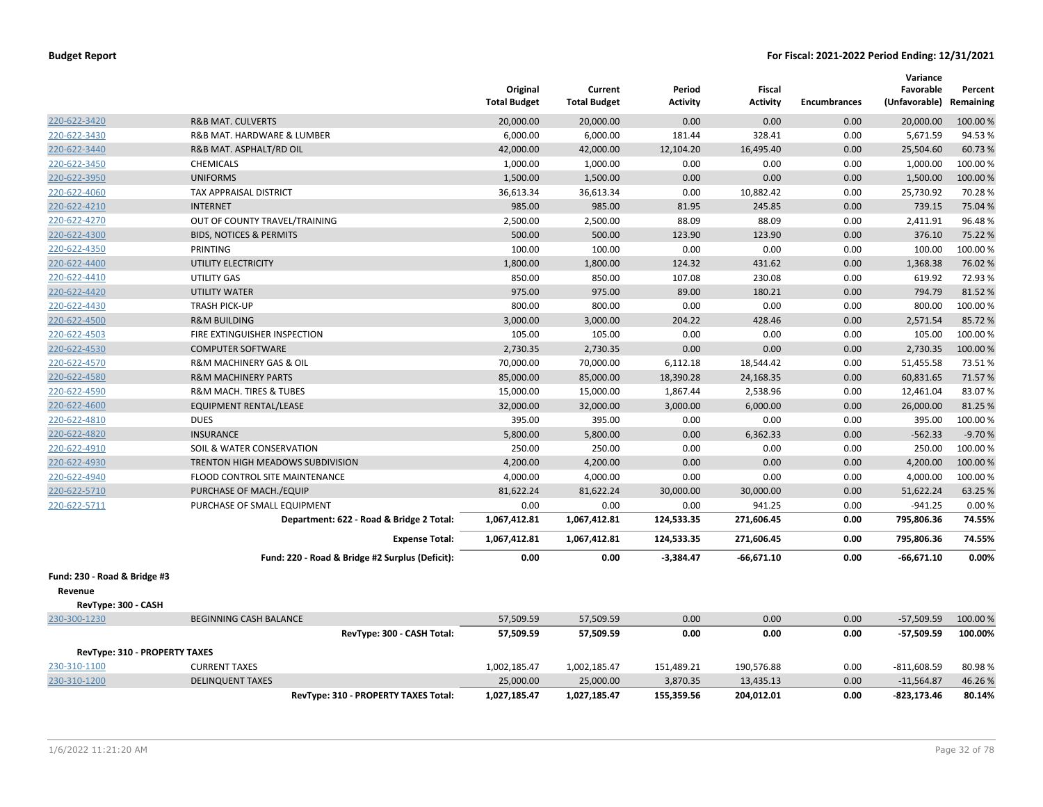|                                         |                                                 | Original<br><b>Total Budget</b> | Current<br><b>Total Budget</b> | Period<br>Activity | <b>Fiscal</b><br>Activity | <b>Encumbrances</b> | Variance<br>Favorable<br>(Unfavorable) Remaining | Percent  |
|-----------------------------------------|-------------------------------------------------|---------------------------------|--------------------------------|--------------------|---------------------------|---------------------|--------------------------------------------------|----------|
| 220-622-3420                            | <b>R&amp;B MAT. CULVERTS</b>                    | 20,000.00                       | 20,000.00                      | 0.00               | 0.00                      | 0.00                | 20,000.00                                        | 100.00 % |
| 220-622-3430                            | R&B MAT. HARDWARE & LUMBER                      | 6,000.00                        | 6,000.00                       | 181.44             | 328.41                    | 0.00                | 5,671.59                                         | 94.53%   |
| 220-622-3440                            | R&B MAT. ASPHALT/RD OIL                         | 42,000.00                       | 42,000.00                      | 12,104.20          | 16,495.40                 | 0.00                | 25,504.60                                        | 60.73%   |
| 220-622-3450                            | <b>CHEMICALS</b>                                | 1,000.00                        | 1,000.00                       | 0.00               | 0.00                      | 0.00                | 1,000.00                                         | 100.00%  |
| 220-622-3950                            | <b>UNIFORMS</b>                                 | 1,500.00                        | 1,500.00                       | 0.00               | 0.00                      | 0.00                | 1,500.00                                         | 100.00%  |
| 220-622-4060                            | TAX APPRAISAL DISTRICT                          | 36,613.34                       | 36,613.34                      | 0.00               | 10,882.42                 | 0.00                | 25,730.92                                        | 70.28%   |
| 220-622-4210                            | <b>INTERNET</b>                                 | 985.00                          | 985.00                         | 81.95              | 245.85                    | 0.00                | 739.15                                           | 75.04 %  |
| 220-622-4270                            | OUT OF COUNTY TRAVEL/TRAINING                   | 2,500.00                        | 2,500.00                       | 88.09              | 88.09                     | 0.00                | 2,411.91                                         | 96.48%   |
| 220-622-4300                            | <b>BIDS, NOTICES &amp; PERMITS</b>              | 500.00                          | 500.00                         | 123.90             | 123.90                    | 0.00                | 376.10                                           | 75.22 %  |
| 220-622-4350                            | PRINTING                                        | 100.00                          | 100.00                         | 0.00               | 0.00                      | 0.00                | 100.00                                           | 100.00%  |
| 220-622-4400                            | UTILITY ELECTRICITY                             | 1,800.00                        | 1,800.00                       | 124.32             | 431.62                    | 0.00                | 1,368.38                                         | 76.02%   |
| 220-622-4410                            | UTILITY GAS                                     | 850.00                          | 850.00                         | 107.08             | 230.08                    | 0.00                | 619.92                                           | 72.93%   |
| 220-622-4420                            | <b>UTILITY WATER</b>                            | 975.00                          | 975.00                         | 89.00              | 180.21                    | 0.00                | 794.79                                           | 81.52%   |
| 220-622-4430                            | <b>TRASH PICK-UP</b>                            | 800.00                          | 800.00                         | 0.00               | 0.00                      | 0.00                | 800.00                                           | 100.00%  |
| 220-622-4500                            | <b>R&amp;M BUILDING</b>                         | 3,000.00                        | 3,000.00                       | 204.22             | 428.46                    | 0.00                | 2,571.54                                         | 85.72%   |
| 220-622-4503                            | FIRE EXTINGUISHER INSPECTION                    | 105.00                          | 105.00                         | 0.00               | 0.00                      | 0.00                | 105.00                                           | 100.00%  |
| 220-622-4530                            | <b>COMPUTER SOFTWARE</b>                        | 2,730.35                        | 2,730.35                       | 0.00               | 0.00                      | 0.00                | 2,730.35                                         | 100.00 % |
| 220-622-4570                            | <b>R&amp;M MACHINERY GAS &amp; OIL</b>          | 70,000.00                       | 70,000.00                      | 6,112.18           | 18,544.42                 | 0.00                | 51,455.58                                        | 73.51%   |
| 220-622-4580                            | <b>R&amp;M MACHINERY PARTS</b>                  | 85,000.00                       | 85,000.00                      | 18,390.28          | 24,168.35                 | 0.00                | 60,831.65                                        | 71.57%   |
| 220-622-4590                            | R&M MACH. TIRES & TUBES                         | 15,000.00                       | 15,000.00                      | 1,867.44           | 2,538.96                  | 0.00                | 12,461.04                                        | 83.07%   |
| 220-622-4600                            | <b>EQUIPMENT RENTAL/LEASE</b>                   | 32,000.00                       | 32,000.00                      | 3,000.00           | 6,000.00                  | 0.00                | 26,000.00                                        | 81.25 %  |
| 220-622-4810                            | <b>DUES</b>                                     | 395.00                          | 395.00                         | 0.00               | 0.00                      | 0.00                | 395.00                                           | 100.00%  |
| 220-622-4820                            | <b>INSURANCE</b>                                | 5,800.00                        | 5,800.00                       | 0.00               | 6,362.33                  | 0.00                | $-562.33$                                        | $-9.70%$ |
| 220-622-4910                            | SOIL & WATER CONSERVATION                       | 250.00                          | 250.00                         | 0.00               | 0.00                      | 0.00                | 250.00                                           | 100.00 % |
| 220-622-4930                            | TRENTON HIGH MEADOWS SUBDIVISION                | 4,200.00                        | 4,200.00                       | 0.00               | 0.00                      | 0.00                | 4,200.00                                         | 100.00 % |
| 220-622-4940                            | FLOOD CONTROL SITE MAINTENANCE                  | 4,000.00                        | 4,000.00                       | 0.00               | 0.00                      | 0.00                | 4,000.00                                         | 100.00%  |
| 220-622-5710                            | PURCHASE OF MACH./EQUIP                         | 81,622.24                       | 81,622.24                      | 30,000.00          | 30,000.00                 | 0.00                | 51,622.24                                        | 63.25 %  |
| 220-622-5711                            | PURCHASE OF SMALL EQUIPMENT                     | 0.00                            | 0.00                           | 0.00               | 941.25                    | 0.00                | $-941.25$                                        | 0.00%    |
|                                         | Department: 622 - Road & Bridge 2 Total:        | 1,067,412.81                    | 1,067,412.81                   | 124,533.35         | 271,606.45                | 0.00                | 795,806.36                                       | 74.55%   |
|                                         | <b>Expense Total:</b>                           | 1,067,412.81                    | 1,067,412.81                   | 124,533.35         | 271,606.45                | 0.00                | 795,806.36                                       | 74.55%   |
|                                         | Fund: 220 - Road & Bridge #2 Surplus (Deficit): | 0.00                            | 0.00                           | $-3,384.47$        | $-66,671.10$              | 0.00                | $-66,671.10$                                     | 0.00%    |
| Fund: 230 - Road & Bridge #3<br>Revenue |                                                 |                                 |                                |                    |                           |                     |                                                  |          |
| RevType: 300 - CASH                     |                                                 |                                 |                                |                    |                           |                     |                                                  |          |
| 230-300-1230                            | <b>BEGINNING CASH BALANCE</b>                   | 57,509.59                       | 57,509.59                      | 0.00               | 0.00                      | 0.00                | $-57,509.59$                                     | 100.00 % |
|                                         | RevType: 300 - CASH Total:                      | 57,509.59                       | 57,509.59                      | 0.00               | 0.00                      | 0.00                | $-57,509.59$                                     | 100.00%  |
| <b>RevType: 310 - PROPERTY TAXES</b>    |                                                 |                                 |                                |                    |                           |                     |                                                  |          |
| 230-310-1100                            | <b>CURRENT TAXES</b>                            | 1,002,185.47                    | 1,002,185.47                   | 151,489.21         | 190,576.88                | 0.00                | $-811,608.59$                                    | 80.98%   |
| 230-310-1200                            | <b>DELINQUENT TAXES</b>                         | 25,000.00                       | 25,000.00                      | 3,870.35           | 13,435.13                 | 0.00                | $-11,564.87$                                     | 46.26%   |
|                                         | RevType: 310 - PROPERTY TAXES Total:            | 1,027,185.47                    | 1,027,185.47                   | 155,359.56         | 204,012.01                | 0.00                | $-823, 173.46$                                   | 80.14%   |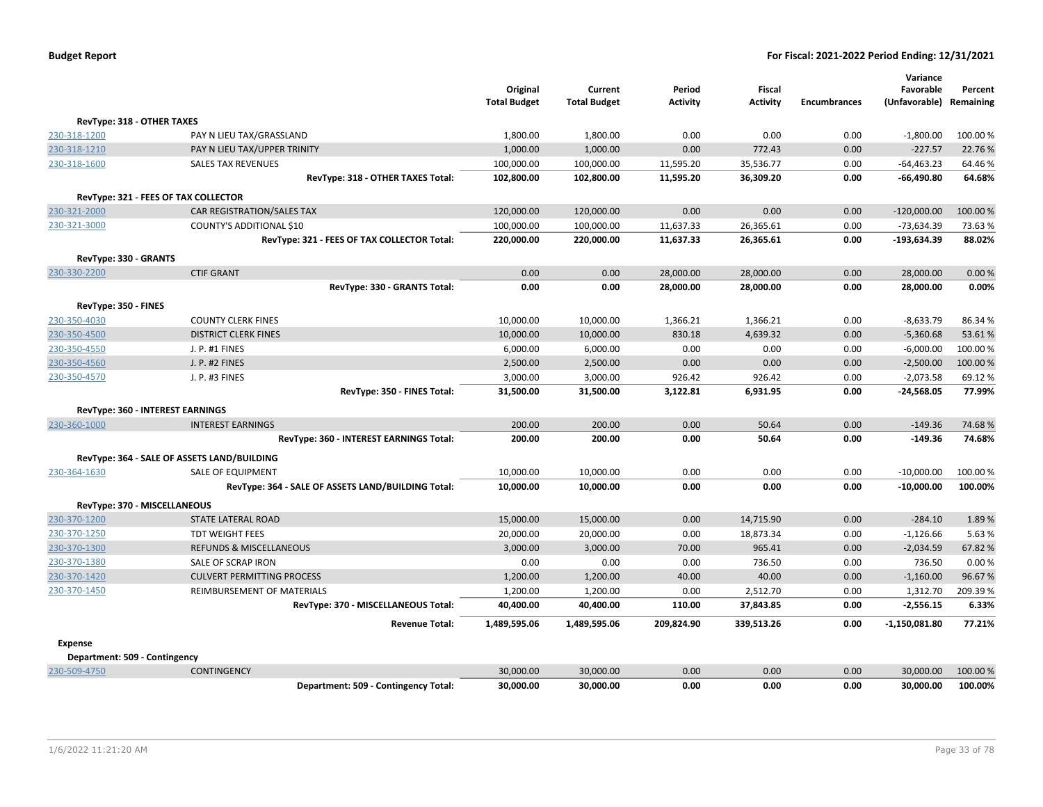|                               |                                                    | Original<br><b>Total Budget</b> | Current<br><b>Total Budget</b> | Period<br><b>Activity</b> | Fiscal<br><b>Activity</b> | <b>Encumbrances</b> | Variance<br>Favorable<br>(Unfavorable) Remaining | Percent             |
|-------------------------------|----------------------------------------------------|---------------------------------|--------------------------------|---------------------------|---------------------------|---------------------|--------------------------------------------------|---------------------|
| RevType: 318 - OTHER TAXES    |                                                    |                                 |                                |                           |                           |                     |                                                  |                     |
| 230-318-1200                  | PAY N LIEU TAX/GRASSLAND                           | 1,800.00                        | 1,800.00                       | 0.00                      | 0.00                      | 0.00                | $-1,800.00$                                      | 100.00%             |
| 230-318-1210                  | PAY N LIEU TAX/UPPER TRINITY                       | 1,000.00                        | 1,000.00                       | 0.00                      | 772.43                    | 0.00                | $-227.57$                                        | 22.76 %             |
| 230-318-1600                  | <b>SALES TAX REVENUES</b>                          | 100,000.00                      | 100,000.00                     | 11,595.20                 | 35,536.77                 | 0.00                | $-64,463.23$                                     | 64.46%              |
|                               | RevType: 318 - OTHER TAXES Total:                  | 102,800.00                      | 102,800.00                     | 11,595.20                 | 36,309.20                 | 0.00                | $-66,490.80$                                     | 64.68%              |
|                               | RevType: 321 - FEES OF TAX COLLECTOR               |                                 |                                |                           |                           |                     |                                                  |                     |
| 230-321-2000                  | CAR REGISTRATION/SALES TAX                         | 120,000.00                      | 120,000.00                     | 0.00                      | 0.00                      | 0.00                | $-120,000.00$                                    | 100.00%             |
| 230-321-3000                  | <b>COUNTY'S ADDITIONAL \$10</b>                    | 100,000.00                      | 100,000.00                     | 11,637.33                 | 26,365.61                 | 0.00                | $-73,634.39$                                     | 73.63%              |
|                               | RevType: 321 - FEES OF TAX COLLECTOR Total:        | 220,000.00                      | 220,000.00                     | 11,637.33                 | 26,365.61                 | 0.00                | $-193,634.39$                                    | 88.02%              |
| RevType: 330 - GRANTS         |                                                    |                                 |                                |                           |                           |                     |                                                  |                     |
| 230-330-2200                  | <b>CTIF GRANT</b>                                  | 0.00                            | 0.00                           | 28,000.00                 | 28,000.00                 | 0.00                | 28,000.00                                        | 0.00%               |
|                               | RevType: 330 - GRANTS Total:                       | 0.00                            | 0.00                           | 28,000.00                 | 28,000.00                 | 0.00                | 28,000.00                                        | 0.00%               |
| RevType: 350 - FINES          |                                                    |                                 |                                |                           |                           |                     |                                                  |                     |
| 230-350-4030                  | <b>COUNTY CLERK FINES</b>                          | 10,000.00                       | 10,000.00                      | 1,366.21                  | 1,366.21                  | 0.00                | $-8,633.79$                                      | 86.34 %             |
| 230-350-4500                  | <b>DISTRICT CLERK FINES</b>                        | 10,000.00                       | 10,000.00                      | 830.18                    | 4,639.32                  | 0.00                | $-5,360.68$                                      | 53.61%              |
| 230-350-4550                  | J. P. #1 FINES                                     | 6,000.00                        | 6,000.00                       | 0.00                      | 0.00                      | 0.00                | $-6,000.00$                                      | 100.00%             |
| 230-350-4560                  | J. P. #2 FINES                                     | 2,500.00                        | 2,500.00                       | 0.00                      | 0.00                      | 0.00                | $-2,500.00$                                      | 100.00%             |
| 230-350-4570                  | J. P. #3 FINES                                     | 3,000.00                        | 3,000.00                       | 926.42                    | 926.42                    | 0.00                | $-2,073.58$                                      | 69.12%              |
|                               | RevType: 350 - FINES Total:                        | 31,500.00                       | 31,500.00                      | 3,122.81                  | 6,931.95                  | 0.00                | $-24,568.05$                                     | 77.99%              |
|                               | <b>RevType: 360 - INTEREST EARNINGS</b>            |                                 |                                |                           |                           |                     |                                                  |                     |
| 230-360-1000                  | <b>INTEREST EARNINGS</b>                           | 200.00                          | 200.00                         | 0.00                      | 50.64                     | 0.00                | $-149.36$                                        | 74.68%              |
|                               | RevType: 360 - INTEREST EARNINGS Total:            | 200.00                          | 200.00                         | 0.00                      | 50.64                     | 0.00                | $-149.36$                                        | 74.68%              |
|                               |                                                    |                                 |                                |                           |                           |                     |                                                  |                     |
|                               | RevType: 364 - SALE OF ASSETS LAND/BUILDING        |                                 |                                |                           |                           |                     |                                                  |                     |
| 230-364-1630                  | SALE OF EQUIPMENT                                  | 10,000.00                       | 10,000.00                      | 0.00                      | 0.00<br>0.00              | 0.00<br>0.00        | $-10,000.00$<br>$-10,000.00$                     | 100.00 %<br>100.00% |
|                               | RevType: 364 - SALE OF ASSETS LAND/BUILDING Total: | 10,000.00                       | 10,000.00                      | 0.00                      |                           |                     |                                                  |                     |
|                               | RevType: 370 - MISCELLANEOUS                       |                                 |                                |                           |                           |                     |                                                  |                     |
| 230-370-1200                  | STATE LATERAL ROAD                                 | 15,000.00                       | 15,000.00                      | 0.00                      | 14,715.90                 | 0.00                | $-284.10$                                        | 1.89%               |
| 230-370-1250                  | <b>TDT WEIGHT FEES</b>                             | 20,000.00                       | 20,000.00                      | 0.00                      | 18,873.34                 | 0.00                | $-1,126.66$                                      | 5.63%               |
| 230-370-1300                  | <b>REFUNDS &amp; MISCELLANEOUS</b>                 | 3,000.00                        | 3,000.00                       | 70.00                     | 965.41                    | 0.00                | $-2,034.59$                                      | 67.82%              |
| 230-370-1380                  | SALE OF SCRAP IRON                                 | 0.00                            | 0.00                           | 0.00                      | 736.50                    | 0.00                | 736.50                                           | 0.00%               |
| 230-370-1420                  | <b>CULVERT PERMITTING PROCESS</b>                  | 1,200.00                        | 1,200.00                       | 40.00                     | 40.00                     | 0.00                | $-1,160.00$                                      | 96.67%              |
| 230-370-1450                  | REIMBURSEMENT OF MATERIALS                         | 1,200.00                        | 1,200.00                       | 0.00                      | 2,512.70                  | 0.00                | 1,312.70                                         | 209.39%             |
|                               | RevType: 370 - MISCELLANEOUS Total:                | 40,400.00                       | 40,400.00                      | 110.00                    | 37,843.85                 | 0.00                | $-2,556.15$                                      | 6.33%               |
|                               | <b>Revenue Total:</b>                              | 1,489,595.06                    | 1,489,595.06                   | 209,824.90                | 339,513.26                | 0.00                | $-1,150,081.80$                                  | 77.21%              |
| <b>Expense</b>                |                                                    |                                 |                                |                           |                           |                     |                                                  |                     |
| Department: 509 - Contingency |                                                    |                                 |                                |                           |                           |                     |                                                  |                     |
| 230-509-4750                  | <b>CONTINGENCY</b>                                 | 30,000.00                       | 30,000.00                      | 0.00                      | 0.00                      | 0.00                | 30,000.00                                        | 100.00 %            |
|                               | Department: 509 - Contingency Total:               | 30,000.00                       | 30,000.00                      | 0.00                      | 0.00                      | 0.00                | 30,000.00                                        | 100.00%             |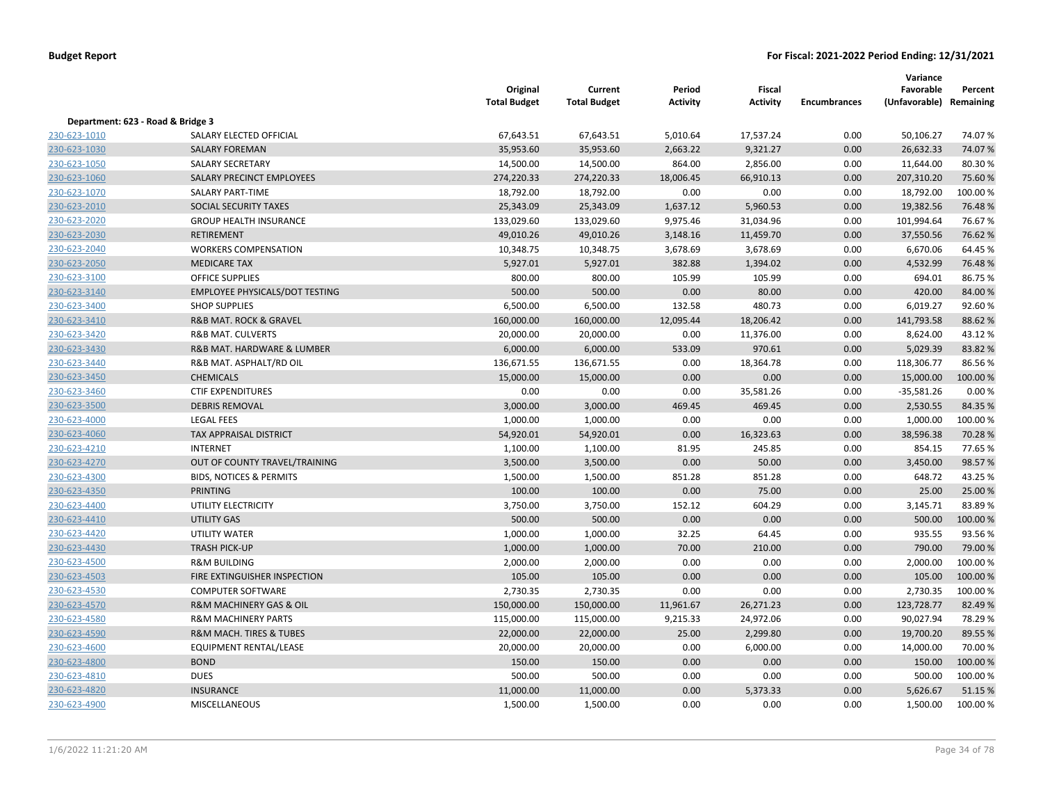|                                   |                                           | Original<br><b>Total Budget</b> | Current<br><b>Total Budget</b> | Period<br><b>Activity</b> | <b>Fiscal</b><br><b>Activity</b> | <b>Encumbrances</b> | Variance<br>Favorable<br>(Unfavorable) Remaining | Percent  |
|-----------------------------------|-------------------------------------------|---------------------------------|--------------------------------|---------------------------|----------------------------------|---------------------|--------------------------------------------------|----------|
| Department: 623 - Road & Bridge 3 |                                           |                                 |                                |                           |                                  |                     |                                                  |          |
| 230-623-1010                      | SALARY ELECTED OFFICIAL                   | 67,643.51                       | 67,643.51                      | 5,010.64                  | 17,537.24                        | 0.00                | 50,106.27                                        | 74.07%   |
| 230-623-1030                      | <b>SALARY FOREMAN</b>                     | 35,953.60                       | 35,953.60                      | 2,663.22                  | 9,321.27                         | 0.00                | 26,632.33                                        | 74.07%   |
| 230-623-1050                      | <b>SALARY SECRETARY</b>                   | 14,500.00                       | 14,500.00                      | 864.00                    | 2,856.00                         | 0.00                | 11,644.00                                        | 80.30%   |
| 230-623-1060                      | SALARY PRECINCT EMPLOYEES                 | 274,220.33                      | 274,220.33                     | 18,006.45                 | 66,910.13                        | 0.00                | 207,310.20                                       | 75.60%   |
| 230-623-1070                      | <b>SALARY PART-TIME</b>                   | 18,792.00                       | 18,792.00                      | 0.00                      | 0.00                             | 0.00                | 18,792.00                                        | 100.00%  |
| 230-623-2010                      | SOCIAL SECURITY TAXES                     | 25,343.09                       | 25,343.09                      | 1,637.12                  | 5,960.53                         | 0.00                | 19,382.56                                        | 76.48%   |
| 230-623-2020                      | <b>GROUP HEALTH INSURANCE</b>             | 133,029.60                      | 133,029.60                     | 9,975.46                  | 31,034.96                        | 0.00                | 101,994.64                                       | 76.67%   |
| 230-623-2030                      | RETIREMENT                                | 49,010.26                       | 49,010.26                      | 3,148.16                  | 11,459.70                        | 0.00                | 37,550.56                                        | 76.62%   |
| 230-623-2040                      | <b>WORKERS COMPENSATION</b>               | 10,348.75                       | 10,348.75                      | 3,678.69                  | 3,678.69                         | 0.00                | 6,670.06                                         | 64.45 %  |
| 230-623-2050                      | <b>MEDICARE TAX</b>                       | 5,927.01                        | 5,927.01                       | 382.88                    | 1,394.02                         | 0.00                | 4,532.99                                         | 76.48%   |
| 230-623-3100                      | <b>OFFICE SUPPLIES</b>                    | 800.00                          | 800.00                         | 105.99                    | 105.99                           | 0.00                | 694.01                                           | 86.75%   |
| 230-623-3140                      | <b>EMPLOYEE PHYSICALS/DOT TESTING</b>     | 500.00                          | 500.00                         | 0.00                      | 80.00                            | 0.00                | 420.00                                           | 84.00%   |
| 230-623-3400                      | <b>SHOP SUPPLIES</b>                      | 6,500.00                        | 6,500.00                       | 132.58                    | 480.73                           | 0.00                | 6,019.27                                         | 92.60%   |
| 230-623-3410                      | <b>R&amp;B MAT. ROCK &amp; GRAVEL</b>     | 160,000.00                      | 160,000.00                     | 12,095.44                 | 18,206.42                        | 0.00                | 141,793.58                                       | 88.62%   |
| 230-623-3420                      | <b>R&amp;B MAT. CULVERTS</b>              | 20,000.00                       | 20,000.00                      | 0.00                      | 11,376.00                        | 0.00                | 8,624.00                                         | 43.12%   |
| 230-623-3430                      | <b>R&amp;B MAT. HARDWARE &amp; LUMBER</b> | 6,000.00                        | 6,000.00                       | 533.09                    | 970.61                           | 0.00                | 5,029.39                                         | 83.82%   |
| 230-623-3440                      | R&B MAT. ASPHALT/RD OIL                   | 136,671.55                      | 136,671.55                     | 0.00                      | 18,364.78                        | 0.00                | 118,306.77                                       | 86.56%   |
| 230-623-3450                      | <b>CHEMICALS</b>                          | 15,000.00                       | 15,000.00                      | 0.00                      | 0.00                             | 0.00                | 15,000.00                                        | 100.00%  |
| 230-623-3460                      | <b>CTIF EXPENDITURES</b>                  | 0.00                            | 0.00                           | 0.00                      | 35,581.26                        | 0.00                | $-35,581.26$                                     | 0.00%    |
| 230-623-3500                      | <b>DEBRIS REMOVAL</b>                     | 3,000.00                        | 3,000.00                       | 469.45                    | 469.45                           | 0.00                | 2,530.55                                         | 84.35%   |
| 230-623-4000                      | <b>LEGAL FEES</b>                         | 1,000.00                        | 1,000.00                       | 0.00                      | 0.00                             | 0.00                | 1,000.00                                         | 100.00%  |
| 230-623-4060                      | TAX APPRAISAL DISTRICT                    | 54,920.01                       | 54,920.01                      | 0.00                      | 16,323.63                        | 0.00                | 38,596.38                                        | 70.28%   |
| 230-623-4210                      | <b>INTERNET</b>                           | 1,100.00                        | 1,100.00                       | 81.95                     | 245.85                           | 0.00                | 854.15                                           | 77.65%   |
| 230-623-4270                      | OUT OF COUNTY TRAVEL/TRAINING             | 3,500.00                        | 3,500.00                       | 0.00                      | 50.00                            | 0.00                | 3,450.00                                         | 98.57%   |
| 230-623-4300                      | <b>BIDS, NOTICES &amp; PERMITS</b>        | 1,500.00                        | 1,500.00                       | 851.28                    | 851.28                           | 0.00                | 648.72                                           | 43.25 %  |
| 230-623-4350                      | <b>PRINTING</b>                           | 100.00                          | 100.00                         | 0.00                      | 75.00                            | 0.00                | 25.00                                            | 25.00 %  |
| 230-623-4400                      | UTILITY ELECTRICITY                       | 3,750.00                        | 3,750.00                       | 152.12                    | 604.29                           | 0.00                | 3,145.71                                         | 83.89%   |
| 230-623-4410                      | UTILITY GAS                               | 500.00                          | 500.00                         | 0.00                      | 0.00                             | 0.00                | 500.00                                           | 100.00%  |
| 230-623-4420                      | UTILITY WATER                             | 1,000.00                        | 1,000.00                       | 32.25                     | 64.45                            | 0.00                | 935.55                                           | 93.56%   |
| 230-623-4430                      | <b>TRASH PICK-UP</b>                      | 1,000.00                        | 1,000.00                       | 70.00                     | 210.00                           | 0.00                | 790.00                                           | 79.00 %  |
| 230-623-4500                      | <b>R&amp;M BUILDING</b>                   | 2,000.00                        | 2,000.00                       | 0.00                      | 0.00                             | 0.00                | 2,000.00                                         | 100.00%  |
| 230-623-4503                      | FIRE EXTINGUISHER INSPECTION              | 105.00                          | 105.00                         | 0.00                      | 0.00                             | 0.00                | 105.00                                           | 100.00 % |
| 230-623-4530                      | <b>COMPUTER SOFTWARE</b>                  | 2,730.35                        | 2,730.35                       | 0.00                      | 0.00                             | 0.00                | 2,730.35                                         | 100.00%  |
| 230-623-4570                      | R&M MACHINERY GAS & OIL                   | 150,000.00                      | 150,000.00                     | 11,961.67                 | 26,271.23                        | 0.00                | 123,728.77                                       | 82.49%   |
| 230-623-4580                      | <b>R&amp;M MACHINERY PARTS</b>            | 115,000.00                      | 115,000.00                     | 9,215.33                  | 24,972.06                        | 0.00                | 90,027.94                                        | 78.29%   |
| 230-623-4590                      | R&M MACH. TIRES & TUBES                   | 22,000.00                       | 22,000.00                      | 25.00                     | 2,299.80                         | 0.00                | 19,700.20                                        | 89.55 %  |
| 230-623-4600                      | <b>EQUIPMENT RENTAL/LEASE</b>             | 20,000.00                       | 20,000.00                      | 0.00                      | 6,000.00                         | 0.00                | 14,000.00                                        | 70.00%   |
| 230-623-4800                      | <b>BOND</b>                               | 150.00                          | 150.00                         | 0.00                      | 0.00                             | 0.00                | 150.00                                           | 100.00 % |
| 230-623-4810                      | <b>DUES</b>                               | 500.00                          | 500.00                         | 0.00                      | 0.00                             | 0.00                | 500.00                                           | 100.00%  |
| 230-623-4820                      | <b>INSURANCE</b>                          | 11,000.00                       | 11,000.00                      | 0.00                      | 5,373.33                         | 0.00                | 5,626.67                                         | 51.15 %  |
| 230-623-4900                      | <b>MISCELLANEOUS</b>                      | 1,500.00                        | 1,500.00                       | 0.00                      | 0.00                             | 0.00                | 1,500.00                                         | 100.00 % |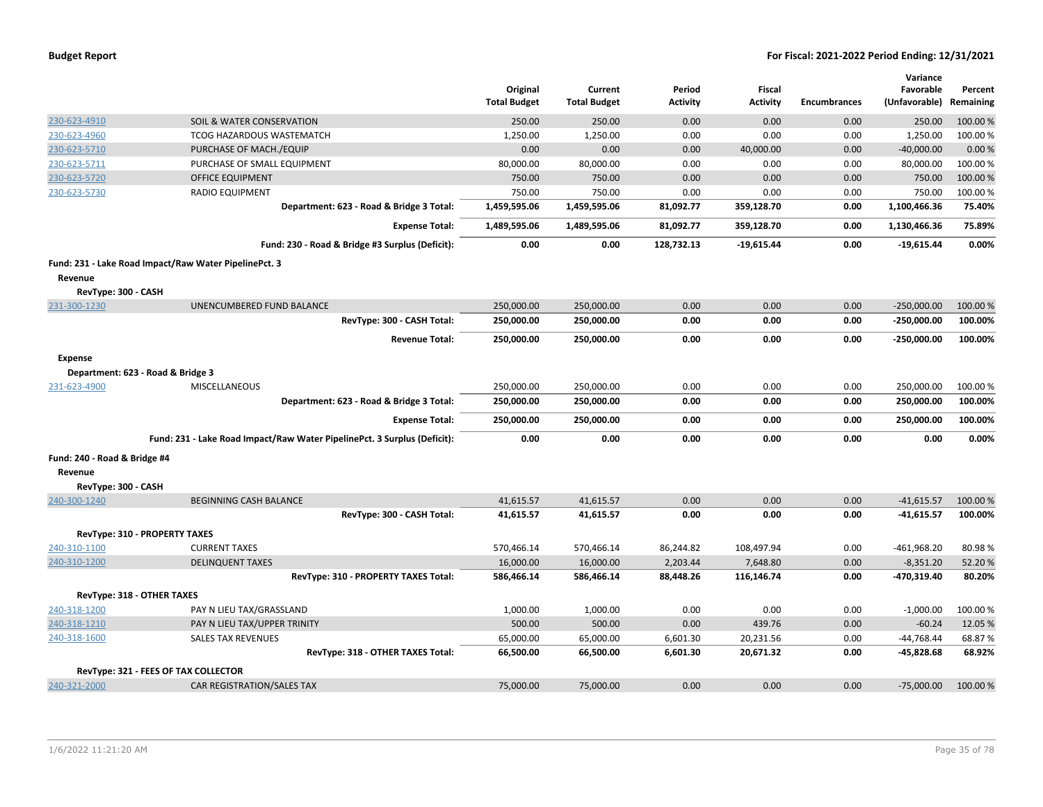|                                     |                                                                          |                                 |                                |                           |                           |                     | Variance                             |          |
|-------------------------------------|--------------------------------------------------------------------------|---------------------------------|--------------------------------|---------------------------|---------------------------|---------------------|--------------------------------------|----------|
|                                     |                                                                          | Original<br><b>Total Budget</b> | Current<br><b>Total Budget</b> | Period<br><b>Activity</b> | Fiscal<br><b>Activity</b> | <b>Encumbrances</b> | Favorable<br>(Unfavorable) Remaining | Percent  |
|                                     |                                                                          |                                 |                                |                           |                           |                     |                                      |          |
| 230-623-4910                        | SOIL & WATER CONSERVATION                                                | 250.00                          | 250.00                         | 0.00                      | 0.00                      | 0.00                | 250.00                               | 100.00%  |
| 230-623-4960                        | TCOG HAZARDOUS WASTEMATCH                                                | 1,250.00                        | 1,250.00                       | 0.00                      | 0.00                      | 0.00                | 1,250.00                             | 100.00 % |
| 230-623-5710                        | PURCHASE OF MACH./EQUIP                                                  | 0.00                            | 0.00                           | 0.00                      | 40,000.00                 | 0.00                | $-40,000.00$                         | 0.00%    |
| 230-623-5711                        | PURCHASE OF SMALL EQUIPMENT                                              | 80,000.00                       | 80,000.00                      | 0.00                      | 0.00                      | 0.00                | 80,000.00                            | 100.00%  |
| 230-623-5720                        | <b>OFFICE EQUIPMENT</b>                                                  | 750.00                          | 750.00                         | 0.00                      | 0.00                      | 0.00                | 750.00                               | 100.00%  |
| 230-623-5730                        | <b>RADIO EQUIPMENT</b>                                                   | 750.00                          | 750.00                         | 0.00                      | 0.00                      | 0.00                | 750.00                               | 100.00%  |
|                                     | Department: 623 - Road & Bridge 3 Total:                                 | 1,459,595.06                    | 1,459,595.06                   | 81,092.77                 | 359,128.70                | 0.00                | 1,100,466.36                         | 75.40%   |
|                                     | <b>Expense Total:</b>                                                    | 1,489,595.06                    | 1,489,595.06                   | 81,092.77                 | 359,128.70                | 0.00                | 1,130,466.36                         | 75.89%   |
|                                     | Fund: 230 - Road & Bridge #3 Surplus (Deficit):                          | 0.00                            | 0.00                           | 128,732.13                | $-19,615.44$              | 0.00                | $-19,615.44$                         | 0.00%    |
|                                     | Fund: 231 - Lake Road Impact/Raw Water PipelinePct. 3                    |                                 |                                |                           |                           |                     |                                      |          |
| Revenue                             |                                                                          |                                 |                                |                           |                           |                     |                                      |          |
| RevType: 300 - CASH                 |                                                                          |                                 |                                |                           |                           |                     |                                      |          |
| 231-300-1230                        | UNENCUMBERED FUND BALANCE                                                | 250,000.00                      | 250,000.00                     | 0.00                      | 0.00                      | 0.00                | $-250,000.00$                        | 100.00%  |
|                                     | RevType: 300 - CASH Total:                                               | 250,000.00                      | 250,000.00                     | 0.00                      | 0.00                      | 0.00                | $-250,000.00$                        | 100.00%  |
|                                     | <b>Revenue Total:</b>                                                    | 250,000.00                      | 250,000.00                     | 0.00                      | 0.00                      | 0.00                | $-250,000.00$                        | 100.00%  |
| <b>Expense</b>                      |                                                                          |                                 |                                |                           |                           |                     |                                      |          |
| Department: 623 - Road & Bridge 3   |                                                                          |                                 |                                |                           |                           |                     |                                      |          |
| 231-623-4900                        | <b>MISCELLANEOUS</b>                                                     | 250,000.00                      | 250,000.00                     | 0.00                      | 0.00                      | 0.00                | 250,000.00                           | 100.00%  |
|                                     | Department: 623 - Road & Bridge 3 Total:                                 | 250,000.00                      | 250,000.00                     | 0.00                      | 0.00                      | 0.00                | 250,000.00                           | 100.00%  |
|                                     | <b>Expense Total:</b>                                                    | 250,000.00                      | 250,000.00                     | 0.00                      | 0.00                      | 0.00                | 250,000.00                           | 100.00%  |
|                                     | Fund: 231 - Lake Road Impact/Raw Water PipelinePct. 3 Surplus (Deficit): | 0.00                            | 0.00                           | 0.00                      | 0.00                      | 0.00                | 0.00                                 | 0.00%    |
|                                     |                                                                          |                                 |                                |                           |                           |                     |                                      |          |
| Fund: 240 - Road & Bridge #4        |                                                                          |                                 |                                |                           |                           |                     |                                      |          |
| Revenue                             |                                                                          |                                 |                                |                           |                           |                     |                                      |          |
| RevType: 300 - CASH<br>240-300-1240 | <b>BEGINNING CASH BALANCE</b>                                            | 41,615.57                       | 41,615.57                      | 0.00                      | 0.00                      | 0.00                | $-41,615.57$                         | 100.00%  |
|                                     | RevType: 300 - CASH Total:                                               | 41,615.57                       | 41,615.57                      | 0.00                      | 0.00                      | 0.00                | $-41,615.57$                         | 100.00%  |
|                                     |                                                                          |                                 |                                |                           |                           |                     |                                      |          |
|                                     | RevType: 310 - PROPERTY TAXES                                            |                                 |                                |                           |                           |                     |                                      |          |
| 240-310-1100                        | <b>CURRENT TAXES</b>                                                     | 570,466.14                      | 570,466.14                     | 86,244.82                 | 108,497.94                | 0.00                | $-461,968.20$                        | 80.98%   |
| 240-310-1200                        | <b>DELINQUENT TAXES</b>                                                  | 16,000.00                       | 16,000.00                      | 2,203.44                  | 7,648.80                  | 0.00                | $-8,351.20$                          | 52.20%   |
|                                     | RevType: 310 - PROPERTY TAXES Total:                                     | 586,466.14                      | 586,466.14                     | 88,448.26                 | 116,146.74                | 0.00                | -470,319.40                          | 80.20%   |
| RevType: 318 - OTHER TAXES          |                                                                          |                                 |                                |                           |                           |                     |                                      |          |
| 240-318-1200                        | PAY N LIEU TAX/GRASSLAND                                                 | 1,000.00                        | 1,000.00                       | 0.00                      | 0.00                      | 0.00                | $-1,000.00$                          | 100.00%  |
| 240-318-1210                        | PAY N LIEU TAX/UPPER TRINITY                                             | 500.00                          | 500.00                         | 0.00                      | 439.76                    | 0.00                | $-60.24$                             | 12.05 %  |
| 240-318-1600                        | <b>SALES TAX REVENUES</b>                                                | 65,000.00                       | 65,000.00                      | 6,601.30                  | 20,231.56                 | 0.00                | $-44,768.44$                         | 68.87%   |
|                                     | RevType: 318 - OTHER TAXES Total:                                        | 66,500.00                       | 66,500.00                      | 6,601.30                  | 20,671.32                 | 0.00                | $-45,828.68$                         | 68.92%   |
|                                     | RevType: 321 - FEES OF TAX COLLECTOR                                     |                                 |                                |                           |                           |                     |                                      |          |
| 240-321-2000                        | CAR REGISTRATION/SALES TAX                                               | 75,000.00                       | 75,000.00                      | 0.00                      | 0.00                      | 0.00                | $-75,000.00$                         | 100.00 % |
|                                     |                                                                          |                                 |                                |                           |                           |                     |                                      |          |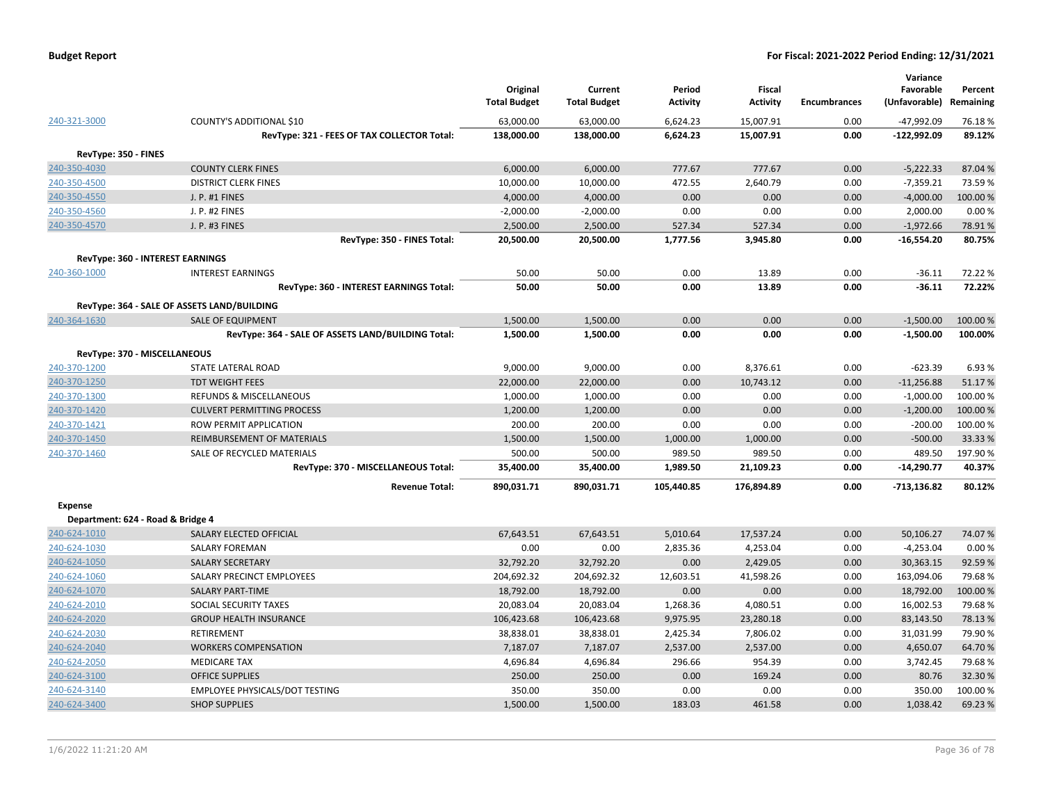| <b>Budget Report</b> |  |
|----------------------|--|
|----------------------|--|

|                                   |                                                    | Original<br><b>Total Budget</b> | Current<br><b>Total Budget</b> | Period<br><b>Activity</b> | Fiscal<br><b>Activity</b> | <b>Encumbrances</b> | Variance<br>Favorable<br>(Unfavorable) | Percent<br>Remaining |
|-----------------------------------|----------------------------------------------------|---------------------------------|--------------------------------|---------------------------|---------------------------|---------------------|----------------------------------------|----------------------|
| 240-321-3000                      | COUNTY'S ADDITIONAL \$10                           | 63,000.00                       | 63,000.00                      | 6,624.23                  | 15,007.91                 | 0.00                | -47,992.09                             | 76.18%               |
|                                   | RevType: 321 - FEES OF TAX COLLECTOR Total:        | 138,000.00                      | 138,000.00                     | 6,624.23                  | 15,007.91                 | 0.00                | $-122,992.09$                          | 89.12%               |
| RevType: 350 - FINES              |                                                    |                                 |                                |                           |                           |                     |                                        |                      |
| 240-350-4030                      | <b>COUNTY CLERK FINES</b>                          | 6,000.00                        | 6,000.00                       | 777.67                    | 777.67                    | 0.00                | $-5,222.33$                            | 87.04 %              |
| 240-350-4500                      | <b>DISTRICT CLERK FINES</b>                        | 10,000.00                       | 10,000.00                      | 472.55                    | 2,640.79                  | 0.00                | $-7,359.21$                            | 73.59%               |
| 240-350-4550                      | J. P. #1 FINES                                     | 4,000.00                        | 4,000.00                       | 0.00                      | 0.00                      | 0.00                | $-4,000.00$                            | 100.00%              |
| 240-350-4560                      | J. P. #2 FINES                                     | $-2,000.00$                     | $-2,000.00$                    | 0.00                      | 0.00                      | 0.00                | 2,000.00                               | 0.00%                |
| 240-350-4570                      | J. P. #3 FINES                                     | 2,500.00                        | 2,500.00                       | 527.34                    | 527.34                    | 0.00                | $-1,972.66$                            | 78.91%               |
|                                   | RevType: 350 - FINES Total:                        | 20,500.00                       | 20,500.00                      | 1,777.56                  | 3,945.80                  | 0.00                | $-16,554.20$                           | 80.75%               |
|                                   | RevType: 360 - INTEREST EARNINGS                   |                                 |                                |                           |                           |                     |                                        |                      |
| 240-360-1000                      | <b>INTEREST EARNINGS</b>                           | 50.00                           | 50.00                          | 0.00                      | 13.89                     | 0.00                | $-36.11$                               | 72.22 %              |
|                                   | RevType: 360 - INTEREST EARNINGS Total:            | 50.00                           | 50.00                          | 0.00                      | 13.89                     | 0.00                | $-36.11$                               | 72.22%               |
|                                   | RevType: 364 - SALE OF ASSETS LAND/BUILDING        |                                 |                                |                           |                           |                     |                                        |                      |
|                                   | <b>SALE OF EQUIPMENT</b>                           | 1,500.00                        | 1,500.00                       | 0.00                      | 0.00                      | 0.00                | $-1,500.00$                            | 100.00%              |
| 240-364-1630                      |                                                    |                                 | 1,500.00                       | 0.00                      | 0.00                      | 0.00                | $-1,500.00$                            | 100.00%              |
|                                   | RevType: 364 - SALE OF ASSETS LAND/BUILDING Total: | 1,500.00                        |                                |                           |                           |                     |                                        |                      |
|                                   | RevType: 370 - MISCELLANEOUS                       |                                 |                                |                           |                           |                     |                                        |                      |
| 240-370-1200                      | STATE LATERAL ROAD                                 | 9,000.00                        | 9,000.00                       | 0.00                      | 8,376.61                  | 0.00                | $-623.39$                              | 6.93%                |
| 240-370-1250                      | <b>TDT WEIGHT FEES</b>                             | 22,000.00                       | 22,000.00                      | 0.00                      | 10,743.12                 | 0.00                | $-11,256.88$                           | 51.17%               |
| 240-370-1300                      | REFUNDS & MISCELLANEOUS                            | 1,000.00                        | 1,000.00                       | 0.00                      | 0.00                      | 0.00                | $-1,000.00$                            | 100.00%              |
| 240-370-1420                      | <b>CULVERT PERMITTING PROCESS</b>                  | 1,200.00                        | 1,200.00                       | 0.00                      | 0.00                      | 0.00                | $-1,200.00$                            | 100.00 %             |
| 240-370-1421                      | ROW PERMIT APPLICATION                             | 200.00                          | 200.00                         | 0.00                      | 0.00                      | 0.00                | $-200.00$                              | 100.00%              |
| 240-370-1450                      | REIMBURSEMENT OF MATERIALS                         | 1,500.00                        | 1,500.00                       | 1,000.00                  | 1,000.00                  | 0.00                | $-500.00$                              | 33.33 %              |
| 240-370-1460                      | SALE OF RECYCLED MATERIALS                         | 500.00                          | 500.00                         | 989.50                    | 989.50                    | 0.00                | 489.50                                 | 197.90%              |
|                                   | RevType: 370 - MISCELLANEOUS Total:                | 35,400.00                       | 35,400.00                      | 1,989.50                  | 21,109.23                 | 0.00                | $-14,290.77$                           | 40.37%               |
|                                   | <b>Revenue Total:</b>                              | 890,031.71                      | 890,031.71                     | 105,440.85                | 176,894.89                | 0.00                | -713,136.82                            | 80.12%               |
| <b>Expense</b>                    |                                                    |                                 |                                |                           |                           |                     |                                        |                      |
| Department: 624 - Road & Bridge 4 |                                                    |                                 |                                |                           |                           |                     |                                        |                      |
| 240-624-1010                      | SALARY ELECTED OFFICIAL                            | 67,643.51                       | 67,643.51                      | 5,010.64                  | 17,537.24                 | 0.00                | 50,106.27                              | 74.07%               |
| 240-624-1030                      | <b>SALARY FOREMAN</b>                              | 0.00                            | 0.00                           | 2,835.36                  | 4,253.04                  | 0.00                | $-4,253.04$                            | 0.00%                |
| 240-624-1050                      | <b>SALARY SECRETARY</b>                            | 32,792.20                       | 32,792.20                      | 0.00                      | 2,429.05                  | 0.00                | 30,363.15                              | 92.59%               |
| 240-624-1060                      | SALARY PRECINCT EMPLOYEES                          | 204,692.32                      | 204,692.32                     | 12,603.51                 | 41,598.26                 | 0.00                | 163,094.06                             | 79.68%               |
| 240-624-1070                      | <b>SALARY PART-TIME</b>                            | 18,792.00                       | 18,792.00                      | 0.00                      | 0.00                      | 0.00                | 18,792.00                              | 100.00 %             |
| 240-624-2010                      | SOCIAL SECURITY TAXES                              | 20,083.04                       | 20,083.04                      | 1,268.36                  | 4,080.51                  | 0.00                | 16,002.53                              | 79.68%               |
| 240-624-2020                      | <b>GROUP HEALTH INSURANCE</b>                      | 106,423.68                      | 106,423.68                     | 9,975.95                  | 23,280.18                 | 0.00                | 83,143.50                              | 78.13 %              |
| 240-624-2030                      | <b>RETIREMENT</b>                                  | 38,838.01                       | 38,838.01                      | 2,425.34                  | 7,806.02                  | 0.00                | 31,031.99                              | 79.90%               |
| 240-624-2040                      | <b>WORKERS COMPENSATION</b>                        | 7,187.07                        | 7,187.07                       | 2,537.00                  | 2,537.00                  | 0.00                | 4,650.07                               | 64.70%               |
| 240-624-2050                      | <b>MEDICARE TAX</b>                                | 4,696.84                        | 4,696.84                       | 296.66                    | 954.39                    | 0.00                | 3,742.45                               | 79.68%               |
| 240-624-3100                      | <b>OFFICE SUPPLIES</b>                             | 250.00                          | 250.00                         | 0.00                      | 169.24                    | 0.00                | 80.76                                  | 32.30 %              |
| 240-624-3140                      | EMPLOYEE PHYSICALS/DOT TESTING                     | 350.00                          | 350.00                         | 0.00                      | 0.00                      | 0.00                | 350.00                                 | 100.00%              |
| 240-624-3400                      | <b>SHOP SUPPLIES</b>                               | 1,500.00                        | 1,500.00                       | 183.03                    | 461.58                    | 0.00                | 1,038.42                               | 69.23 %              |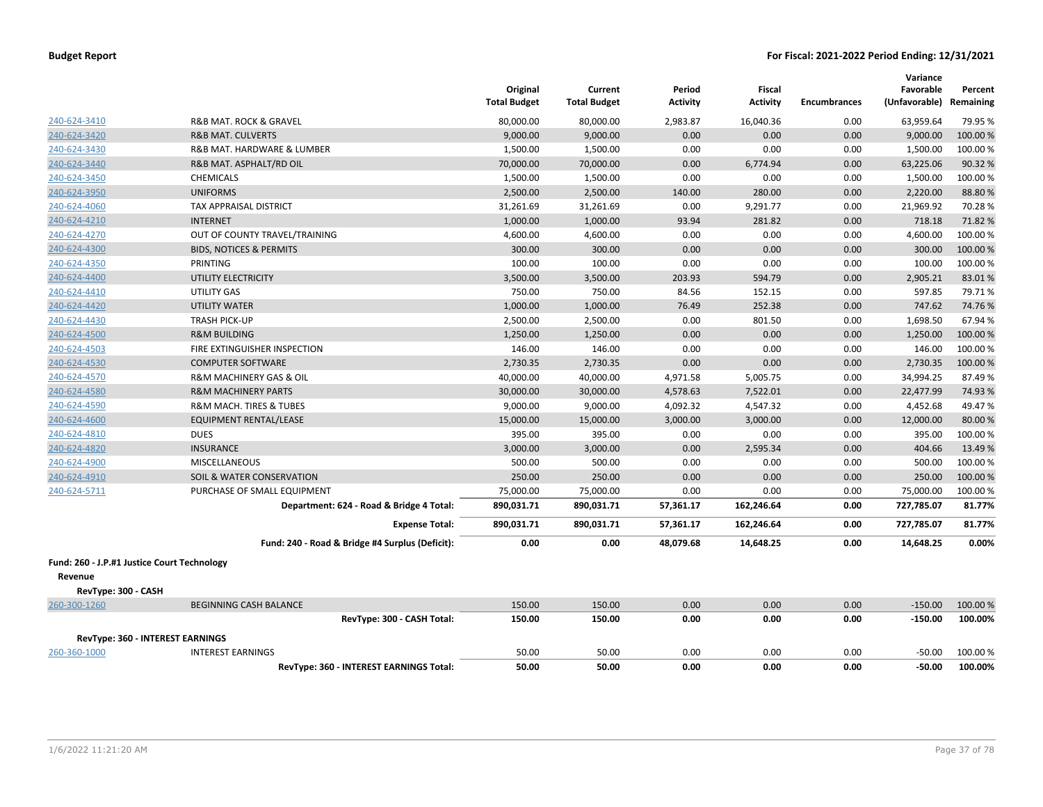|                                             |                                                 | Original<br><b>Total Budget</b> | Current<br><b>Total Budget</b> | Period<br><b>Activity</b> | Fiscal<br><b>Activity</b> | <b>Encumbrances</b> | Variance<br>Favorable<br>(Unfavorable) | Percent<br>Remaining |
|---------------------------------------------|-------------------------------------------------|---------------------------------|--------------------------------|---------------------------|---------------------------|---------------------|----------------------------------------|----------------------|
| 240-624-3410                                | R&B MAT. ROCK & GRAVEL                          | 80,000.00                       | 80,000.00                      | 2,983.87                  | 16,040.36                 | 0.00                | 63,959.64                              | 79.95 %              |
| 240-624-3420                                | <b>R&amp;B MAT. CULVERTS</b>                    | 9,000.00                        | 9,000.00                       | 0.00                      | 0.00                      | 0.00                | 9,000.00                               | 100.00 %             |
| 240-624-3430                                | R&B MAT. HARDWARE & LUMBER                      | 1,500.00                        | 1,500.00                       | 0.00                      | 0.00                      | 0.00                | 1,500.00                               | 100.00%              |
| 240-624-3440                                | R&B MAT. ASPHALT/RD OIL                         | 70,000.00                       | 70,000.00                      | 0.00                      | 6,774.94                  | 0.00                | 63,225.06                              | 90.32 %              |
| 240-624-3450                                | <b>CHEMICALS</b>                                | 1,500.00                        | 1,500.00                       | 0.00                      | 0.00                      | 0.00                | 1,500.00                               | 100.00%              |
| 240-624-3950                                | <b>UNIFORMS</b>                                 | 2,500.00                        | 2,500.00                       | 140.00                    | 280.00                    | 0.00                | 2,220.00                               | 88.80%               |
| 240-624-4060                                | <b>TAX APPRAISAL DISTRICT</b>                   | 31,261.69                       | 31,261.69                      | 0.00                      | 9,291.77                  | 0.00                | 21,969.92                              | 70.28%               |
| 240-624-4210                                | <b>INTERNET</b>                                 | 1,000.00                        | 1,000.00                       | 93.94                     | 281.82                    | 0.00                | 718.18                                 | 71.82 %              |
| 240-624-4270                                | OUT OF COUNTY TRAVEL/TRAINING                   | 4,600.00                        | 4,600.00                       | 0.00                      | 0.00                      | 0.00                | 4,600.00                               | 100.00 %             |
| 240-624-4300                                | <b>BIDS, NOTICES &amp; PERMITS</b>              | 300.00                          | 300.00                         | 0.00                      | 0.00                      | 0.00                | 300.00                                 | 100.00 %             |
| 240-624-4350                                | PRINTING                                        | 100.00                          | 100.00                         | 0.00                      | 0.00                      | 0.00                | 100.00                                 | 100.00%              |
| 240-624-4400                                | UTILITY ELECTRICITY                             | 3,500.00                        | 3,500.00                       | 203.93                    | 594.79                    | 0.00                | 2,905.21                               | 83.01%               |
| 240-624-4410                                | UTILITY GAS                                     | 750.00                          | 750.00                         | 84.56                     | 152.15                    | 0.00                | 597.85                                 | 79.71%               |
| 240-624-4420                                | <b>UTILITY WATER</b>                            | 1,000.00                        | 1,000.00                       | 76.49                     | 252.38                    | 0.00                | 747.62                                 | 74.76%               |
| 240-624-4430                                | <b>TRASH PICK-UP</b>                            | 2,500.00                        | 2,500.00                       | 0.00                      | 801.50                    | 0.00                | 1,698.50                               | 67.94%               |
| 240-624-4500                                | <b>R&amp;M BUILDING</b>                         | 1,250.00                        | 1,250.00                       | 0.00                      | 0.00                      | 0.00                | 1,250.00                               | 100.00 %             |
| 240-624-4503                                | FIRE EXTINGUISHER INSPECTION                    | 146.00                          | 146.00                         | 0.00                      | 0.00                      | 0.00                | 146.00                                 | 100.00 %             |
| 240-624-4530                                | <b>COMPUTER SOFTWARE</b>                        | 2,730.35                        | 2,730.35                       | 0.00                      | 0.00                      | 0.00                | 2,730.35                               | 100.00 %             |
| 240-624-4570                                | R&M MACHINERY GAS & OIL                         | 40,000.00                       | 40,000.00                      | 4,971.58                  | 5,005.75                  | 0.00                | 34,994.25                              | 87.49%               |
| 240-624-4580                                | <b>R&amp;M MACHINERY PARTS</b>                  | 30,000.00                       | 30,000.00                      | 4,578.63                  | 7,522.01                  | 0.00                | 22,477.99                              | 74.93%               |
| 240-624-4590                                | R&M MACH. TIRES & TUBES                         | 9,000.00                        | 9,000.00                       | 4,092.32                  | 4,547.32                  | 0.00                | 4,452.68                               | 49.47%               |
| 240-624-4600                                | <b>EQUIPMENT RENTAL/LEASE</b>                   | 15,000.00                       | 15,000.00                      | 3,000.00                  | 3,000.00                  | 0.00                | 12,000.00                              | 80.00%               |
| 240-624-4810                                | <b>DUES</b>                                     | 395.00                          | 395.00                         | 0.00                      | 0.00                      | 0.00                | 395.00                                 | 100.00%              |
| 240-624-4820                                | <b>INSURANCE</b>                                | 3,000.00                        | 3,000.00                       | 0.00                      | 2,595.34                  | 0.00                | 404.66                                 | 13.49 %              |
| 240-624-4900                                | <b>MISCELLANEOUS</b>                            | 500.00                          | 500.00                         | 0.00                      | 0.00                      | 0.00                | 500.00                                 | 100.00%              |
| 240-624-4910                                | SOIL & WATER CONSERVATION                       | 250.00                          | 250.00                         | 0.00                      | 0.00                      | 0.00                | 250.00                                 | 100.00 %             |
| 240-624-5711                                | PURCHASE OF SMALL EQUIPMENT                     | 75,000.00                       | 75,000.00                      | 0.00                      | 0.00                      | 0.00                | 75,000.00                              | 100.00 %             |
|                                             | Department: 624 - Road & Bridge 4 Total:        | 890,031.71                      | 890,031.71                     | 57,361.17                 | 162,246.64                | 0.00                | 727,785.07                             | 81.77%               |
|                                             | <b>Expense Total:</b>                           | 890,031.71                      | 890,031.71                     | 57,361.17                 | 162,246.64                | 0.00                | 727,785.07                             | 81.77%               |
|                                             | Fund: 240 - Road & Bridge #4 Surplus (Deficit): | 0.00                            | 0.00                           | 48,079.68                 | 14,648.25                 | 0.00                | 14,648.25                              | 0.00%                |
| Fund: 260 - J.P.#1 Justice Court Technology |                                                 |                                 |                                |                           |                           |                     |                                        |                      |
| Revenue                                     |                                                 |                                 |                                |                           |                           |                     |                                        |                      |
| RevType: 300 - CASH                         |                                                 |                                 |                                |                           |                           |                     |                                        |                      |
| 260-300-1260                                | <b>BEGINNING CASH BALANCE</b>                   | 150.00                          | 150.00                         | 0.00                      | 0.00                      | 0.00                | $-150.00$                              | 100.00 %             |
|                                             | RevType: 300 - CASH Total:                      | 150.00                          | 150.00                         | 0.00                      | 0.00                      | 0.00                | $-150.00$                              | 100.00%              |
|                                             | RevType: 360 - INTEREST EARNINGS                |                                 |                                |                           |                           |                     |                                        |                      |
| 260-360-1000                                | <b>INTEREST EARNINGS</b>                        | 50.00                           | 50.00                          | 0.00                      | 0.00                      | 0.00                | $-50.00$                               | 100.00 %             |
|                                             | RevType: 360 - INTEREST EARNINGS Total:         | 50.00                           | 50.00                          | 0.00                      | 0.00                      | 0.00                | $-50.00$                               | 100.00%              |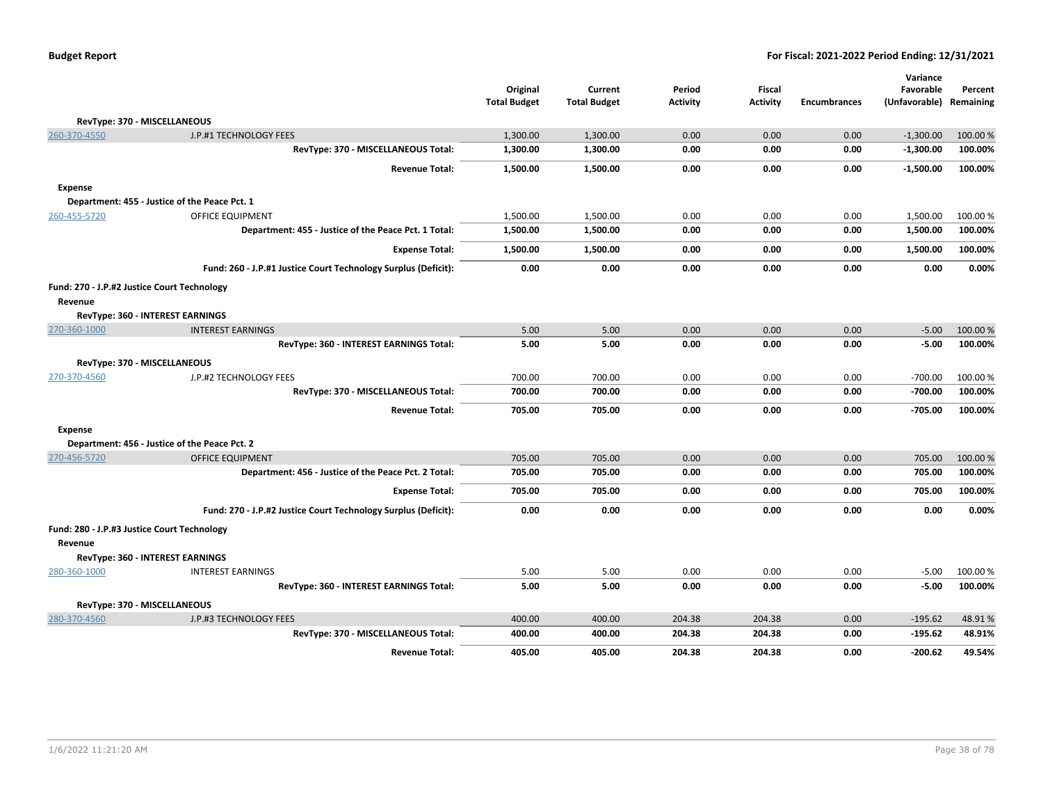|                |                                                                | Original            | Current             | Period          | <b>Fiscal</b>   |                     | Variance<br>Favorable | Percent   |
|----------------|----------------------------------------------------------------|---------------------|---------------------|-----------------|-----------------|---------------------|-----------------------|-----------|
|                |                                                                | <b>Total Budget</b> | <b>Total Budget</b> | <b>Activity</b> | <b>Activity</b> | <b>Encumbrances</b> | (Unfavorable)         | Remaining |
|                | RevType: 370 - MISCELLANEOUS                                   |                     |                     |                 |                 |                     |                       |           |
| 260-370-4550   | J.P.#1 TECHNOLOGY FEES                                         | 1,300.00            | 1,300.00            | 0.00            | 0.00            | 0.00                | $-1,300.00$           | 100.00 %  |
|                | RevType: 370 - MISCELLANEOUS Total:                            | 1,300.00            | 1,300.00            | 0.00            | 0.00            | 0.00                | $-1,300.00$           | 100.00%   |
|                | <b>Revenue Total:</b>                                          | 1,500.00            | 1,500.00            | 0.00            | 0.00            | 0.00                | -1,500.00             | 100.00%   |
| <b>Expense</b> |                                                                |                     |                     |                 |                 |                     |                       |           |
|                | Department: 455 - Justice of the Peace Pct. 1                  |                     |                     |                 |                 |                     |                       |           |
| 260-455-5720   | <b>OFFICE EQUIPMENT</b>                                        | 1,500.00            | 1,500.00            | 0.00            | 0.00            | 0.00                | 1,500.00              | 100.00%   |
|                | Department: 455 - Justice of the Peace Pct. 1 Total:           | 1,500.00            | 1,500.00            | 0.00            | 0.00            | 0.00                | 1,500.00              | 100.00%   |
|                | <b>Expense Total:</b>                                          | 1,500.00            | 1,500.00            | 0.00            | 0.00            | 0.00                | 1,500.00              | 100.00%   |
|                | Fund: 260 - J.P.#1 Justice Court Technology Surplus (Deficit): | 0.00                | 0.00                | 0.00            | 0.00            | 0.00                | 0.00                  | 0.00%     |
|                | Fund: 270 - J.P.#2 Justice Court Technology                    |                     |                     |                 |                 |                     |                       |           |
| Revenue        |                                                                |                     |                     |                 |                 |                     |                       |           |
|                | <b>RevType: 360 - INTEREST EARNINGS</b>                        |                     |                     |                 |                 |                     |                       |           |
| 270-360-1000   | <b>INTEREST EARNINGS</b>                                       | 5.00                | 5.00                | 0.00            | 0.00            | 0.00                | $-5.00$               | 100.00%   |
|                | RevType: 360 - INTEREST EARNINGS Total:                        | 5.00                | 5.00                | 0.00            | 0.00            | 0.00                | $-5.00$               | 100.00%   |
|                | RevType: 370 - MISCELLANEOUS                                   |                     |                     |                 |                 |                     |                       |           |
| 270-370-4560   | J.P.#2 TECHNOLOGY FEES                                         | 700.00              | 700.00              | 0.00            | 0.00            | 0.00                | $-700.00$             | 100.00 %  |
|                | RevType: 370 - MISCELLANEOUS Total:                            | 700.00              | 700.00              | 0.00            | 0.00            | 0.00                | $-700.00$             | 100.00%   |
|                | <b>Revenue Total:</b>                                          | 705.00              | 705.00              | 0.00            | 0.00            | 0.00                | $-705.00$             | 100.00%   |
| <b>Expense</b> |                                                                |                     |                     |                 |                 |                     |                       |           |
|                | Department: 456 - Justice of the Peace Pct. 2                  |                     |                     |                 |                 |                     |                       |           |
| 270-456-5720   | <b>OFFICE EQUIPMENT</b>                                        | 705.00              | 705.00              | 0.00            | 0.00            | 0.00                | 705.00                | 100.00%   |
|                | Department: 456 - Justice of the Peace Pct. 2 Total:           | 705.00              | 705.00              | 0.00            | 0.00            | 0.00                | 705.00                | 100.00%   |
|                | <b>Expense Total:</b>                                          | 705.00              | 705.00              | 0.00            | 0.00            | 0.00                | 705.00                | 100.00%   |
|                | Fund: 270 - J.P.#2 Justice Court Technology Surplus (Deficit): | 0.00                | 0.00                | 0.00            | 0.00            | 0.00                | 0.00                  | 0.00%     |
| Revenue        | Fund: 280 - J.P.#3 Justice Court Technology                    |                     |                     |                 |                 |                     |                       |           |
|                | RevType: 360 - INTEREST EARNINGS                               |                     |                     |                 |                 |                     |                       |           |
| 280-360-1000   | <b>INTEREST EARNINGS</b>                                       | 5.00                | 5.00                | 0.00            | 0.00            | 0.00                | $-5.00$               | 100.00%   |
|                | RevType: 360 - INTEREST EARNINGS Total:                        | 5.00                | 5.00                | 0.00            | 0.00            | 0.00                | $-5.00$               | 100.00%   |
|                | RevType: 370 - MISCELLANEOUS                                   |                     |                     |                 |                 |                     |                       |           |
| 280-370-4560   | J.P.#3 TECHNOLOGY FEES                                         | 400.00              | 400.00              | 204.38          | 204.38          | 0.00                | $-195.62$             | 48.91%    |
|                | RevType: 370 - MISCELLANEOUS Total:                            | 400.00              | 400.00              | 204.38          | 204.38          | 0.00                | $-195.62$             | 48.91%    |
|                | <b>Revenue Total:</b>                                          | 405.00              | 405.00              | 204.38          | 204.38          | 0.00                | $-200.62$             | 49.54%    |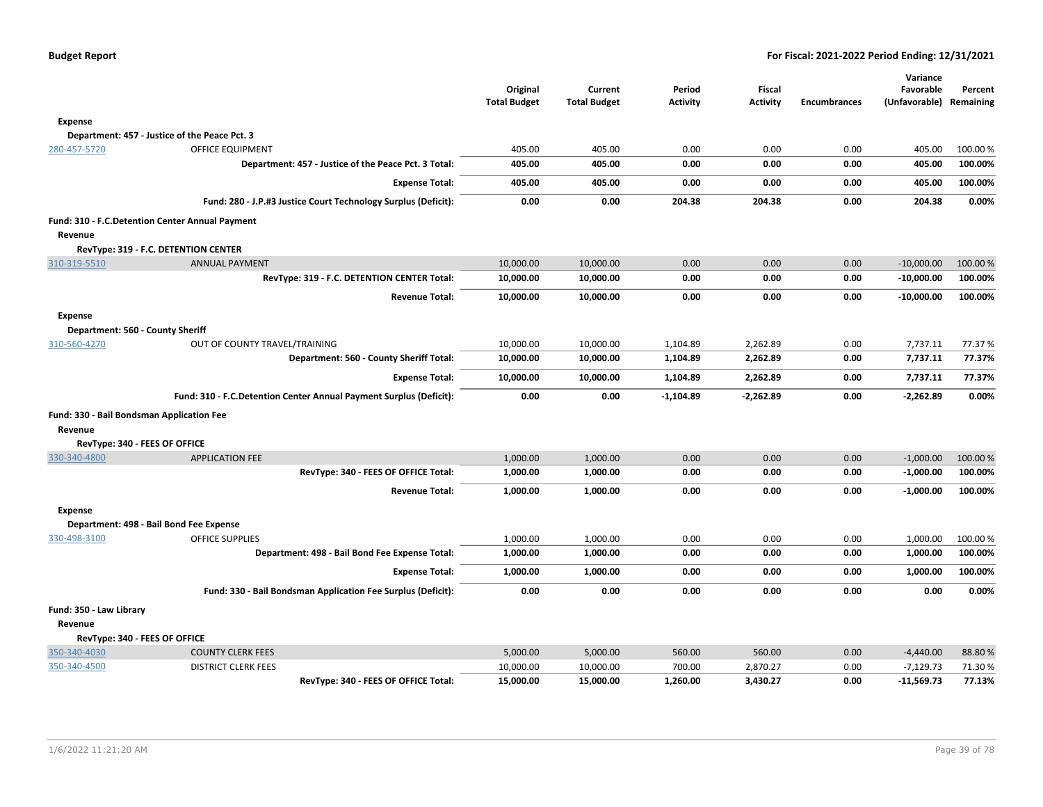|                                                    |                                                                    | Original<br><b>Total Budget</b> | Current<br><b>Total Budget</b> | Period<br><b>Activity</b> | <b>Fiscal</b><br><b>Activity</b> | <b>Encumbrances</b> | Variance<br>Favorable<br>(Unfavorable) | Percent<br>Remaining |
|----------------------------------------------------|--------------------------------------------------------------------|---------------------------------|--------------------------------|---------------------------|----------------------------------|---------------------|----------------------------------------|----------------------|
| <b>Expense</b>                                     |                                                                    |                                 |                                |                           |                                  |                     |                                        |                      |
|                                                    | Department: 457 - Justice of the Peace Pct. 3                      |                                 |                                |                           |                                  |                     |                                        |                      |
| 280-457-5720                                       | <b>OFFICE EQUIPMENT</b>                                            | 405.00                          | 405.00                         | 0.00                      | 0.00                             | 0.00                | 405.00                                 | 100.00%              |
|                                                    | Department: 457 - Justice of the Peace Pct. 3 Total:               | 405.00                          | 405.00                         | 0.00                      | 0.00                             | 0.00                | 405.00                                 | 100.00%              |
|                                                    | <b>Expense Total:</b>                                              | 405.00                          | 405.00                         | 0.00                      | 0.00                             | 0.00                | 405.00                                 | 100.00%              |
|                                                    | Fund: 280 - J.P.#3 Justice Court Technology Surplus (Deficit):     | 0.00                            | 0.00                           | 204.38                    | 204.38                           | 0.00                | 204.38                                 | 0.00%                |
| Revenue                                            | Fund: 310 - F.C.Detention Center Annual Payment                    |                                 |                                |                           |                                  |                     |                                        |                      |
|                                                    | RevType: 319 - F.C. DETENTION CENTER                               |                                 |                                |                           |                                  |                     |                                        |                      |
| 310-319-5510                                       | <b>ANNUAL PAYMENT</b>                                              | 10,000.00                       | 10,000.00                      | 0.00                      | 0.00                             | 0.00                | $-10,000.00$                           | 100.00 %             |
|                                                    | RevType: 319 - F.C. DETENTION CENTER Total:                        | 10,000.00                       | 10,000.00                      | 0.00                      | 0.00                             | 0.00                | $-10,000.00$                           | 100.00%              |
|                                                    | <b>Revenue Total:</b>                                              | 10,000.00                       | 10,000.00                      | 0.00                      | 0.00                             | 0.00                | $-10,000.00$                           | 100.00%              |
| <b>Expense</b><br>Department: 560 - County Sheriff |                                                                    |                                 |                                |                           |                                  |                     |                                        |                      |
| 310-560-4270                                       | OUT OF COUNTY TRAVEL/TRAINING                                      | 10,000.00                       | 10,000.00                      | 1,104.89                  | 2,262.89                         | 0.00                | 7,737.11                               | 77.37 %              |
|                                                    | Department: 560 - County Sheriff Total:                            | 10,000.00                       | 10,000.00                      | 1,104.89                  | 2,262.89                         | 0.00                | 7,737.11                               | 77.37%               |
|                                                    | <b>Expense Total:</b>                                              | 10,000.00                       | 10,000.00                      | 1,104.89                  | 2,262.89                         | 0.00                | 7,737.11                               | 77.37%               |
|                                                    | Fund: 310 - F.C.Detention Center Annual Payment Surplus (Deficit): | 0.00                            | 0.00                           | $-1,104.89$               | $-2,262.89$                      | 0.00                | $-2,262.89$                            | 0.00%                |
| Fund: 330 - Bail Bondsman Application Fee          |                                                                    |                                 |                                |                           |                                  |                     |                                        |                      |
| Revenue                                            |                                                                    |                                 |                                |                           |                                  |                     |                                        |                      |
| RevType: 340 - FEES OF OFFICE                      |                                                                    |                                 |                                |                           |                                  |                     |                                        |                      |
| 330-340-4800                                       | <b>APPLICATION FEE</b>                                             | 1,000.00                        | 1,000.00                       | 0.00                      | 0.00                             | 0.00                | $-1,000.00$                            | 100.00 %             |
|                                                    | RevType: 340 - FEES OF OFFICE Total:                               | 1,000.00                        | 1,000.00                       | 0.00                      | 0.00                             | 0.00                | $-1,000.00$                            | 100.00%              |
|                                                    | <b>Revenue Total:</b>                                              | 1,000.00                        | 1,000.00                       | 0.00                      | 0.00                             | 0.00                | $-1,000.00$                            | 100.00%              |
| <b>Expense</b>                                     |                                                                    |                                 |                                |                           |                                  |                     |                                        |                      |
|                                                    | Department: 498 - Bail Bond Fee Expense                            |                                 |                                |                           |                                  |                     |                                        |                      |
| 330-498-3100                                       | <b>OFFICE SUPPLIES</b>                                             | 1,000.00                        | 1,000.00                       | 0.00                      | 0.00                             | 0.00                | 1,000.00                               | 100.00%              |
|                                                    | Department: 498 - Bail Bond Fee Expense Total:                     | 1,000.00                        | 1,000.00                       | 0.00                      | 0.00                             | 0.00                | 1,000.00                               | 100.00%              |
|                                                    | <b>Expense Total:</b>                                              | 1,000.00                        | 1,000.00                       | 0.00                      | 0.00                             | 0.00                | 1,000.00                               | 100.00%              |
|                                                    | Fund: 330 - Bail Bondsman Application Fee Surplus (Deficit):       | 0.00                            | 0.00                           | 0.00                      | 0.00                             | 0.00                | 0.00                                   | 0.00%                |
| Fund: 350 - Law Library                            |                                                                    |                                 |                                |                           |                                  |                     |                                        |                      |
| Revenue                                            |                                                                    |                                 |                                |                           |                                  |                     |                                        |                      |
| RevType: 340 - FEES OF OFFICE                      |                                                                    |                                 |                                |                           |                                  |                     |                                        |                      |
| 350-340-4030                                       | <b>COUNTY CLERK FEES</b>                                           | 5,000.00                        | 5,000.00                       | 560.00                    | 560.00                           | 0.00                | $-4,440.00$                            | 88.80%               |
| 350-340-4500                                       | <b>DISTRICT CLERK FEES</b>                                         | 10,000.00                       | 10,000.00                      | 700.00                    | 2,870.27                         | 0.00                | $-7,129.73$                            | 71.30%               |
|                                                    | RevType: 340 - FEES OF OFFICE Total:                               | 15,000.00                       | 15,000.00                      | 1,260.00                  | 3,430.27                         | 0.00                | $-11,569.73$                           | 77.13%               |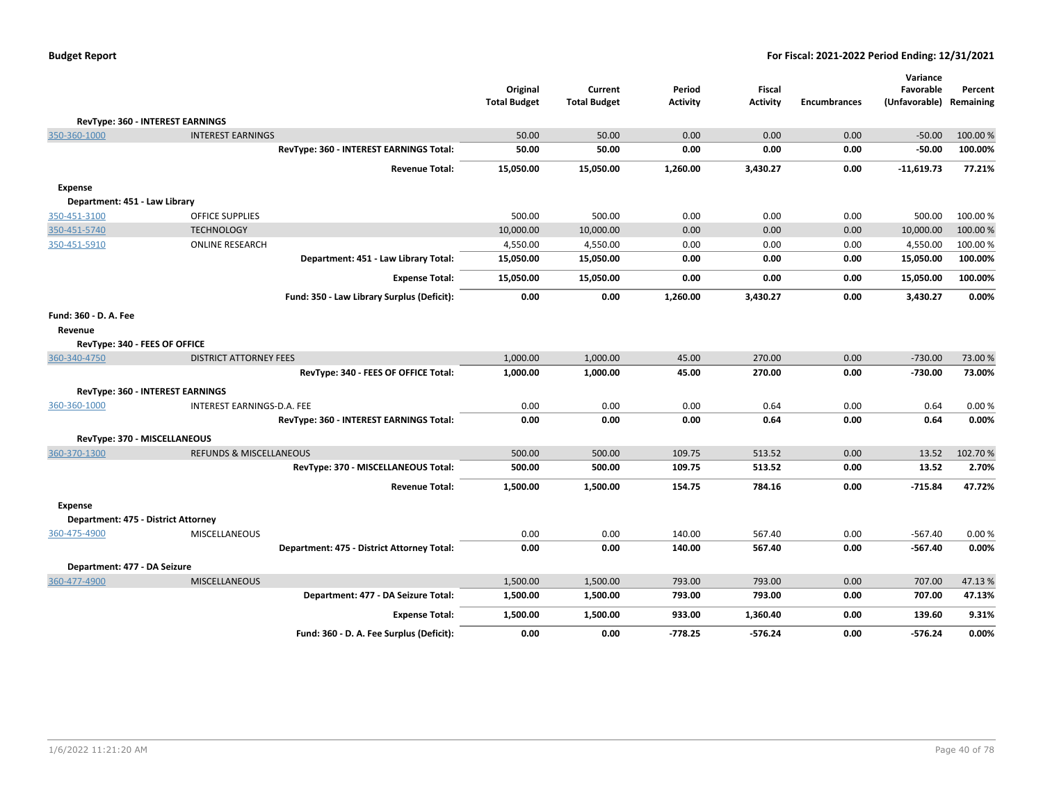|                                         |                                            | Original<br><b>Total Budget</b> | Current<br><b>Total Budget</b> | Period<br><b>Activity</b> | Fiscal<br><b>Activity</b> | <b>Encumbrances</b> | Variance<br>Favorable<br>(Unfavorable) | Percent<br>Remaining |
|-----------------------------------------|--------------------------------------------|---------------------------------|--------------------------------|---------------------------|---------------------------|---------------------|----------------------------------------|----------------------|
| RevType: 360 - INTEREST EARNINGS        |                                            |                                 |                                |                           |                           |                     |                                        |                      |
| 350-360-1000                            | <b>INTEREST EARNINGS</b>                   | 50.00                           | 50.00                          | 0.00                      | 0.00                      | 0.00                | $-50.00$                               | 100.00 %             |
|                                         | RevType: 360 - INTEREST EARNINGS Total:    | 50.00                           | 50.00                          | 0.00                      | 0.00                      | 0.00                | $-50.00$                               | 100.00%              |
|                                         | <b>Revenue Total:</b>                      | 15,050.00                       | 15,050.00                      | 1,260.00                  | 3,430.27                  | 0.00                | $-11,619.73$                           | 77.21%               |
| <b>Expense</b>                          |                                            |                                 |                                |                           |                           |                     |                                        |                      |
| Department: 451 - Law Library           |                                            |                                 |                                |                           |                           |                     |                                        |                      |
| 350-451-3100                            | <b>OFFICE SUPPLIES</b>                     | 500.00                          | 500.00                         | 0.00                      | 0.00                      | 0.00                | 500.00                                 | 100.00 %             |
| 350-451-5740                            | <b>TECHNOLOGY</b>                          | 10,000.00                       | 10,000.00                      | 0.00                      | 0.00                      | 0.00                | 10,000.00                              | 100.00 %             |
| 350-451-5910                            | <b>ONLINE RESEARCH</b>                     | 4,550.00                        | 4,550.00                       | 0.00                      | 0.00                      | 0.00                | 4,550.00                               | 100.00%              |
|                                         | Department: 451 - Law Library Total:       | 15,050.00                       | 15,050.00                      | 0.00                      | 0.00                      | 0.00                | 15,050.00                              | 100.00%              |
|                                         | <b>Expense Total:</b>                      | 15,050.00                       | 15,050.00                      | 0.00                      | 0.00                      | 0.00                | 15,050.00                              | 100.00%              |
|                                         | Fund: 350 - Law Library Surplus (Deficit): | 0.00                            | 0.00                           | 1,260.00                  | 3,430.27                  | 0.00                | 3,430.27                               | 0.00%                |
| Fund: 360 - D. A. Fee<br>Revenue        |                                            |                                 |                                |                           |                           |                     |                                        |                      |
| RevType: 340 - FEES OF OFFICE           |                                            |                                 |                                |                           |                           |                     |                                        |                      |
| 360-340-4750                            | <b>DISTRICT ATTORNEY FEES</b>              | 1,000.00                        | 1,000.00                       | 45.00                     | 270.00                    | 0.00                | $-730.00$                              | 73.00 %              |
|                                         | RevType: 340 - FEES OF OFFICE Total:       | 1,000.00                        | 1,000.00                       | 45.00                     | 270.00                    | 0.00                | $-730.00$                              | 73.00%               |
| <b>RevType: 360 - INTEREST EARNINGS</b> |                                            |                                 |                                |                           |                           |                     |                                        |                      |
| 360-360-1000                            | INTEREST EARNINGS-D.A. FEE                 | 0.00                            | 0.00                           | 0.00                      | 0.64                      | 0.00                | 0.64                                   | 0.00%                |
|                                         | RevType: 360 - INTEREST EARNINGS Total:    | 0.00                            | 0.00                           | 0.00                      | 0.64                      | 0.00                | 0.64                                   | 0.00%                |
| RevType: 370 - MISCELLANEOUS            |                                            |                                 |                                |                           |                           |                     |                                        |                      |
| 360-370-1300                            | <b>REFUNDS &amp; MISCELLANEOUS</b>         | 500.00                          | 500.00                         | 109.75                    | 513.52                    | 0.00                | 13.52                                  | 102.70%              |
|                                         | RevType: 370 - MISCELLANEOUS Total:        | 500.00                          | 500.00                         | 109.75                    | 513.52                    | 0.00                | 13.52                                  | 2.70%                |
|                                         | <b>Revenue Total:</b>                      | 1,500.00                        | 1,500.00                       | 154.75                    | 784.16                    | 0.00                | $-715.84$                              | 47.72%               |
| <b>Expense</b>                          |                                            |                                 |                                |                           |                           |                     |                                        |                      |
| Department: 475 - District Attorney     |                                            |                                 |                                |                           |                           |                     |                                        |                      |
| 360-475-4900                            | <b>MISCELLANEOUS</b>                       | 0.00                            | 0.00                           | 140.00                    | 567.40                    | 0.00                | $-567.40$                              | 0.00%                |
|                                         | Department: 475 - District Attorney Total: | 0.00                            | 0.00                           | 140.00                    | 567.40                    | 0.00                | $-567.40$                              | 0.00%                |
| Department: 477 - DA Seizure            |                                            |                                 |                                |                           |                           |                     |                                        |                      |
| 360-477-4900                            | <b>MISCELLANEOUS</b>                       | 1,500.00                        | 1,500.00                       | 793.00                    | 793.00                    | 0.00                | 707.00                                 | 47.13%               |
|                                         | Department: 477 - DA Seizure Total:        | 1,500.00                        | 1,500.00                       | 793.00                    | 793.00                    | 0.00                | 707.00                                 | 47.13%               |
|                                         | <b>Expense Total:</b>                      | 1,500.00                        | 1,500.00                       | 933.00                    | 1,360.40                  | 0.00                | 139.60                                 | 9.31%                |
|                                         | Fund: 360 - D. A. Fee Surplus (Deficit):   | 0.00                            | 0.00                           | $-778.25$                 | $-576.24$                 | 0.00                | $-576.24$                              | 0.00%                |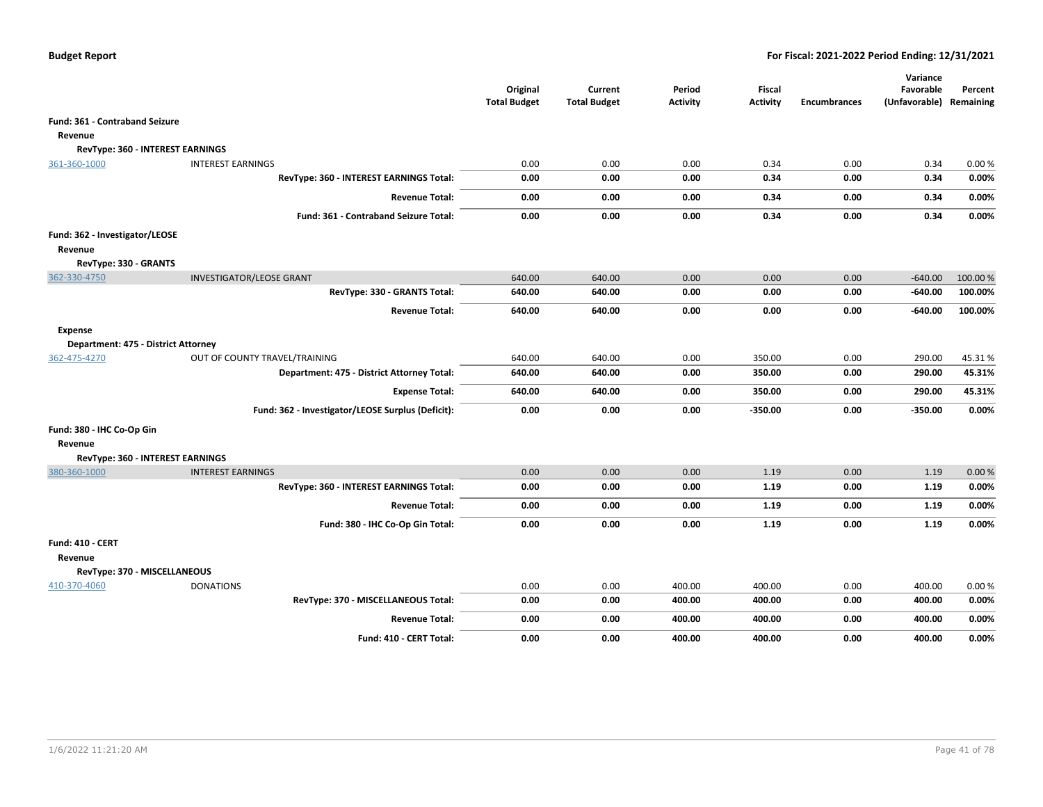|                                           |                                                   | Original<br><b>Total Budget</b> | Current<br><b>Total Budget</b> | Period<br><b>Activity</b> | <b>Fiscal</b><br><b>Activity</b> | <b>Encumbrances</b> | Variance<br>Favorable<br>(Unfavorable) Remaining | Percent |
|-------------------------------------------|---------------------------------------------------|---------------------------------|--------------------------------|---------------------------|----------------------------------|---------------------|--------------------------------------------------|---------|
| Fund: 361 - Contraband Seizure            |                                                   |                                 |                                |                           |                                  |                     |                                                  |         |
| Revenue                                   |                                                   |                                 |                                |                           |                                  |                     |                                                  |         |
| RevType: 360 - INTEREST EARNINGS          |                                                   |                                 |                                |                           |                                  |                     |                                                  |         |
| 361-360-1000                              | <b>INTEREST EARNINGS</b>                          | 0.00                            | 0.00                           | 0.00                      | 0.34                             | 0.00                | 0.34                                             | 0.00%   |
|                                           | RevType: 360 - INTEREST EARNINGS Total:           | 0.00                            | 0.00                           | 0.00                      | 0.34                             | 0.00                | 0.34                                             | 0.00%   |
|                                           | <b>Revenue Total:</b>                             | 0.00                            | 0.00                           | 0.00                      | 0.34                             | 0.00                | 0.34                                             | 0.00%   |
|                                           | <b>Fund: 361 - Contraband Seizure Total:</b>      | 0.00                            | 0.00                           | 0.00                      | 0.34                             | 0.00                | 0.34                                             | 0.00%   |
| Fund: 362 - Investigator/LEOSE<br>Revenue |                                                   |                                 |                                |                           |                                  |                     |                                                  |         |
| RevType: 330 - GRANTS<br>362-330-4750     | <b>INVESTIGATOR/LEOSE GRANT</b>                   | 640.00                          | 640.00                         | 0.00                      | 0.00                             | 0.00                | $-640.00$                                        | 100.00% |
|                                           | RevType: 330 - GRANTS Total:                      | 640.00                          | 640.00                         | 0.00                      | 0.00                             | 0.00                | $-640.00$                                        | 100.00% |
|                                           | <b>Revenue Total:</b>                             | 640.00                          | 640.00                         | 0.00                      | 0.00                             | 0.00                | $-640.00$                                        | 100.00% |
| <b>Expense</b>                            |                                                   |                                 |                                |                           |                                  |                     |                                                  |         |
| Department: 475 - District Attorney       |                                                   |                                 |                                |                           |                                  |                     |                                                  |         |
| 362-475-4270                              | OUT OF COUNTY TRAVEL/TRAINING                     | 640.00                          | 640.00                         | 0.00                      | 350.00                           | 0.00                | 290.00                                           | 45.31%  |
|                                           | Department: 475 - District Attorney Total:        | 640.00                          | 640.00                         | 0.00                      | 350.00                           | 0.00                | 290.00                                           | 45.31%  |
|                                           | <b>Expense Total:</b>                             | 640.00                          | 640.00                         | 0.00                      | 350.00                           | 0.00                | 290.00                                           | 45.31%  |
|                                           | Fund: 362 - Investigator/LEOSE Surplus (Deficit): | 0.00                            | 0.00                           | 0.00                      | $-350.00$                        | 0.00                | -350.00                                          | 0.00%   |
| Fund: 380 - IHC Co-Op Gin                 |                                                   |                                 |                                |                           |                                  |                     |                                                  |         |
| Revenue                                   |                                                   |                                 |                                |                           |                                  |                     |                                                  |         |
| RevType: 360 - INTEREST EARNINGS          |                                                   |                                 |                                |                           |                                  |                     |                                                  |         |
| 380-360-1000                              | <b>INTEREST EARNINGS</b>                          | 0.00                            | 0.00                           | 0.00                      | 1.19                             | 0.00                | 1.19                                             | 0.00%   |
|                                           | RevType: 360 - INTEREST EARNINGS Total:           | 0.00                            | 0.00                           | 0.00                      | 1.19                             | 0.00                | 1.19                                             | 0.00%   |
|                                           | <b>Revenue Total:</b>                             | 0.00                            | 0.00                           | 0.00                      | 1.19                             | 0.00                | 1.19                                             | 0.00%   |
|                                           | Fund: 380 - IHC Co-Op Gin Total:                  | 0.00                            | 0.00                           | 0.00                      | 1.19                             | 0.00                | 1.19                                             | 0.00%   |
| Fund: 410 - CERT                          |                                                   |                                 |                                |                           |                                  |                     |                                                  |         |
| Revenue                                   |                                                   |                                 |                                |                           |                                  |                     |                                                  |         |
| RevType: 370 - MISCELLANEOUS              |                                                   |                                 |                                |                           |                                  |                     |                                                  |         |
| 410-370-4060                              | <b>DONATIONS</b>                                  | 0.00                            | 0.00                           | 400.00                    | 400.00                           | 0.00                | 400.00                                           | 0.00%   |
|                                           | RevType: 370 - MISCELLANEOUS Total:               | 0.00                            | 0.00                           | 400.00                    | 400.00                           | 0.00                | 400.00                                           | 0.00%   |
|                                           | <b>Revenue Total:</b>                             | 0.00                            | 0.00                           | 400.00                    | 400.00                           | 0.00                | 400.00                                           | 0.00%   |
|                                           | Fund: 410 - CERT Total:                           | 0.00                            | 0.00                           | 400.00                    | 400.00                           | 0.00                | 400.00                                           | 0.00%   |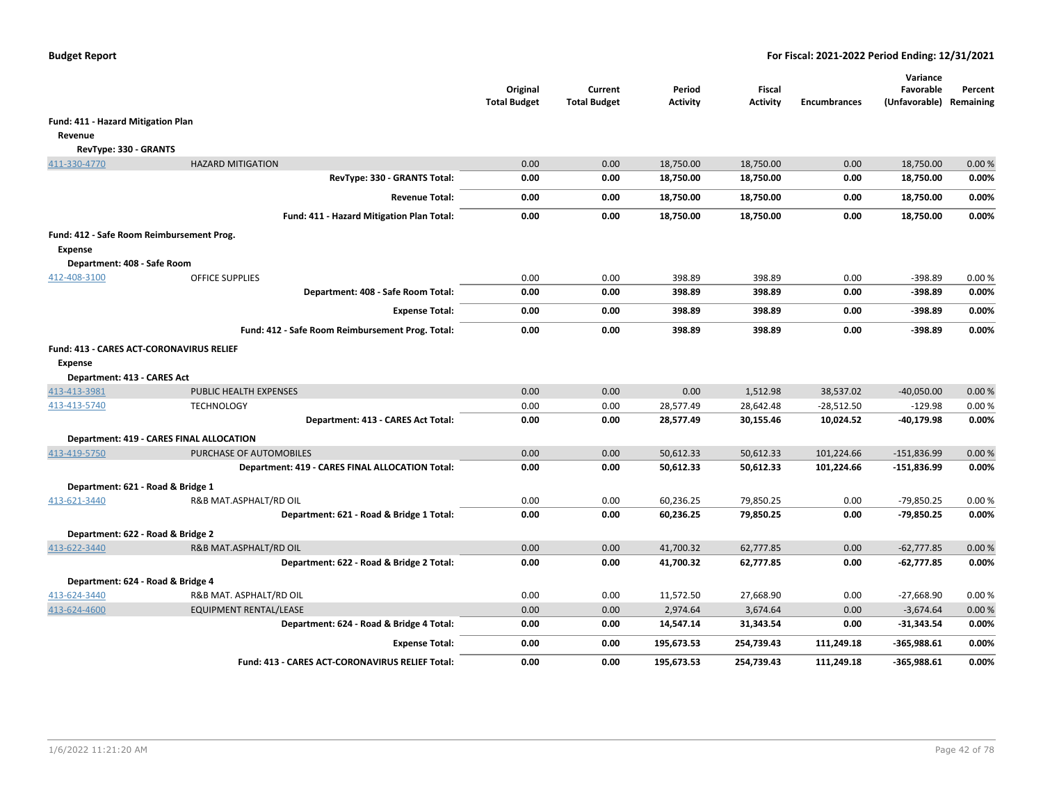|                                                            |                                                  | Original<br><b>Total Budget</b> | Current<br><b>Total Budget</b> | Period<br><b>Activity</b> | <b>Fiscal</b><br><b>Activity</b> | <b>Encumbrances</b> | Variance<br>Favorable<br>(Unfavorable) Remaining | Percent |
|------------------------------------------------------------|--------------------------------------------------|---------------------------------|--------------------------------|---------------------------|----------------------------------|---------------------|--------------------------------------------------|---------|
| Fund: 411 - Hazard Mitigation Plan                         |                                                  |                                 |                                |                           |                                  |                     |                                                  |         |
| Revenue                                                    |                                                  |                                 |                                |                           |                                  |                     |                                                  |         |
| RevType: 330 - GRANTS                                      |                                                  |                                 |                                |                           |                                  |                     |                                                  |         |
| 411-330-4770                                               | <b>HAZARD MITIGATION</b>                         | 0.00                            | 0.00                           | 18,750.00                 | 18,750.00                        | 0.00                | 18,750.00                                        | 0.00%   |
|                                                            | RevType: 330 - GRANTS Total:                     | 0.00                            | 0.00                           | 18,750.00                 | 18,750.00                        | 0.00                | 18,750.00                                        | 0.00%   |
|                                                            | <b>Revenue Total:</b>                            | 0.00                            | 0.00                           | 18,750.00                 | 18,750.00                        | 0.00                | 18,750.00                                        | 0.00%   |
|                                                            | Fund: 411 - Hazard Mitigation Plan Total:        | 0.00                            | 0.00                           | 18,750.00                 | 18,750.00                        | 0.00                | 18,750.00                                        | 0.00%   |
| Fund: 412 - Safe Room Reimbursement Prog.                  |                                                  |                                 |                                |                           |                                  |                     |                                                  |         |
| <b>Expense</b>                                             |                                                  |                                 |                                |                           |                                  |                     |                                                  |         |
| Department: 408 - Safe Room                                |                                                  |                                 |                                |                           |                                  |                     |                                                  |         |
| 412-408-3100                                               | <b>OFFICE SUPPLIES</b>                           | 0.00                            | 0.00                           | 398.89                    | 398.89                           | 0.00                | $-398.89$                                        | 0.00%   |
|                                                            | Department: 408 - Safe Room Total:               | 0.00                            | 0.00                           | 398.89                    | 398.89                           | 0.00                | $-398.89$                                        | 0.00%   |
|                                                            | <b>Expense Total:</b>                            | 0.00                            | 0.00                           | 398.89                    | 398.89                           | 0.00                | $-398.89$                                        | 0.00%   |
|                                                            | Fund: 412 - Safe Room Reimbursement Prog. Total: | 0.00                            | 0.00                           | 398.89                    | 398.89                           | 0.00                | $-398.89$                                        | 0.00%   |
| Fund: 413 - CARES ACT-CORONAVIRUS RELIEF<br><b>Expense</b> |                                                  |                                 |                                |                           |                                  |                     |                                                  |         |
| Department: 413 - CARES Act                                |                                                  |                                 |                                |                           |                                  |                     |                                                  |         |
| 413-413-3981                                               | <b>PUBLIC HEALTH EXPENSES</b>                    | 0.00                            | 0.00                           | 0.00                      | 1,512.98                         | 38,537.02           | $-40,050.00$                                     | 0.00%   |
| 413-413-5740                                               | <b>TECHNOLOGY</b>                                | 0.00                            | 0.00                           | 28,577.49                 | 28,642.48                        | $-28,512.50$        | $-129.98$                                        | 0.00%   |
|                                                            | Department: 413 - CARES Act Total:               | 0.00                            | 0.00                           | 28,577.49                 | 30,155.46                        | 10,024.52           | -40,179.98                                       | 0.00%   |
|                                                            | Department: 419 - CARES FINAL ALLOCATION         |                                 |                                |                           |                                  |                     |                                                  |         |
| 413-419-5750                                               | PURCHASE OF AUTOMOBILES                          | 0.00                            | 0.00                           | 50,612.33                 | 50,612.33                        | 101,224.66          | $-151,836.99$                                    | 0.00%   |
|                                                            | Department: 419 - CARES FINAL ALLOCATION Total:  | 0.00                            | 0.00                           | 50,612.33                 | 50,612.33                        | 101,224.66          | $-151,836.99$                                    | 0.00%   |
| Department: 621 - Road & Bridge 1                          |                                                  |                                 |                                |                           |                                  |                     |                                                  |         |
| 413-621-3440                                               | R&B MAT.ASPHALT/RD OIL                           | 0.00                            | 0.00                           | 60,236.25                 | 79,850.25                        | 0.00                | $-79,850.25$                                     | 0.00%   |
|                                                            | Department: 621 - Road & Bridge 1 Total:         | 0.00                            | 0.00                           | 60,236.25                 | 79,850.25                        | 0.00                | $-79,850.25$                                     | 0.00%   |
| Department: 622 - Road & Bridge 2                          |                                                  |                                 |                                |                           |                                  |                     |                                                  |         |
| 413-622-3440                                               | R&B MAT.ASPHALT/RD OIL                           | 0.00                            | 0.00                           | 41,700.32                 | 62,777.85                        | 0.00                | $-62,777.85$                                     | 0.00%   |
|                                                            | Department: 622 - Road & Bridge 2 Total:         | 0.00                            | 0.00                           | 41,700.32                 | 62,777.85                        | 0.00                | $-62,777.85$                                     | 0.00%   |
| Department: 624 - Road & Bridge 4                          |                                                  |                                 |                                |                           |                                  |                     |                                                  |         |
| 413-624-3440                                               | R&B MAT. ASPHALT/RD OIL                          | 0.00                            | 0.00                           | 11,572.50                 | 27,668.90                        | 0.00                | $-27,668.90$                                     | 0.00%   |
| 413-624-4600                                               | EQUIPMENT RENTAL/LEASE                           | 0.00                            | 0.00                           | 2,974.64                  | 3,674.64                         | 0.00                | $-3,674.64$                                      | 0.00%   |
|                                                            | Department: 624 - Road & Bridge 4 Total:         | 0.00                            | 0.00                           | 14,547.14                 | 31,343.54                        | 0.00                | $-31,343.54$                                     | 0.00%   |
|                                                            | <b>Expense Total:</b>                            | 0.00                            | 0.00                           | 195,673.53                | 254,739.43                       | 111,249.18          | $-365,988.61$                                    | 0.00%   |
|                                                            | Fund: 413 - CARES ACT-CORONAVIRUS RELIEF Total:  | 0.00                            | 0.00                           | 195.673.53                | 254.739.43                       | 111,249.18          | $-365.988.61$                                    | 0.00%   |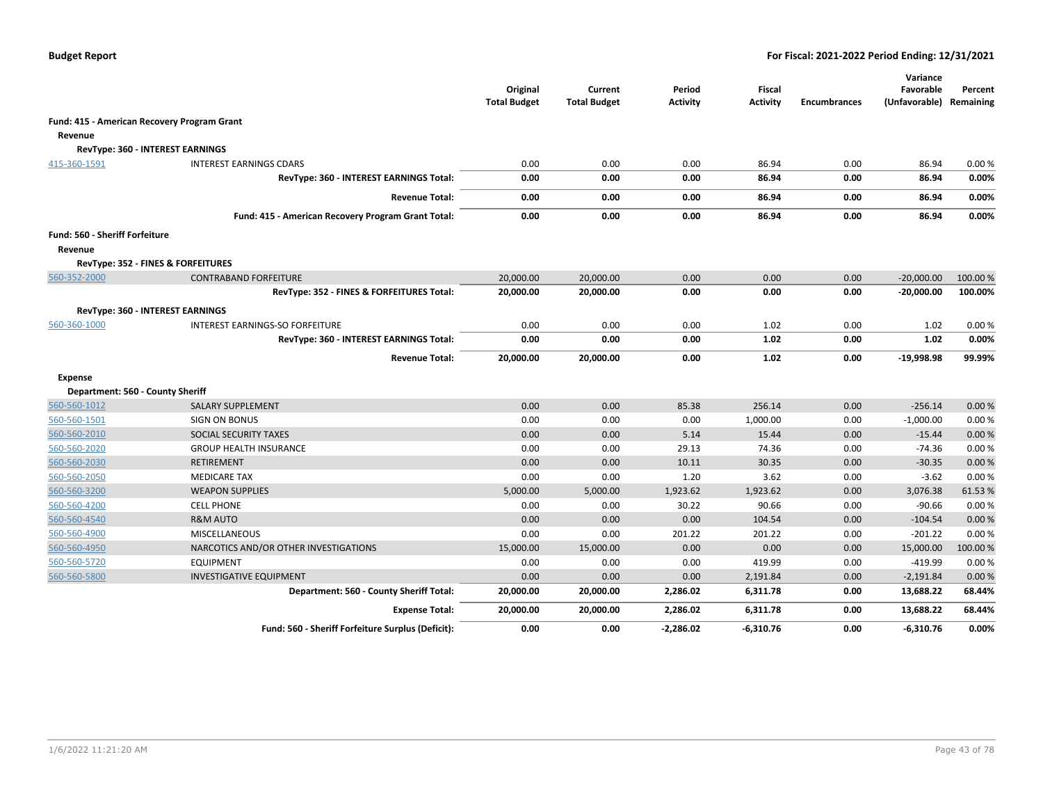|                                             |                                                    | Original<br><b>Total Budget</b> | Current<br><b>Total Budget</b> | Period<br><b>Activity</b> | Fiscal<br><b>Activity</b> | <b>Encumbrances</b> | Variance<br>Favorable<br>(Unfavorable) Remaining | Percent |
|---------------------------------------------|----------------------------------------------------|---------------------------------|--------------------------------|---------------------------|---------------------------|---------------------|--------------------------------------------------|---------|
| Fund: 415 - American Recovery Program Grant |                                                    |                                 |                                |                           |                           |                     |                                                  |         |
| Revenue                                     |                                                    |                                 |                                |                           |                           |                     |                                                  |         |
|                                             | RevType: 360 - INTEREST EARNINGS                   |                                 |                                |                           |                           |                     |                                                  |         |
| 415-360-1591                                | <b>INTEREST EARNINGS CDARS</b>                     | 0.00                            | 0.00                           | 0.00                      | 86.94                     | 0.00                | 86.94                                            | 0.00%   |
|                                             | RevType: 360 - INTEREST EARNINGS Total:            | 0.00                            | 0.00                           | 0.00                      | 86.94                     | 0.00                | 86.94                                            | 0.00%   |
|                                             | <b>Revenue Total:</b>                              | 0.00                            | 0.00                           | 0.00                      | 86.94                     | 0.00                | 86.94                                            | 0.00%   |
|                                             | Fund: 415 - American Recovery Program Grant Total: | 0.00                            | 0.00                           | 0.00                      | 86.94                     | 0.00                | 86.94                                            | 0.00%   |
| Fund: 560 - Sheriff Forfeiture              |                                                    |                                 |                                |                           |                           |                     |                                                  |         |
| Revenue                                     |                                                    |                                 |                                |                           |                           |                     |                                                  |         |
|                                             | RevType: 352 - FINES & FORFEITURES                 |                                 |                                |                           |                           |                     |                                                  |         |
| 560-352-2000                                | <b>CONTRABAND FORFEITURE</b>                       | 20,000.00                       | 20,000.00                      | 0.00                      | 0.00                      | 0.00                | $-20,000.00$                                     | 100.00% |
|                                             | RevType: 352 - FINES & FORFEITURES Total:          | 20,000.00                       | 20,000.00                      | 0.00                      | 0.00                      | 0.00                | $-20,000.00$                                     | 100.00% |
|                                             | RevType: 360 - INTEREST EARNINGS                   |                                 |                                |                           |                           |                     |                                                  |         |
| 560-360-1000                                | INTEREST EARNINGS-SO FORFEITURE                    | 0.00                            | 0.00                           | 0.00                      | 1.02                      | 0.00                | 1.02                                             | 0.00%   |
|                                             | RevType: 360 - INTEREST EARNINGS Total:            | 0.00                            | 0.00                           | 0.00                      | 1.02                      | 0.00                | 1.02                                             | 0.00%   |
|                                             | <b>Revenue Total:</b>                              | 20,000.00                       | 20,000.00                      | 0.00                      | 1.02                      | 0.00                | $-19,998.98$                                     | 99.99%  |
| <b>Expense</b>                              |                                                    |                                 |                                |                           |                           |                     |                                                  |         |
| Department: 560 - County Sheriff            |                                                    |                                 |                                |                           |                           |                     |                                                  |         |
| 560-560-1012                                | SALARY SUPPLEMENT                                  | 0.00                            | 0.00                           | 85.38                     | 256.14                    | 0.00                | $-256.14$                                        | 0.00%   |
| 560-560-1501                                | <b>SIGN ON BONUS</b>                               | 0.00                            | 0.00                           | 0.00                      | 1,000.00                  | 0.00                | $-1,000.00$                                      | 0.00%   |
| 560-560-2010                                | SOCIAL SECURITY TAXES                              | 0.00                            | 0.00                           | 5.14                      | 15.44                     | 0.00                | $-15.44$                                         | 0.00%   |
| 560-560-2020                                | <b>GROUP HEALTH INSURANCE</b>                      | 0.00                            | 0.00                           | 29.13                     | 74.36                     | 0.00                | $-74.36$                                         | 0.00%   |
| 560-560-2030                                | <b>RETIREMENT</b>                                  | 0.00                            | 0.00                           | 10.11                     | 30.35                     | 0.00                | $-30.35$                                         | 0.00%   |
| 560-560-2050                                | <b>MEDICARE TAX</b>                                | 0.00                            | 0.00                           | 1.20                      | 3.62                      | 0.00                | $-3.62$                                          | 0.00%   |
| 560-560-3200                                | <b>WEAPON SUPPLIES</b>                             | 5,000.00                        | 5,000.00                       | 1,923.62                  | 1,923.62                  | 0.00                | 3,076.38                                         | 61.53%  |
| 560-560-4200                                | <b>CELL PHONE</b>                                  | 0.00                            | 0.00                           | 30.22                     | 90.66                     | 0.00                | $-90.66$                                         | 0.00%   |
| 560-560-4540                                | <b>R&amp;M AUTO</b>                                | 0.00                            | 0.00                           | 0.00                      | 104.54                    | 0.00                | $-104.54$                                        | 0.00%   |
| 560-560-4900                                | <b>MISCELLANEOUS</b>                               | 0.00                            | 0.00                           | 201.22                    | 201.22                    | 0.00                | $-201.22$                                        | 0.00%   |
| 560-560-4950                                | NARCOTICS AND/OR OTHER INVESTIGATIONS              | 15,000.00                       | 15,000.00                      | 0.00                      | 0.00                      | 0.00                | 15,000.00                                        | 100.00% |
| 560-560-5720                                | <b>EQUIPMENT</b>                                   | 0.00                            | 0.00                           | 0.00                      | 419.99                    | 0.00                | -419.99                                          | 0.00%   |
| 560-560-5800                                | <b>INVESTIGATIVE EQUIPMENT</b>                     | 0.00                            | 0.00                           | 0.00                      | 2,191.84                  | 0.00                | $-2,191.84$                                      | 0.00%   |
|                                             | Department: 560 - County Sheriff Total:            | 20,000.00                       | 20,000.00                      | 2,286.02                  | 6,311.78                  | 0.00                | 13,688.22                                        | 68.44%  |
|                                             | <b>Expense Total:</b>                              | 20,000.00                       | 20,000.00                      | 2,286.02                  | 6,311.78                  | 0.00                | 13,688.22                                        | 68.44%  |
|                                             | Fund: 560 - Sheriff Forfeiture Surplus (Deficit):  | 0.00                            | 0.00                           | $-2,286.02$               | $-6,310.76$               | 0.00                | -6,310.76                                        | 0.00%   |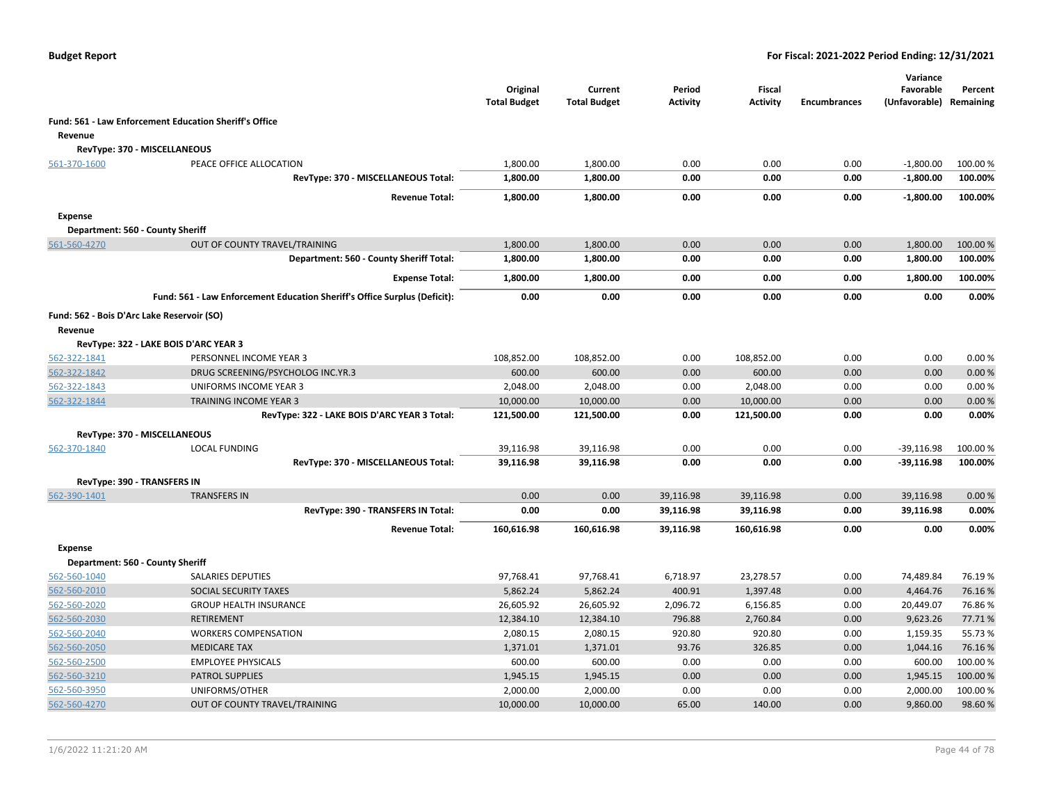|                |                                                                           | Original<br><b>Total Budget</b> | Current<br><b>Total Budget</b> | Period<br>Activity | <b>Fiscal</b><br><b>Activity</b> | <b>Encumbrances</b> | Variance<br>Favorable<br>(Unfavorable) | Percent<br>Remaining |
|----------------|---------------------------------------------------------------------------|---------------------------------|--------------------------------|--------------------|----------------------------------|---------------------|----------------------------------------|----------------------|
|                | <b>Fund: 561 - Law Enforcement Education Sheriff's Office</b>             |                                 |                                |                    |                                  |                     |                                        |                      |
| Revenue        |                                                                           |                                 |                                |                    |                                  |                     |                                        |                      |
|                | RevType: 370 - MISCELLANEOUS                                              |                                 |                                |                    |                                  |                     |                                        |                      |
| 561-370-1600   | PEACE OFFICE ALLOCATION                                                   | 1,800.00                        | 1,800.00                       | 0.00               | 0.00                             | 0.00                | $-1,800.00$                            | 100.00%              |
|                | RevType: 370 - MISCELLANEOUS Total:                                       | 1,800.00                        | 1,800.00                       | 0.00               | 0.00                             | 0.00                | $-1,800.00$                            | 100.00%              |
|                | <b>Revenue Total:</b>                                                     | 1,800.00                        | 1,800.00                       | 0.00               | 0.00                             | 0.00                | $-1,800.00$                            | 100.00%              |
| <b>Expense</b> |                                                                           |                                 |                                |                    |                                  |                     |                                        |                      |
|                | Department: 560 - County Sheriff                                          |                                 |                                |                    |                                  |                     |                                        |                      |
| 561-560-4270   | OUT OF COUNTY TRAVEL/TRAINING                                             | 1,800.00                        | 1,800.00                       | 0.00               | 0.00                             | 0.00                | 1,800.00                               | 100.00%              |
|                | Department: 560 - County Sheriff Total:                                   | 1,800.00                        | 1,800.00                       | 0.00               | 0.00                             | 0.00                | 1,800.00                               | 100.00%              |
|                | <b>Expense Total:</b>                                                     | 1,800.00                        | 1,800.00                       | 0.00               | 0.00                             | 0.00                | 1,800.00                               | 100.00%              |
|                | Fund: 561 - Law Enforcement Education Sheriff's Office Surplus (Deficit): | 0.00                            | 0.00                           | 0.00               | 0.00                             | 0.00                | 0.00                                   | 0.00%                |
|                | Fund: 562 - Bois D'Arc Lake Reservoir (SO)                                |                                 |                                |                    |                                  |                     |                                        |                      |
| Revenue        |                                                                           |                                 |                                |                    |                                  |                     |                                        |                      |
|                | RevType: 322 - LAKE BOIS D'ARC YEAR 3                                     |                                 |                                |                    |                                  |                     |                                        |                      |
| 562-322-1841   | PERSONNEL INCOME YEAR 3                                                   | 108,852.00                      | 108,852.00                     | 0.00               | 108,852.00                       | 0.00                | 0.00                                   | 0.00%                |
| 562-322-1842   | DRUG SCREENING/PSYCHOLOG INC.YR.3                                         | 600.00                          | 600.00                         | 0.00               | 600.00                           | 0.00                | 0.00                                   | 0.00%                |
| 562-322-1843   | UNIFORMS INCOME YEAR 3                                                    | 2,048.00                        | 2,048.00                       | 0.00               | 2,048.00                         | 0.00                | 0.00                                   | 0.00%                |
| 562-322-1844   | <b>TRAINING INCOME YEAR 3</b>                                             | 10,000.00                       | 10,000.00                      | 0.00               | 10,000.00                        | 0.00                | 0.00                                   | 0.00%                |
|                | RevType: 322 - LAKE BOIS D'ARC YEAR 3 Total:                              | 121,500.00                      | 121,500.00                     | 0.00               | 121,500.00                       | 0.00                | 0.00                                   | 0.00%                |
|                | RevType: 370 - MISCELLANEOUS                                              |                                 |                                |                    |                                  |                     |                                        |                      |
| 562-370-1840   | <b>LOCAL FUNDING</b>                                                      | 39,116.98                       | 39,116.98                      | 0.00               | 0.00                             | 0.00                | $-39,116.98$                           | 100.00 %             |
|                | RevType: 370 - MISCELLANEOUS Total:                                       | 39,116.98                       | 39,116.98                      | 0.00               | 0.00                             | 0.00                | $-39,116.98$                           | 100.00%              |
|                | <b>RevType: 390 - TRANSFERS IN</b>                                        |                                 |                                |                    |                                  |                     |                                        |                      |
| 562-390-1401   | <b>TRANSFERS IN</b>                                                       | 0.00                            | 0.00                           | 39,116.98          | 39,116.98                        | 0.00                | 39,116.98                              | 0.00%                |
|                | RevType: 390 - TRANSFERS IN Total:                                        | 0.00                            | 0.00                           | 39,116.98          | 39,116.98                        | 0.00                | 39,116.98                              | 0.00%                |
|                | <b>Revenue Total:</b>                                                     | 160,616.98                      | 160,616.98                     | 39,116.98          | 160,616.98                       | 0.00                | 0.00                                   | 0.00%                |
| <b>Expense</b> |                                                                           |                                 |                                |                    |                                  |                     |                                        |                      |
|                | Department: 560 - County Sheriff                                          |                                 |                                |                    |                                  |                     |                                        |                      |
| 562-560-1040   | SALARIES DEPUTIES                                                         | 97,768.41                       | 97,768.41                      | 6,718.97           | 23,278.57                        | 0.00                | 74,489.84                              | 76.19%               |
| 562-560-2010   | SOCIAL SECURITY TAXES                                                     | 5,862.24                        | 5,862.24                       | 400.91             | 1,397.48                         | 0.00                | 4,464.76                               | 76.16%               |
| 562-560-2020   | <b>GROUP HEALTH INSURANCE</b>                                             | 26,605.92                       | 26,605.92                      | 2,096.72           | 6,156.85                         | 0.00                | 20,449.07                              | 76.86%               |
| 562-560-2030   | <b>RETIREMENT</b>                                                         | 12,384.10                       | 12,384.10                      | 796.88             | 2,760.84                         | 0.00                | 9,623.26                               | 77.71%               |
| 562-560-2040   | <b>WORKERS COMPENSATION</b>                                               | 2,080.15                        | 2,080.15                       | 920.80             | 920.80                           | 0.00                | 1,159.35                               | 55.73 %              |
| 562-560-2050   | <b>MEDICARE TAX</b>                                                       | 1,371.01                        | 1,371.01                       | 93.76              | 326.85                           | 0.00                | 1,044.16                               | 76.16%               |
| 562-560-2500   | <b>EMPLOYEE PHYSICALS</b>                                                 | 600.00                          | 600.00                         | 0.00               | 0.00                             | 0.00                | 600.00                                 | 100.00%              |
| 562-560-3210   | <b>PATROL SUPPLIES</b>                                                    | 1,945.15                        | 1,945.15                       | 0.00               | 0.00                             | 0.00                | 1,945.15                               | 100.00 %             |
| 562-560-3950   | UNIFORMS/OTHER                                                            | 2,000.00                        | 2,000.00                       | 0.00               | 0.00                             | 0.00                | 2,000.00                               | 100.00%              |
| 562-560-4270   | OUT OF COUNTY TRAVEL/TRAINING                                             | 10,000.00                       | 10,000.00                      | 65.00              | 140.00                           | 0.00                | 9,860.00                               | 98.60%               |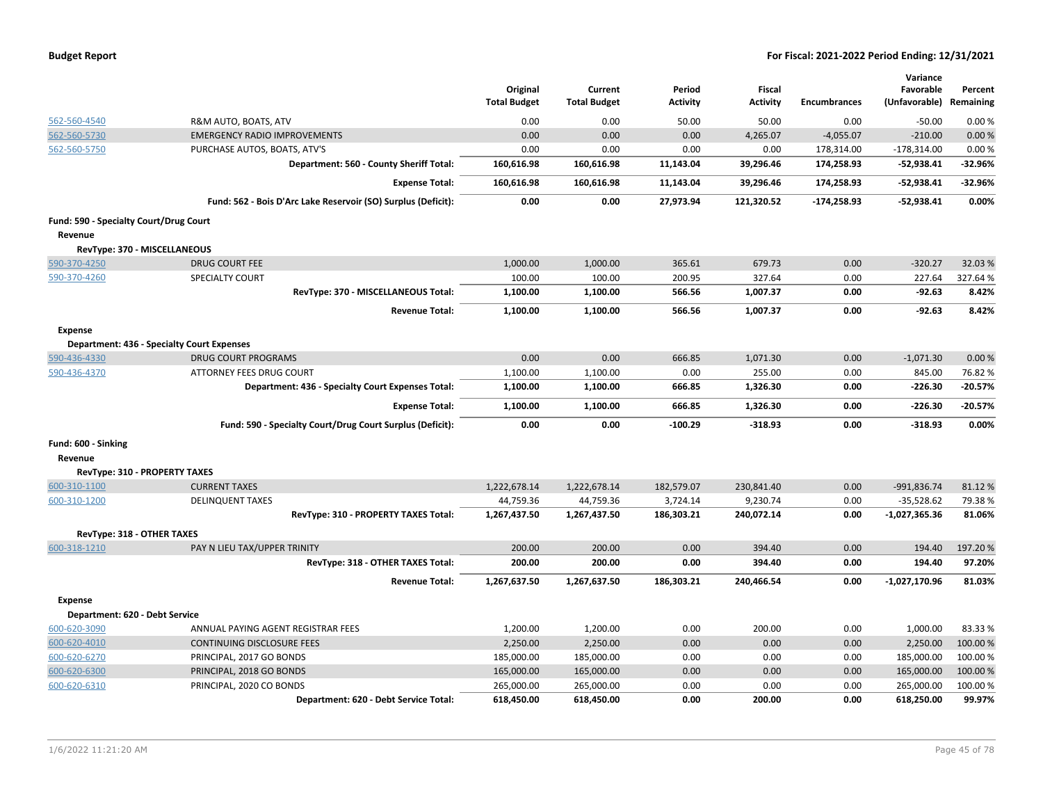|  |  |  | <b>Budget Report</b> |
|--|--|--|----------------------|
|--|--|--|----------------------|

|                                        |                                                               | Original            | Current             | Period          | Fiscal          |                     | Variance<br>Favorable | Percent   |
|----------------------------------------|---------------------------------------------------------------|---------------------|---------------------|-----------------|-----------------|---------------------|-----------------------|-----------|
|                                        |                                                               | <b>Total Budget</b> | <b>Total Budget</b> | <b>Activity</b> | <b>Activity</b> | <b>Encumbrances</b> | (Unfavorable)         | Remaining |
| 562-560-4540                           | R&M AUTO, BOATS, ATV                                          | 0.00                | 0.00                | 50.00           | 50.00           | 0.00                | $-50.00$              | 0.00%     |
| 562-560-5730                           | <b>EMERGENCY RADIO IMPROVEMENTS</b>                           | 0.00                | 0.00                | 0.00            | 4,265.07        | $-4,055.07$         | $-210.00$             | 0.00%     |
| 562-560-5750                           | PURCHASE AUTOS, BOATS, ATV'S                                  | 0.00                | 0.00                | 0.00            | 0.00            | 178,314.00          | $-178,314.00$         | 0.00%     |
|                                        | Department: 560 - County Sheriff Total:                       | 160,616.98          | 160,616.98          | 11,143.04       | 39,296.46       | 174,258.93          | -52,938.41            | $-32.96%$ |
|                                        | <b>Expense Total:</b>                                         | 160,616.98          | 160,616.98          | 11,143.04       | 39,296.46       | 174,258.93          | $-52,938.41$          | $-32.96%$ |
|                                        | Fund: 562 - Bois D'Arc Lake Reservoir (SO) Surplus (Deficit): | 0.00                | 0.00                | 27,973.94       | 121,320.52      | $-174,258.93$       | $-52,938.41$          | 0.00%     |
| Fund: 590 - Specialty Court/Drug Court |                                                               |                     |                     |                 |                 |                     |                       |           |
| Revenue                                |                                                               |                     |                     |                 |                 |                     |                       |           |
|                                        | RevType: 370 - MISCELLANEOUS                                  |                     |                     |                 |                 |                     |                       |           |
| 590-370-4250                           | <b>DRUG COURT FEE</b>                                         | 1,000.00            | 1,000.00            | 365.61          | 679.73          | 0.00                | $-320.27$             | 32.03%    |
| 590-370-4260                           | SPECIALTY COURT                                               | 100.00              | 100.00              | 200.95          | 327.64          | 0.00                | 227.64                | 327.64%   |
|                                        | RevType: 370 - MISCELLANEOUS Total:                           | 1,100.00            | 1,100.00            | 566.56          | 1,007.37        | 0.00                | $-92.63$              | 8.42%     |
|                                        | <b>Revenue Total:</b>                                         | 1,100.00            | 1,100.00            | 566.56          | 1,007.37        | 0.00                | $-92.63$              | 8.42%     |
| <b>Expense</b>                         |                                                               |                     |                     |                 |                 |                     |                       |           |
|                                        | <b>Department: 436 - Specialty Court Expenses</b>             |                     |                     |                 |                 |                     |                       |           |
| 590-436-4330                           | <b>DRUG COURT PROGRAMS</b>                                    | 0.00                | 0.00                | 666.85          | 1,071.30        | 0.00                | $-1,071.30$           | 0.00%     |
| 590-436-4370                           | ATTORNEY FEES DRUG COURT                                      | 1,100.00            | 1,100.00            | 0.00            | 255.00          | 0.00                | 845.00                | 76.82%    |
|                                        | Department: 436 - Specialty Court Expenses Total:             | 1,100.00            | 1,100.00            | 666.85          | 1,326.30        | 0.00                | $-226.30$             | $-20.57%$ |
|                                        | <b>Expense Total:</b>                                         | 1,100.00            | 1,100.00            | 666.85          | 1,326.30        | 0.00                | $-226.30$             | $-20.57%$ |
|                                        | Fund: 590 - Specialty Court/Drug Court Surplus (Deficit):     | 0.00                | 0.00                | $-100.29$       | $-318.93$       | 0.00                | $-318.93$             | 0.00%     |
| Fund: 600 - Sinking                    |                                                               |                     |                     |                 |                 |                     |                       |           |
| Revenue                                |                                                               |                     |                     |                 |                 |                     |                       |           |
|                                        | RevType: 310 - PROPERTY TAXES                                 |                     |                     |                 |                 |                     |                       |           |
| 600-310-1100                           | <b>CURRENT TAXES</b>                                          | 1,222,678.14        | 1,222,678.14        | 182,579.07      | 230,841.40      | 0.00                | -991,836.74           | 81.12%    |
| 600-310-1200                           | <b>DELINQUENT TAXES</b>                                       | 44,759.36           | 44,759.36           | 3,724.14        | 9,230.74        | 0.00                | $-35,528.62$          | 79.38%    |
|                                        | RevType: 310 - PROPERTY TAXES Total:                          | 1,267,437.50        | 1,267,437.50        | 186,303.21      | 240,072.14      | 0.00                | -1,027,365.36         | 81.06%    |
| RevType: 318 - OTHER TAXES             |                                                               |                     |                     |                 |                 |                     |                       |           |
| 600-318-1210                           | PAY N LIEU TAX/UPPER TRINITY                                  | 200.00              | 200.00              | 0.00            | 394.40          | 0.00                | 194.40                | 197.20%   |
|                                        | RevType: 318 - OTHER TAXES Total:                             | 200.00              | 200.00              | 0.00            | 394.40          | 0.00                | 194.40                | 97.20%    |
|                                        | <b>Revenue Total:</b>                                         | 1,267,637.50        | 1,267,637.50        | 186,303.21      | 240,466.54      | 0.00                | $-1,027,170.96$       | 81.03%    |
| <b>Expense</b>                         |                                                               |                     |                     |                 |                 |                     |                       |           |
| Department: 620 - Debt Service         |                                                               |                     |                     |                 |                 |                     |                       |           |
| 600-620-3090                           | ANNUAL PAYING AGENT REGISTRAR FEES                            | 1,200.00            | 1,200.00            | 0.00            | 200.00          | 0.00                | 1,000.00              | 83.33%    |
| 600-620-4010                           | <b>CONTINUING DISCLOSURE FEES</b>                             | 2,250.00            | 2,250.00            | 0.00            | 0.00            | 0.00                | 2,250.00              | 100.00%   |
| 600-620-6270                           | PRINCIPAL, 2017 GO BONDS                                      | 185,000.00          | 185,000.00          | 0.00            | 0.00            | 0.00                | 185,000.00            | 100.00 %  |
| 600-620-6300                           | PRINCIPAL, 2018 GO BONDS                                      | 165,000.00          | 165,000.00          | 0.00            | 0.00            | 0.00                | 165,000.00            | 100.00 %  |
| 600-620-6310                           | PRINCIPAL, 2020 CO BONDS                                      | 265,000.00          | 265,000.00          | 0.00            | 0.00            | 0.00                | 265,000.00            | 100.00%   |
|                                        | Department: 620 - Debt Service Total:                         | 618,450.00          | 618,450.00          | 0.00            | 200.00          | 0.00                | 618,250.00            | 99.97%    |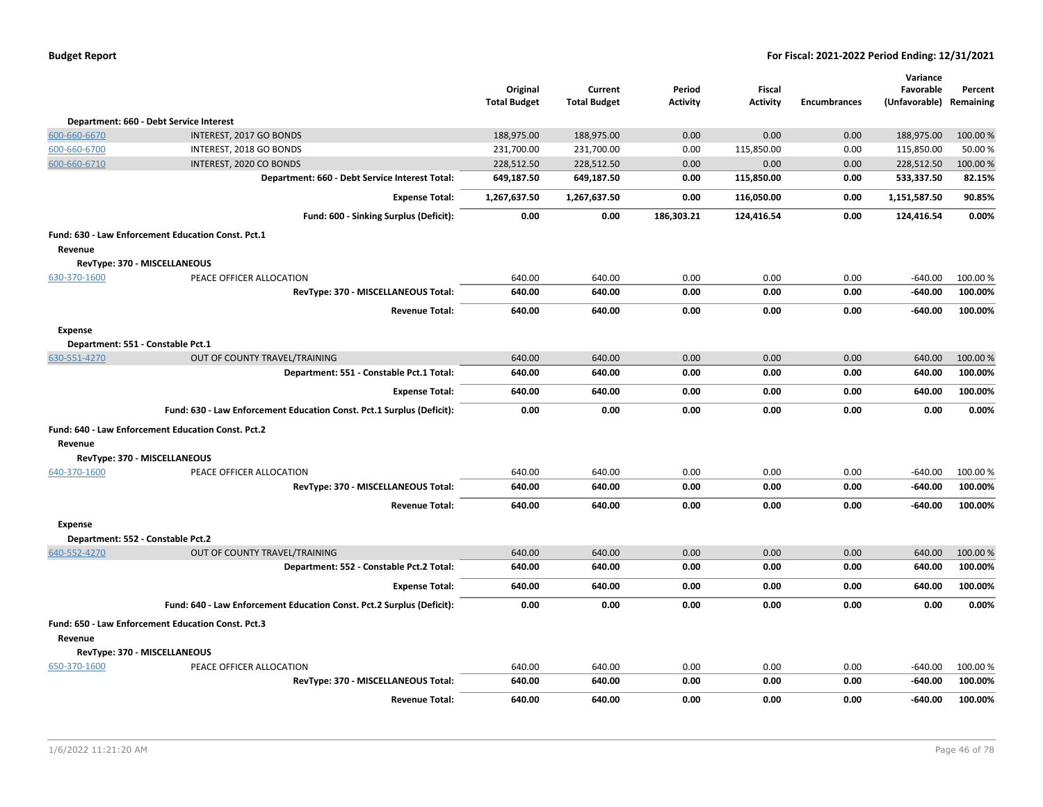| <b>Total Budget</b><br><b>Total Budget</b><br><b>Activity</b><br><b>Activity</b><br><b>Encumbrances</b>              | (Unfavorable) Remaining | Percent  |
|----------------------------------------------------------------------------------------------------------------------|-------------------------|----------|
| Department: 660 - Debt Service Interest                                                                              |                         |          |
| 0.00<br>600-660-6670<br>INTEREST, 2017 GO BONDS<br>188,975.00<br>188,975.00<br>0.00<br>0.00                          | 188,975.00              | 100.00%  |
| 600-660-6700<br>231,700.00<br>231,700.00<br>INTEREST, 2018 GO BONDS<br>0.00<br>115,850.00<br>0.00                    | 115,850.00              | 50.00 %  |
| 0.00<br>0.00<br>600-660-6710<br>INTEREST, 2020 CO BONDS<br>228,512.50<br>228,512.50<br>0.00                          | 228,512.50              | 100.00 % |
| Department: 660 - Debt Service Interest Total:<br>649,187.50<br>649,187.50<br>0.00<br>115,850.00<br>0.00             | 533,337.50              | 82.15%   |
| <b>Expense Total:</b><br>1,267,637.50<br>1,267,637.50<br>0.00<br>116,050.00<br>0.00                                  | 1,151,587.50            | 90.85%   |
| 0.00<br>0.00<br>186,303.21<br>124,416.54<br>0.00<br>Fund: 600 - Sinking Surplus (Deficit):                           | 124,416.54              | 0.00%    |
| Fund: 630 - Law Enforcement Education Const. Pct.1                                                                   |                         |          |
| Revenue                                                                                                              |                         |          |
| RevType: 370 - MISCELLANEOUS                                                                                         |                         |          |
| PEACE OFFICER ALLOCATION<br>640.00<br>640.00<br>0.00<br>0.00<br>0.00<br>630-370-1600                                 | $-640.00$               | 100.00%  |
| 640.00<br>640.00<br>0.00<br>0.00<br>0.00<br>RevType: 370 - MISCELLANEOUS Total:                                      | $-640.00$               | 100.00%  |
| <b>Revenue Total:</b><br>640.00<br>640.00<br>0.00<br>0.00<br>0.00                                                    | -640.00                 | 100.00%  |
| <b>Expense</b>                                                                                                       |                         |          |
| Department: 551 - Constable Pct.1                                                                                    |                         |          |
| 630-551-4270<br>OUT OF COUNTY TRAVEL/TRAINING<br>640.00<br>640.00<br>0.00<br>0.00<br>0.00                            | 640.00                  | 100.00 % |
| Department: 551 - Constable Pct.1 Total:<br>640.00<br>0.00<br>0.00<br>640.00<br>0.00                                 | 640.00                  | 100.00%  |
| 640.00<br>640.00<br>0.00<br>0.00<br>0.00<br><b>Expense Total:</b>                                                    | 640.00                  | 100.00%  |
| Fund: 630 - Law Enforcement Education Const. Pct.1 Surplus (Deficit):<br>0.00<br>0.00<br>0.00<br>0.00<br>0.00        | 0.00                    | 0.00%    |
| Fund: 640 - Law Enforcement Education Const. Pct.2                                                                   |                         |          |
| Revenue                                                                                                              |                         |          |
| RevType: 370 - MISCELLANEOUS                                                                                         |                         |          |
| PEACE OFFICER ALLOCATION<br>640.00<br>0.00<br>0.00<br>0.00<br>640-370-1600<br>640.00                                 | $-640.00$               | 100.00 % |
| RevType: 370 - MISCELLANEOUS Total:<br>0.00<br>640.00<br>640.00<br>0.00<br>0.00                                      | -640.00                 | 100.00%  |
| 0.00<br>0.00<br><b>Revenue Total:</b><br>640.00<br>640.00<br>0.00                                                    | -640.00                 | 100.00%  |
| <b>Expense</b>                                                                                                       |                         |          |
| Department: 552 - Constable Pct.2                                                                                    |                         |          |
| 640-552-4270<br>0.00<br>0.00<br>OUT OF COUNTY TRAVEL/TRAINING<br>640.00<br>640.00<br>0.00                            | 640.00                  | 100.00 % |
| 0.00<br>Department: 552 - Constable Pct.2 Total:<br>640.00<br>640.00<br>0.00<br>0.00                                 | 640.00                  | 100.00%  |
| 640.00<br>0.00<br>0.00<br><b>Expense Total:</b><br>640.00<br>0.00                                                    | 640.00                  | 100.00%  |
| Fund: 640 - Law Enforcement Education Const. Pct.2 Surplus (Deficit):<br>0.00<br>0.00<br>0.00<br>0.00<br>0.00        | 0.00                    | 0.00%    |
| Fund: 650 - Law Enforcement Education Const. Pct.3                                                                   |                         |          |
| Revenue                                                                                                              |                         |          |
| RevType: 370 - MISCELLANEOUS<br>650-370-1600<br>PEACE OFFICER ALLOCATION<br>640.00<br>640.00<br>0.00<br>0.00<br>0.00 | $-640.00$               | 100.00 % |
| RevType: 370 - MISCELLANEOUS Total:<br>640.00<br>640.00<br>0.00<br>0.00<br>0.00                                      | $-640.00$               | 100.00%  |
| 640.00<br>640.00<br>0.00<br>0.00<br>0.00<br><b>Revenue Total:</b>                                                    | $-640.00$               | 100.00%  |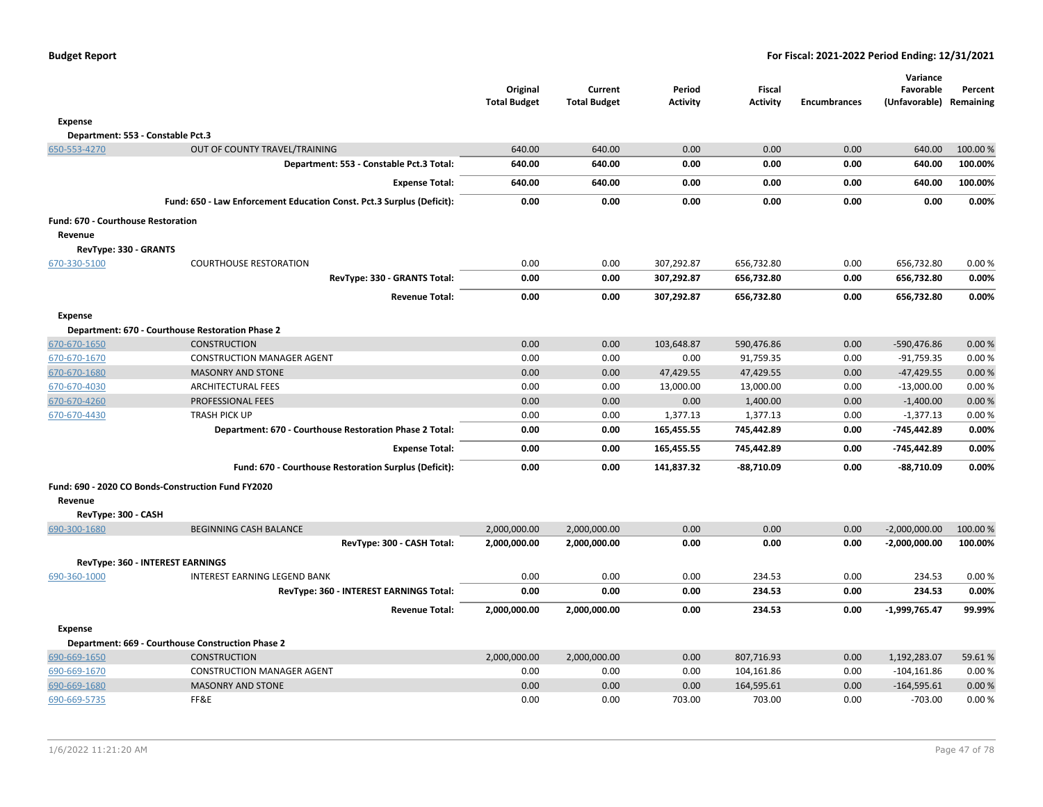|                                    |                                                                       | Original<br><b>Total Budget</b> | Current<br><b>Total Budget</b> | Period<br><b>Activity</b> | <b>Fiscal</b><br><b>Activity</b> | <b>Encumbrances</b> | Variance<br>Favorable<br>(Unfavorable) | Percent<br>Remaining |
|------------------------------------|-----------------------------------------------------------------------|---------------------------------|--------------------------------|---------------------------|----------------------------------|---------------------|----------------------------------------|----------------------|
| Expense                            |                                                                       |                                 |                                |                           |                                  |                     |                                        |                      |
|                                    | Department: 553 - Constable Pct.3                                     |                                 |                                |                           |                                  |                     |                                        |                      |
| 650-553-4270                       | OUT OF COUNTY TRAVEL/TRAINING                                         | 640.00                          | 640.00                         | 0.00                      | 0.00                             | 0.00                | 640.00                                 | 100.00 %             |
|                                    | Department: 553 - Constable Pct.3 Total:                              | 640.00                          | 640.00                         | 0.00                      | 0.00                             | 0.00                | 640.00                                 | 100.00%              |
|                                    | <b>Expense Total:</b>                                                 | 640.00                          | 640.00                         | 0.00                      | 0.00                             | 0.00                | 640.00                                 | 100.00%              |
|                                    | Fund: 650 - Law Enforcement Education Const. Pct.3 Surplus (Deficit): | 0.00                            | 0.00                           | 0.00                      | 0.00                             | 0.00                | 0.00                                   | 0.00%                |
| Fund: 670 - Courthouse Restoration |                                                                       |                                 |                                |                           |                                  |                     |                                        |                      |
| Revenue                            |                                                                       |                                 |                                |                           |                                  |                     |                                        |                      |
| RevType: 330 - GRANTS              |                                                                       |                                 |                                |                           |                                  |                     |                                        |                      |
| 670-330-5100                       | <b>COURTHOUSE RESTORATION</b>                                         | 0.00                            | 0.00                           | 307,292.87                | 656,732.80                       | 0.00                | 656,732.80                             | 0.00%                |
|                                    | RevType: 330 - GRANTS Total:                                          | 0.00                            | 0.00                           | 307,292.87                | 656,732.80                       | 0.00                | 656,732.80                             | 0.00%                |
|                                    | <b>Revenue Total:</b>                                                 | 0.00                            | 0.00                           | 307,292.87                | 656,732.80                       | 0.00                | 656,732.80                             | 0.00%                |
| <b>Expense</b>                     |                                                                       |                                 |                                |                           |                                  |                     |                                        |                      |
|                                    | Department: 670 - Courthouse Restoration Phase 2                      |                                 |                                |                           |                                  |                     |                                        |                      |
| 670-670-1650                       | <b>CONSTRUCTION</b>                                                   | 0.00                            | 0.00                           | 103,648.87                | 590,476.86                       | 0.00                | -590,476.86                            | 0.00%                |
| 670-670-1670                       | <b>CONSTRUCTION MANAGER AGENT</b>                                     | 0.00                            | 0.00                           | 0.00                      | 91,759.35                        | 0.00                | $-91,759.35$                           | 0.00%                |
| 670-670-1680                       | <b>MASONRY AND STONE</b>                                              | 0.00                            | 0.00                           | 47,429.55                 | 47,429.55                        | 0.00                | $-47,429.55$                           | 0.00%                |
| 670-670-4030                       | <b>ARCHITECTURAL FEES</b>                                             | 0.00                            | 0.00                           | 13,000.00                 | 13,000.00                        | 0.00                | $-13,000.00$                           | 0.00%                |
| 670-670-4260                       | <b>PROFESSIONAL FEES</b>                                              | 0.00                            | 0.00                           | 0.00                      | 1,400.00                         | 0.00                | $-1,400.00$                            | 0.00%                |
| 670-670-4430                       | <b>TRASH PICK UP</b>                                                  | 0.00                            | 0.00                           | 1,377.13                  | 1,377.13                         | 0.00                | $-1,377.13$                            | 0.00%                |
|                                    | Department: 670 - Courthouse Restoration Phase 2 Total:               | 0.00                            | 0.00                           | 165,455.55                | 745,442.89                       | 0.00                | -745,442.89                            | 0.00%                |
|                                    | <b>Expense Total:</b>                                                 | 0.00                            | 0.00                           | 165,455.55                | 745,442.89                       | 0.00                | -745,442.89                            | 0.00%                |
|                                    | Fund: 670 - Courthouse Restoration Surplus (Deficit):                 | 0.00                            | 0.00                           | 141,837.32                | $-88,710.09$                     | 0.00                | $-88,710.09$                           | 0.00%                |
|                                    | Fund: 690 - 2020 CO Bonds-Construction Fund FY2020                    |                                 |                                |                           |                                  |                     |                                        |                      |
| Revenue                            |                                                                       |                                 |                                |                           |                                  |                     |                                        |                      |
| RevType: 300 - CASH                |                                                                       |                                 |                                |                           |                                  |                     |                                        |                      |
| 690-300-1680                       | <b>BEGINNING CASH BALANCE</b>                                         | 2,000,000.00                    | 2,000,000.00                   | 0.00                      | 0.00                             | 0.00                | $-2,000,000.00$                        | 100.00 %             |
|                                    | RevType: 300 - CASH Total:                                            | 2,000,000.00                    | 2,000,000.00                   | 0.00                      | 0.00                             | 0.00                | $-2,000,000.00$                        | 100.00%              |
|                                    | <b>RevType: 360 - INTEREST EARNINGS</b>                               |                                 |                                |                           |                                  |                     |                                        |                      |
| 690-360-1000                       | <b>INTEREST EARNING LEGEND BANK</b>                                   | 0.00                            | 0.00                           | 0.00                      | 234.53                           | 0.00                | 234.53                                 | 0.00%                |
|                                    | RevType: 360 - INTEREST EARNINGS Total:                               | 0.00                            | 0.00                           | 0.00                      | 234.53                           | 0.00                | 234.53                                 | 0.00%                |
|                                    | <b>Revenue Total:</b>                                                 | 2,000,000.00                    | 2,000,000.00                   | 0.00                      | 234.53                           | 0.00                | $-1,999,765.47$                        | 99.99%               |
| <b>Expense</b>                     |                                                                       |                                 |                                |                           |                                  |                     |                                        |                      |
|                                    | Department: 669 - Courthouse Construction Phase 2                     |                                 |                                |                           |                                  |                     |                                        |                      |
| 690-669-1650                       | <b>CONSTRUCTION</b>                                                   | 2,000,000.00                    | 2,000,000.00                   | 0.00                      | 807,716.93                       | 0.00                | 1,192,283.07                           | 59.61%               |
| 690-669-1670                       | <b>CONSTRUCTION MANAGER AGENT</b>                                     | 0.00                            | 0.00                           | 0.00                      | 104,161.86                       | 0.00                | $-104, 161.86$                         | 0.00%                |
| 690-669-1680                       | <b>MASONRY AND STONE</b>                                              | 0.00                            | 0.00                           | 0.00                      | 164,595.61                       | 0.00                | $-164,595.61$                          | 0.00%                |
| 690-669-5735                       | FF&E                                                                  | 0.00                            | 0.00                           | 703.00                    | 703.00                           | 0.00                | $-703.00$                              | 0.00%                |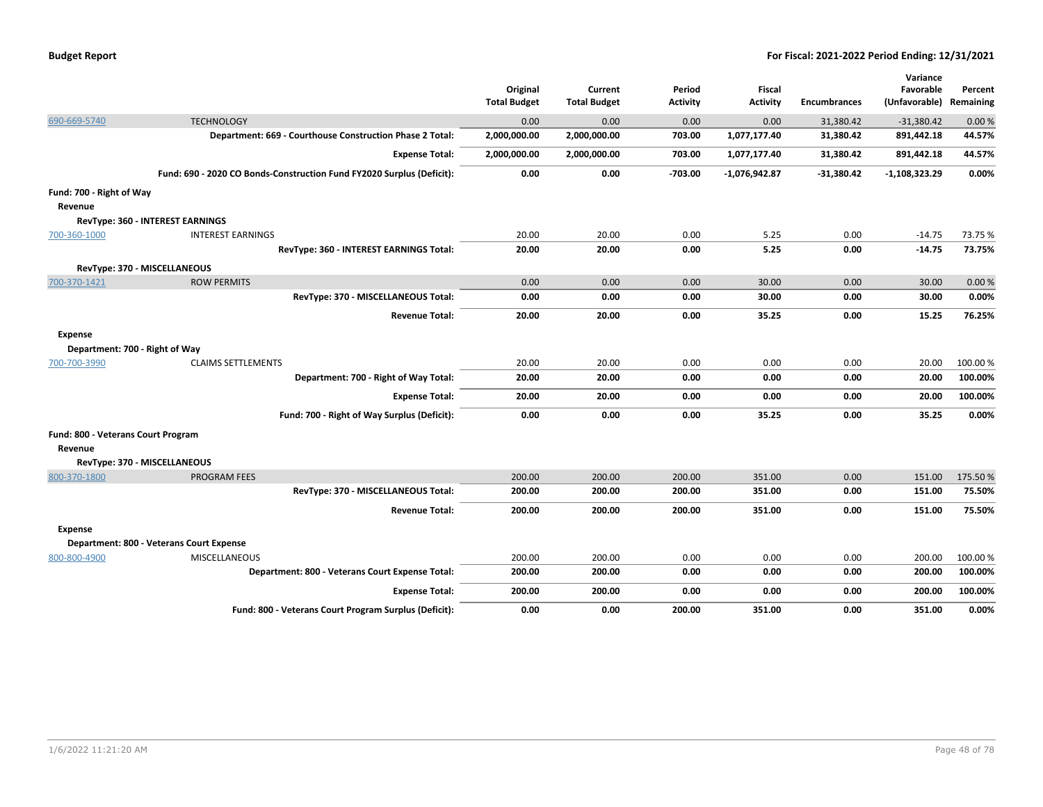|                                    |                                                                       | Original            | Current             | Period          | <b>Fiscal</b>   |                     | Variance<br>Favorable   | Percent  |
|------------------------------------|-----------------------------------------------------------------------|---------------------|---------------------|-----------------|-----------------|---------------------|-------------------------|----------|
|                                    |                                                                       | <b>Total Budget</b> | <b>Total Budget</b> | <b>Activity</b> | <b>Activity</b> | <b>Encumbrances</b> | (Unfavorable) Remaining |          |
| 690-669-5740                       | <b>TECHNOLOGY</b>                                                     | 0.00                | 0.00                | 0.00            | 0.00            | 31,380.42           | $-31,380.42$            | 0.00%    |
|                                    | Department: 669 - Courthouse Construction Phase 2 Total:              | 2,000,000.00        | 2,000,000.00        | 703.00          | 1,077,177.40    | 31,380.42           | 891,442.18              | 44.57%   |
|                                    | <b>Expense Total:</b>                                                 | 2,000,000.00        | 2,000,000.00        | 703.00          | 1,077,177.40    | 31,380.42           | 891,442.18              | 44.57%   |
|                                    | Fund: 690 - 2020 CO Bonds-Construction Fund FY2020 Surplus (Deficit): | 0.00                | 0.00                | $-703.00$       | $-1,076,942.87$ | $-31,380.42$        | $-1,108,323.29$         | 0.00%    |
| Fund: 700 - Right of Way           |                                                                       |                     |                     |                 |                 |                     |                         |          |
| Revenue                            |                                                                       |                     |                     |                 |                 |                     |                         |          |
|                                    | RevType: 360 - INTEREST EARNINGS                                      |                     |                     |                 |                 |                     |                         |          |
| 700-360-1000                       | <b>INTEREST EARNINGS</b>                                              | 20.00               | 20.00               | 0.00            | 5.25            | 0.00                | $-14.75$                | 73.75 %  |
|                                    | RevType: 360 - INTEREST EARNINGS Total:                               | 20.00               | 20.00               | 0.00            | 5.25            | 0.00                | $-14.75$                | 73.75%   |
|                                    | RevType: 370 - MISCELLANEOUS                                          |                     |                     |                 |                 |                     |                         |          |
| 700-370-1421                       | <b>ROW PERMITS</b>                                                    | 0.00                | 0.00                | 0.00            | 30.00           | 0.00                | 30.00                   | 0.00%    |
|                                    | RevType: 370 - MISCELLANEOUS Total:                                   | 0.00                | 0.00                | 0.00            | 30.00           | 0.00                | 30.00                   | 0.00%    |
|                                    | <b>Revenue Total:</b>                                                 | 20.00               | 20.00               | 0.00            | 35.25           | 0.00                | 15.25                   | 76.25%   |
| <b>Expense</b>                     |                                                                       |                     |                     |                 |                 |                     |                         |          |
| Department: 700 - Right of Way     |                                                                       |                     |                     |                 |                 |                     |                         |          |
| 700-700-3990                       | <b>CLAIMS SETTLEMENTS</b>                                             | 20.00               | 20.00               | 0.00            | 0.00            | 0.00                | 20.00                   | 100.00 % |
|                                    | Department: 700 - Right of Way Total:                                 | 20.00               | 20.00               | 0.00            | 0.00            | 0.00                | 20.00                   | 100.00%  |
|                                    | <b>Expense Total:</b>                                                 | 20.00               | 20.00               | 0.00            | 0.00            | 0.00                | 20.00                   | 100.00%  |
|                                    | Fund: 700 - Right of Way Surplus (Deficit):                           | 0.00                | 0.00                | 0.00            | 35.25           | 0.00                | 35.25                   | 0.00%    |
| Fund: 800 - Veterans Court Program |                                                                       |                     |                     |                 |                 |                     |                         |          |
| Revenue                            |                                                                       |                     |                     |                 |                 |                     |                         |          |
|                                    | RevType: 370 - MISCELLANEOUS                                          |                     |                     |                 |                 |                     |                         |          |
| 800-370-1800                       | <b>PROGRAM FEES</b>                                                   | 200.00              | 200.00              | 200.00          | 351.00          | 0.00                | 151.00                  | 175.50%  |
|                                    | RevType: 370 - MISCELLANEOUS Total:                                   | 200.00              | 200.00              | 200.00          | 351.00          | 0.00                | 151.00                  | 75.50%   |
|                                    | <b>Revenue Total:</b>                                                 | 200.00              | 200.00              | 200.00          | 351.00          | 0.00                | 151.00                  | 75.50%   |
| <b>Expense</b>                     |                                                                       |                     |                     |                 |                 |                     |                         |          |
|                                    | Department: 800 - Veterans Court Expense                              |                     |                     |                 |                 |                     |                         |          |
| 800-800-4900                       | <b>MISCELLANEOUS</b>                                                  | 200.00              | 200.00              | 0.00            | 0.00            | 0.00                | 200.00                  | 100.00%  |
|                                    | Department: 800 - Veterans Court Expense Total:                       | 200.00              | 200.00              | 0.00            | 0.00            | 0.00                | 200.00                  | 100.00%  |
|                                    | <b>Expense Total:</b>                                                 | 200.00              | 200.00              | 0.00            | 0.00            | 0.00                | 200.00                  | 100.00%  |
|                                    | Fund: 800 - Veterans Court Program Surplus (Deficit):                 | 0.00                | 0.00                | 200.00          | 351.00          | 0.00                | 351.00                  | 0.00%    |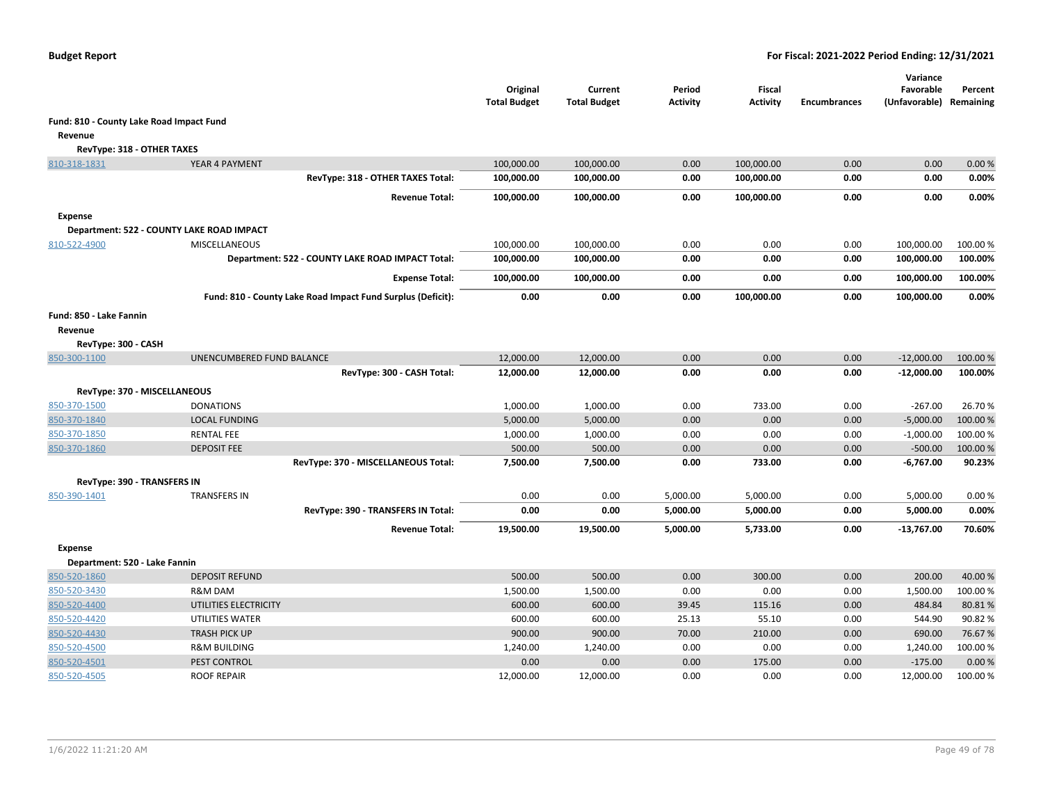|                                          |                                                             | Original<br><b>Total Budget</b> | Current<br><b>Total Budget</b> | Period<br><b>Activity</b> | Fiscal<br><b>Activity</b> | <b>Encumbrances</b> | Variance<br>Favorable<br>(Unfavorable) | Percent<br>Remaining |
|------------------------------------------|-------------------------------------------------------------|---------------------------------|--------------------------------|---------------------------|---------------------------|---------------------|----------------------------------------|----------------------|
| Fund: 810 - County Lake Road Impact Fund |                                                             |                                 |                                |                           |                           |                     |                                        |                      |
| Revenue                                  |                                                             |                                 |                                |                           |                           |                     |                                        |                      |
| RevType: 318 - OTHER TAXES               |                                                             |                                 |                                |                           |                           |                     |                                        |                      |
| 810-318-1831                             | YEAR 4 PAYMENT                                              | 100,000.00                      | 100,000.00                     | 0.00                      | 100,000.00                | 0.00                | 0.00                                   | 0.00%                |
|                                          | RevType: 318 - OTHER TAXES Total:                           | 100,000.00                      | 100,000.00                     | 0.00                      | 100,000.00                | 0.00                | 0.00                                   | 0.00%                |
|                                          | <b>Revenue Total:</b>                                       | 100,000.00                      | 100,000.00                     | 0.00                      | 100,000.00                | 0.00                | 0.00                                   | 0.00%                |
| <b>Expense</b>                           |                                                             |                                 |                                |                           |                           |                     |                                        |                      |
|                                          | Department: 522 - COUNTY LAKE ROAD IMPACT                   |                                 |                                |                           |                           |                     |                                        |                      |
| 810-522-4900                             | <b>MISCELLANEOUS</b>                                        | 100,000.00                      | 100,000.00                     | 0.00                      | 0.00                      | 0.00                | 100,000.00                             | 100.00 %             |
|                                          | Department: 522 - COUNTY LAKE ROAD IMPACT Total:            | 100,000.00                      | 100,000.00                     | 0.00                      | 0.00                      | 0.00                | 100,000.00                             | 100.00%              |
|                                          | <b>Expense Total:</b>                                       | 100,000.00                      | 100,000.00                     | 0.00                      | 0.00                      | 0.00                | 100,000.00                             | 100.00%              |
|                                          | Fund: 810 - County Lake Road Impact Fund Surplus (Deficit): | 0.00                            | 0.00                           | 0.00                      | 100,000.00                | 0.00                | 100,000.00                             | 0.00%                |
| Fund: 850 - Lake Fannin                  |                                                             |                                 |                                |                           |                           |                     |                                        |                      |
| Revenue                                  |                                                             |                                 |                                |                           |                           |                     |                                        |                      |
| RevType: 300 - CASH                      |                                                             |                                 |                                |                           |                           |                     |                                        |                      |
| 850-300-1100                             | UNENCUMBERED FUND BALANCE                                   | 12,000.00                       | 12,000.00                      | 0.00                      | 0.00                      | 0.00                | $-12,000.00$                           | 100.00 %             |
|                                          | RevType: 300 - CASH Total:                                  | 12,000.00                       | 12,000.00                      | 0.00                      | 0.00                      | 0.00                | $-12,000.00$                           | 100.00%              |
| RevType: 370 - MISCELLANEOUS             |                                                             |                                 |                                |                           |                           |                     |                                        |                      |
| 850-370-1500                             | <b>DONATIONS</b>                                            | 1,000.00                        | 1,000.00                       | 0.00                      | 733.00                    | 0.00                | $-267.00$                              | 26.70%               |
| 850-370-1840                             | <b>LOCAL FUNDING</b>                                        | 5,000.00                        | 5,000.00                       | 0.00                      | 0.00                      | 0.00                | $-5,000.00$                            | 100.00 %             |
| 850-370-1850                             | <b>RENTAL FEE</b>                                           | 1,000.00                        | 1,000.00                       | 0.00                      | 0.00                      | 0.00                | $-1,000.00$                            | 100.00 %             |
| 850-370-1860                             | <b>DEPOSIT FEE</b>                                          | 500.00                          | 500.00                         | 0.00                      | 0.00                      | 0.00                | $-500.00$                              | 100.00%              |
|                                          | RevType: 370 - MISCELLANEOUS Total:                         | 7,500.00                        | 7,500.00                       | 0.00                      | 733.00                    | 0.00                | $-6,767.00$                            | 90.23%               |
| <b>RevType: 390 - TRANSFERS IN</b>       |                                                             |                                 |                                |                           |                           |                     |                                        |                      |
| 850-390-1401                             | <b>TRANSFERS IN</b>                                         | 0.00                            | 0.00                           | 5,000.00                  | 5,000.00                  | 0.00                | 5,000.00                               | 0.00%                |
|                                          | RevType: 390 - TRANSFERS IN Total:                          | 0.00                            | 0.00                           | 5,000.00                  | 5,000.00                  | 0.00                | 5,000.00                               | 0.00%                |
|                                          | <b>Revenue Total:</b>                                       | 19,500.00                       | 19,500.00                      | 5,000.00                  | 5,733.00                  | 0.00                | -13,767.00                             | 70.60%               |
| <b>Expense</b>                           |                                                             |                                 |                                |                           |                           |                     |                                        |                      |
| Department: 520 - Lake Fannin            |                                                             |                                 |                                |                           |                           |                     |                                        |                      |
| 850-520-1860                             | <b>DEPOSIT REFUND</b>                                       | 500.00                          | 500.00                         | 0.00                      | 300.00                    | 0.00                | 200.00                                 | 40.00%               |
| 850-520-3430                             | R&M DAM                                                     | 1,500.00                        | 1,500.00                       | 0.00                      | 0.00                      | 0.00                | 1,500.00                               | 100.00%              |
| 850-520-4400                             | UTILITIES ELECTRICITY                                       | 600.00                          | 600.00                         | 39.45                     | 115.16                    | 0.00                | 484.84                                 | 80.81%               |
| 850-520-4420                             | UTILITIES WATER                                             | 600.00                          | 600.00                         | 25.13                     | 55.10                     | 0.00                | 544.90                                 | 90.82%               |
| 850-520-4430                             | <b>TRASH PICK UP</b>                                        | 900.00                          | 900.00                         | 70.00                     | 210.00                    | 0.00                | 690.00                                 | 76.67%               |
| 850-520-4500                             | <b>R&amp;M BUILDING</b>                                     | 1,240.00                        | 1,240.00                       | 0.00                      | 0.00                      | 0.00                | 1,240.00                               | 100.00%              |
| 850-520-4501                             | PEST CONTROL                                                | 0.00                            | 0.00                           | 0.00                      | 175.00                    | 0.00                | $-175.00$                              | 0.00%                |
| 850-520-4505                             | <b>ROOF REPAIR</b>                                          | 12,000.00                       | 12,000.00                      | 0.00                      | 0.00                      | 0.00                | 12,000.00                              | 100.00 %             |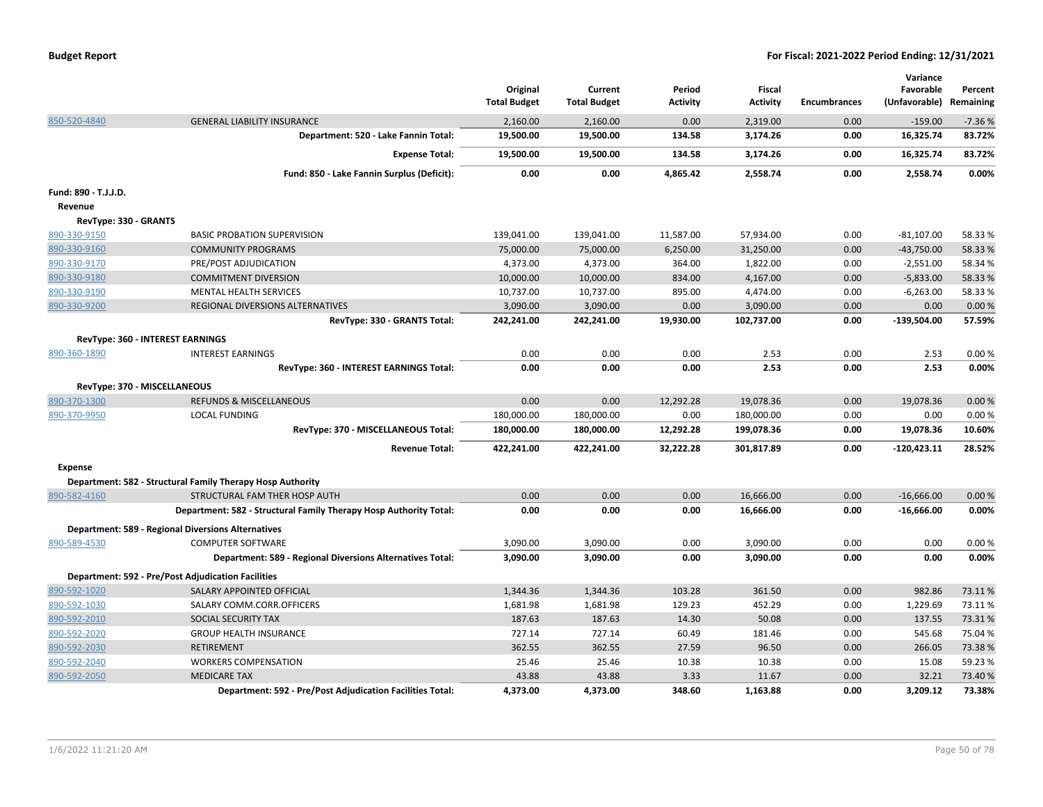|                       |                                                                   | Original<br><b>Total Budget</b> | Current<br><b>Total Budget</b> | Period<br><b>Activity</b> | <b>Fiscal</b><br><b>Activity</b> | <b>Encumbrances</b> | Variance<br>Favorable<br>(Unfavorable) | Percent<br>Remaining |
|-----------------------|-------------------------------------------------------------------|---------------------------------|--------------------------------|---------------------------|----------------------------------|---------------------|----------------------------------------|----------------------|
| 850-520-4840          | <b>GENERAL LIABILITY INSURANCE</b>                                | 2,160.00                        | 2,160.00                       | 0.00                      | 2,319.00                         | 0.00                | $-159.00$                              | $-7.36%$             |
|                       | Department: 520 - Lake Fannin Total:                              | 19,500.00                       | 19,500.00                      | 134.58                    | 3,174.26                         | 0.00                | 16,325.74                              | 83.72%               |
|                       | <b>Expense Total:</b>                                             | 19,500.00                       | 19,500.00                      | 134.58                    | 3,174.26                         | 0.00                | 16,325.74                              | 83.72%               |
|                       | Fund: 850 - Lake Fannin Surplus (Deficit):                        | 0.00                            | 0.00                           | 4,865.42                  | 2,558.74                         | 0.00                | 2,558.74                               | 0.00%                |
| Fund: 890 - T.J.J.D.  |                                                                   |                                 |                                |                           |                                  |                     |                                        |                      |
| Revenue               |                                                                   |                                 |                                |                           |                                  |                     |                                        |                      |
| RevType: 330 - GRANTS |                                                                   |                                 |                                |                           |                                  |                     |                                        |                      |
| 890-330-9150          | <b>BASIC PROBATION SUPERVISION</b>                                | 139,041.00                      | 139,041.00                     | 11,587.00                 | 57,934.00                        | 0.00                | $-81,107.00$                           | 58.33%               |
| 890-330-9160          | <b>COMMUNITY PROGRAMS</b>                                         | 75,000.00                       | 75,000.00                      | 6,250.00                  | 31,250.00                        | 0.00                | $-43,750.00$                           | 58.33%               |
| 890-330-9170          | PRE/POST ADJUDICATION                                             | 4,373.00                        | 4,373.00                       | 364.00                    | 1,822.00                         | 0.00                | $-2,551.00$                            | 58.34 %              |
| 890-330-9180          | <b>COMMITMENT DIVERSION</b>                                       | 10,000.00                       | 10,000.00                      | 834.00                    | 4,167.00                         | 0.00                | $-5,833.00$                            | 58.33 %              |
| 890-330-9190          | <b>MENTAL HEALTH SERVICES</b>                                     | 10,737.00                       | 10,737.00                      | 895.00                    | 4,474.00                         | 0.00                | $-6,263.00$                            | 58.33%               |
| 890-330-9200          | REGIONAL DIVERSIONS ALTERNATIVES                                  | 3,090.00                        | 3,090.00                       | 0.00                      | 3,090.00                         | 0.00                | 0.00                                   | 0.00%                |
|                       | RevType: 330 - GRANTS Total:                                      | 242,241.00                      | 242,241.00                     | 19,930.00                 | 102,737.00                       | 0.00                | $-139,504.00$                          | 57.59%               |
|                       | RevType: 360 - INTEREST EARNINGS                                  |                                 |                                |                           |                                  |                     |                                        |                      |
| 890-360-1890          | <b>INTEREST EARNINGS</b>                                          | 0.00                            | 0.00                           | 0.00                      | 2.53                             | 0.00                | 2.53                                   | 0.00%                |
|                       | RevType: 360 - INTEREST EARNINGS Total:                           | 0.00                            | 0.00                           | 0.00                      | 2.53                             | 0.00                | 2.53                                   | 0.00%                |
|                       | RevType: 370 - MISCELLANEOUS                                      |                                 |                                |                           |                                  |                     |                                        |                      |
| 890-370-1300          | <b>REFUNDS &amp; MISCELLANEOUS</b>                                | 0.00                            | 0.00                           | 12,292.28                 | 19,078.36                        | 0.00                | 19,078.36                              | 0.00%                |
| 890-370-9950          | <b>LOCAL FUNDING</b>                                              | 180,000.00                      | 180,000.00                     | 0.00                      | 180,000.00                       | 0.00                | 0.00                                   | 0.00%                |
|                       | RevType: 370 - MISCELLANEOUS Total:                               | 180,000.00                      | 180,000.00                     | 12,292.28                 | 199,078.36                       | 0.00                | 19,078.36                              | 10.60%               |
|                       | <b>Revenue Total:</b>                                             | 422,241.00                      | 422,241.00                     | 32,222.28                 | 301,817.89                       | 0.00                | $-120,423.11$                          | 28.52%               |
| <b>Expense</b>        |                                                                   |                                 |                                |                           |                                  |                     |                                        |                      |
|                       | Department: 582 - Structural Family Therapy Hosp Authority        |                                 |                                |                           |                                  |                     |                                        |                      |
| 890-582-4160          | STRUCTURAL FAM THER HOSP AUTH                                     | 0.00                            | 0.00                           | 0.00                      | 16,666.00                        | 0.00                | $-16,666.00$                           | 0.00%                |
|                       | Department: 582 - Structural Family Therapy Hosp Authority Total: | 0.00                            | 0.00                           | 0.00                      | 16,666.00                        | 0.00                | $-16,666.00$                           | 0.00%                |
|                       | <b>Department: 589 - Regional Diversions Alternatives</b>         |                                 |                                |                           |                                  |                     |                                        |                      |
| 890-589-4530          | <b>COMPUTER SOFTWARE</b>                                          | 3,090.00                        | 3,090.00                       | 0.00                      | 3,090.00                         | 0.00                | 0.00                                   | 0.00%                |
|                       | <b>Department: 589 - Regional Diversions Alternatives Total:</b>  | 3,090.00                        | 3,090.00                       | 0.00                      | 3,090.00                         | 0.00                | 0.00                                   | 0.00%                |
|                       | <b>Department: 592 - Pre/Post Adjudication Facilities</b>         |                                 |                                |                           |                                  |                     |                                        |                      |
| 890-592-1020          | SALARY APPOINTED OFFICIAL                                         | 1,344.36                        | 1,344.36                       | 103.28                    | 361.50                           | 0.00                | 982.86                                 | 73.11%               |
| 890-592-1030          | SALARY COMM.CORR.OFFICERS                                         | 1,681.98                        | 1,681.98                       | 129.23                    | 452.29                           | 0.00                | 1,229.69                               | 73.11%               |
| 890-592-2010          | SOCIAL SECURITY TAX                                               | 187.63                          | 187.63                         | 14.30                     | 50.08                            | 0.00                | 137.55                                 | 73.31%               |
| 890-592-2020          | <b>GROUP HEALTH INSURANCE</b>                                     | 727.14                          | 727.14                         | 60.49                     | 181.46                           | 0.00                | 545.68                                 | 75.04%               |
| 890-592-2030          | RETIREMENT                                                        | 362.55                          | 362.55                         | 27.59                     | 96.50                            | 0.00                | 266.05                                 | 73.38%               |
| 890-592-2040          | <b>WORKERS COMPENSATION</b>                                       | 25.46                           | 25.46                          | 10.38                     | 10.38                            | 0.00                | 15.08                                  | 59.23 %              |
| 890-592-2050          | <b>MEDICARE TAX</b>                                               | 43.88                           | 43.88                          | 3.33                      | 11.67                            | 0.00                | 32.21                                  | 73.40%               |
|                       | Department: 592 - Pre/Post Adjudication Facilities Total:         | 4,373.00                        | 4,373.00                       | 348.60                    | 1,163.88                         | 0.00                | 3.209.12                               | 73.38%               |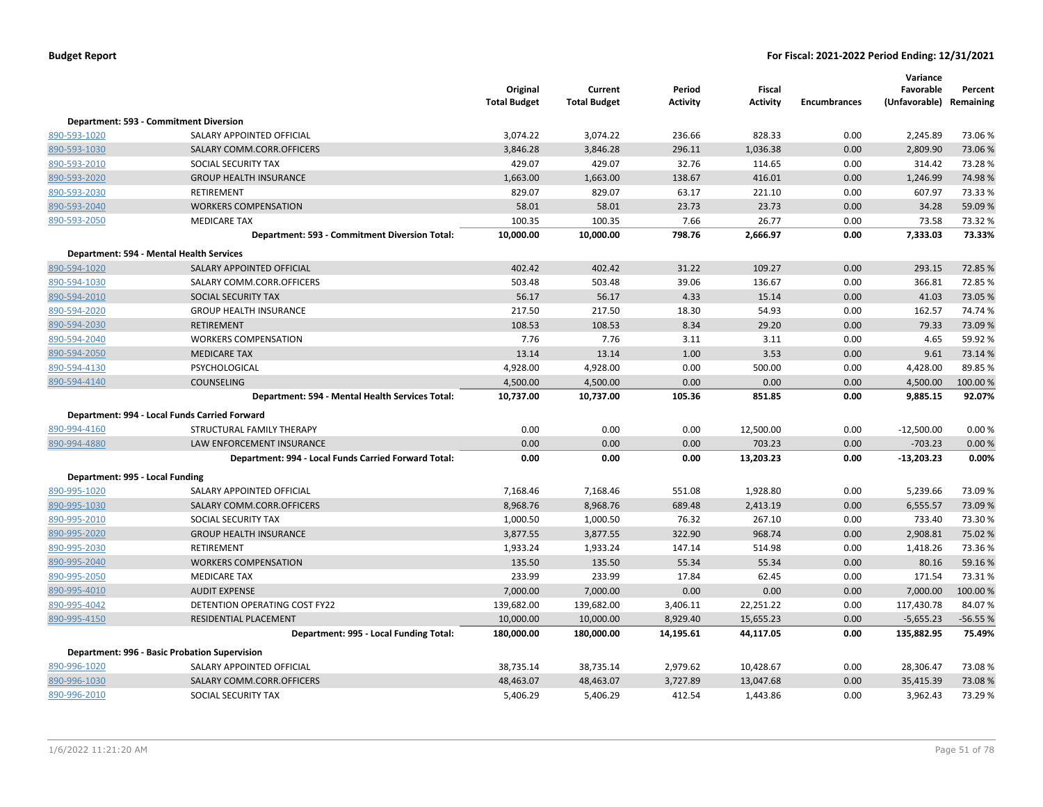|                                 |                                                      | Original<br><b>Total Budget</b> | Current<br><b>Total Budget</b> | Period<br>Activity | Fiscal<br><b>Activity</b> | <b>Encumbrances</b> | Variance<br>Favorable<br>(Unfavorable) Remaining | Percent   |
|---------------------------------|------------------------------------------------------|---------------------------------|--------------------------------|--------------------|---------------------------|---------------------|--------------------------------------------------|-----------|
|                                 | Department: 593 - Commitment Diversion               |                                 |                                |                    |                           |                     |                                                  |           |
| 890-593-1020                    | SALARY APPOINTED OFFICIAL                            | 3,074.22                        | 3,074.22                       | 236.66             | 828.33                    | 0.00                | 2,245.89                                         | 73.06%    |
| 890-593-1030                    | SALARY COMM.CORR.OFFICERS                            | 3,846.28                        | 3,846.28                       | 296.11             | 1,036.38                  | 0.00                | 2,809.90                                         | 73.06%    |
| 890-593-2010                    | SOCIAL SECURITY TAX                                  | 429.07                          | 429.07                         | 32.76              | 114.65                    | 0.00                | 314.42                                           | 73.28%    |
| 890-593-2020                    | <b>GROUP HEALTH INSURANCE</b>                        | 1,663.00                        | 1,663.00                       | 138.67             | 416.01                    | 0.00                | 1,246.99                                         | 74.98%    |
| 890-593-2030                    | RETIREMENT                                           | 829.07                          | 829.07                         | 63.17              | 221.10                    | 0.00                | 607.97                                           | 73.33 %   |
| 890-593-2040                    | <b>WORKERS COMPENSATION</b>                          | 58.01                           | 58.01                          | 23.73              | 23.73                     | 0.00                | 34.28                                            | 59.09 %   |
| 890-593-2050                    | <b>MEDICARE TAX</b>                                  | 100.35                          | 100.35                         | 7.66               | 26.77                     | 0.00                | 73.58                                            | 73.32 %   |
|                                 | Department: 593 - Commitment Diversion Total:        | 10,000.00                       | 10,000.00                      | 798.76             | 2,666.97                  | 0.00                | 7,333.03                                         | 73.33%    |
|                                 | Department: 594 - Mental Health Services             |                                 |                                |                    |                           |                     |                                                  |           |
| 890-594-1020                    | SALARY APPOINTED OFFICIAL                            | 402.42                          | 402.42                         | 31.22              | 109.27                    | 0.00                | 293.15                                           | 72.85 %   |
| 890-594-1030                    | SALARY COMM.CORR.OFFICERS                            | 503.48                          | 503.48                         | 39.06              | 136.67                    | 0.00                | 366.81                                           | 72.85%    |
| 890-594-2010                    | <b>SOCIAL SECURITY TAX</b>                           | 56.17                           | 56.17                          | 4.33               | 15.14                     | 0.00                | 41.03                                            | 73.05 %   |
| 890-594-2020                    | <b>GROUP HEALTH INSURANCE</b>                        | 217.50                          | 217.50                         | 18.30              | 54.93                     | 0.00                | 162.57                                           | 74.74 %   |
| 890-594-2030                    | <b>RETIREMENT</b>                                    | 108.53                          | 108.53                         | 8.34               | 29.20                     | 0.00                | 79.33                                            | 73.09 %   |
| 890-594-2040                    | <b>WORKERS COMPENSATION</b>                          | 7.76                            | 7.76                           | 3.11               | 3.11                      | 0.00                | 4.65                                             | 59.92 %   |
| 890-594-2050                    | <b>MEDICARE TAX</b>                                  | 13.14                           | 13.14                          | 1.00               | 3.53                      | 0.00                | 9.61                                             | 73.14 %   |
| 890-594-4130                    | PSYCHOLOGICAL                                        | 4,928.00                        | 4,928.00                       | 0.00               | 500.00                    | 0.00                | 4,428.00                                         | 89.85 %   |
| 890-594-4140                    | <b>COUNSELING</b>                                    | 4,500.00                        | 4,500.00                       | 0.00               | 0.00                      | 0.00                | 4,500.00                                         | 100.00 %  |
|                                 | Department: 594 - Mental Health Services Total:      | 10,737.00                       | 10,737.00                      | 105.36             | 851.85                    | 0.00                | 9,885.15                                         | 92.07%    |
|                                 | Department: 994 - Local Funds Carried Forward        |                                 |                                |                    |                           |                     |                                                  |           |
| 890-994-4160                    | STRUCTURAL FAMILY THERAPY                            | 0.00                            | 0.00                           | 0.00               | 12,500.00                 | 0.00                | $-12,500.00$                                     | 0.00%     |
| 890-994-4880                    | LAW ENFORCEMENT INSURANCE                            | 0.00                            | 0.00                           | 0.00               | 703.23                    | 0.00                | $-703.23$                                        | 0.00%     |
|                                 | Department: 994 - Local Funds Carried Forward Total: | 0.00                            | 0.00                           | 0.00               | 13,203.23                 | 0.00                | $-13,203.23$                                     | 0.00%     |
| Department: 995 - Local Funding |                                                      |                                 |                                |                    |                           |                     |                                                  |           |
| 890-995-1020                    | SALARY APPOINTED OFFICIAL                            | 7,168.46                        | 7,168.46                       | 551.08             | 1,928.80                  | 0.00                | 5,239.66                                         | 73.09%    |
| 890-995-1030                    | SALARY COMM.CORR.OFFICERS                            | 8,968.76                        | 8,968.76                       | 689.48             | 2,413.19                  | 0.00                | 6,555.57                                         | 73.09 %   |
| 890-995-2010                    | SOCIAL SECURITY TAX                                  | 1,000.50                        | 1,000.50                       | 76.32              | 267.10                    | 0.00                | 733.40                                           | 73.30%    |
| 890-995-2020                    | <b>GROUP HEALTH INSURANCE</b>                        | 3,877.55                        | 3,877.55                       | 322.90             | 968.74                    | 0.00                | 2,908.81                                         | 75.02 %   |
| 890-995-2030                    | RETIREMENT                                           | 1,933.24                        | 1,933.24                       | 147.14             | 514.98                    | 0.00                | 1,418.26                                         | 73.36%    |
| 890-995-2040                    | <b>WORKERS COMPENSATION</b>                          | 135.50                          | 135.50                         | 55.34              | 55.34                     | 0.00                | 80.16                                            | 59.16%    |
| 890-995-2050                    | <b>MEDICARE TAX</b>                                  | 233.99                          | 233.99                         | 17.84              | 62.45                     | 0.00                | 171.54                                           | 73.31%    |
| 890-995-4010                    | <b>AUDIT EXPENSE</b>                                 | 7,000.00                        | 7,000.00                       | 0.00               | 0.00                      | 0.00                | 7,000.00                                         | 100.00%   |
| 890-995-4042                    | DETENTION OPERATING COST FY22                        | 139,682.00                      | 139,682.00                     | 3,406.11           | 22,251.22                 | 0.00                | 117,430.78                                       | 84.07%    |
| 890-995-4150                    | RESIDENTIAL PLACEMENT                                | 10,000.00                       | 10,000.00                      | 8,929.40           | 15,655.23                 | 0.00                | $-5,655.23$                                      | $-56.55%$ |
|                                 | Department: 995 - Local Funding Total:               | 180,000.00                      | 180,000.00                     | 14,195.61          | 44,117.05                 | 0.00                | 135,882.95                                       | 75.49%    |
|                                 | Department: 996 - Basic Probation Supervision        |                                 |                                |                    |                           |                     |                                                  |           |
| 890-996-1020                    | SALARY APPOINTED OFFICIAL                            | 38,735.14                       | 38,735.14                      | 2,979.62           | 10,428.67                 | 0.00                | 28,306.47                                        | 73.08%    |
| 890-996-1030                    | SALARY COMM.CORR.OFFICERS                            | 48,463.07                       | 48,463.07                      | 3,727.89           | 13,047.68                 | 0.00                | 35,415.39                                        | 73.08%    |
| 890-996-2010                    | SOCIAL SECURITY TAX                                  | 5,406.29                        | 5,406.29                       | 412.54             | 1,443.86                  | 0.00                | 3,962.43                                         | 73.29 %   |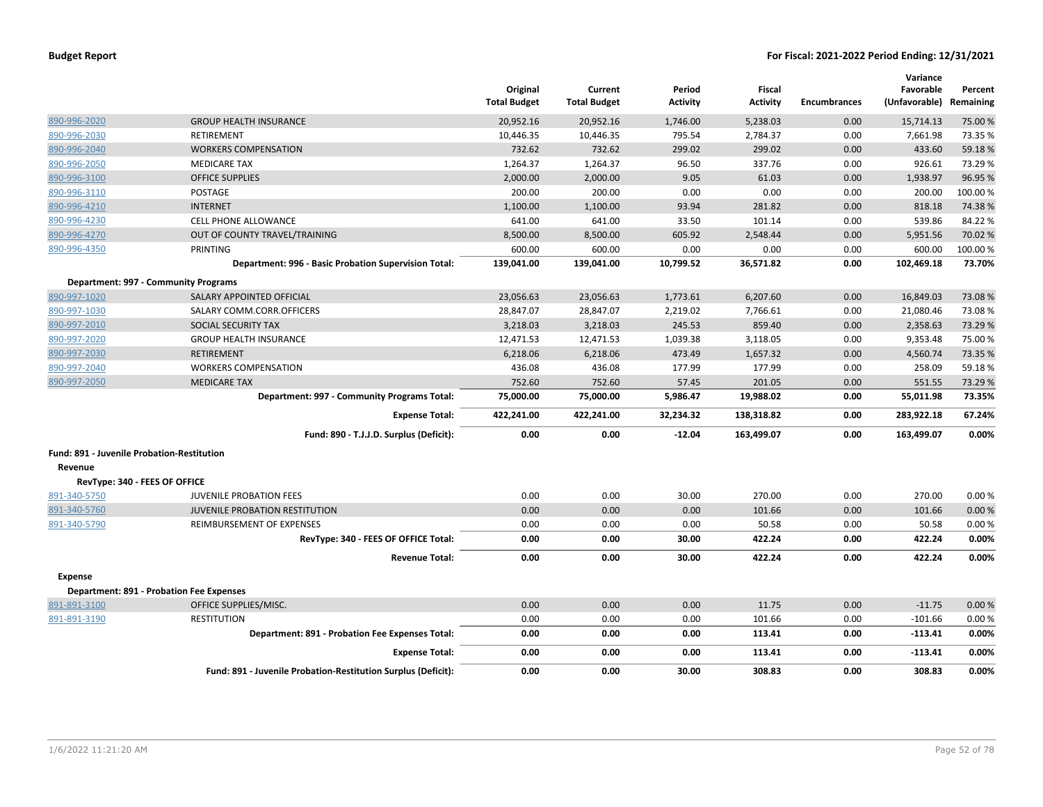|                                            |                                                               | Original<br><b>Total Budget</b> | Current<br><b>Total Budget</b> | Period<br>Activity | <b>Fiscal</b><br><b>Activity</b> | <b>Encumbrances</b> | Variance<br>Favorable<br>(Unfavorable) | Percent<br>Remaining |
|--------------------------------------------|---------------------------------------------------------------|---------------------------------|--------------------------------|--------------------|----------------------------------|---------------------|----------------------------------------|----------------------|
| 890-996-2020                               | <b>GROUP HEALTH INSURANCE</b>                                 | 20,952.16                       | 20,952.16                      | 1,746.00           | 5,238.03                         | 0.00                | 15,714.13                              | 75.00 %              |
| 890-996-2030                               | RETIREMENT                                                    | 10,446.35                       | 10,446.35                      | 795.54             | 2,784.37                         | 0.00                | 7,661.98                               | 73.35 %              |
| 890-996-2040                               | <b>WORKERS COMPENSATION</b>                                   | 732.62                          | 732.62                         | 299.02             | 299.02                           | 0.00                | 433.60                                 | 59.18%               |
| 890-996-2050                               | <b>MEDICARE TAX</b>                                           | 1,264.37                        | 1,264.37                       | 96.50              | 337.76                           | 0.00                | 926.61                                 | 73.29 %              |
| 890-996-3100                               | <b>OFFICE SUPPLIES</b>                                        | 2,000.00                        | 2,000.00                       | 9.05               | 61.03                            | 0.00                | 1,938.97                               | 96.95 %              |
| 890-996-3110                               | POSTAGE                                                       | 200.00                          | 200.00                         | 0.00               | 0.00                             | 0.00                | 200.00                                 | 100.00%              |
| 890-996-4210                               | <b>INTERNET</b>                                               | 1,100.00                        | 1,100.00                       | 93.94              | 281.82                           | 0.00                | 818.18                                 | 74.38%               |
| 890-996-4230                               | <b>CELL PHONE ALLOWANCE</b>                                   | 641.00                          | 641.00                         | 33.50              | 101.14                           | 0.00                | 539.86                                 | 84.22%               |
| 890-996-4270                               | OUT OF COUNTY TRAVEL/TRAINING                                 | 8,500.00                        | 8,500.00                       | 605.92             | 2,548.44                         | 0.00                | 5,951.56                               | 70.02 %              |
| 890-996-4350                               | <b>PRINTING</b>                                               | 600.00                          | 600.00                         | 0.00               | 0.00                             | 0.00                | 600.00                                 | 100.00%              |
|                                            | Department: 996 - Basic Probation Supervision Total:          | 139,041.00                      | 139,041.00                     | 10,799.52          | 36,571.82                        | 0.00                | 102,469.18                             | 73.70%               |
|                                            | Department: 997 - Community Programs                          |                                 |                                |                    |                                  |                     |                                        |                      |
| 890-997-1020                               | SALARY APPOINTED OFFICIAL                                     | 23,056.63                       | 23,056.63                      | 1,773.61           | 6,207.60                         | 0.00                | 16,849.03                              | 73.08%               |
| 890-997-1030                               | SALARY COMM.CORR.OFFICERS                                     | 28,847.07                       | 28,847.07                      | 2,219.02           | 7,766.61                         | 0.00                | 21,080.46                              | 73.08%               |
| 890-997-2010                               | <b>SOCIAL SECURITY TAX</b>                                    | 3,218.03                        | 3,218.03                       | 245.53             | 859.40                           | 0.00                | 2,358.63                               | 73.29 %              |
| 890-997-2020                               | <b>GROUP HEALTH INSURANCE</b>                                 | 12,471.53                       | 12,471.53                      | 1,039.38           | 3,118.05                         | 0.00                | 9,353.48                               | 75.00%               |
| 890-997-2030                               | <b>RETIREMENT</b>                                             | 6,218.06                        | 6,218.06                       | 473.49             | 1,657.32                         | 0.00                | 4,560.74                               | 73.35 %              |
| 890-997-2040                               | <b>WORKERS COMPENSATION</b>                                   | 436.08                          | 436.08                         | 177.99             | 177.99                           | 0.00                | 258.09                                 | 59.18%               |
| 890-997-2050                               | <b>MEDICARE TAX</b>                                           | 752.60                          | 752.60                         | 57.45              | 201.05                           | 0.00                | 551.55                                 | 73.29 %              |
|                                            | Department: 997 - Community Programs Total:                   | 75,000.00                       | 75,000.00                      | 5,986.47           | 19,988.02                        | 0.00                | 55,011.98                              | 73.35%               |
|                                            | <b>Expense Total:</b>                                         | 422,241.00                      | 422,241.00                     | 32,234.32          | 138,318.82                       | 0.00                | 283,922.18                             | 67.24%               |
|                                            | Fund: 890 - T.J.J.D. Surplus (Deficit):                       | 0.00                            | 0.00                           | $-12.04$           | 163,499.07                       | 0.00                | 163,499.07                             | 0.00%                |
| Fund: 891 - Juvenile Probation-Restitution |                                                               |                                 |                                |                    |                                  |                     |                                        |                      |
| Revenue                                    |                                                               |                                 |                                |                    |                                  |                     |                                        |                      |
| RevType: 340 - FEES OF OFFICE              |                                                               |                                 |                                |                    |                                  |                     |                                        |                      |
| 891-340-5750                               | <b>JUVENILE PROBATION FEES</b>                                | 0.00                            | 0.00                           | 30.00              | 270.00                           | 0.00                | 270.00                                 | 0.00%                |
| 891-340-5760                               | <b>JUVENILE PROBATION RESTITUTION</b>                         | 0.00                            | 0.00                           | 0.00               | 101.66                           | 0.00                | 101.66                                 | 0.00%                |
| 891-340-5790                               | REIMBURSEMENT OF EXPENSES                                     | 0.00                            | 0.00                           | 0.00               | 50.58                            | 0.00                | 50.58                                  | 0.00%                |
|                                            | RevType: 340 - FEES OF OFFICE Total:                          | 0.00                            | 0.00                           | 30.00              | 422.24                           | 0.00                | 422.24                                 | 0.00%                |
|                                            | <b>Revenue Total:</b>                                         | 0.00                            | 0.00                           | 30.00              | 422.24                           | 0.00                | 422.24                                 | 0.00%                |
| <b>Expense</b>                             |                                                               |                                 |                                |                    |                                  |                     |                                        |                      |
|                                            | <b>Department: 891 - Probation Fee Expenses</b>               |                                 |                                |                    |                                  |                     |                                        |                      |
| 891-891-3100                               | OFFICE SUPPLIES/MISC.                                         | 0.00                            | 0.00                           | 0.00               | 11.75                            | 0.00                | $-11.75$                               | 0.00%                |
| 891-891-3190                               | <b>RESTITUTION</b>                                            | 0.00                            | 0.00                           | 0.00               | 101.66                           | 0.00                | $-101.66$                              | 0.00%                |
|                                            | Department: 891 - Probation Fee Expenses Total:               | 0.00                            | 0.00                           | 0.00               | 113.41                           | 0.00                | $-113.41$                              | 0.00%                |
|                                            | <b>Expense Total:</b>                                         | 0.00                            | 0.00                           | 0.00               | 113.41                           | 0.00                | $-113.41$                              | 0.00%                |
|                                            | Fund: 891 - Juvenile Probation-Restitution Surplus (Deficit): | 0.00                            | 0.00                           | 30.00              | 308.83                           | 0.00                | 308.83                                 | 0.00%                |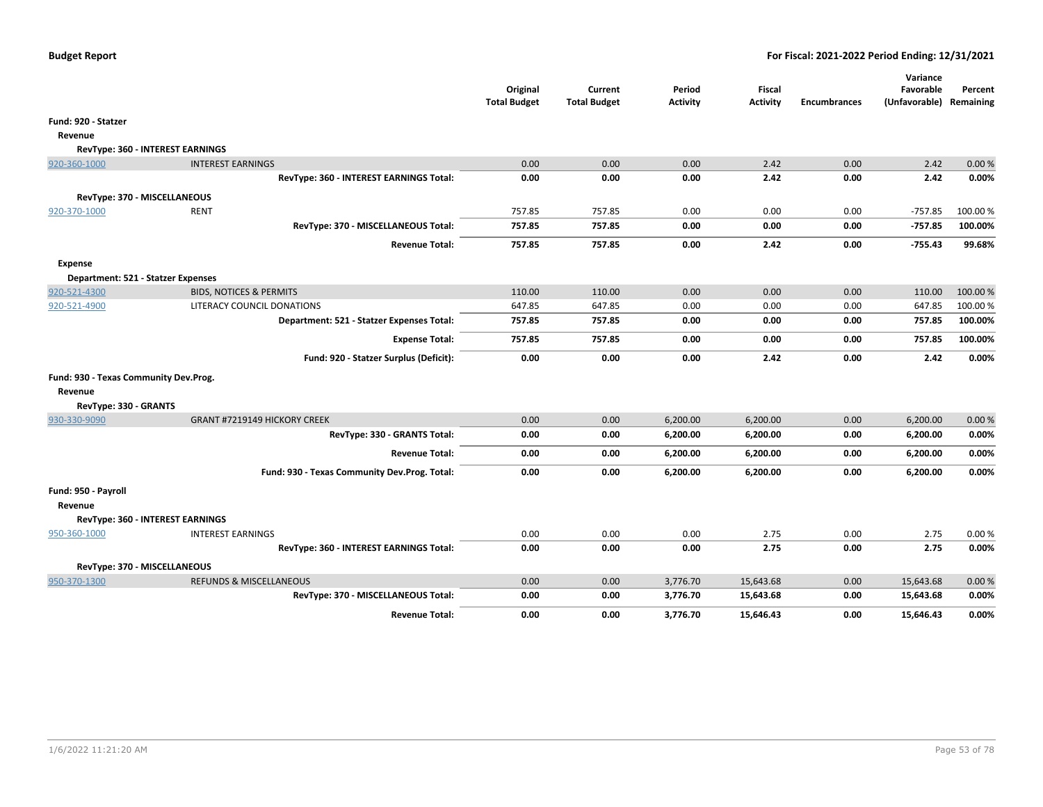|                                       |                                              | Original<br><b>Total Budget</b> | Current<br><b>Total Budget</b> | Period<br><b>Activity</b> | Fiscal<br><b>Activity</b> | <b>Encumbrances</b> | Variance<br>Favorable<br>(Unfavorable) Remaining | Percent  |
|---------------------------------------|----------------------------------------------|---------------------------------|--------------------------------|---------------------------|---------------------------|---------------------|--------------------------------------------------|----------|
| Fund: 920 - Statzer                   |                                              |                                 |                                |                           |                           |                     |                                                  |          |
| Revenue                               |                                              |                                 |                                |                           |                           |                     |                                                  |          |
| RevType: 360 - INTEREST EARNINGS      |                                              |                                 |                                |                           |                           |                     |                                                  |          |
| 920-360-1000                          | <b>INTEREST EARNINGS</b>                     | 0.00                            | 0.00                           | 0.00                      | 2.42                      | 0.00                | 2.42                                             | 0.00%    |
|                                       | RevType: 360 - INTEREST EARNINGS Total:      | 0.00                            | 0.00                           | 0.00                      | 2.42                      | 0.00                | 2.42                                             | 0.00%    |
| RevType: 370 - MISCELLANEOUS          |                                              |                                 |                                |                           |                           |                     |                                                  |          |
| 920-370-1000                          | <b>RENT</b>                                  | 757.85                          | 757.85                         | 0.00                      | 0.00                      | 0.00                | $-757.85$                                        | 100.00%  |
|                                       | RevType: 370 - MISCELLANEOUS Total:          | 757.85                          | 757.85                         | 0.00                      | 0.00                      | 0.00                | $-757.85$                                        | 100.00%  |
|                                       | <b>Revenue Total:</b>                        | 757.85                          | 757.85                         | 0.00                      | 2.42                      | 0.00                | $-755.43$                                        | 99.68%   |
| Expense                               |                                              |                                 |                                |                           |                           |                     |                                                  |          |
| Department: 521 - Statzer Expenses    |                                              |                                 |                                |                           |                           |                     |                                                  |          |
| 920-521-4300                          | <b>BIDS, NOTICES &amp; PERMITS</b>           | 110.00                          | 110.00                         | 0.00                      | 0.00                      | 0.00                | 110.00                                           | 100.00 % |
| 920-521-4900                          | LITERACY COUNCIL DONATIONS                   | 647.85                          | 647.85                         | 0.00                      | 0.00                      | 0.00                | 647.85                                           | 100.00%  |
|                                       | Department: 521 - Statzer Expenses Total:    | 757.85                          | 757.85                         | 0.00                      | 0.00                      | 0.00                | 757.85                                           | 100.00%  |
|                                       | <b>Expense Total:</b>                        | 757.85                          | 757.85                         | 0.00                      | 0.00                      | 0.00                | 757.85                                           | 100.00%  |
|                                       | Fund: 920 - Statzer Surplus (Deficit):       | 0.00                            | 0.00                           | 0.00                      | 2.42                      | 0.00                | 2.42                                             | 0.00%    |
| Fund: 930 - Texas Community Dev.Prog. |                                              |                                 |                                |                           |                           |                     |                                                  |          |
| Revenue                               |                                              |                                 |                                |                           |                           |                     |                                                  |          |
| RevType: 330 - GRANTS                 |                                              |                                 |                                |                           |                           |                     |                                                  |          |
| 930-330-9090                          | GRANT #7219149 HICKORY CREEK                 | 0.00                            | 0.00                           | 6,200.00                  | 6,200.00                  | 0.00                | 6,200.00                                         | 0.00%    |
|                                       | RevType: 330 - GRANTS Total:                 | 0.00                            | 0.00                           | 6,200.00                  | 6,200.00                  | 0.00                | 6,200.00                                         | 0.00%    |
|                                       | <b>Revenue Total:</b>                        | 0.00                            | 0.00                           | 6,200.00                  | 6,200.00                  | 0.00                | 6,200.00                                         | 0.00%    |
|                                       | Fund: 930 - Texas Community Dev.Prog. Total: | 0.00                            | 0.00                           | 6,200.00                  | 6,200.00                  | 0.00                | 6,200.00                                         | 0.00%    |
| Fund: 950 - Payroll                   |                                              |                                 |                                |                           |                           |                     |                                                  |          |
| Revenue                               |                                              |                                 |                                |                           |                           |                     |                                                  |          |
| RevType: 360 - INTEREST EARNINGS      |                                              |                                 |                                |                           |                           |                     |                                                  |          |
| 950-360-1000                          | <b>INTEREST EARNINGS</b>                     | 0.00                            | 0.00                           | 0.00                      | 2.75                      | 0.00                | 2.75                                             | 0.00%    |
|                                       | RevType: 360 - INTEREST EARNINGS Total:      | 0.00                            | 0.00                           | 0.00                      | 2.75                      | 0.00                | 2.75                                             | 0.00%    |
| RevType: 370 - MISCELLANEOUS          |                                              |                                 |                                |                           |                           |                     |                                                  |          |
| 950-370-1300                          | <b>REFUNDS &amp; MISCELLANEOUS</b>           | 0.00                            | 0.00                           | 3,776.70                  | 15,643.68                 | 0.00                | 15,643.68                                        | 0.00%    |
|                                       | RevType: 370 - MISCELLANEOUS Total:          | 0.00                            | 0.00                           | 3,776.70                  | 15,643.68                 | 0.00                | 15,643.68                                        | 0.00%    |
|                                       | <b>Revenue Total:</b>                        | 0.00                            | 0.00                           | 3,776.70                  | 15,646.43                 | 0.00                | 15.646.43                                        | 0.00%    |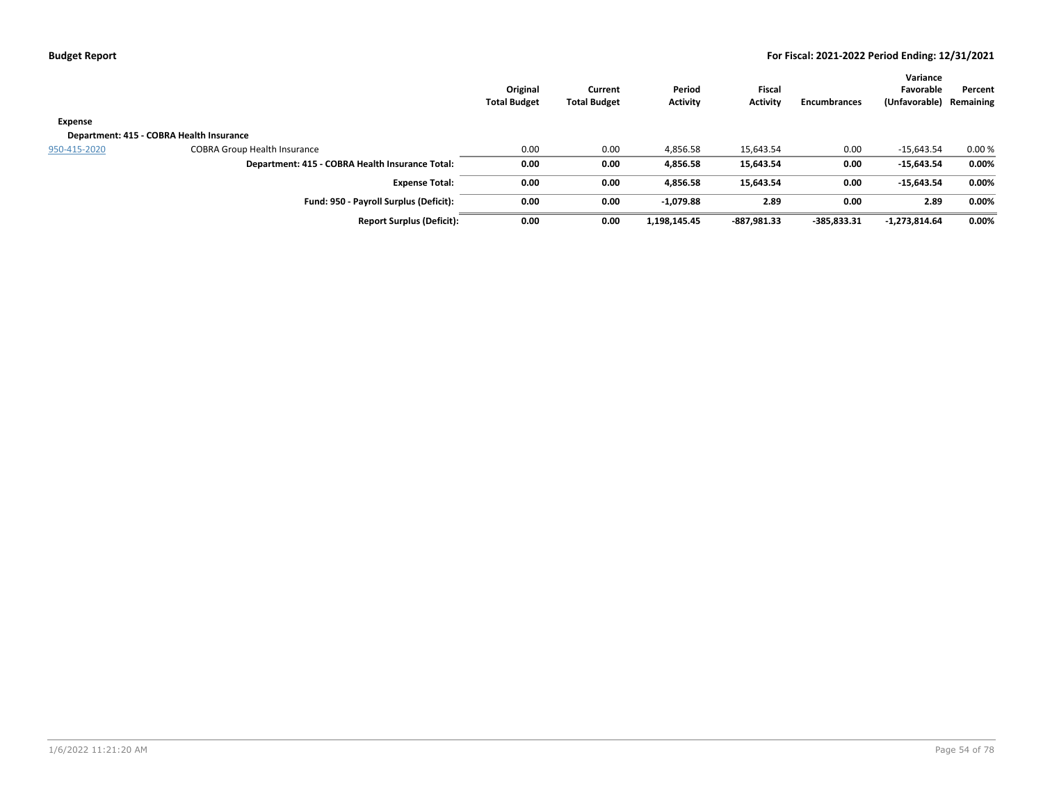|                |                                                 | Original<br><b>Total Budget</b> | Current<br><b>Total Budget</b> | Period<br>Activity | <b>Fiscal</b><br><b>Activity</b> | <b>Encumbrances</b> | Variance<br>Favorable<br>(Unfavorable) | Percent<br>Remaining |
|----------------|-------------------------------------------------|---------------------------------|--------------------------------|--------------------|----------------------------------|---------------------|----------------------------------------|----------------------|
| <b>Expense</b> |                                                 |                                 |                                |                    |                                  |                     |                                        |                      |
|                | Department: 415 - COBRA Health Insurance        |                                 |                                |                    |                                  |                     |                                        |                      |
| 950-415-2020   | <b>COBRA Group Health Insurance</b>             | 0.00                            | 0.00                           | 4,856.58           | 15,643.54                        | 0.00                | $-15,643.54$                           | 0.00%                |
|                | Department: 415 - COBRA Health Insurance Total: | 0.00                            | 0.00                           | 4,856.58           | 15,643.54                        | 0.00                | $-15,643.54$                           | $0.00\%$             |
|                | <b>Expense Total:</b>                           | 0.00                            | 0.00                           | 4.856.58           | 15,643.54                        | 0.00                | $-15,643.54$                           | 0.00%                |
|                | Fund: 950 - Payroll Surplus (Deficit):          | 0.00                            | 0.00                           | $-1,079.88$        | 2.89                             | 0.00                | 2.89                                   | 0.00%                |
|                | <b>Report Surplus (Deficit):</b>                | 0.00                            | 0.00                           | 1,198,145.45       | -887,981.33                      | $-385,833.31$       | $-1,273,814.64$                        | $0.00\%$             |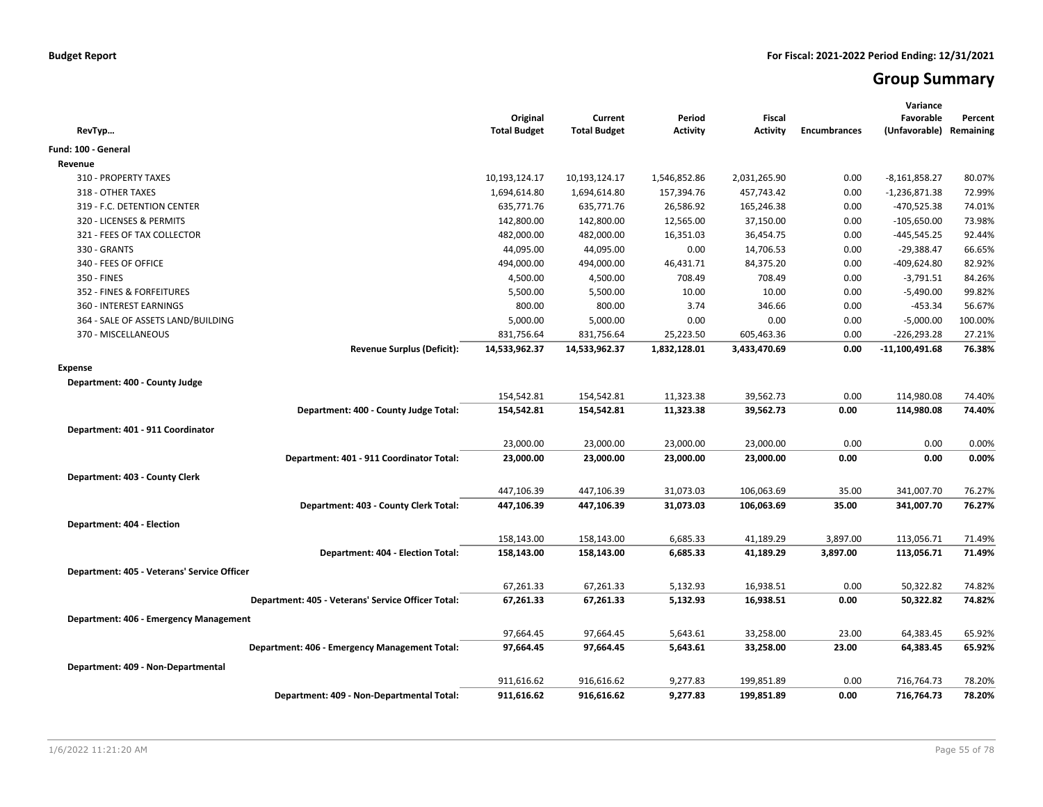# **Group Summary**

| RevTyp                                             | Original<br><b>Total Budget</b> | Current<br><b>Total Budget</b> | Period<br><b>Activity</b> | <b>Fiscal</b><br><b>Activity</b> | <b>Encumbrances</b> | Variance<br>Favorable<br>(Unfavorable) | Percent<br>Remaining |
|----------------------------------------------------|---------------------------------|--------------------------------|---------------------------|----------------------------------|---------------------|----------------------------------------|----------------------|
| Fund: 100 - General                                |                                 |                                |                           |                                  |                     |                                        |                      |
| Revenue                                            |                                 |                                |                           |                                  |                     |                                        |                      |
| 310 - PROPERTY TAXES                               | 10,193,124.17                   | 10,193,124.17                  | 1,546,852.86              | 2,031,265.90                     | 0.00                | -8,161,858.27                          | 80.07%               |
| 318 - OTHER TAXES                                  | 1,694,614.80                    | 1,694,614.80                   | 157,394.76                | 457,743.42                       | 0.00                | $-1,236,871.38$                        | 72.99%               |
| 319 - F.C. DETENTION CENTER                        | 635,771.76                      | 635,771.76                     | 26,586.92                 | 165,246.38                       | 0.00                | $-470,525.38$                          | 74.01%               |
| 320 - LICENSES & PERMITS                           | 142,800.00                      | 142,800.00                     | 12,565.00                 | 37,150.00                        | 0.00                | $-105,650.00$                          | 73.98%               |
| 321 - FEES OF TAX COLLECTOR                        | 482,000.00                      | 482,000.00                     | 16,351.03                 | 36,454.75                        | 0.00                | $-445,545.25$                          | 92.44%               |
| 330 - GRANTS                                       | 44,095.00                       | 44,095.00                      | 0.00                      | 14,706.53                        | 0.00                | $-29,388.47$                           | 66.65%               |
| 340 - FEES OF OFFICE                               | 494,000.00                      | 494,000.00                     | 46,431.71                 | 84,375.20                        | 0.00                | $-409,624.80$                          | 82.92%               |
| 350 - FINES                                        | 4,500.00                        | 4,500.00                       | 708.49                    | 708.49                           | 0.00                | $-3,791.51$                            | 84.26%               |
| 352 - FINES & FORFEITURES                          | 5,500.00                        | 5,500.00                       | 10.00                     | 10.00                            | 0.00                | $-5,490.00$                            | 99.82%               |
| 360 - INTEREST EARNINGS                            | 800.00                          | 800.00                         | 3.74                      | 346.66                           | 0.00                | $-453.34$                              | 56.67%               |
| 364 - SALE OF ASSETS LAND/BUILDING                 | 5,000.00                        | 5,000.00                       | 0.00                      | 0.00                             | 0.00                | $-5,000.00$                            | 100.00%              |
| 370 - MISCELLANEOUS                                | 831,756.64                      | 831,756.64                     | 25,223.50                 | 605,463.36                       | 0.00                | $-226,293.28$                          | 27.21%               |
| <b>Revenue Surplus (Deficit):</b>                  | 14,533,962.37                   | 14,533,962.37                  | 1,832,128.01              | 3,433,470.69                     | 0.00                | $-11,100,491.68$                       | 76.38%               |
| <b>Expense</b>                                     |                                 |                                |                           |                                  |                     |                                        |                      |
| Department: 400 - County Judge                     |                                 |                                |                           |                                  |                     |                                        |                      |
|                                                    | 154,542.81                      | 154,542.81                     | 11,323.38                 | 39,562.73                        | 0.00                | 114,980.08                             | 74.40%               |
| Department: 400 - County Judge Total:              | 154,542.81                      | 154,542.81                     | 11,323.38                 | 39,562.73                        | 0.00                | 114,980.08                             | 74.40%               |
| Department: 401 - 911 Coordinator                  |                                 |                                |                           |                                  |                     |                                        |                      |
|                                                    | 23,000.00                       | 23,000.00                      | 23,000.00                 | 23,000.00                        | 0.00                | 0.00                                   | 0.00%                |
| Department: 401 - 911 Coordinator Total:           | 23,000.00                       | 23,000.00                      | 23,000.00                 | 23,000.00                        | 0.00                | 0.00                                   | 0.00%                |
|                                                    |                                 |                                |                           |                                  |                     |                                        |                      |
| Department: 403 - County Clerk                     |                                 |                                |                           |                                  |                     |                                        |                      |
|                                                    | 447,106.39                      | 447,106.39                     | 31,073.03                 | 106,063.69                       | 35.00               | 341,007.70                             | 76.27%               |
| Department: 403 - County Clerk Total:              | 447,106.39                      | 447,106.39                     | 31,073.03                 | 106,063.69                       | 35.00               | 341,007.70                             | 76.27%               |
| Department: 404 - Election                         |                                 |                                |                           |                                  |                     |                                        |                      |
|                                                    | 158,143.00                      | 158,143.00                     | 6,685.33                  | 41,189.29                        | 3,897.00            | 113,056.71                             | 71.49%               |
| Department: 404 - Election Total:                  | 158,143.00                      | 158,143.00                     | 6,685.33                  | 41,189.29                        | 3,897.00            | 113,056.71                             | 71.49%               |
| Department: 405 - Veterans' Service Officer        |                                 |                                |                           |                                  |                     |                                        |                      |
|                                                    | 67,261.33                       | 67,261.33                      | 5,132.93                  | 16,938.51                        | 0.00                | 50,322.82                              | 74.82%               |
| Department: 405 - Veterans' Service Officer Total: | 67,261.33                       | 67,261.33                      | 5,132.93                  | 16,938.51                        | 0.00                | 50,322.82                              | 74.82%               |
|                                                    |                                 |                                |                           |                                  |                     |                                        |                      |
| Department: 406 - Emergency Management             |                                 |                                |                           |                                  |                     |                                        |                      |
|                                                    | 97,664.45                       | 97,664.45                      | 5,643.61                  | 33,258.00                        | 23.00               | 64,383.45                              | 65.92%               |
| Department: 406 - Emergency Management Total:      | 97,664.45                       | 97,664.45                      | 5,643.61                  | 33,258.00                        | 23.00               | 64,383.45                              | 65.92%               |
| Department: 409 - Non-Departmental                 |                                 |                                |                           |                                  |                     |                                        |                      |
|                                                    | 911,616.62                      | 916,616.62                     | 9,277.83                  | 199,851.89                       | 0.00                | 716,764.73                             | 78.20%               |
| Department: 409 - Non-Departmental Total:          | 911,616.62                      | 916,616.62                     | 9,277.83                  | 199,851.89                       | 0.00                | 716,764.73                             | 78.20%               |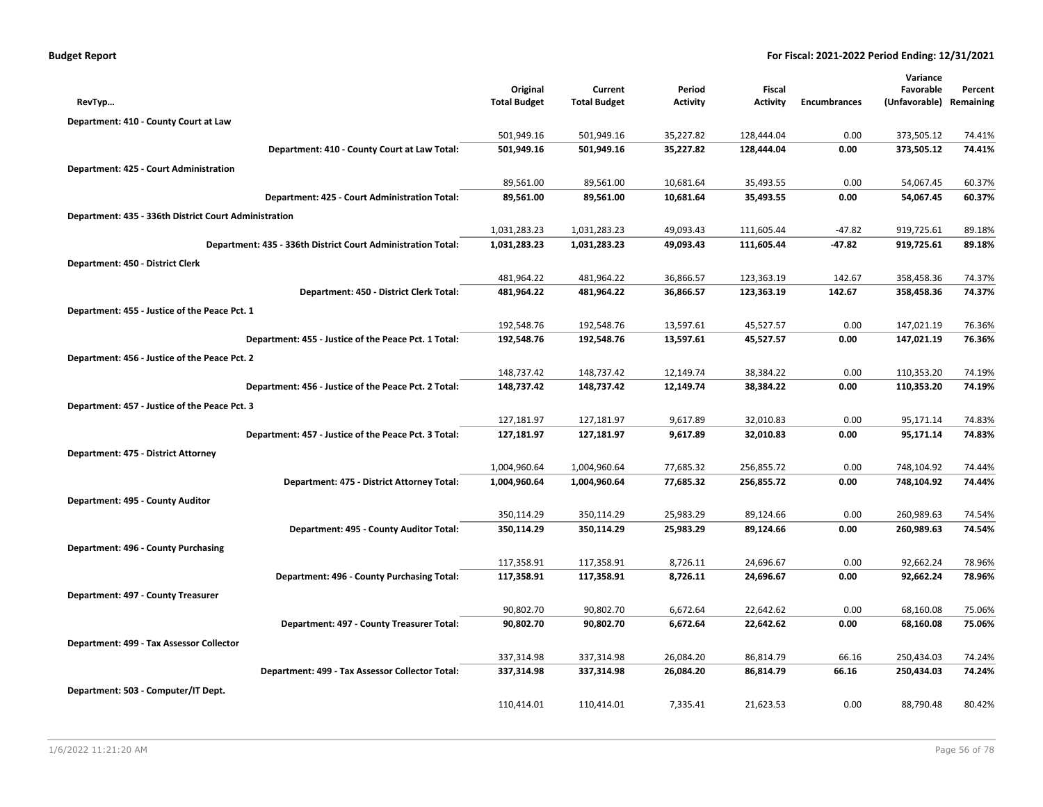|                                                              |                     |                     |                 |                 |                     | Variance      |           |
|--------------------------------------------------------------|---------------------|---------------------|-----------------|-----------------|---------------------|---------------|-----------|
|                                                              | Original            | Current             | Period          | Fiscal          |                     | Favorable     | Percent   |
| RevTyp                                                       | <b>Total Budget</b> | <b>Total Budget</b> | <b>Activity</b> | <b>Activity</b> | <b>Encumbrances</b> | (Unfavorable) | Remaining |
| Department: 410 - County Court at Law                        |                     |                     |                 |                 |                     |               |           |
|                                                              | 501,949.16          | 501,949.16          | 35,227.82       | 128,444.04      | 0.00                | 373,505.12    | 74.41%    |
| Department: 410 - County Court at Law Total:                 | 501,949.16          | 501,949.16          | 35,227.82       | 128,444.04      | 0.00                | 373,505.12    | 74.41%    |
| Department: 425 - Court Administration                       |                     |                     |                 |                 |                     |               |           |
|                                                              | 89,561.00           | 89,561.00           | 10,681.64       | 35,493.55       | 0.00                | 54,067.45     | 60.37%    |
| Department: 425 - Court Administration Total:                | 89,561.00           | 89,561.00           | 10,681.64       | 35,493.55       | 0.00                | 54,067.45     | 60.37%    |
| Department: 435 - 336th District Court Administration        |                     |                     |                 |                 |                     |               |           |
|                                                              | 1,031,283.23        | 1,031,283.23        | 49,093.43       | 111,605.44      | $-47.82$            | 919,725.61    | 89.18%    |
| Department: 435 - 336th District Court Administration Total: | 1,031,283.23        | 1,031,283.23        | 49,093.43       | 111,605.44      | $-47.82$            | 919,725.61    | 89.18%    |
| Department: 450 - District Clerk                             |                     |                     |                 |                 |                     |               |           |
|                                                              | 481,964.22          | 481,964.22          | 36,866.57       | 123,363.19      | 142.67              | 358,458.36    | 74.37%    |
| Department: 450 - District Clerk Total:                      | 481,964.22          | 481,964.22          | 36,866.57       | 123,363.19      | 142.67              | 358,458.36    | 74.37%    |
| Department: 455 - Justice of the Peace Pct. 1                |                     |                     |                 |                 |                     |               |           |
|                                                              | 192,548.76          | 192,548.76          | 13,597.61       | 45,527.57       | 0.00                | 147,021.19    | 76.36%    |
| Department: 455 - Justice of the Peace Pct. 1 Total:         | 192,548.76          | 192,548.76          | 13,597.61       | 45,527.57       | 0.00                | 147,021.19    | 76.36%    |
| Department: 456 - Justice of the Peace Pct. 2                |                     |                     |                 |                 |                     |               |           |
|                                                              | 148,737.42          | 148,737.42          | 12,149.74       | 38,384.22       | 0.00                | 110,353.20    | 74.19%    |
| Department: 456 - Justice of the Peace Pct. 2 Total:         | 148,737.42          | 148,737.42          | 12,149.74       | 38,384.22       | 0.00                | 110,353.20    | 74.19%    |
| Department: 457 - Justice of the Peace Pct. 3                |                     |                     |                 |                 |                     |               |           |
|                                                              | 127,181.97          | 127,181.97          | 9,617.89        | 32,010.83       | 0.00                | 95,171.14     | 74.83%    |
| Department: 457 - Justice of the Peace Pct. 3 Total:         | 127,181.97          | 127,181.97          | 9,617.89        | 32,010.83       | 0.00                | 95,171.14     | 74.83%    |
| Department: 475 - District Attorney                          |                     |                     |                 |                 |                     |               |           |
|                                                              | 1,004,960.64        | 1,004,960.64        | 77,685.32       | 256,855.72      | 0.00                | 748,104.92    | 74.44%    |
| Department: 475 - District Attorney Total:                   | 1,004,960.64        | 1,004,960.64        | 77,685.32       | 256,855.72      | 0.00                | 748,104.92    | 74.44%    |
| Department: 495 - County Auditor                             |                     |                     |                 |                 |                     |               |           |
|                                                              | 350,114.29          | 350,114.29          | 25,983.29       | 89,124.66       | 0.00                | 260,989.63    | 74.54%    |
| Department: 495 - County Auditor Total:                      | 350,114.29          | 350,114.29          | 25,983.29       | 89,124.66       | 0.00                | 260,989.63    | 74.54%    |
| Department: 496 - County Purchasing                          |                     |                     |                 |                 |                     |               |           |
|                                                              | 117,358.91          | 117,358.91          | 8,726.11        | 24,696.67       | 0.00                | 92,662.24     | 78.96%    |
| Department: 496 - County Purchasing Total:                   | 117,358.91          | 117,358.91          | 8,726.11        | 24,696.67       | 0.00                | 92,662.24     | 78.96%    |
| Department: 497 - County Treasurer                           |                     |                     |                 |                 |                     |               |           |
|                                                              | 90,802.70           | 90,802.70           | 6,672.64        | 22,642.62       | 0.00                | 68,160.08     | 75.06%    |
| Department: 497 - County Treasurer Total:                    | 90,802.70           | 90,802.70           | 6,672.64        | 22,642.62       | 0.00                | 68,160.08     | 75.06%    |
| Department: 499 - Tax Assessor Collector                     |                     |                     |                 |                 |                     |               |           |
|                                                              | 337,314.98          | 337,314.98          | 26,084.20       | 86,814.79       | 66.16               | 250,434.03    | 74.24%    |
| Department: 499 - Tax Assessor Collector Total:              | 337,314.98          | 337,314.98          | 26,084.20       | 86,814.79       | 66.16               | 250,434.03    | 74.24%    |
| Department: 503 - Computer/IT Dept.                          |                     |                     |                 |                 |                     |               |           |
|                                                              | 110,414.01          | 110,414.01          | 7,335.41        | 21,623.53       | 0.00                | 88,790.48     | 80.42%    |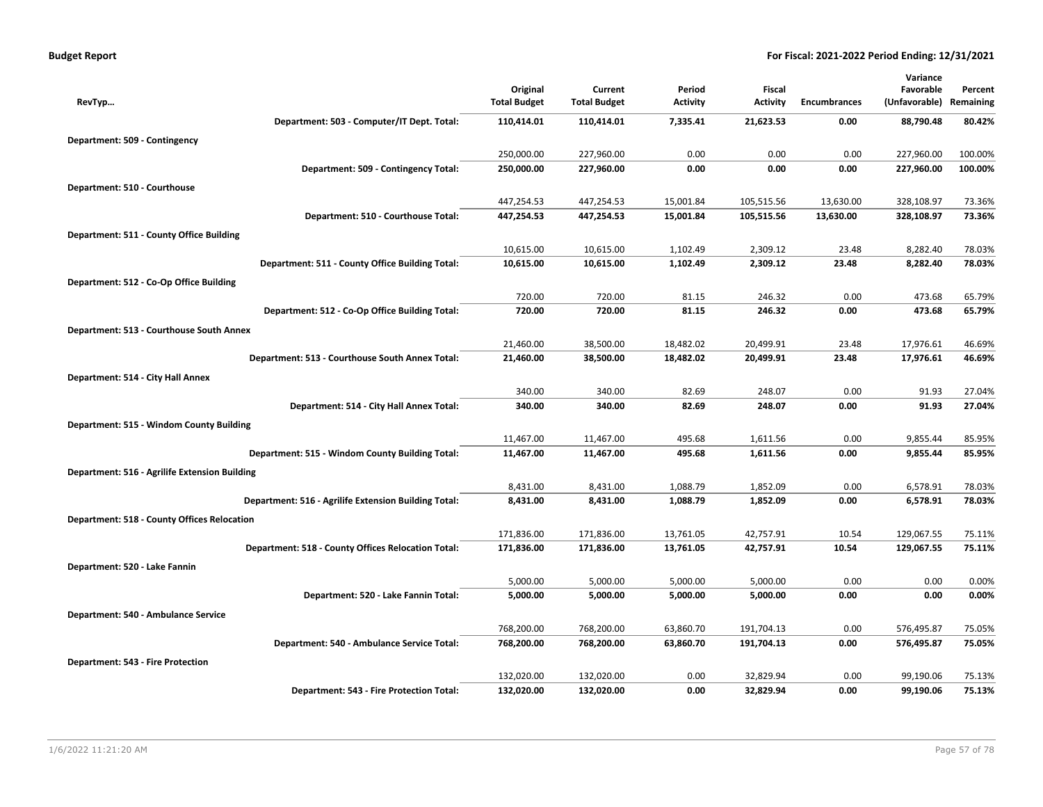|  | Budget Report |  |  |  |
|--|---------------|--|--|--|
|  |               |  |  |  |

|                                                           |                     |                     |                 |                 |                     | Variance      |           |
|-----------------------------------------------------------|---------------------|---------------------|-----------------|-----------------|---------------------|---------------|-----------|
|                                                           | Original            | Current             | Period          | Fiscal          |                     | Favorable     | Percent   |
| RevTyp                                                    | <b>Total Budget</b> | <b>Total Budget</b> | <b>Activity</b> | <b>Activity</b> | <b>Encumbrances</b> | (Unfavorable) | Remaining |
| Department: 503 - Computer/IT Dept. Total:                | 110,414.01          | 110,414.01          | 7,335.41        | 21,623.53       | 0.00                | 88,790.48     | 80.42%    |
| Department: 509 - Contingency                             |                     |                     |                 |                 |                     |               |           |
|                                                           | 250,000.00          | 227,960.00          | 0.00            | 0.00            | 0.00                | 227,960.00    | 100.00%   |
| Department: 509 - Contingency Total:                      | 250,000.00          | 227,960.00          | 0.00            | 0.00            | 0.00                | 227,960.00    | 100.00%   |
| Department: 510 - Courthouse                              |                     |                     |                 |                 |                     |               |           |
|                                                           | 447,254.53          | 447,254.53          | 15,001.84       | 105,515.56      | 13,630.00           | 328,108.97    | 73.36%    |
| Department: 510 - Courthouse Total:                       | 447,254.53          | 447,254.53          | 15,001.84       | 105,515.56      | 13,630.00           | 328,108.97    | 73.36%    |
| Department: 511 - County Office Building                  |                     |                     |                 |                 |                     |               |           |
|                                                           | 10,615.00           | 10,615.00           | 1,102.49        | 2,309.12        | 23.48               | 8,282.40      | 78.03%    |
| Department: 511 - County Office Building Total:           | 10,615.00           | 10,615.00           | 1,102.49        | 2,309.12        | 23.48               | 8,282.40      | 78.03%    |
| Department: 512 - Co-Op Office Building                   |                     |                     |                 |                 |                     |               |           |
|                                                           | 720.00              | 720.00              | 81.15           | 246.32          | 0.00                | 473.68        | 65.79%    |
| Department: 512 - Co-Op Office Building Total:            | 720.00              | 720.00              | 81.15           | 246.32          | 0.00                | 473.68        | 65.79%    |
| Department: 513 - Courthouse South Annex                  |                     |                     |                 |                 |                     |               |           |
|                                                           | 21,460.00           | 38,500.00           | 18,482.02       | 20,499.91       | 23.48               | 17,976.61     | 46.69%    |
| Department: 513 - Courthouse South Annex Total:           | 21,460.00           | 38,500.00           | 18,482.02       | 20,499.91       | 23.48               | 17,976.61     | 46.69%    |
| Department: 514 - City Hall Annex                         |                     |                     |                 |                 |                     |               |           |
|                                                           | 340.00              | 340.00              | 82.69           | 248.07          | 0.00                | 91.93         | 27.04%    |
| Department: 514 - City Hall Annex Total:                  | 340.00              | 340.00              | 82.69           | 248.07          | 0.00                | 91.93         | 27.04%    |
| Department: 515 - Windom County Building                  |                     |                     |                 |                 |                     |               |           |
|                                                           | 11,467.00           | 11,467.00           | 495.68          | 1,611.56        | 0.00                | 9,855.44      | 85.95%    |
| Department: 515 - Windom County Building Total:           | 11,467.00           | 11,467.00           | 495.68          | 1,611.56        | 0.00                | 9,855.44      | 85.95%    |
| Department: 516 - Agrilife Extension Building             |                     |                     |                 |                 |                     |               |           |
|                                                           | 8,431.00            | 8,431.00            | 1,088.79        | 1,852.09        | 0.00                | 6,578.91      | 78.03%    |
| Department: 516 - Agrilife Extension Building Total:      | 8,431.00            | 8,431.00            | 1,088.79        | 1,852.09        | 0.00                | 6,578.91      | 78.03%    |
| <b>Department: 518 - County Offices Relocation</b>        |                     |                     |                 |                 |                     |               |           |
|                                                           | 171,836.00          | 171,836.00          | 13,761.05       | 42,757.91       | 10.54               | 129,067.55    | 75.11%    |
| <b>Department: 518 - County Offices Relocation Total:</b> | 171,836.00          | 171,836.00          | 13,761.05       | 42,757.91       | 10.54               | 129,067.55    | 75.11%    |
| Department: 520 - Lake Fannin                             |                     |                     |                 |                 |                     |               |           |
|                                                           | 5,000.00            | 5,000.00            | 5,000.00        | 5,000.00        | 0.00                | 0.00          | 0.00%     |
| Department: 520 - Lake Fannin Total:                      | 5,000.00            | 5,000.00            | 5,000.00        | 5,000.00        | 0.00                | 0.00          | 0.00%     |
| Department: 540 - Ambulance Service                       |                     |                     |                 |                 |                     |               |           |
|                                                           | 768,200.00          | 768,200.00          | 63,860.70       | 191,704.13      | 0.00                | 576,495.87    | 75.05%    |
| Department: 540 - Ambulance Service Total:                | 768,200.00          | 768,200.00          | 63,860.70       | 191,704.13      | 0.00                | 576,495.87    | 75.05%    |
| Department: 543 - Fire Protection                         |                     |                     |                 |                 |                     |               |           |
|                                                           | 132,020.00          | 132,020.00          | 0.00            | 32,829.94       | 0.00                | 99,190.06     | 75.13%    |
| Department: 543 - Fire Protection Total:                  | 132,020.00          | 132,020.00          | 0.00            | 32,829.94       | 0.00                | 99,190.06     | 75.13%    |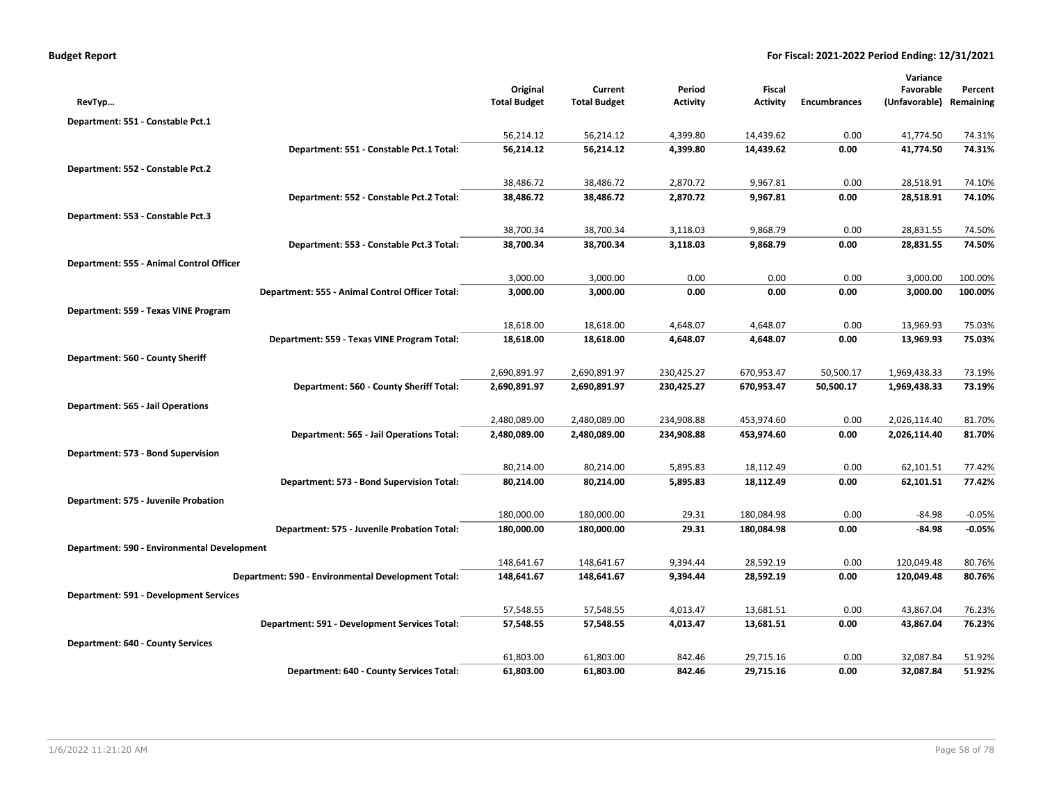| <b>Budget Report</b> |  |
|----------------------|--|
|----------------------|--|

|                                               |                                                    |                                 |                                |                           |                                  |                     | Variance                   |                      |
|-----------------------------------------------|----------------------------------------------------|---------------------------------|--------------------------------|---------------------------|----------------------------------|---------------------|----------------------------|----------------------|
| RevTyp                                        |                                                    | Original<br><b>Total Budget</b> | Current<br><b>Total Budget</b> | Period<br><b>Activity</b> | <b>Fiscal</b><br><b>Activity</b> | <b>Encumbrances</b> | Favorable<br>(Unfavorable) | Percent<br>Remaining |
|                                               |                                                    |                                 |                                |                           |                                  |                     |                            |                      |
| Department: 551 - Constable Pct.1             |                                                    | 56,214.12                       | 56,214.12                      | 4,399.80                  | 14,439.62                        | 0.00                | 41,774.50                  | 74.31%               |
|                                               | Department: 551 - Constable Pct.1 Total:           | 56,214.12                       | 56,214.12                      | 4,399.80                  | 14,439.62                        | 0.00                | 41,774.50                  | 74.31%               |
|                                               |                                                    |                                 |                                |                           |                                  |                     |                            |                      |
| Department: 552 - Constable Pct.2             |                                                    | 38,486.72                       | 38,486.72                      | 2,870.72                  | 9,967.81                         | 0.00                | 28,518.91                  | 74.10%               |
|                                               | Department: 552 - Constable Pct.2 Total:           | 38,486.72                       | 38,486.72                      | 2,870.72                  | 9,967.81                         | 0.00                | 28,518.91                  | 74.10%               |
| Department: 553 - Constable Pct.3             |                                                    |                                 |                                |                           |                                  |                     |                            |                      |
|                                               |                                                    | 38,700.34                       | 38,700.34                      | 3,118.03                  | 9,868.79                         | 0.00                | 28,831.55                  | 74.50%               |
|                                               | Department: 553 - Constable Pct.3 Total:           | 38,700.34                       | 38,700.34                      | 3,118.03                  | 9,868.79                         | 0.00                | 28,831.55                  | 74.50%               |
| Department: 555 - Animal Control Officer      |                                                    |                                 |                                |                           |                                  |                     |                            |                      |
|                                               |                                                    | 3,000.00                        | 3,000.00                       | 0.00                      | 0.00                             | 0.00                | 3,000.00                   | 100.00%              |
|                                               | Department: 555 - Animal Control Officer Total:    | 3,000.00                        | 3,000.00                       | 0.00                      | 0.00                             | 0.00                | 3,000.00                   | 100.00%              |
| Department: 559 - Texas VINE Program          |                                                    |                                 |                                |                           |                                  |                     |                            |                      |
|                                               |                                                    | 18,618.00                       | 18,618.00                      | 4,648.07                  | 4,648.07                         | 0.00                | 13,969.93                  | 75.03%               |
|                                               | Department: 559 - Texas VINE Program Total:        | 18,618.00                       | 18,618.00                      | 4,648.07                  | 4,648.07                         | 0.00                | 13,969.93                  | 75.03%               |
| Department: 560 - County Sheriff              |                                                    |                                 |                                |                           |                                  |                     |                            |                      |
|                                               |                                                    | 2,690,891.97                    | 2,690,891.97                   | 230,425.27                | 670,953.47                       | 50,500.17           | 1,969,438.33               | 73.19%               |
|                                               | Department: 560 - County Sheriff Total:            | 2,690,891.97                    | 2,690,891.97                   | 230,425.27                | 670,953.47                       | 50,500.17           | 1,969,438.33               | 73.19%               |
| Department: 565 - Jail Operations             |                                                    |                                 |                                |                           |                                  |                     |                            |                      |
|                                               |                                                    | 2,480,089.00                    | 2,480,089.00                   | 234,908.88                | 453,974.60                       | 0.00                | 2,026,114.40               | 81.70%               |
|                                               | Department: 565 - Jail Operations Total:           | 2,480,089.00                    | 2,480,089.00                   | 234,908.88                | 453,974.60                       | 0.00                | 2,026,114.40               | 81.70%               |
| Department: 573 - Bond Supervision            |                                                    |                                 |                                |                           |                                  |                     |                            |                      |
|                                               |                                                    | 80,214.00                       | 80,214.00                      | 5,895.83                  | 18,112.49                        | 0.00                | 62,101.51                  | 77.42%               |
|                                               | Department: 573 - Bond Supervision Total:          | 80,214.00                       | 80,214.00                      | 5,895.83                  | 18,112.49                        | 0.00                | 62,101.51                  | 77.42%               |
| Department: 575 - Juvenile Probation          |                                                    |                                 |                                |                           |                                  |                     |                            |                      |
|                                               |                                                    | 180,000.00                      | 180,000.00                     | 29.31                     | 180,084.98                       | 0.00                | $-84.98$                   | $-0.05%$             |
|                                               | Department: 575 - Juvenile Probation Total:        | 180,000.00                      | 180,000.00                     | 29.31                     | 180,084.98                       | 0.00                | $-84.98$                   | $-0.05%$             |
| Department: 590 - Environmental Development   |                                                    |                                 |                                |                           |                                  |                     |                            |                      |
|                                               |                                                    | 148,641.67                      | 148,641.67                     | 9,394.44                  | 28,592.19                        | 0.00                | 120,049.48                 | 80.76%               |
|                                               | Department: 590 - Environmental Development Total: | 148,641.67                      | 148,641.67                     | 9,394.44                  | 28,592.19                        | 0.00                | 120,049.48                 | 80.76%               |
| <b>Department: 591 - Development Services</b> |                                                    |                                 |                                |                           |                                  |                     |                            |                      |
|                                               |                                                    | 57,548.55                       | 57,548.55                      | 4,013.47                  | 13,681.51                        | 0.00                | 43,867.04                  | 76.23%               |
|                                               | Department: 591 - Development Services Total:      | 57,548.55                       | 57,548.55                      | 4,013.47                  | 13,681.51                        | 0.00                | 43,867.04                  | 76.23%               |
| <b>Department: 640 - County Services</b>      |                                                    |                                 |                                |                           |                                  |                     |                            |                      |
|                                               |                                                    | 61,803.00                       | 61,803.00                      | 842.46                    | 29,715.16                        | 0.00                | 32,087.84                  | 51.92%               |
|                                               | Department: 640 - County Services Total:           | 61,803.00                       | 61,803.00                      | 842.46                    | 29,715.16                        | 0.00                | 32,087.84                  | 51.92%               |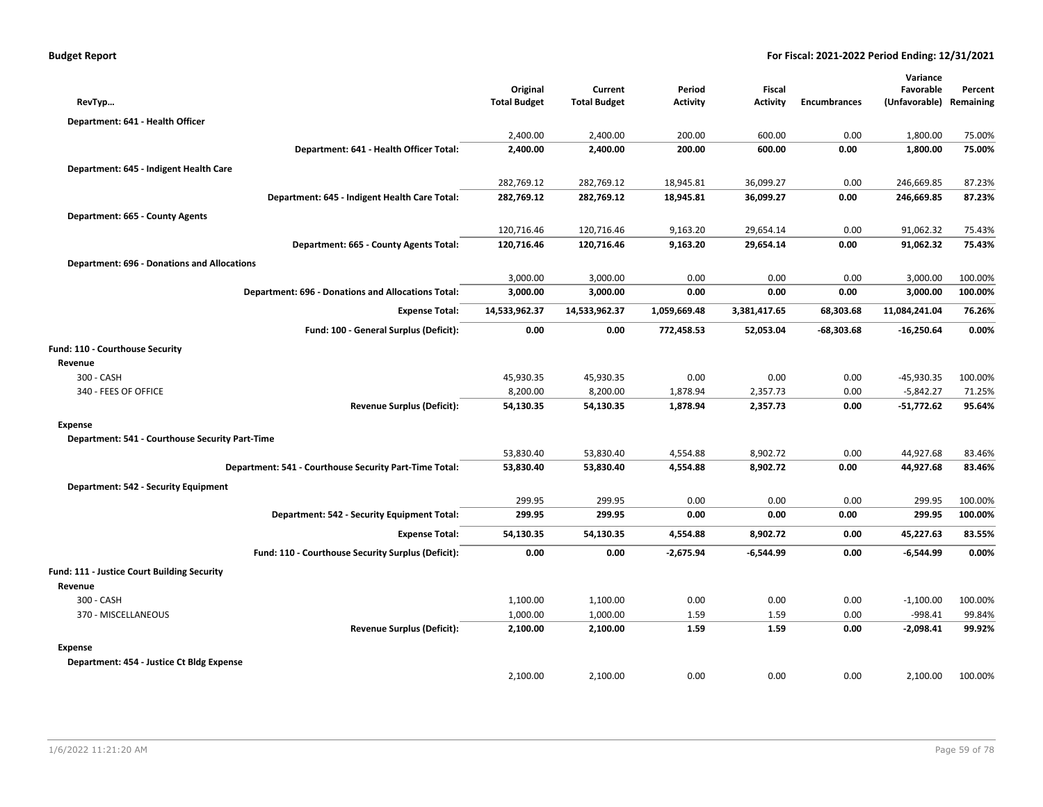| Original                                                                                                                                                                                                                                                                                                                                                                                                                                                                                                                             | Current                                                                                           | Period                                                                                                          | Fiscal                                                                                        |                                                                                                 | Variance<br>Favorable                                               | Percent<br>Remaining                                                                          |
|--------------------------------------------------------------------------------------------------------------------------------------------------------------------------------------------------------------------------------------------------------------------------------------------------------------------------------------------------------------------------------------------------------------------------------------------------------------------------------------------------------------------------------------|---------------------------------------------------------------------------------------------------|-----------------------------------------------------------------------------------------------------------------|-----------------------------------------------------------------------------------------------|-------------------------------------------------------------------------------------------------|---------------------------------------------------------------------|-----------------------------------------------------------------------------------------------|
|                                                                                                                                                                                                                                                                                                                                                                                                                                                                                                                                      |                                                                                                   |                                                                                                                 |                                                                                               |                                                                                                 |                                                                     |                                                                                               |
|                                                                                                                                                                                                                                                                                                                                                                                                                                                                                                                                      |                                                                                                   |                                                                                                                 |                                                                                               |                                                                                                 |                                                                     | 75.00%                                                                                        |
|                                                                                                                                                                                                                                                                                                                                                                                                                                                                                                                                      |                                                                                                   |                                                                                                                 |                                                                                               |                                                                                                 |                                                                     | 75.00%                                                                                        |
|                                                                                                                                                                                                                                                                                                                                                                                                                                                                                                                                      |                                                                                                   |                                                                                                                 |                                                                                               |                                                                                                 |                                                                     |                                                                                               |
|                                                                                                                                                                                                                                                                                                                                                                                                                                                                                                                                      |                                                                                                   |                                                                                                                 |                                                                                               |                                                                                                 |                                                                     |                                                                                               |
|                                                                                                                                                                                                                                                                                                                                                                                                                                                                                                                                      |                                                                                                   |                                                                                                                 |                                                                                               |                                                                                                 |                                                                     | 87.23%                                                                                        |
|                                                                                                                                                                                                                                                                                                                                                                                                                                                                                                                                      |                                                                                                   |                                                                                                                 |                                                                                               |                                                                                                 |                                                                     | 87.23%                                                                                        |
|                                                                                                                                                                                                                                                                                                                                                                                                                                                                                                                                      |                                                                                                   |                                                                                                                 |                                                                                               |                                                                                                 |                                                                     |                                                                                               |
| 120,716.46                                                                                                                                                                                                                                                                                                                                                                                                                                                                                                                           |                                                                                                   |                                                                                                                 |                                                                                               | 0.00                                                                                            | 91,062.32                                                           | 75.43%                                                                                        |
|                                                                                                                                                                                                                                                                                                                                                                                                                                                                                                                                      |                                                                                                   |                                                                                                                 |                                                                                               |                                                                                                 |                                                                     | 75.43%                                                                                        |
|                                                                                                                                                                                                                                                                                                                                                                                                                                                                                                                                      |                                                                                                   |                                                                                                                 |                                                                                               |                                                                                                 |                                                                     |                                                                                               |
| 3,000.00                                                                                                                                                                                                                                                                                                                                                                                                                                                                                                                             | 3,000.00                                                                                          | 0.00                                                                                                            | 0.00                                                                                          | 0.00                                                                                            | 3,000.00                                                            | 100.00%                                                                                       |
| 3,000.00                                                                                                                                                                                                                                                                                                                                                                                                                                                                                                                             | 3,000.00                                                                                          | 0.00                                                                                                            | 0.00                                                                                          | 0.00                                                                                            | 3,000.00                                                            | 100.00%                                                                                       |
| 14,533,962.37                                                                                                                                                                                                                                                                                                                                                                                                                                                                                                                        | 14,533,962.37                                                                                     | 1,059,669.48                                                                                                    | 3,381,417.65                                                                                  | 68,303.68                                                                                       | 11,084,241.04                                                       | 76.26%                                                                                        |
| 0.00                                                                                                                                                                                                                                                                                                                                                                                                                                                                                                                                 | 0.00                                                                                              | 772,458.53                                                                                                      | 52,053.04                                                                                     | -68,303.68                                                                                      | $-16,250.64$                                                        | 0.00%                                                                                         |
|                                                                                                                                                                                                                                                                                                                                                                                                                                                                                                                                      |                                                                                                   |                                                                                                                 |                                                                                               |                                                                                                 |                                                                     |                                                                                               |
|                                                                                                                                                                                                                                                                                                                                                                                                                                                                                                                                      |                                                                                                   |                                                                                                                 |                                                                                               |                                                                                                 |                                                                     |                                                                                               |
| 45,930.35                                                                                                                                                                                                                                                                                                                                                                                                                                                                                                                            | 45,930.35                                                                                         | 0.00                                                                                                            | 0.00                                                                                          | 0.00                                                                                            | $-45,930.35$                                                        | 100.00%                                                                                       |
| 8,200.00                                                                                                                                                                                                                                                                                                                                                                                                                                                                                                                             | 8,200.00                                                                                          | 1,878.94                                                                                                        | 2,357.73                                                                                      | 0.00                                                                                            | $-5,842.27$                                                         | 71.25%                                                                                        |
| 54,130.35                                                                                                                                                                                                                                                                                                                                                                                                                                                                                                                            | 54,130.35                                                                                         | 1,878.94                                                                                                        | 2,357.73                                                                                      | 0.00                                                                                            | $-51,772.62$                                                        | 95.64%                                                                                        |
|                                                                                                                                                                                                                                                                                                                                                                                                                                                                                                                                      |                                                                                                   |                                                                                                                 |                                                                                               |                                                                                                 |                                                                     |                                                                                               |
|                                                                                                                                                                                                                                                                                                                                                                                                                                                                                                                                      |                                                                                                   |                                                                                                                 |                                                                                               |                                                                                                 |                                                                     |                                                                                               |
| 53,830.40                                                                                                                                                                                                                                                                                                                                                                                                                                                                                                                            | 53,830.40                                                                                         | 4,554.88                                                                                                        | 8,902.72                                                                                      | 0.00                                                                                            | 44,927.68                                                           | 83.46%                                                                                        |
| 53,830.40                                                                                                                                                                                                                                                                                                                                                                                                                                                                                                                            | 53,830.40                                                                                         | 4,554.88                                                                                                        | 8,902.72                                                                                      | 0.00                                                                                            | 44,927.68                                                           | 83.46%                                                                                        |
|                                                                                                                                                                                                                                                                                                                                                                                                                                                                                                                                      |                                                                                                   |                                                                                                                 |                                                                                               |                                                                                                 |                                                                     |                                                                                               |
| 299.95                                                                                                                                                                                                                                                                                                                                                                                                                                                                                                                               | 299.95                                                                                            | 0.00                                                                                                            | 0.00                                                                                          | 0.00                                                                                            | 299.95                                                              | 100.00%                                                                                       |
| 299.95                                                                                                                                                                                                                                                                                                                                                                                                                                                                                                                               | 299.95                                                                                            | 0.00                                                                                                            | 0.00                                                                                          | 0.00                                                                                            | 299.95                                                              | 100.00%                                                                                       |
| 54,130.35                                                                                                                                                                                                                                                                                                                                                                                                                                                                                                                            | 54,130.35                                                                                         | 4,554.88                                                                                                        | 8,902.72                                                                                      | 0.00                                                                                            | 45,227.63                                                           | 83.55%                                                                                        |
| 0.00                                                                                                                                                                                                                                                                                                                                                                                                                                                                                                                                 | 0.00                                                                                              | $-2,675.94$                                                                                                     | $-6,544.99$                                                                                   | 0.00                                                                                            | -6,544.99                                                           | 0.00%                                                                                         |
|                                                                                                                                                                                                                                                                                                                                                                                                                                                                                                                                      |                                                                                                   |                                                                                                                 |                                                                                               |                                                                                                 |                                                                     |                                                                                               |
|                                                                                                                                                                                                                                                                                                                                                                                                                                                                                                                                      |                                                                                                   |                                                                                                                 |                                                                                               |                                                                                                 |                                                                     |                                                                                               |
|                                                                                                                                                                                                                                                                                                                                                                                                                                                                                                                                      |                                                                                                   |                                                                                                                 |                                                                                               |                                                                                                 |                                                                     | 100.00%                                                                                       |
| 1,000.00                                                                                                                                                                                                                                                                                                                                                                                                                                                                                                                             | 1,000.00                                                                                          | 1.59                                                                                                            | 1.59                                                                                          | 0.00                                                                                            | $-998.41$                                                           | 99.84%                                                                                        |
| 2,100.00                                                                                                                                                                                                                                                                                                                                                                                                                                                                                                                             | 2,100.00                                                                                          | 1.59                                                                                                            | 1.59                                                                                          | 0.00                                                                                            | $-2,098.41$                                                         | 99.92%                                                                                        |
|                                                                                                                                                                                                                                                                                                                                                                                                                                                                                                                                      |                                                                                                   |                                                                                                                 |                                                                                               |                                                                                                 |                                                                     |                                                                                               |
|                                                                                                                                                                                                                                                                                                                                                                                                                                                                                                                                      |                                                                                                   |                                                                                                                 |                                                                                               |                                                                                                 |                                                                     |                                                                                               |
| 2,100.00                                                                                                                                                                                                                                                                                                                                                                                                                                                                                                                             | 2,100.00                                                                                          | 0.00                                                                                                            | 0.00                                                                                          | 0.00                                                                                            | 2,100.00                                                            | 100.00%                                                                                       |
| Department: 641 - Health Officer Total:<br>Department: 645 - Indigent Health Care Total:<br>Department: 665 - County Agents Total:<br><b>Department: 696 - Donations and Allocations Total:</b><br><b>Expense Total:</b><br>Fund: 100 - General Surplus (Deficit):<br><b>Revenue Surplus (Deficit):</b><br>Department: 541 - Courthouse Security Part-Time Total:<br>Department: 542 - Security Equipment Total:<br><b>Expense Total:</b><br>Fund: 110 - Courthouse Security Surplus (Deficit):<br><b>Revenue Surplus (Deficit):</b> | <b>Total Budget</b><br>2,400.00<br>2,400.00<br>282,769.12<br>282,769.12<br>120,716.46<br>1,100.00 | <b>Total Budget</b><br>2,400.00<br>2,400.00<br>282,769.12<br>282,769.12<br>120,716.46<br>120,716.46<br>1,100.00 | <b>Activity</b><br>200.00<br>200.00<br>18,945.81<br>18,945.81<br>9,163.20<br>9,163.20<br>0.00 | <b>Activity</b><br>600.00<br>600.00<br>36,099.27<br>36,099.27<br>29,654.14<br>29,654.14<br>0.00 | <b>Encumbrances</b><br>0.00<br>0.00<br>0.00<br>0.00<br>0.00<br>0.00 | (Unfavorable)<br>1,800.00<br>1,800.00<br>246,669.85<br>246,669.85<br>91,062.32<br>$-1,100.00$ |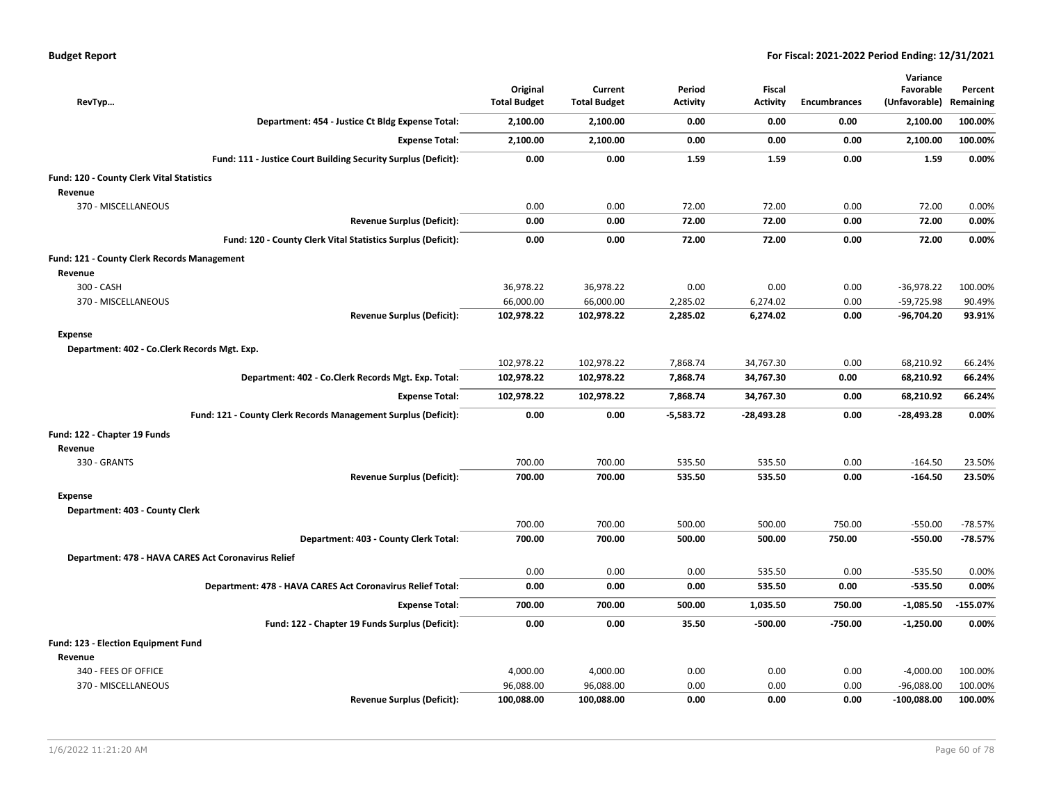|                                                     |                                                                | Original            | Current             | Period          | <b>Fiscal</b>   |              | Variance<br>Favorable | Percent    |
|-----------------------------------------------------|----------------------------------------------------------------|---------------------|---------------------|-----------------|-----------------|--------------|-----------------------|------------|
| RevTyp                                              |                                                                | <b>Total Budget</b> | <b>Total Budget</b> | <b>Activity</b> | <b>Activity</b> | Encumbrances | (Unfavorable)         | Remaining  |
|                                                     | Department: 454 - Justice Ct Bldg Expense Total:               | 2,100.00            | 2,100.00            | 0.00            | 0.00            | 0.00         | 2,100.00              | 100.00%    |
|                                                     | <b>Expense Total:</b>                                          | 2,100.00            | 2,100.00            | 0.00            | 0.00            | 0.00         | 2,100.00              | 100.00%    |
|                                                     | Fund: 111 - Justice Court Building Security Surplus (Deficit): | 0.00                | 0.00                | 1.59            | 1.59            | 0.00         | 1.59                  | 0.00%      |
| Fund: 120 - County Clerk Vital Statistics           |                                                                |                     |                     |                 |                 |              |                       |            |
| Revenue                                             |                                                                |                     |                     |                 |                 |              |                       |            |
| 370 - MISCELLANEOUS                                 |                                                                | 0.00                | 0.00                | 72.00           | 72.00           | 0.00         | 72.00                 | 0.00%      |
|                                                     | <b>Revenue Surplus (Deficit):</b>                              | 0.00                | 0.00                | 72.00           | 72.00           | 0.00         | 72.00                 | 0.00%      |
|                                                     | Fund: 120 - County Clerk Vital Statistics Surplus (Deficit):   | 0.00                | 0.00                | 72.00           | 72.00           | 0.00         | 72.00                 | 0.00%      |
| <b>Fund: 121 - County Clerk Records Management</b>  |                                                                |                     |                     |                 |                 |              |                       |            |
| Revenue                                             |                                                                |                     |                     |                 |                 |              |                       |            |
| 300 - CASH                                          |                                                                | 36,978.22           | 36,978.22           | 0.00            | 0.00            | 0.00         | $-36,978.22$          | 100.00%    |
| 370 - MISCELLANEOUS                                 |                                                                | 66,000.00           | 66,000.00           | 2,285.02        | 6,274.02        | 0.00         | -59,725.98            | 90.49%     |
|                                                     | <b>Revenue Surplus (Deficit):</b>                              | 102,978.22          | 102,978.22          | 2,285.02        | 6,274.02        | 0.00         | $-96,704.20$          | 93.91%     |
| <b>Expense</b>                                      |                                                                |                     |                     |                 |                 |              |                       |            |
| Department: 402 - Co.Clerk Records Mgt. Exp.        |                                                                |                     |                     |                 |                 |              |                       |            |
|                                                     |                                                                | 102,978.22          | 102,978.22          | 7,868.74        | 34,767.30       | 0.00         | 68,210.92             | 66.24%     |
|                                                     | Department: 402 - Co.Clerk Records Mgt. Exp. Total:            | 102,978.22          | 102,978.22          | 7,868.74        | 34,767.30       | 0.00         | 68,210.92             | 66.24%     |
|                                                     | <b>Expense Total:</b>                                          | 102,978.22          | 102,978.22          | 7,868.74        | 34,767.30       | 0.00         | 68,210.92             | 66.24%     |
|                                                     | Fund: 121 - County Clerk Records Management Surplus (Deficit): | 0.00                | 0.00                | $-5,583.72$     | $-28,493.28$    | 0.00         | $-28,493.28$          | 0.00%      |
| Fund: 122 - Chapter 19 Funds                        |                                                                |                     |                     |                 |                 |              |                       |            |
| Revenue                                             |                                                                |                     |                     |                 |                 |              |                       |            |
| 330 - GRANTS                                        |                                                                | 700.00              | 700.00              | 535.50          | 535.50          | 0.00         | $-164.50$             | 23.50%     |
|                                                     | <b>Revenue Surplus (Deficit):</b>                              | 700.00              | 700.00              | 535.50          | 535.50          | 0.00         | $-164.50$             | 23.50%     |
| Expense                                             |                                                                |                     |                     |                 |                 |              |                       |            |
| Department: 403 - County Clerk                      |                                                                |                     |                     |                 |                 |              |                       |            |
|                                                     |                                                                | 700.00              | 700.00              | 500.00          | 500.00          | 750.00       | $-550.00$             | $-78.57%$  |
|                                                     | Department: 403 - County Clerk Total:                          | 700.00              | 700.00              | 500.00          | 500.00          | 750.00       | $-550.00$             | $-78.57%$  |
| Department: 478 - HAVA CARES Act Coronavirus Relief |                                                                |                     |                     |                 |                 |              |                       |            |
|                                                     |                                                                | 0.00                | 0.00                | 0.00            | 535.50          | 0.00         | $-535.50$             | 0.00%      |
|                                                     | Department: 478 - HAVA CARES Act Coronavirus Relief Total:     | 0.00                | 0.00                | 0.00            | 535.50          | 0.00         | $-535.50$             | 0.00%      |
|                                                     | <b>Expense Total:</b>                                          | 700.00              | 700.00              | 500.00          | 1,035.50        | 750.00       | $-1,085.50$           | $-155.07%$ |
|                                                     | Fund: 122 - Chapter 19 Funds Surplus (Deficit):                | 0.00                | 0.00                | 35.50           | $-500.00$       | $-750.00$    | $-1,250.00$           | 0.00%      |
| Fund: 123 - Election Equipment Fund                 |                                                                |                     |                     |                 |                 |              |                       |            |
| Revenue                                             |                                                                |                     |                     |                 |                 |              |                       |            |
| 340 - FEES OF OFFICE                                |                                                                | 4,000.00            | 4,000.00            | 0.00            | 0.00            | 0.00         | $-4,000.00$           | 100.00%    |
| 370 - MISCELLANEOUS                                 |                                                                | 96,088.00           | 96,088.00           | 0.00            | 0.00            | 0.00         | $-96,088.00$          | 100.00%    |
|                                                     | <b>Revenue Surplus (Deficit):</b>                              | 100,088.00          | 100,088.00          | 0.00            | 0.00            | 0.00         | $-100,088.00$         | 100.00%    |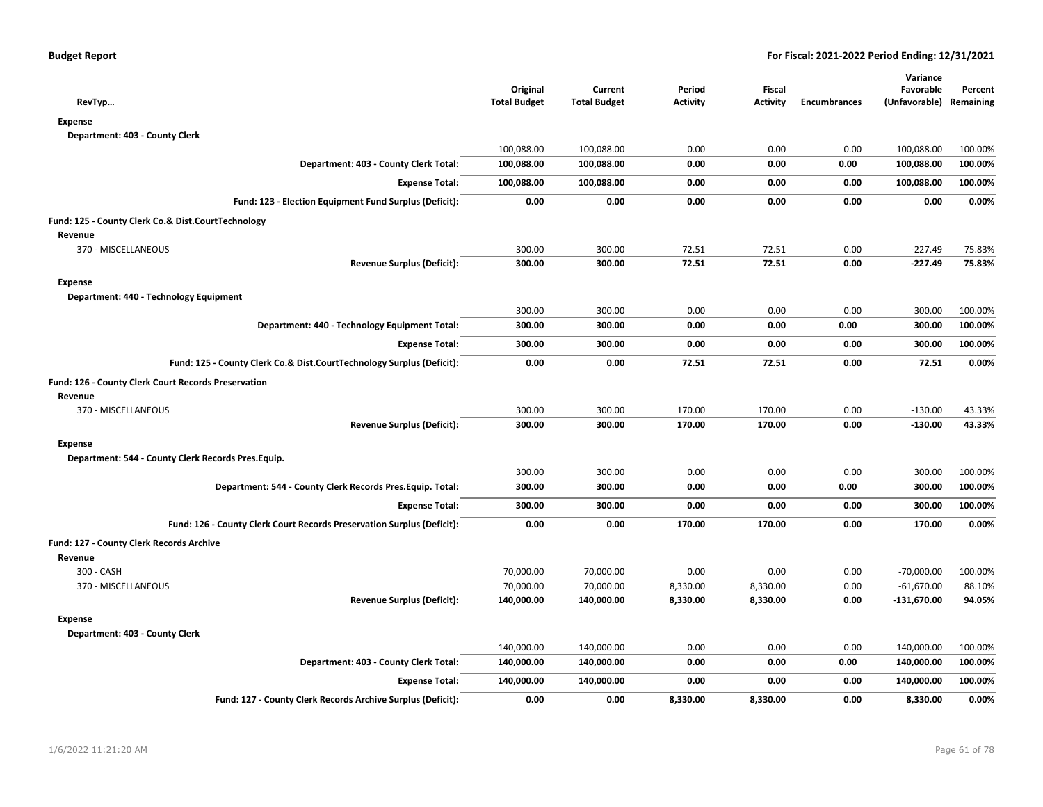| RevTyp                                                                 | Original<br><b>Total Budget</b> | Current<br><b>Total Budget</b> | Period<br><b>Activity</b> | <b>Fiscal</b><br><b>Activity</b> | <b>Encumbrances</b> | Variance<br>Favorable<br>(Unfavorable) Remaining | Percent |
|------------------------------------------------------------------------|---------------------------------|--------------------------------|---------------------------|----------------------------------|---------------------|--------------------------------------------------|---------|
| <b>Expense</b>                                                         |                                 |                                |                           |                                  |                     |                                                  |         |
| Department: 403 - County Clerk                                         |                                 |                                |                           |                                  |                     |                                                  |         |
|                                                                        | 100,088.00                      | 100,088.00                     | 0.00                      | 0.00                             | 0.00                | 100,088.00                                       | 100.00% |
| Department: 403 - County Clerk Total:                                  | 100,088.00                      | 100,088.00                     | 0.00                      | 0.00                             | 0.00                | 100,088.00                                       | 100.00% |
| <b>Expense Total:</b>                                                  | 100,088.00                      | 100,088.00                     | 0.00                      | 0.00                             | 0.00                | 100,088.00                                       | 100.00% |
| Fund: 123 - Election Equipment Fund Surplus (Deficit):                 | 0.00                            | 0.00                           | 0.00                      | 0.00                             | 0.00                | 0.00                                             | 0.00%   |
| Fund: 125 - County Clerk Co.& Dist.CourtTechnology                     |                                 |                                |                           |                                  |                     |                                                  |         |
| Revenue                                                                |                                 |                                |                           |                                  |                     |                                                  |         |
| 370 - MISCELLANEOUS                                                    | 300.00                          | 300.00                         | 72.51                     | 72.51                            | 0.00                | $-227.49$                                        | 75.83%  |
| <b>Revenue Surplus (Deficit):</b>                                      | 300.00                          | 300.00                         | 72.51                     | 72.51                            | 0.00                | $-227.49$                                        | 75.83%  |
| <b>Expense</b>                                                         |                                 |                                |                           |                                  |                     |                                                  |         |
| Department: 440 - Technology Equipment                                 |                                 |                                |                           |                                  |                     |                                                  |         |
|                                                                        | 300.00                          | 300.00                         | 0.00                      | 0.00                             | 0.00                | 300.00                                           | 100.00% |
| Department: 440 - Technology Equipment Total:                          | 300.00                          | 300.00                         | 0.00                      | 0.00                             | 0.00                | 300.00                                           | 100.00% |
| <b>Expense Total:</b>                                                  | 300.00                          | 300.00                         | 0.00                      | 0.00                             | 0.00                | 300.00                                           | 100.00% |
| Fund: 125 - County Clerk Co.& Dist.CourtTechnology Surplus (Deficit):  | 0.00                            | 0.00                           | 72.51                     | 72.51                            | 0.00                | 72.51                                            | 0.00%   |
| Fund: 126 - County Clerk Court Records Preservation                    |                                 |                                |                           |                                  |                     |                                                  |         |
| Revenue                                                                |                                 |                                |                           |                                  |                     |                                                  |         |
| 370 - MISCELLANEOUS                                                    | 300.00                          | 300.00                         | 170.00                    | 170.00                           | 0.00                | $-130.00$                                        | 43.33%  |
| <b>Revenue Surplus (Deficit):</b>                                      | 300.00                          | 300.00                         | 170.00                    | 170.00                           | 0.00                | $-130.00$                                        | 43.33%  |
| <b>Expense</b>                                                         |                                 |                                |                           |                                  |                     |                                                  |         |
| Department: 544 - County Clerk Records Pres. Equip.                    |                                 |                                |                           |                                  |                     |                                                  |         |
|                                                                        | 300.00                          | 300.00                         | 0.00                      | 0.00                             | 0.00                | 300.00                                           | 100.00% |
| Department: 544 - County Clerk Records Pres. Equip. Total:             | 300.00                          | 300.00                         | 0.00                      | 0.00                             | 0.00                | 300.00                                           | 100.00% |
| <b>Expense Total:</b>                                                  | 300.00                          | 300.00                         | 0.00                      | 0.00                             | 0.00                | 300.00                                           | 100.00% |
| Fund: 126 - County Clerk Court Records Preservation Surplus (Deficit): | 0.00                            | 0.00                           | 170.00                    | 170.00                           | 0.00                | 170.00                                           | 0.00%   |
| Fund: 127 - County Clerk Records Archive                               |                                 |                                |                           |                                  |                     |                                                  |         |
| Revenue                                                                |                                 |                                |                           |                                  |                     |                                                  |         |
| 300 - CASH                                                             | 70,000.00                       | 70,000.00                      | 0.00                      | 0.00                             | 0.00                | $-70,000.00$                                     | 100.00% |
| 370 - MISCELLANEOUS                                                    | 70,000.00                       | 70,000.00                      | 8,330.00                  | 8,330.00                         | 0.00                | $-61,670.00$                                     | 88.10%  |
| <b>Revenue Surplus (Deficit):</b>                                      | 140,000.00                      | 140,000.00                     | 8,330.00                  | 8,330.00                         | 0.00                | $-131,670.00$                                    | 94.05%  |
| <b>Expense</b>                                                         |                                 |                                |                           |                                  |                     |                                                  |         |
| Department: 403 - County Clerk                                         |                                 |                                |                           |                                  |                     |                                                  |         |
|                                                                        | 140,000.00                      | 140,000.00                     | 0.00                      | 0.00                             | 0.00                | 140,000.00                                       | 100.00% |
| Department: 403 - County Clerk Total:                                  | 140,000.00                      | 140,000.00                     | 0.00                      | 0.00                             | 0.00                | 140,000.00                                       | 100.00% |
| <b>Expense Total:</b>                                                  | 140,000.00                      | 140,000.00                     | 0.00                      | 0.00                             | 0.00                | 140,000.00                                       | 100.00% |
| Fund: 127 - County Clerk Records Archive Surplus (Deficit):            | 0.00                            | 0.00                           | 8,330.00                  | 8,330.00                         | 0.00                | 8,330.00                                         | 0.00%   |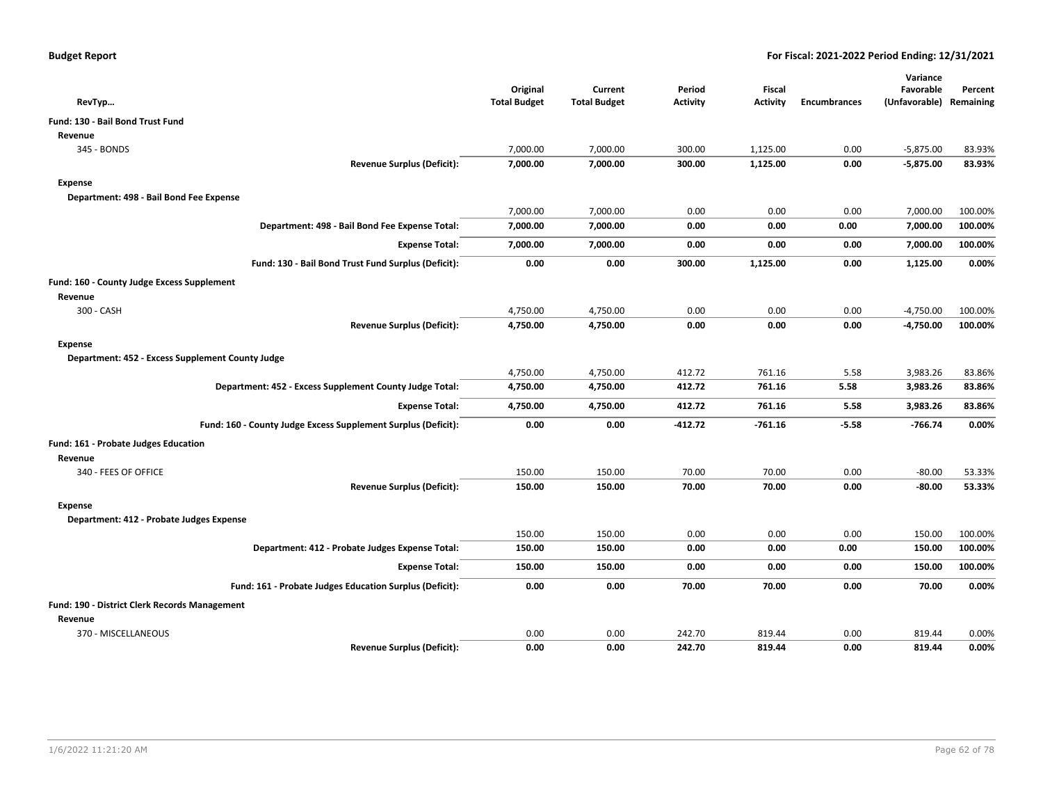|                                                               | Original            | Current             | Period          | <b>Fiscal</b>   |                     | Variance<br>Favorable   | Percent |
|---------------------------------------------------------------|---------------------|---------------------|-----------------|-----------------|---------------------|-------------------------|---------|
| RevTyp                                                        | <b>Total Budget</b> | <b>Total Budget</b> | <b>Activity</b> | <b>Activity</b> | <b>Encumbrances</b> | (Unfavorable) Remaining |         |
| <b>Fund: 130 - Bail Bond Trust Fund</b>                       |                     |                     |                 |                 |                     |                         |         |
| Revenue                                                       |                     |                     |                 |                 |                     |                         |         |
| 345 - BONDS                                                   | 7,000.00            | 7,000.00            | 300.00          | 1,125.00        | 0.00                | $-5,875.00$             | 83.93%  |
| <b>Revenue Surplus (Deficit):</b>                             | 7,000.00            | 7,000.00            | 300.00          | 1,125.00        | 0.00                | $-5,875.00$             | 83.93%  |
| Expense                                                       |                     |                     |                 |                 |                     |                         |         |
| Department: 498 - Bail Bond Fee Expense                       |                     |                     |                 |                 |                     |                         |         |
|                                                               | 7,000.00            | 7,000.00            | 0.00            | 0.00            | 0.00                | 7,000.00                | 100.00% |
| Department: 498 - Bail Bond Fee Expense Total:                | 7,000.00            | 7,000.00            | 0.00            | 0.00            | 0.00                | 7,000.00                | 100.00% |
| <b>Expense Total:</b>                                         | 7,000.00            | 7,000.00            | 0.00            | 0.00            | 0.00                | 7,000.00                | 100.00% |
| Fund: 130 - Bail Bond Trust Fund Surplus (Deficit):           | 0.00                | 0.00                | 300.00          | 1,125.00        | 0.00                | 1,125.00                | 0.00%   |
| Fund: 160 - County Judge Excess Supplement                    |                     |                     |                 |                 |                     |                         |         |
| Revenue                                                       |                     |                     |                 |                 |                     |                         |         |
| 300 - CASH                                                    | 4,750.00            | 4,750.00            | 0.00            | 0.00            | 0.00                | $-4,750.00$             | 100.00% |
| <b>Revenue Surplus (Deficit):</b>                             | 4,750.00            | 4,750.00            | 0.00            | 0.00            | 0.00                | $-4,750.00$             | 100.00% |
| Expense                                                       |                     |                     |                 |                 |                     |                         |         |
| Department: 452 - Excess Supplement County Judge              |                     |                     |                 |                 |                     |                         |         |
|                                                               | 4,750.00            | 4,750.00            | 412.72          | 761.16          | 5.58                | 3,983.26                | 83.86%  |
| Department: 452 - Excess Supplement County Judge Total:       | 4,750.00            | 4,750.00            | 412.72          | 761.16          | 5.58                | 3,983.26                | 83.86%  |
| <b>Expense Total:</b>                                         | 4,750.00            | 4,750.00            | 412.72          | 761.16          | 5.58                | 3,983.26                | 83.86%  |
| Fund: 160 - County Judge Excess Supplement Surplus (Deficit): | 0.00                | 0.00                | $-412.72$       | $-761.16$       | $-5.58$             | -766.74                 | 0.00%   |
| Fund: 161 - Probate Judges Education                          |                     |                     |                 |                 |                     |                         |         |
| Revenue                                                       |                     |                     |                 |                 |                     |                         |         |
| 340 - FEES OF OFFICE                                          | 150.00              | 150.00              | 70.00           | 70.00           | 0.00                | $-80.00$                | 53.33%  |
| <b>Revenue Surplus (Deficit):</b>                             | 150.00              | 150.00              | 70.00           | 70.00           | 0.00                | $-80.00$                | 53.33%  |
| Expense                                                       |                     |                     |                 |                 |                     |                         |         |
| Department: 412 - Probate Judges Expense                      |                     |                     |                 |                 |                     |                         |         |
|                                                               | 150.00              | 150.00              | 0.00            | 0.00            | 0.00                | 150.00                  | 100.00% |
| Department: 412 - Probate Judges Expense Total:               | 150.00              | 150.00              | 0.00            | 0.00            | 0.00                | 150.00                  | 100.00% |
| <b>Expense Total:</b>                                         | 150.00              | 150.00              | 0.00            | 0.00            | 0.00                | 150.00                  | 100.00% |
| Fund: 161 - Probate Judges Education Surplus (Deficit):       | 0.00                | 0.00                | 70.00           | 70.00           | 0.00                | 70.00                   | 0.00%   |
| Fund: 190 - District Clerk Records Management                 |                     |                     |                 |                 |                     |                         |         |
| Revenue                                                       |                     |                     |                 |                 |                     |                         |         |
| 370 - MISCELLANEOUS                                           | 0.00                | 0.00                | 242.70          | 819.44          | 0.00                | 819.44                  | 0.00%   |
| <b>Revenue Surplus (Deficit):</b>                             | 0.00                | 0.00                | 242.70          | 819.44          | 0.00                | 819.44                  | 0.00%   |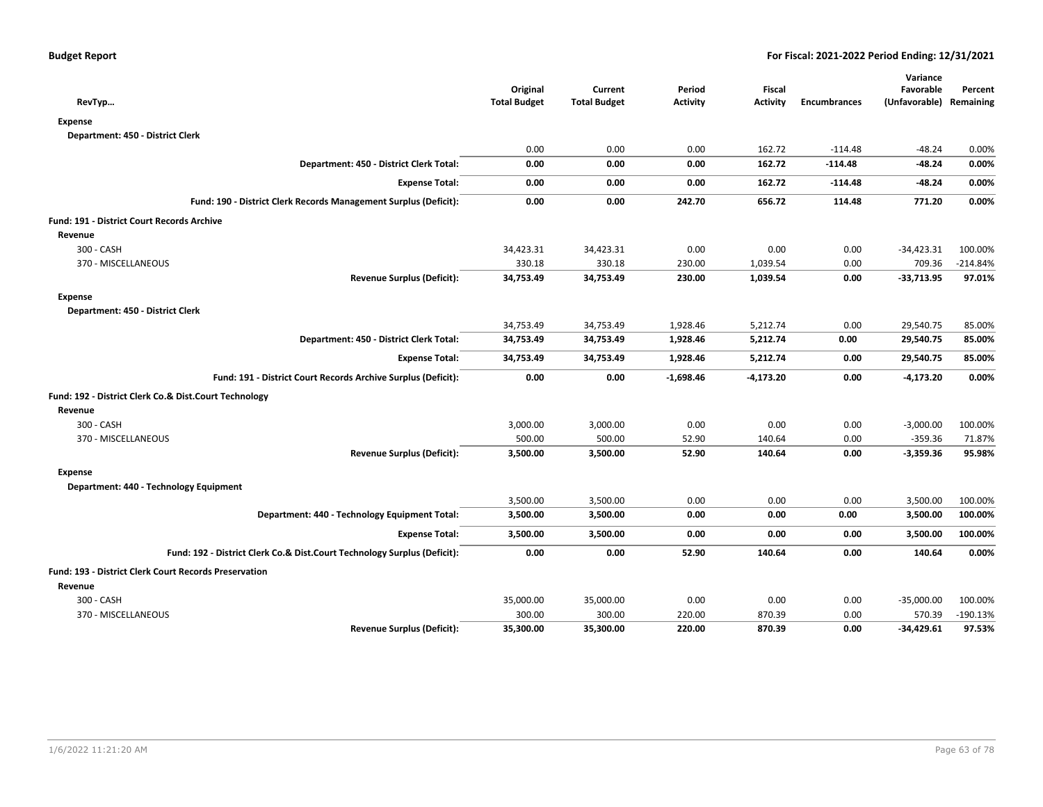|                                                                          |                     |                     |                 |                 |                     | Variance                |            |
|--------------------------------------------------------------------------|---------------------|---------------------|-----------------|-----------------|---------------------|-------------------------|------------|
|                                                                          | Original            | Current             | Period          | Fiscal          |                     | Favorable               | Percent    |
| RevTyp                                                                   | <b>Total Budget</b> | <b>Total Budget</b> | <b>Activity</b> | <b>Activity</b> | <b>Encumbrances</b> | (Unfavorable) Remaining |            |
| <b>Expense</b>                                                           |                     |                     |                 |                 |                     |                         |            |
| Department: 450 - District Clerk                                         |                     |                     |                 |                 |                     |                         |            |
|                                                                          | 0.00                | 0.00                | 0.00            | 162.72          | $-114.48$           | $-48.24$                | 0.00%      |
| Department: 450 - District Clerk Total:                                  | 0.00                | 0.00                | 0.00            | 162.72          | $-114.48$           | $-48.24$                | 0.00%      |
| <b>Expense Total:</b>                                                    | 0.00                | 0.00                | 0.00            | 162.72          | $-114.48$           | $-48.24$                | 0.00%      |
| Fund: 190 - District Clerk Records Management Surplus (Deficit):         | 0.00                | 0.00                | 242.70          | 656.72          | 114.48              | 771.20                  | 0.00%      |
| Fund: 191 - District Court Records Archive                               |                     |                     |                 |                 |                     |                         |            |
| Revenue                                                                  |                     |                     |                 |                 |                     |                         |            |
| 300 - CASH                                                               | 34,423.31           | 34,423.31           | 0.00            | 0.00            | 0.00                | $-34,423.31$            | 100.00%    |
| 370 - MISCELLANEOUS                                                      | 330.18              | 330.18              | 230.00          | 1,039.54        | 0.00                | 709.36                  | $-214.84%$ |
| <b>Revenue Surplus (Deficit):</b>                                        | 34,753.49           | 34,753.49           | 230.00          | 1,039.54        | 0.00                | $-33,713.95$            | 97.01%     |
| <b>Expense</b>                                                           |                     |                     |                 |                 |                     |                         |            |
| Department: 450 - District Clerk                                         |                     |                     |                 |                 |                     |                         |            |
|                                                                          | 34,753.49           | 34,753.49           | 1,928.46        | 5,212.74        | 0.00                | 29,540.75               | 85.00%     |
| Department: 450 - District Clerk Total:                                  | 34,753.49           | 34,753.49           | 1,928.46        | 5,212.74        | 0.00                | 29,540.75               | 85.00%     |
| <b>Expense Total:</b>                                                    | 34,753.49           | 34,753.49           | 1,928.46        | 5,212.74        | 0.00                | 29,540.75               | 85.00%     |
| Fund: 191 - District Court Records Archive Surplus (Deficit):            | 0.00                | 0.00                | $-1,698.46$     | $-4,173.20$     | 0.00                | $-4,173.20$             | 0.00%      |
| Fund: 192 - District Clerk Co.& Dist.Court Technology                    |                     |                     |                 |                 |                     |                         |            |
| Revenue                                                                  |                     |                     |                 |                 |                     |                         |            |
| 300 - CASH                                                               | 3,000.00            | 3,000.00            | 0.00            | 0.00            | 0.00                | $-3,000.00$             | 100.00%    |
| 370 - MISCELLANEOUS                                                      | 500.00              | 500.00              | 52.90           | 140.64          | 0.00                | $-359.36$               | 71.87%     |
| <b>Revenue Surplus (Deficit):</b>                                        | 3,500.00            | 3,500.00            | 52.90           | 140.64          | 0.00                | $-3,359.36$             | 95.98%     |
| <b>Expense</b>                                                           |                     |                     |                 |                 |                     |                         |            |
| Department: 440 - Technology Equipment                                   |                     |                     |                 |                 |                     |                         |            |
|                                                                          | 3,500.00            | 3,500.00            | 0.00            | 0.00            | 0.00                | 3,500.00                | 100.00%    |
| Department: 440 - Technology Equipment Total:                            | 3,500.00            | 3,500.00            | 0.00            | 0.00            | 0.00                | 3,500.00                | 100.00%    |
| <b>Expense Total:</b>                                                    | 3,500.00            | 3,500.00            | 0.00            | 0.00            | 0.00                | 3,500.00                | 100.00%    |
| Fund: 192 - District Clerk Co.& Dist.Court Technology Surplus (Deficit): | 0.00                | 0.00                | 52.90           | 140.64          | 0.00                | 140.64                  | 0.00%      |
| Fund: 193 - District Clerk Court Records Preservation                    |                     |                     |                 |                 |                     |                         |            |
| Revenue                                                                  |                     |                     |                 |                 |                     |                         |            |
| 300 - CASH                                                               | 35,000.00           | 35,000.00           | 0.00            | 0.00            | 0.00                | $-35,000.00$            | 100.00%    |
| 370 - MISCELLANEOUS                                                      | 300.00              | 300.00              | 220.00          | 870.39          | 0.00                | 570.39                  | $-190.13%$ |
| <b>Revenue Surplus (Deficit):</b>                                        | 35,300.00           | 35,300.00           | 220.00          | 870.39          | 0.00                | $-34,429.61$            | 97.53%     |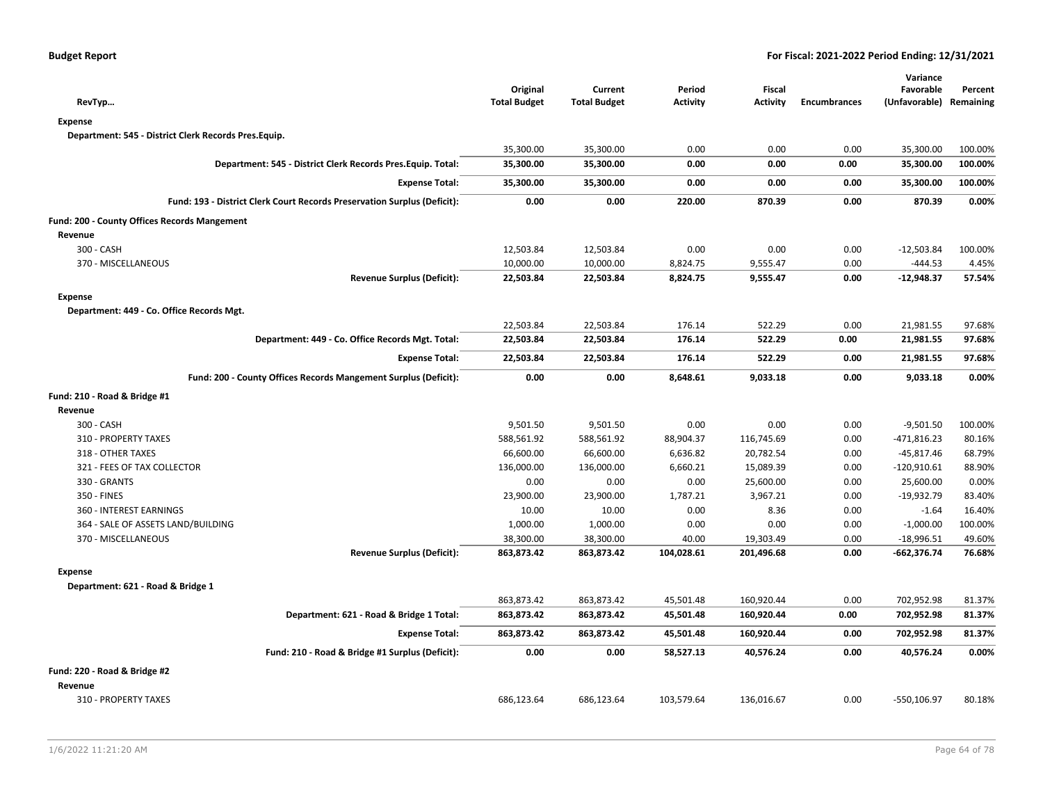| RevTyp                                                                   | Original<br><b>Total Budget</b> | Current<br><b>Total Budget</b> | Period<br><b>Activity</b> | Fiscal<br><b>Activity</b> | <b>Encumbrances</b> | Variance<br>Favorable<br>(Unfavorable) Remaining | Percent |
|--------------------------------------------------------------------------|---------------------------------|--------------------------------|---------------------------|---------------------------|---------------------|--------------------------------------------------|---------|
| <b>Expense</b>                                                           |                                 |                                |                           |                           |                     |                                                  |         |
| Department: 545 - District Clerk Records Pres.Equip.                     |                                 |                                |                           |                           |                     |                                                  |         |
|                                                                          | 35,300.00                       | 35,300.00                      | 0.00                      | 0.00                      | 0.00                | 35,300.00                                        | 100.00% |
| Department: 545 - District Clerk Records Pres. Equip. Total:             | 35,300.00                       | 35,300.00                      | 0.00                      | 0.00                      | 0.00                | 35,300.00                                        | 100.00% |
|                                                                          |                                 |                                |                           |                           |                     |                                                  |         |
| <b>Expense Total:</b>                                                    | 35,300.00                       | 35,300.00                      | 0.00                      | 0.00                      | 0.00                | 35,300.00                                        | 100.00% |
| Fund: 193 - District Clerk Court Records Preservation Surplus (Deficit): | 0.00                            | 0.00                           | 220.00                    | 870.39                    | 0.00                | 870.39                                           | 0.00%   |
| Fund: 200 - County Offices Records Mangement                             |                                 |                                |                           |                           |                     |                                                  |         |
| Revenue                                                                  |                                 |                                |                           |                           |                     |                                                  |         |
| 300 - CASH                                                               | 12,503.84                       | 12,503.84                      | 0.00                      | 0.00                      | 0.00                | $-12,503.84$                                     | 100.00% |
| 370 - MISCELLANEOUS                                                      | 10,000.00                       | 10,000.00                      | 8,824.75                  | 9,555.47                  | 0.00                | $-444.53$                                        | 4.45%   |
| <b>Revenue Surplus (Deficit):</b>                                        | 22,503.84                       | 22,503.84                      | 8,824.75                  | 9,555.47                  | 0.00                | $-12,948.37$                                     | 57.54%  |
| Expense                                                                  |                                 |                                |                           |                           |                     |                                                  |         |
| Department: 449 - Co. Office Records Mgt.                                |                                 |                                |                           |                           |                     |                                                  |         |
|                                                                          | 22,503.84                       | 22,503.84                      | 176.14                    | 522.29                    | 0.00                | 21,981.55                                        | 97.68%  |
| Department: 449 - Co. Office Records Mgt. Total:                         | 22,503.84                       | 22,503.84                      | 176.14                    | 522.29                    | 0.00                | 21,981.55                                        | 97.68%  |
| <b>Expense Total:</b>                                                    | 22,503.84                       | 22,503.84                      | 176.14                    | 522.29                    | 0.00                | 21,981.55                                        | 97.68%  |
| Fund: 200 - County Offices Records Mangement Surplus (Deficit):          | 0.00                            | 0.00                           | 8,648.61                  | 9,033.18                  | 0.00                | 9,033.18                                         | 0.00%   |
| Fund: 210 - Road & Bridge #1                                             |                                 |                                |                           |                           |                     |                                                  |         |
| Revenue                                                                  |                                 |                                |                           |                           |                     |                                                  |         |
| 300 - CASH                                                               | 9,501.50                        | 9,501.50                       | 0.00                      | 0.00                      | 0.00                | $-9,501.50$                                      | 100.00% |
| 310 - PROPERTY TAXES                                                     | 588,561.92                      | 588,561.92                     | 88,904.37                 | 116,745.69                | 0.00                | $-471,816.23$                                    | 80.16%  |
| 318 - OTHER TAXES                                                        | 66,600.00                       | 66,600.00                      | 6,636.82                  | 20,782.54                 | 0.00                | $-45,817.46$                                     | 68.79%  |
| 321 - FEES OF TAX COLLECTOR                                              | 136,000.00                      | 136,000.00                     | 6,660.21                  | 15,089.39                 | 0.00                | $-120,910.61$                                    | 88.90%  |
| 330 - GRANTS                                                             | 0.00                            | 0.00                           | 0.00                      | 25,600.00                 | 0.00                | 25,600.00                                        | 0.00%   |
| 350 - FINES                                                              | 23,900.00                       | 23,900.00                      | 1,787.21                  | 3,967.21                  | 0.00                | $-19,932.79$                                     | 83.40%  |
| 360 - INTEREST EARNINGS                                                  | 10.00                           | 10.00                          | 0.00                      | 8.36                      | 0.00                | $-1.64$                                          | 16.40%  |
| 364 - SALE OF ASSETS LAND/BUILDING                                       | 1,000.00                        | 1,000.00                       | 0.00                      | 0.00                      | 0.00                | $-1,000.00$                                      | 100.00% |
| 370 - MISCELLANEOUS                                                      | 38,300.00                       | 38,300.00                      | 40.00                     | 19,303.49                 | 0.00                | $-18,996.51$                                     | 49.60%  |
| <b>Revenue Surplus (Deficit):</b>                                        | 863,873.42                      | 863,873.42                     | 104,028.61                | 201,496.68                | 0.00                | $-662,376.74$                                    | 76.68%  |
| <b>Expense</b>                                                           |                                 |                                |                           |                           |                     |                                                  |         |
| Department: 621 - Road & Bridge 1                                        |                                 |                                |                           |                           |                     |                                                  |         |
|                                                                          | 863,873.42                      | 863,873.42                     | 45,501.48                 | 160,920.44                | 0.00                | 702,952.98                                       | 81.37%  |
| Department: 621 - Road & Bridge 1 Total:                                 | 863,873.42                      | 863,873.42                     | 45,501.48                 | 160,920.44                | 0.00                | 702,952.98                                       | 81.37%  |
| <b>Expense Total:</b>                                                    | 863,873.42                      | 863,873.42                     | 45,501.48                 | 160,920.44                | 0.00                | 702,952.98                                       | 81.37%  |
| Fund: 210 - Road & Bridge #1 Surplus (Deficit):                          | 0.00                            | 0.00                           | 58,527.13                 | 40,576.24                 | 0.00                | 40,576.24                                        | 0.00%   |
| Fund: 220 - Road & Bridge #2                                             |                                 |                                |                           |                           |                     |                                                  |         |
| Revenue                                                                  |                                 |                                |                           |                           |                     |                                                  |         |
| 310 - PROPERTY TAXES                                                     | 686,123.64                      | 686,123.64                     | 103,579.64                | 136,016.67                | 0.00                | $-550, 106.97$                                   | 80.18%  |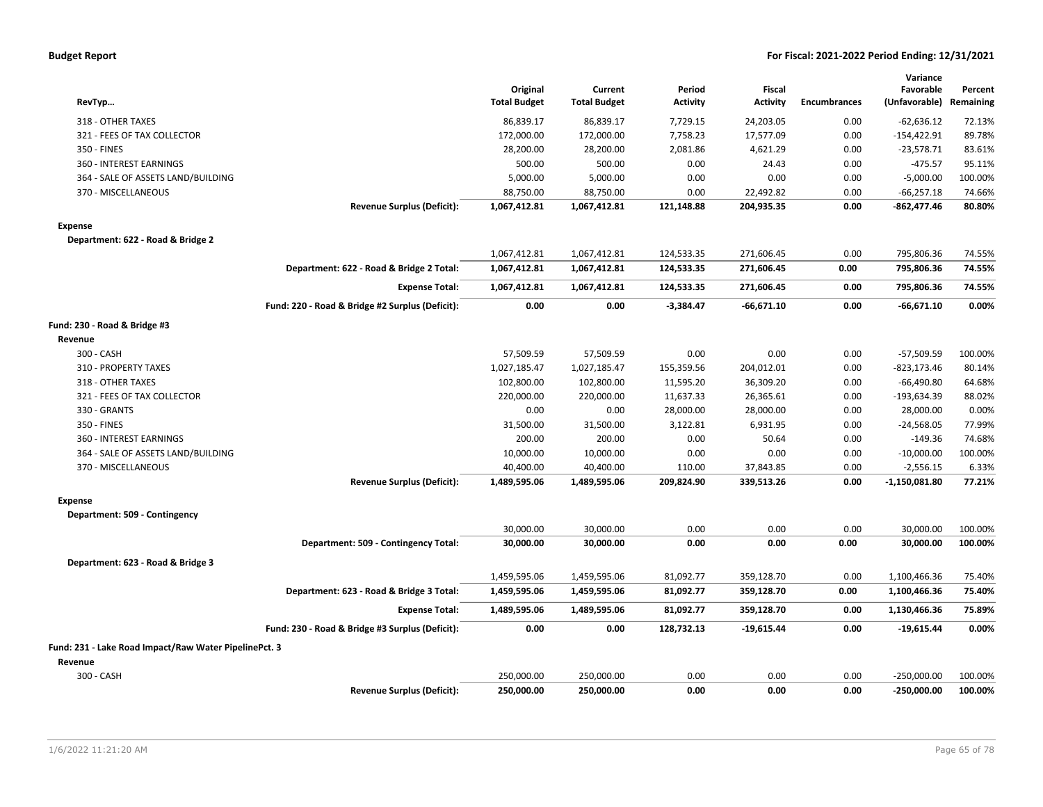|  | <b>Budget Report</b> |
|--|----------------------|
|--|----------------------|

| RevTyp                                                |                                                 | Original<br><b>Total Budget</b> | Current<br><b>Total Budget</b> | Period<br><b>Activity</b> | <b>Fiscal</b><br><b>Activity</b> | <b>Encumbrances</b> | Variance<br>Favorable<br>(Unfavorable) | Percent<br>Remaining |
|-------------------------------------------------------|-------------------------------------------------|---------------------------------|--------------------------------|---------------------------|----------------------------------|---------------------|----------------------------------------|----------------------|
| 318 - OTHER TAXES                                     |                                                 | 86,839.17                       | 86,839.17                      | 7,729.15                  | 24,203.05                        | 0.00                | $-62,636.12$                           | 72.13%               |
| 321 - FEES OF TAX COLLECTOR                           |                                                 | 172,000.00                      | 172,000.00                     | 7,758.23                  | 17,577.09                        | 0.00                | $-154,422.91$                          | 89.78%               |
| 350 - FINES                                           |                                                 | 28,200.00                       | 28,200.00                      | 2,081.86                  | 4,621.29                         | 0.00                | $-23,578.71$                           | 83.61%               |
| 360 - INTEREST EARNINGS                               |                                                 | 500.00                          | 500.00                         | 0.00                      | 24.43                            | 0.00                | $-475.57$                              | 95.11%               |
| 364 - SALE OF ASSETS LAND/BUILDING                    |                                                 | 5,000.00                        | 5,000.00                       | 0.00                      | 0.00                             | 0.00                | $-5,000.00$                            | 100.00%              |
| 370 - MISCELLANEOUS                                   |                                                 | 88,750.00                       | 88,750.00                      | 0.00                      | 22,492.82                        | 0.00                | $-66,257.18$                           | 74.66%               |
|                                                       | <b>Revenue Surplus (Deficit):</b>               | 1,067,412.81                    | 1,067,412.81                   | 121,148.88                | 204,935.35                       | 0.00                | $-862,477.46$                          | 80.80%               |
| <b>Expense</b>                                        |                                                 |                                 |                                |                           |                                  |                     |                                        |                      |
| Department: 622 - Road & Bridge 2                     |                                                 |                                 |                                |                           |                                  |                     |                                        |                      |
|                                                       |                                                 | 1,067,412.81                    | 1,067,412.81                   | 124,533.35                | 271,606.45                       | 0.00                | 795,806.36                             | 74.55%               |
|                                                       | Department: 622 - Road & Bridge 2 Total:        | 1,067,412.81                    | 1,067,412.81                   | 124,533.35                | 271,606.45                       | 0.00                | 795,806.36                             | 74.55%               |
|                                                       | <b>Expense Total:</b>                           | 1,067,412.81                    | 1,067,412.81                   | 124,533.35                | 271,606.45                       | 0.00                | 795,806.36                             | 74.55%               |
|                                                       | Fund: 220 - Road & Bridge #2 Surplus (Deficit): | 0.00                            | 0.00                           | $-3,384.47$               | $-66,671.10$                     | 0.00                | $-66,671.10$                           | 0.00%                |
| Fund: 230 - Road & Bridge #3                          |                                                 |                                 |                                |                           |                                  |                     |                                        |                      |
| Revenue                                               |                                                 |                                 |                                |                           |                                  |                     |                                        |                      |
| 300 - CASH                                            |                                                 | 57,509.59                       | 57,509.59                      | 0.00                      | 0.00                             | 0.00                | $-57,509.59$                           | 100.00%              |
| 310 - PROPERTY TAXES                                  |                                                 | 1,027,185.47                    | 1,027,185.47                   | 155,359.56                | 204,012.01                       | 0.00                | $-823, 173.46$                         | 80.14%               |
| 318 - OTHER TAXES                                     |                                                 | 102,800.00                      | 102,800.00                     | 11,595.20                 | 36,309.20                        | 0.00                | $-66,490.80$                           | 64.68%               |
| 321 - FEES OF TAX COLLECTOR                           |                                                 | 220,000.00                      | 220,000.00                     | 11,637.33                 | 26,365.61                        | 0.00                | $-193,634.39$                          | 88.02%               |
| 330 - GRANTS                                          |                                                 | 0.00                            | 0.00                           | 28,000.00                 | 28,000.00                        | 0.00                | 28,000.00                              | 0.00%                |
| 350 - FINES                                           |                                                 | 31,500.00                       | 31,500.00                      | 3,122.81                  | 6,931.95                         | 0.00                | $-24,568.05$                           | 77.99%               |
| 360 - INTEREST EARNINGS                               |                                                 | 200.00                          | 200.00                         | 0.00                      | 50.64                            | 0.00                | $-149.36$                              | 74.68%               |
| 364 - SALE OF ASSETS LAND/BUILDING                    |                                                 | 10,000.00                       | 10,000.00                      | 0.00                      | 0.00                             | 0.00                | $-10,000.00$                           | 100.00%              |
| 370 - MISCELLANEOUS                                   |                                                 | 40,400.00                       | 40,400.00                      | 110.00                    | 37,843.85                        | 0.00                | $-2,556.15$                            | 6.33%                |
|                                                       | <b>Revenue Surplus (Deficit):</b>               | 1,489,595.06                    | 1,489,595.06                   | 209,824.90                | 339,513.26                       | 0.00                | $-1,150,081.80$                        | 77.21%               |
| <b>Expense</b>                                        |                                                 |                                 |                                |                           |                                  |                     |                                        |                      |
| Department: 509 - Contingency                         |                                                 |                                 |                                |                           |                                  |                     |                                        |                      |
|                                                       |                                                 | 30,000.00                       | 30,000.00                      | 0.00                      | 0.00                             | 0.00                | 30,000.00                              | 100.00%              |
|                                                       | Department: 509 - Contingency Total:            | 30,000.00                       | 30,000.00                      | 0.00                      | 0.00                             | 0.00                | 30,000.00                              | 100.00%              |
| Department: 623 - Road & Bridge 3                     |                                                 |                                 |                                |                           |                                  |                     |                                        |                      |
|                                                       |                                                 | 1,459,595.06                    | 1,459,595.06                   | 81,092.77                 | 359,128.70                       | 0.00                | 1,100,466.36                           | 75.40%               |
|                                                       | Department: 623 - Road & Bridge 3 Total:        | 1,459,595.06                    | 1,459,595.06                   | 81,092.77                 | 359,128.70                       | 0.00                | 1,100,466.36                           | 75.40%               |
|                                                       | <b>Expense Total:</b>                           | 1,489,595.06                    | 1,489,595.06                   | 81,092.77                 | 359,128.70                       | 0.00                | 1,130,466.36                           | 75.89%               |
|                                                       | Fund: 230 - Road & Bridge #3 Surplus (Deficit): | 0.00                            | 0.00                           | 128,732.13                | $-19,615.44$                     | 0.00                | $-19,615.44$                           | 0.00%                |
| Fund: 231 - Lake Road Impact/Raw Water PipelinePct. 3 |                                                 |                                 |                                |                           |                                  |                     |                                        |                      |
| Revenue                                               |                                                 |                                 |                                |                           |                                  |                     |                                        |                      |
| 300 - CASH                                            |                                                 | 250,000.00                      | 250,000.00                     | 0.00                      | 0.00                             | 0.00                | $-250,000.00$                          | 100.00%              |
|                                                       | <b>Revenue Surplus (Deficit):</b>               | 250,000.00                      | 250,000.00                     | 0.00                      | 0.00                             | 0.00                | $-250,000.00$                          | 100.00%              |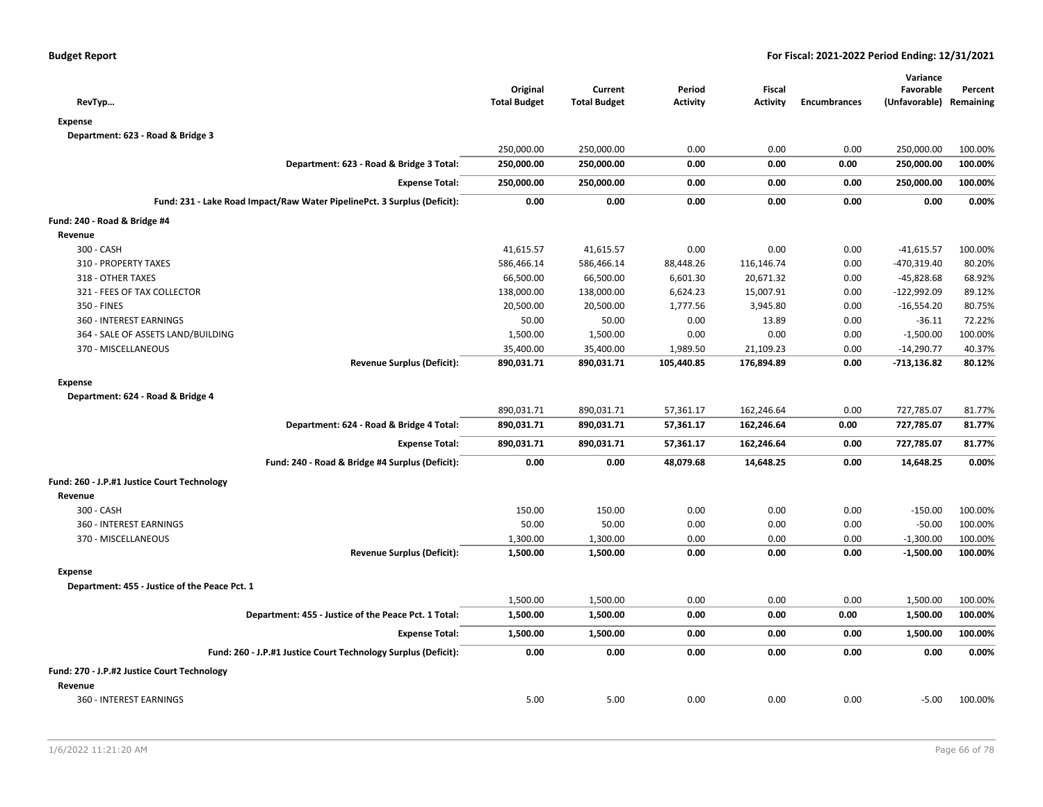| RevTyp                                                                   | Original<br><b>Total Budget</b> | Current<br><b>Total Budget</b> | Period<br><b>Activity</b> | Fiscal<br><b>Activity</b> | <b>Encumbrances</b> | Variance<br>Favorable<br>(Unfavorable) | Percent<br>Remaining |
|--------------------------------------------------------------------------|---------------------------------|--------------------------------|---------------------------|---------------------------|---------------------|----------------------------------------|----------------------|
| <b>Expense</b>                                                           |                                 |                                |                           |                           |                     |                                        |                      |
| Department: 623 - Road & Bridge 3                                        |                                 |                                |                           |                           |                     |                                        |                      |
|                                                                          | 250,000.00                      | 250,000.00                     | 0.00                      | 0.00                      | 0.00                | 250,000.00                             | 100.00%              |
| Department: 623 - Road & Bridge 3 Total:                                 | 250,000.00                      | 250,000.00                     | 0.00                      | 0.00                      | 0.00                | 250,000.00                             | 100.00%              |
| <b>Expense Total:</b>                                                    | 250,000.00                      | 250,000.00                     | 0.00                      | 0.00                      | 0.00                | 250,000.00                             | 100.00%              |
| Fund: 231 - Lake Road Impact/Raw Water PipelinePct. 3 Surplus (Deficit): | 0.00                            | 0.00                           | 0.00                      | 0.00                      | 0.00                | 0.00                                   | 0.00%                |
| Fund: 240 - Road & Bridge #4                                             |                                 |                                |                           |                           |                     |                                        |                      |
| Revenue                                                                  |                                 |                                |                           |                           |                     |                                        |                      |
| 300 - CASH                                                               | 41,615.57                       | 41,615.57                      | 0.00                      | 0.00                      | 0.00                | $-41,615.57$                           | 100.00%              |
| 310 - PROPERTY TAXES                                                     | 586,466.14                      | 586,466.14                     | 88,448.26                 | 116,146.74                | 0.00                | $-470,319.40$                          | 80.20%               |
| 318 - OTHER TAXES                                                        | 66,500.00                       | 66,500.00                      | 6,601.30                  | 20,671.32                 | 0.00                | $-45,828.68$                           | 68.92%               |
| 321 - FEES OF TAX COLLECTOR                                              | 138,000.00                      | 138,000.00                     | 6,624.23                  | 15,007.91                 | 0.00                | $-122,992.09$                          | 89.12%               |
| 350 - FINES                                                              | 20,500.00                       | 20,500.00                      | 1,777.56                  | 3,945.80                  | 0.00                | $-16,554.20$                           | 80.75%               |
| 360 - INTEREST EARNINGS                                                  | 50.00                           | 50.00                          | 0.00                      | 13.89                     | 0.00                | $-36.11$                               | 72.22%               |
| 364 - SALE OF ASSETS LAND/BUILDING                                       | 1,500.00                        | 1,500.00                       | 0.00                      | 0.00                      | 0.00                | $-1,500.00$                            | 100.00%              |
| 370 - MISCELLANEOUS                                                      | 35,400.00                       | 35,400.00                      | 1,989.50                  | 21,109.23                 | 0.00                | $-14,290.77$                           | 40.37%               |
| <b>Revenue Surplus (Deficit):</b>                                        | 890,031.71                      | 890,031.71                     | 105,440.85                | 176,894.89                | 0.00                | $-713,136.82$                          | 80.12%               |
| <b>Expense</b>                                                           |                                 |                                |                           |                           |                     |                                        |                      |
| Department: 624 - Road & Bridge 4                                        |                                 |                                |                           |                           |                     |                                        |                      |
|                                                                          | 890,031.71                      | 890,031.71                     | 57,361.17                 | 162,246.64                | 0.00                | 727,785.07                             | 81.77%               |
| Department: 624 - Road & Bridge 4 Total:                                 | 890,031.71                      | 890,031.71                     | 57,361.17                 | 162,246.64                | 0.00                | 727,785.07                             | 81.77%               |
| <b>Expense Total:</b>                                                    | 890,031.71                      | 890,031.71                     | 57,361.17                 | 162,246.64                | 0.00                | 727,785.07                             | 81.77%               |
| Fund: 240 - Road & Bridge #4 Surplus (Deficit):                          | 0.00                            | 0.00                           | 48,079.68                 | 14,648.25                 | 0.00                | 14,648.25                              | 0.00%                |
| Fund: 260 - J.P.#1 Justice Court Technology                              |                                 |                                |                           |                           |                     |                                        |                      |
| Revenue                                                                  |                                 |                                |                           |                           |                     |                                        |                      |
| 300 - CASH                                                               | 150.00                          | 150.00                         | 0.00                      | 0.00                      | 0.00                | $-150.00$                              | 100.00%              |
| 360 - INTEREST EARNINGS                                                  | 50.00                           | 50.00                          | 0.00                      | 0.00                      | 0.00                | $-50.00$                               | 100.00%              |
| 370 - MISCELLANEOUS                                                      | 1,300.00                        | 1,300.00                       | 0.00                      | 0.00                      | 0.00                | $-1,300.00$                            | 100.00%              |
| <b>Revenue Surplus (Deficit):</b>                                        | 1,500.00                        | 1,500.00                       | 0.00                      | 0.00                      | 0.00                | $-1,500.00$                            | 100.00%              |
| <b>Expense</b>                                                           |                                 |                                |                           |                           |                     |                                        |                      |
| Department: 455 - Justice of the Peace Pct. 1                            |                                 |                                |                           |                           |                     |                                        |                      |
|                                                                          | 1,500.00                        | 1,500.00                       | 0.00                      | 0.00                      | 0.00                | 1,500.00                               | 100.00%              |
| Department: 455 - Justice of the Peace Pct. 1 Total:                     | 1,500.00                        | 1,500.00                       | 0.00                      | 0.00                      | 0.00                | 1,500.00                               | 100.00%              |
| <b>Expense Total:</b>                                                    | 1,500.00                        | 1,500.00                       | 0.00                      | 0.00                      | 0.00                | 1,500.00                               | 100.00%              |
| Fund: 260 - J.P.#1 Justice Court Technology Surplus (Deficit):           | 0.00                            | 0.00                           | 0.00                      | 0.00                      | 0.00                | 0.00                                   | 0.00%                |
| Fund: 270 - J.P.#2 Justice Court Technology                              |                                 |                                |                           |                           |                     |                                        |                      |
| Revenue                                                                  |                                 |                                |                           |                           |                     |                                        |                      |
| 360 - INTEREST EARNINGS                                                  | 5.00                            | 5.00                           | 0.00                      | 0.00                      | 0.00                | $-5.00$                                | 100.00%              |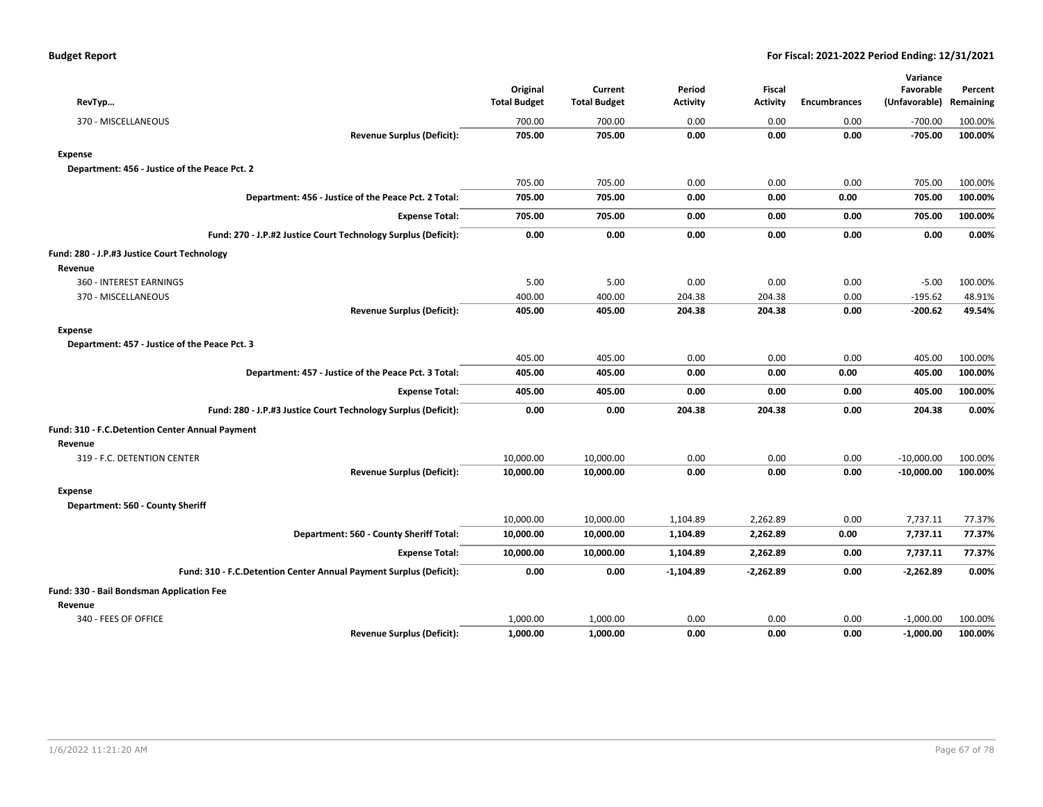| RevTyp                                                             | Original<br><b>Total Budget</b> | Current<br><b>Total Budget</b> | Period<br><b>Activity</b> | <b>Fiscal</b><br><b>Activity</b> | <b>Encumbrances</b> | Variance<br>Favorable<br>(Unfavorable) | Percent<br>Remaining |
|--------------------------------------------------------------------|---------------------------------|--------------------------------|---------------------------|----------------------------------|---------------------|----------------------------------------|----------------------|
| 370 - MISCELLANEOUS                                                | 700.00                          | 700.00                         | 0.00                      | 0.00                             | 0.00                | $-700.00$                              | 100.00%              |
| <b>Revenue Surplus (Deficit):</b>                                  | 705.00                          | 705.00                         | 0.00                      | 0.00                             | 0.00                | $-705.00$                              | 100.00%              |
| <b>Expense</b>                                                     |                                 |                                |                           |                                  |                     |                                        |                      |
| Department: 456 - Justice of the Peace Pct. 2                      |                                 |                                |                           |                                  |                     |                                        |                      |
|                                                                    | 705.00                          | 705.00                         | 0.00                      | 0.00                             | 0.00                | 705.00                                 | 100.00%              |
| Department: 456 - Justice of the Peace Pct. 2 Total:               | 705.00                          | 705.00                         | 0.00                      | 0.00                             | 0.00                | 705.00                                 | 100.00%              |
| <b>Expense Total:</b>                                              | 705.00                          | 705.00                         | 0.00                      | 0.00                             | 0.00                | 705.00                                 | 100.00%              |
| Fund: 270 - J.P.#2 Justice Court Technology Surplus (Deficit):     | 0.00                            | 0.00                           | 0.00                      | 0.00                             | 0.00                | 0.00                                   | 0.00%                |
| Fund: 280 - J.P.#3 Justice Court Technology                        |                                 |                                |                           |                                  |                     |                                        |                      |
| Revenue                                                            |                                 |                                |                           |                                  |                     |                                        |                      |
| 360 - INTEREST EARNINGS                                            | 5.00                            | 5.00                           | 0.00                      | 0.00                             | 0.00                | $-5.00$                                | 100.00%              |
| 370 - MISCELLANEOUS                                                | 400.00                          | 400.00                         | 204.38                    | 204.38                           | 0.00                | $-195.62$                              | 48.91%               |
| <b>Revenue Surplus (Deficit):</b>                                  | 405.00                          | 405.00                         | 204.38                    | 204.38                           | 0.00                | $-200.62$                              | 49.54%               |
| <b>Expense</b>                                                     |                                 |                                |                           |                                  |                     |                                        |                      |
| Department: 457 - Justice of the Peace Pct. 3                      |                                 |                                |                           |                                  |                     |                                        |                      |
|                                                                    | 405.00                          | 405.00                         | 0.00                      | 0.00                             | 0.00                | 405.00                                 | 100.00%              |
| Department: 457 - Justice of the Peace Pct. 3 Total:               | 405.00                          | 405.00                         | 0.00                      | 0.00                             | 0.00                | 405.00                                 | 100.00%              |
| <b>Expense Total:</b>                                              | 405.00                          | 405.00                         | 0.00                      | 0.00                             | 0.00                | 405.00                                 | 100.00%              |
| Fund: 280 - J.P.#3 Justice Court Technology Surplus (Deficit):     | 0.00                            | 0.00                           | 204.38                    | 204.38                           | 0.00                | 204.38                                 | 0.00%                |
| Fund: 310 - F.C.Detention Center Annual Payment                    |                                 |                                |                           |                                  |                     |                                        |                      |
| Revenue                                                            |                                 |                                |                           |                                  |                     |                                        |                      |
| 319 - F.C. DETENTION CENTER                                        | 10,000.00                       | 10,000.00                      | 0.00                      | 0.00                             | 0.00                | $-10,000.00$                           | 100.00%              |
| <b>Revenue Surplus (Deficit):</b>                                  | 10,000.00                       | 10,000.00                      | 0.00                      | 0.00                             | 0.00                | $-10,000.00$                           | 100.00%              |
| <b>Expense</b>                                                     |                                 |                                |                           |                                  |                     |                                        |                      |
| Department: 560 - County Sheriff                                   |                                 |                                |                           |                                  |                     |                                        |                      |
|                                                                    | 10,000.00                       | 10,000.00                      | 1,104.89                  | 2,262.89                         | 0.00                | 7,737.11                               | 77.37%               |
| Department: 560 - County Sheriff Total:                            | 10,000.00                       | 10,000.00                      | 1,104.89                  | 2,262.89                         | 0.00                | 7,737.11                               | 77.37%               |
| <b>Expense Total:</b>                                              | 10,000.00                       | 10,000.00                      | 1,104.89                  | 2,262.89                         | 0.00                | 7,737.11                               | 77.37%               |
| Fund: 310 - F.C.Detention Center Annual Payment Surplus (Deficit): | 0.00                            | 0.00                           | $-1,104.89$               | $-2,262.89$                      | 0.00                | $-2,262.89$                            | 0.00%                |
| Fund: 330 - Bail Bondsman Application Fee                          |                                 |                                |                           |                                  |                     |                                        |                      |
| Revenue                                                            |                                 |                                |                           |                                  |                     |                                        |                      |
| 340 - FEES OF OFFICE                                               | 1,000.00                        | 1,000.00                       | 0.00                      | 0.00                             | 0.00                | $-1,000.00$                            | 100.00%              |
| <b>Revenue Surplus (Deficit):</b>                                  | 1,000.00                        | 1,000.00                       | 0.00                      | 0.00                             | 0.00                | $-1,000.00$                            | 100.00%              |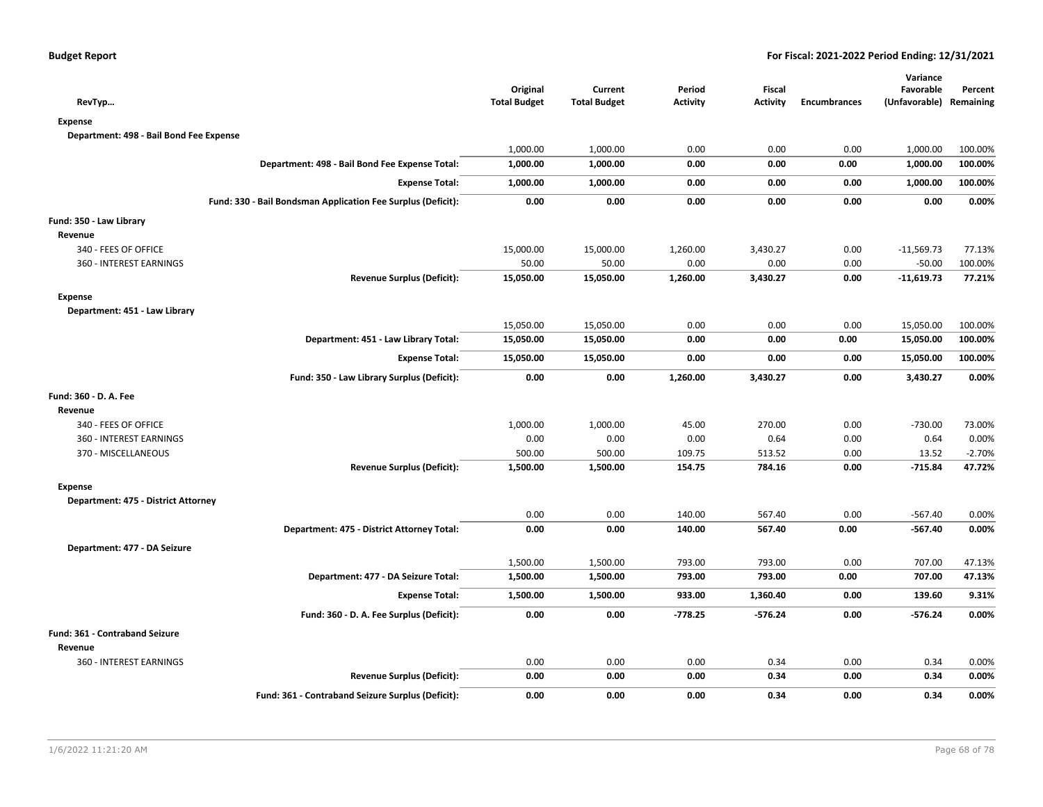| RevTyp                                                       | Original<br><b>Total Budget</b> | Current<br><b>Total Budget</b> | Period<br><b>Activity</b> | <b>Fiscal</b><br><b>Activity</b> | <b>Encumbrances</b> | Variance<br>Favorable<br>(Unfavorable) Remaining | Percent  |
|--------------------------------------------------------------|---------------------------------|--------------------------------|---------------------------|----------------------------------|---------------------|--------------------------------------------------|----------|
| <b>Expense</b>                                               |                                 |                                |                           |                                  |                     |                                                  |          |
| Department: 498 - Bail Bond Fee Expense                      |                                 |                                |                           |                                  |                     |                                                  |          |
|                                                              | 1,000.00                        | 1,000.00                       | 0.00                      | 0.00                             | 0.00                | 1,000.00                                         | 100.00%  |
| Department: 498 - Bail Bond Fee Expense Total:               | 1,000.00                        | 1,000.00                       | 0.00                      | 0.00                             | 0.00                | 1,000.00                                         | 100.00%  |
| <b>Expense Total:</b>                                        | 1,000.00                        | 1,000.00                       | 0.00                      | 0.00                             | 0.00                | 1,000.00                                         | 100.00%  |
| Fund: 330 - Bail Bondsman Application Fee Surplus (Deficit): | 0.00                            | 0.00                           | 0.00                      | 0.00                             | 0.00                | 0.00                                             | 0.00%    |
| Fund: 350 - Law Library                                      |                                 |                                |                           |                                  |                     |                                                  |          |
| Revenue                                                      |                                 |                                |                           |                                  |                     |                                                  |          |
| 340 - FEES OF OFFICE                                         | 15,000.00                       | 15,000.00                      | 1,260.00                  | 3,430.27                         | 0.00                | $-11,569.73$                                     | 77.13%   |
| 360 - INTEREST EARNINGS                                      | 50.00                           | 50.00                          | 0.00                      | 0.00                             | 0.00                | $-50.00$                                         | 100.00%  |
| <b>Revenue Surplus (Deficit):</b>                            | 15,050.00                       | 15,050.00                      | 1,260.00                  | 3,430.27                         | 0.00                | $-11,619.73$                                     | 77.21%   |
| <b>Expense</b>                                               |                                 |                                |                           |                                  |                     |                                                  |          |
| Department: 451 - Law Library                                |                                 |                                |                           |                                  |                     |                                                  |          |
|                                                              | 15,050.00                       | 15,050.00                      | 0.00                      | 0.00                             | 0.00                | 15,050.00                                        | 100.00%  |
| Department: 451 - Law Library Total:                         | 15,050.00                       | 15,050.00                      | 0.00                      | 0.00                             | 0.00                | 15,050.00                                        | 100.00%  |
| <b>Expense Total:</b>                                        | 15,050.00                       | 15,050.00                      | 0.00                      | 0.00                             | 0.00                | 15,050.00                                        | 100.00%  |
| Fund: 350 - Law Library Surplus (Deficit):                   | 0.00                            | 0.00                           | 1,260.00                  | 3,430.27                         | 0.00                | 3,430.27                                         | 0.00%    |
| Fund: 360 - D. A. Fee                                        |                                 |                                |                           |                                  |                     |                                                  |          |
| Revenue                                                      |                                 |                                |                           |                                  |                     |                                                  |          |
| 340 - FEES OF OFFICE                                         | 1,000.00                        | 1,000.00                       | 45.00                     | 270.00                           | 0.00                | $-730.00$                                        | 73.00%   |
| 360 - INTEREST EARNINGS                                      | 0.00                            | 0.00                           | 0.00                      | 0.64                             | 0.00                | 0.64                                             | 0.00%    |
| 370 - MISCELLANEOUS                                          | 500.00                          | 500.00                         | 109.75                    | 513.52                           | 0.00                | 13.52                                            | $-2.70%$ |
| <b>Revenue Surplus (Deficit):</b>                            | 1,500.00                        | 1,500.00                       | 154.75                    | 784.16                           | 0.00                | $-715.84$                                        | 47.72%   |
| <b>Expense</b>                                               |                                 |                                |                           |                                  |                     |                                                  |          |
| Department: 475 - District Attorney                          |                                 |                                |                           |                                  |                     |                                                  |          |
|                                                              | 0.00                            | 0.00                           | 140.00                    | 567.40                           | 0.00                | $-567.40$                                        | 0.00%    |
| Department: 475 - District Attorney Total:                   | 0.00                            | 0.00                           | 140.00                    | 567.40                           | 0.00                | $-567.40$                                        | 0.00%    |
| Department: 477 - DA Seizure                                 |                                 |                                |                           |                                  |                     |                                                  |          |
|                                                              | 1,500.00                        | 1,500.00                       | 793.00                    | 793.00                           | 0.00                | 707.00                                           | 47.13%   |
| Department: 477 - DA Seizure Total:                          | 1,500.00                        | 1,500.00                       | 793.00                    | 793.00                           | 0.00                | 707.00                                           | 47.13%   |
| <b>Expense Total:</b>                                        | 1,500.00                        | 1,500.00                       | 933.00                    | 1,360.40                         | 0.00                | 139.60                                           | 9.31%    |
| Fund: 360 - D. A. Fee Surplus (Deficit):                     | 0.00                            | 0.00                           | $-778.25$                 | $-576.24$                        | 0.00                | $-576.24$                                        | 0.00%    |
| Fund: 361 - Contraband Seizure                               |                                 |                                |                           |                                  |                     |                                                  |          |
| Revenue                                                      |                                 |                                |                           |                                  |                     |                                                  |          |
| 360 - INTEREST EARNINGS                                      | 0.00                            | 0.00                           | 0.00                      | 0.34                             | 0.00                | 0.34                                             | 0.00%    |
| <b>Revenue Surplus (Deficit):</b>                            | 0.00                            | 0.00                           | 0.00                      | 0.34                             | 0.00                | 0.34                                             | 0.00%    |
| Fund: 361 - Contraband Seizure Surplus (Deficit):            | 0.00                            | 0.00                           | 0.00                      | 0.34                             | 0.00                | 0.34                                             | 0.00%    |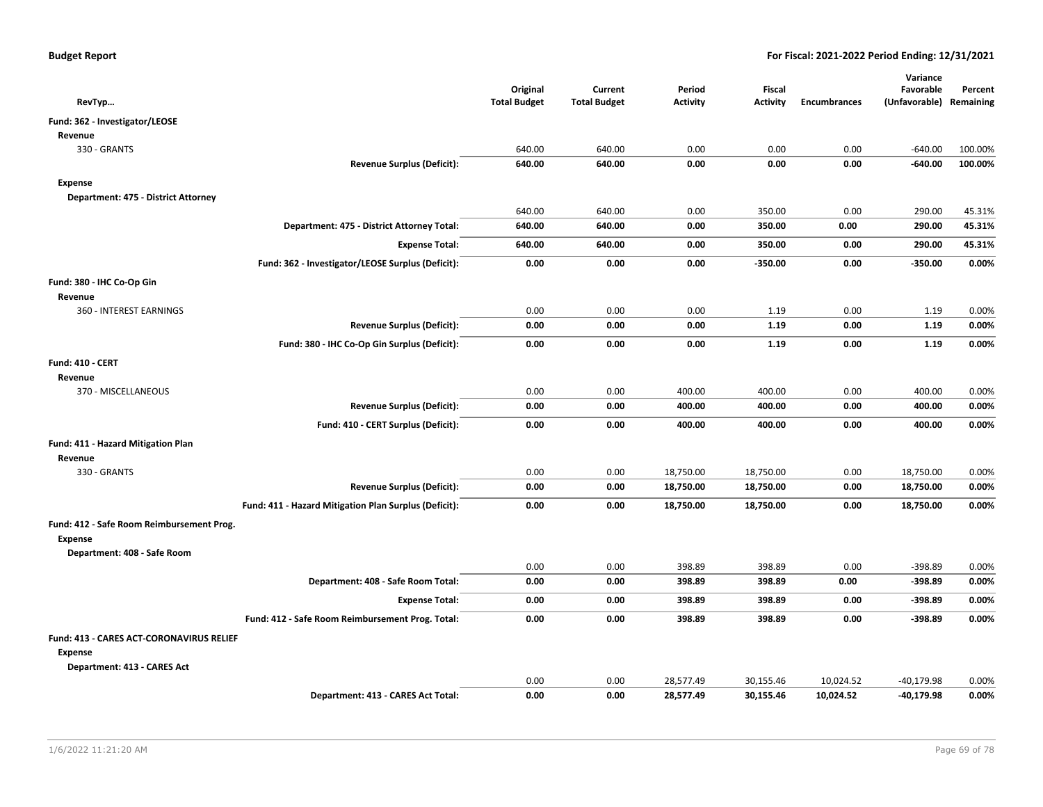| RevTyp                                    |                                                       | Original<br><b>Total Budget</b> | Current<br><b>Total Budget</b> | Period<br><b>Activity</b> | Fiscal<br>Activity | <b>Encumbrances</b> | Variance<br>Favorable<br>(Unfavorable) Remaining | Percent |
|-------------------------------------------|-------------------------------------------------------|---------------------------------|--------------------------------|---------------------------|--------------------|---------------------|--------------------------------------------------|---------|
| Fund: 362 - Investigator/LEOSE            |                                                       |                                 |                                |                           |                    |                     |                                                  |         |
| Revenue                                   |                                                       |                                 |                                |                           |                    |                     |                                                  |         |
| 330 - GRANTS                              |                                                       | 640.00                          | 640.00                         | 0.00                      | 0.00               | 0.00                | $-640.00$                                        | 100.00% |
|                                           | <b>Revenue Surplus (Deficit):</b>                     | 640.00                          | 640.00                         | 0.00                      | 0.00               | 0.00                | $-640.00$                                        | 100.00% |
| <b>Expense</b>                            |                                                       |                                 |                                |                           |                    |                     |                                                  |         |
| Department: 475 - District Attorney       |                                                       |                                 |                                |                           |                    |                     |                                                  |         |
|                                           |                                                       | 640.00                          | 640.00                         | 0.00                      | 350.00             | 0.00                | 290.00                                           | 45.31%  |
|                                           | Department: 475 - District Attorney Total:            | 640.00                          | 640.00                         | 0.00                      | 350.00             | 0.00                | 290.00                                           | 45.31%  |
|                                           | <b>Expense Total:</b>                                 | 640.00                          | 640.00                         | 0.00                      | 350.00             | 0.00                | 290.00                                           | 45.31%  |
|                                           | Fund: 362 - Investigator/LEOSE Surplus (Deficit):     | 0.00                            | 0.00                           | 0.00                      | $-350.00$          | 0.00                | $-350.00$                                        | 0.00%   |
| Fund: 380 - IHC Co-Op Gin                 |                                                       |                                 |                                |                           |                    |                     |                                                  |         |
| Revenue                                   |                                                       |                                 |                                |                           |                    |                     |                                                  |         |
| 360 - INTEREST EARNINGS                   |                                                       | 0.00                            | 0.00                           | 0.00                      | 1.19               | 0.00                | 1.19                                             | 0.00%   |
|                                           | <b>Revenue Surplus (Deficit):</b>                     | 0.00                            | 0.00                           | 0.00                      | 1.19               | 0.00                | 1.19                                             | 0.00%   |
|                                           | Fund: 380 - IHC Co-Op Gin Surplus (Deficit):          | 0.00                            | 0.00                           | 0.00                      | 1.19               | 0.00                | 1.19                                             | 0.00%   |
| Fund: 410 - CERT                          |                                                       |                                 |                                |                           |                    |                     |                                                  |         |
| Revenue                                   |                                                       |                                 |                                |                           |                    |                     |                                                  |         |
| 370 - MISCELLANEOUS                       |                                                       | 0.00                            | 0.00                           | 400.00                    | 400.00             | 0.00                | 400.00                                           | 0.00%   |
|                                           | <b>Revenue Surplus (Deficit):</b>                     | 0.00                            | 0.00                           | 400.00                    | 400.00             | 0.00                | 400.00                                           | 0.00%   |
|                                           | Fund: 410 - CERT Surplus (Deficit):                   | 0.00                            | 0.00                           | 400.00                    | 400.00             | 0.00                | 400.00                                           | 0.00%   |
| Fund: 411 - Hazard Mitigation Plan        |                                                       |                                 |                                |                           |                    |                     |                                                  |         |
| Revenue                                   |                                                       |                                 |                                |                           |                    |                     |                                                  |         |
| 330 - GRANTS                              |                                                       | 0.00                            | 0.00                           | 18,750.00                 | 18,750.00          | 0.00                | 18,750.00                                        | 0.00%   |
|                                           | <b>Revenue Surplus (Deficit):</b>                     | 0.00                            | 0.00                           | 18,750.00                 | 18,750.00          | 0.00                | 18,750.00                                        | 0.00%   |
|                                           | Fund: 411 - Hazard Mitigation Plan Surplus (Deficit): | 0.00                            | 0.00                           | 18,750.00                 | 18,750.00          | 0.00                | 18,750.00                                        | 0.00%   |
| Fund: 412 - Safe Room Reimbursement Prog. |                                                       |                                 |                                |                           |                    |                     |                                                  |         |
| Expense                                   |                                                       |                                 |                                |                           |                    |                     |                                                  |         |
| Department: 408 - Safe Room               |                                                       |                                 |                                |                           |                    |                     |                                                  |         |
|                                           |                                                       | 0.00                            | 0.00                           | 398.89                    | 398.89             | 0.00                | $-398.89$                                        | 0.00%   |
|                                           | Department: 408 - Safe Room Total:                    | 0.00                            | 0.00                           | 398.89                    | 398.89             | 0.00                | $-398.89$                                        | 0.00%   |
|                                           | <b>Expense Total:</b>                                 | 0.00                            | 0.00                           | 398.89                    | 398.89             | 0.00                | $-398.89$                                        | 0.00%   |
|                                           | Fund: 412 - Safe Room Reimbursement Prog. Total:      | 0.00                            | 0.00                           | 398.89                    | 398.89             | 0.00                | $-398.89$                                        | 0.00%   |
| Fund: 413 - CARES ACT-CORONAVIRUS RELIEF  |                                                       |                                 |                                |                           |                    |                     |                                                  |         |
| <b>Expense</b>                            |                                                       |                                 |                                |                           |                    |                     |                                                  |         |
| Department: 413 - CARES Act               |                                                       |                                 |                                |                           |                    |                     |                                                  |         |
|                                           |                                                       | 0.00                            | 0.00<br>0.00                   | 28,577.49                 | 30,155.46          | 10,024.52           | $-40,179.98$                                     | 0.00%   |
|                                           | Department: 413 - CARES Act Total:                    | 0.00                            |                                | 28,577.49                 | 30,155.46          | 10,024.52           | $-40,179.98$                                     | 0.00%   |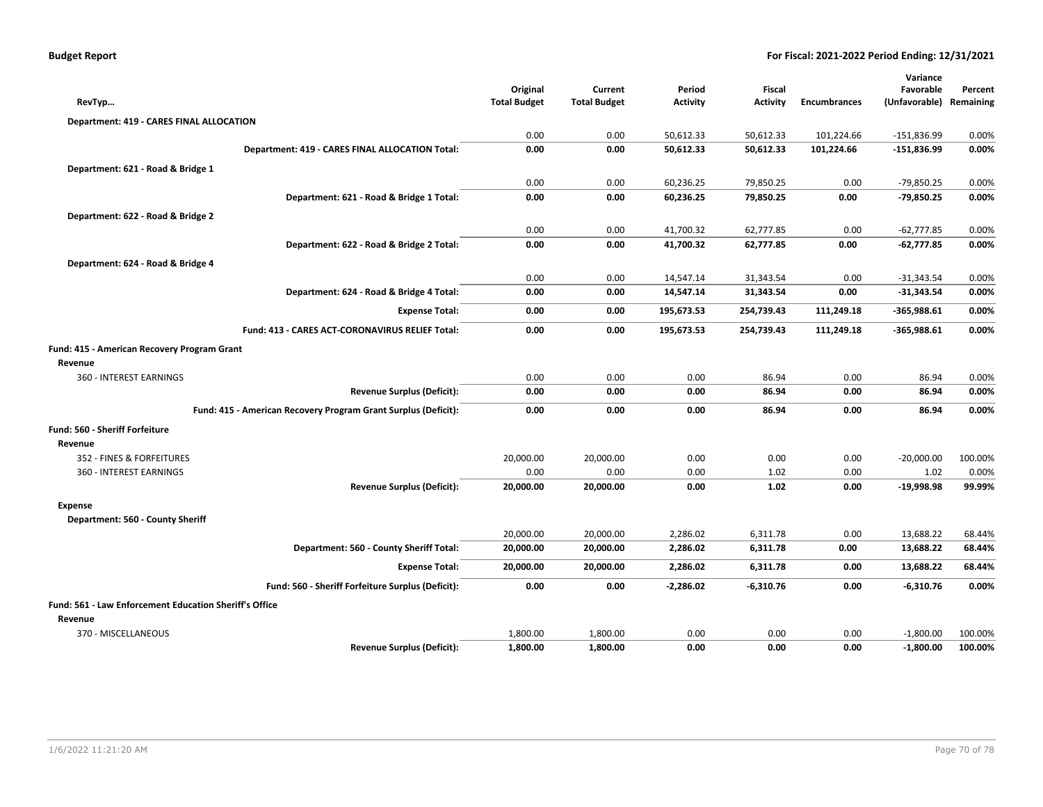| <b>Budget Report</b> |  |
|----------------------|--|
|----------------------|--|

|                     |                                      |                                              |                                                                              |                                                                              | Variance                                                 |                                                                                                |
|---------------------|--------------------------------------|----------------------------------------------|------------------------------------------------------------------------------|------------------------------------------------------------------------------|----------------------------------------------------------|------------------------------------------------------------------------------------------------|
| Original            | Current                              | Period                                       | <b>Fiscal</b>                                                                |                                                                              | Favorable                                                | Percent                                                                                        |
| <b>Total Budget</b> | <b>Total Budget</b>                  | <b>Activity</b>                              | <b>Activity</b>                                                              | <b>Encumbrances</b>                                                          | (Unfavorable) Remaining                                  |                                                                                                |
|                     |                                      |                                              |                                                                              |                                                                              |                                                          |                                                                                                |
| 0.00                | 0.00                                 | 50,612.33                                    | 50,612.33                                                                    | 101,224.66                                                                   | $-151,836.99$                                            | 0.00%                                                                                          |
| 0.00                | 0.00                                 | 50,612.33                                    | 50,612.33                                                                    | 101,224.66                                                                   | $-151,836.99$                                            | 0.00%                                                                                          |
|                     |                                      |                                              |                                                                              |                                                                              |                                                          |                                                                                                |
| 0.00                | 0.00                                 | 60,236.25                                    | 79,850.25                                                                    | 0.00                                                                         | $-79,850.25$                                             | 0.00%                                                                                          |
| 0.00                | 0.00                                 | 60,236.25                                    | 79,850.25                                                                    | 0.00                                                                         | -79,850.25                                               | 0.00%                                                                                          |
|                     |                                      |                                              |                                                                              |                                                                              |                                                          |                                                                                                |
|                     |                                      |                                              |                                                                              |                                                                              |                                                          | 0.00%                                                                                          |
| 0.00                |                                      |                                              |                                                                              |                                                                              |                                                          | 0.00%                                                                                          |
|                     |                                      |                                              |                                                                              |                                                                              |                                                          |                                                                                                |
|                     |                                      |                                              |                                                                              |                                                                              |                                                          | 0.00%                                                                                          |
|                     |                                      |                                              |                                                                              |                                                                              |                                                          | 0.00%                                                                                          |
|                     |                                      |                                              |                                                                              |                                                                              |                                                          |                                                                                                |
|                     |                                      |                                              |                                                                              |                                                                              |                                                          | 0.00%                                                                                          |
|                     |                                      |                                              |                                                                              |                                                                              |                                                          | 0.00%                                                                                          |
|                     |                                      |                                              |                                                                              |                                                                              |                                                          |                                                                                                |
|                     |                                      |                                              |                                                                              |                                                                              |                                                          |                                                                                                |
| 0.00                | 0.00                                 | 0.00                                         | 86.94                                                                        | 0.00                                                                         | 86.94                                                    | 0.00%                                                                                          |
| 0.00                | 0.00                                 | 0.00                                         | 86.94                                                                        | 0.00                                                                         | 86.94                                                    | 0.00%                                                                                          |
| 0.00                | 0.00                                 | 0.00                                         | 86.94                                                                        | 0.00                                                                         | 86.94                                                    | 0.00%                                                                                          |
|                     |                                      |                                              |                                                                              |                                                                              |                                                          |                                                                                                |
|                     |                                      |                                              |                                                                              |                                                                              |                                                          |                                                                                                |
| 20,000.00           | 20,000.00                            | 0.00                                         | 0.00                                                                         | 0.00                                                                         | $-20,000.00$                                             | 100.00%                                                                                        |
| 0.00                | 0.00                                 | 0.00                                         | 1.02                                                                         | 0.00                                                                         | 1.02                                                     | 0.00%                                                                                          |
| 20,000.00           | 20,000.00                            | 0.00                                         | 1.02                                                                         | 0.00                                                                         | $-19,998.98$                                             | 99.99%                                                                                         |
|                     |                                      |                                              |                                                                              |                                                                              |                                                          |                                                                                                |
|                     |                                      |                                              |                                                                              |                                                                              |                                                          |                                                                                                |
| 20,000.00           | 20,000.00                            | 2,286.02                                     | 6,311.78                                                                     | 0.00                                                                         | 13,688.22                                                | 68.44%                                                                                         |
| 20,000.00           | 20,000.00                            | 2,286.02                                     | 6,311.78                                                                     | 0.00                                                                         | 13,688.22                                                | 68.44%                                                                                         |
| 20,000.00           | 20,000.00                            | 2,286.02                                     | 6,311.78                                                                     | 0.00                                                                         | 13,688.22                                                | 68.44%                                                                                         |
| 0.00                | 0.00                                 | -2,286.02                                    | $-6,310.76$                                                                  | 0.00                                                                         | -6,310.76                                                | 0.00%                                                                                          |
|                     |                                      |                                              |                                                                              |                                                                              |                                                          |                                                                                                |
|                     |                                      |                                              |                                                                              |                                                                              |                                                          |                                                                                                |
| 1,800.00            | 1,800.00                             | 0.00                                         | 0.00                                                                         | 0.00                                                                         | $-1,800.00$                                              | 100.00%                                                                                        |
| 1,800.00            | 1,800.00                             | 0.00                                         | 0.00                                                                         | 0.00                                                                         | $-1,800.00$                                              | 100.00%                                                                                        |
|                     | 0.00<br>0.00<br>0.00<br>0.00<br>0.00 | 0.00<br>0.00<br>0.00<br>0.00<br>0.00<br>0.00 | 41,700.32<br>41,700.32<br>14,547.14<br>14,547.14<br>195,673.53<br>195,673.53 | 62,777.85<br>62,777.85<br>31,343.54<br>31,343.54<br>254,739.43<br>254,739.43 | 0.00<br>0.00<br>0.00<br>0.00<br>111,249.18<br>111,249.18 | $-62,777.85$<br>$-62,777.85$<br>$-31,343.54$<br>$-31,343.54$<br>$-365,988.61$<br>$-365,988.61$ |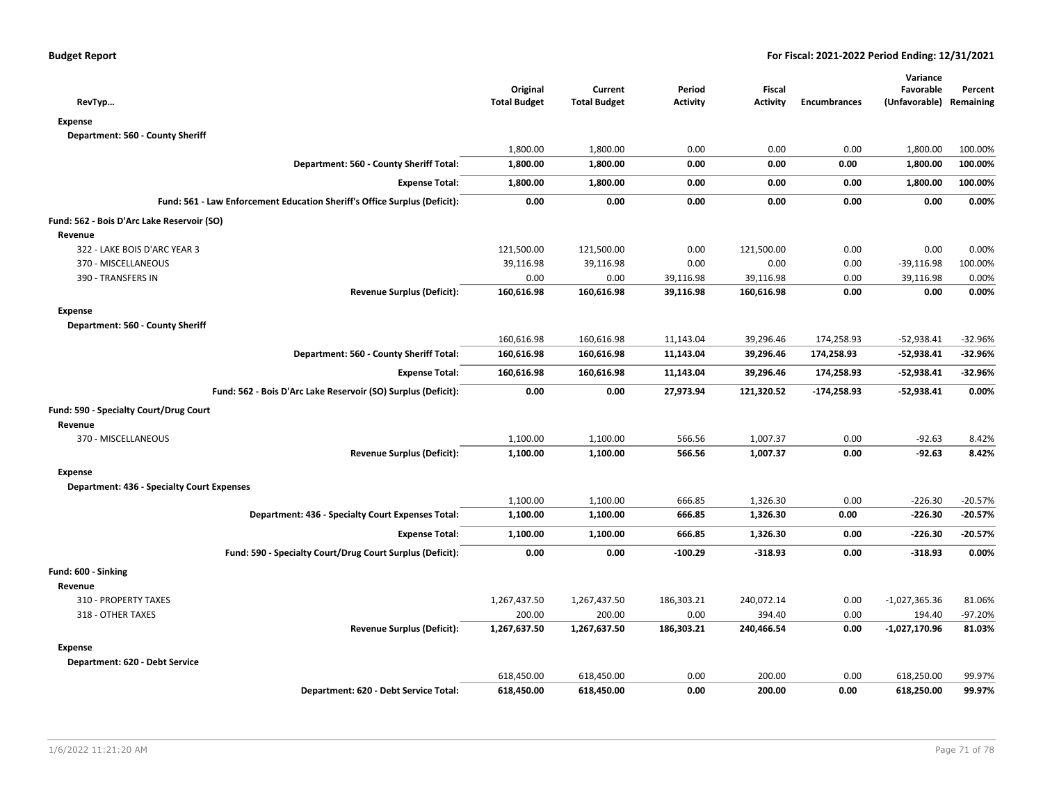| RevTyp                                                                    | Original<br><b>Total Budget</b> | Current<br><b>Total Budget</b> | Period<br><b>Activity</b> | Fiscal<br><b>Activity</b> | <b>Encumbrances</b> | Variance<br>Favorable<br>(Unfavorable) Remaining | Percent   |
|---------------------------------------------------------------------------|---------------------------------|--------------------------------|---------------------------|---------------------------|---------------------|--------------------------------------------------|-----------|
| <b>Expense</b>                                                            |                                 |                                |                           |                           |                     |                                                  |           |
| Department: 560 - County Sheriff                                          |                                 |                                |                           |                           |                     |                                                  |           |
|                                                                           | 1,800.00                        | 1,800.00                       | 0.00                      | 0.00                      | 0.00                | 1,800.00                                         | 100.00%   |
| Department: 560 - County Sheriff Total:                                   | 1,800.00                        | 1,800.00                       | 0.00                      | 0.00                      | 0.00                | 1,800.00                                         | 100.00%   |
| <b>Expense Total:</b>                                                     | 1,800.00                        | 1,800.00                       | 0.00                      | 0.00                      | 0.00                | 1,800.00                                         | 100.00%   |
| Fund: 561 - Law Enforcement Education Sheriff's Office Surplus (Deficit): | 0.00                            | 0.00                           | 0.00                      | 0.00                      | 0.00                | 0.00                                             | 0.00%     |
| Fund: 562 - Bois D'Arc Lake Reservoir (SO)                                |                                 |                                |                           |                           |                     |                                                  |           |
| Revenue                                                                   |                                 |                                |                           |                           |                     |                                                  |           |
| 322 - LAKE BOIS D'ARC YEAR 3                                              | 121,500.00                      | 121,500.00                     | 0.00                      | 121,500.00                | 0.00                | 0.00                                             | 0.00%     |
| 370 - MISCELLANEOUS                                                       | 39,116.98                       | 39,116.98                      | 0.00                      | 0.00                      | 0.00                | $-39,116.98$                                     | 100.00%   |
| 390 - TRANSFERS IN                                                        | 0.00                            | 0.00                           | 39,116.98                 | 39,116.98                 | 0.00                | 39,116.98                                        | 0.00%     |
| <b>Revenue Surplus (Deficit):</b>                                         | 160,616.98                      | 160,616.98                     | 39,116.98                 | 160,616.98                | 0.00                | 0.00                                             | 0.00%     |
| <b>Expense</b>                                                            |                                 |                                |                           |                           |                     |                                                  |           |
| Department: 560 - County Sheriff                                          |                                 |                                |                           |                           |                     |                                                  |           |
|                                                                           | 160,616.98                      | 160,616.98                     | 11,143.04                 | 39,296.46                 | 174,258.93          | $-52,938.41$                                     | $-32.96%$ |
| Department: 560 - County Sheriff Total:                                   | 160,616.98                      | 160,616.98                     | 11,143.04                 | 39,296.46                 | 174,258.93          | $-52,938.41$                                     | $-32.96%$ |
| <b>Expense Total:</b>                                                     | 160,616.98                      | 160,616.98                     | 11,143.04                 | 39,296.46                 | 174,258.93          | $-52,938.41$                                     | $-32.96%$ |
| Fund: 562 - Bois D'Arc Lake Reservoir (SO) Surplus (Deficit):             | 0.00                            | 0.00                           | 27,973.94                 | 121,320.52                | $-174,258.93$       | $-52,938.41$                                     | 0.00%     |
| Fund: 590 - Specialty Court/Drug Court                                    |                                 |                                |                           |                           |                     |                                                  |           |
| Revenue                                                                   |                                 |                                |                           |                           |                     |                                                  |           |
| 370 - MISCELLANEOUS                                                       | 1,100.00                        | 1,100.00                       | 566.56                    | 1,007.37                  | 0.00                | $-92.63$                                         | 8.42%     |
| <b>Revenue Surplus (Deficit):</b>                                         | 1,100.00                        | 1,100.00                       | 566.56                    | 1,007.37                  | 0.00                | $-92.63$                                         | 8.42%     |
| <b>Expense</b>                                                            |                                 |                                |                           |                           |                     |                                                  |           |
| <b>Department: 436 - Specialty Court Expenses</b>                         |                                 |                                |                           |                           |                     |                                                  |           |
|                                                                           | 1,100.00                        | 1,100.00                       | 666.85                    | 1,326.30                  | 0.00                | $-226.30$                                        | $-20.57%$ |
| Department: 436 - Specialty Court Expenses Total:                         | 1,100.00                        | 1,100.00                       | 666.85                    | 1,326.30                  | 0.00                | $-226.30$                                        | $-20.57%$ |
| <b>Expense Total:</b>                                                     | 1,100.00                        | 1,100.00                       | 666.85                    | 1,326.30                  | 0.00                | $-226.30$                                        | $-20.57%$ |
| Fund: 590 - Specialty Court/Drug Court Surplus (Deficit):                 | 0.00                            | 0.00                           | $-100.29$                 | $-318.93$                 | 0.00                | $-318.93$                                        | 0.00%     |
| Fund: 600 - Sinking                                                       |                                 |                                |                           |                           |                     |                                                  |           |
| Revenue                                                                   |                                 |                                |                           |                           |                     |                                                  |           |
| 310 - PROPERTY TAXES                                                      | 1,267,437.50                    | 1,267,437.50                   | 186,303.21                | 240,072.14                | 0.00                | -1,027,365.36                                    | 81.06%    |
| 318 - OTHER TAXES                                                         | 200.00                          | 200.00                         | 0.00                      | 394.40                    | 0.00                | 194.40                                           | -97.20%   |
| <b>Revenue Surplus (Deficit):</b>                                         | 1,267,637.50                    | 1,267,637.50                   | 186,303.21                | 240,466.54                | 0.00                | $-1,027,170.96$                                  | 81.03%    |
| <b>Expense</b>                                                            |                                 |                                |                           |                           |                     |                                                  |           |
| Department: 620 - Debt Service                                            |                                 |                                |                           |                           |                     |                                                  |           |
|                                                                           | 618,450.00                      | 618,450.00                     | 0.00                      | 200.00                    | 0.00                | 618,250.00                                       | 99.97%    |
| Department: 620 - Debt Service Total:                                     | 618,450.00                      | 618,450.00                     | 0.00                      | 200.00                    | 0.00                | 618,250.00                                       | 99.97%    |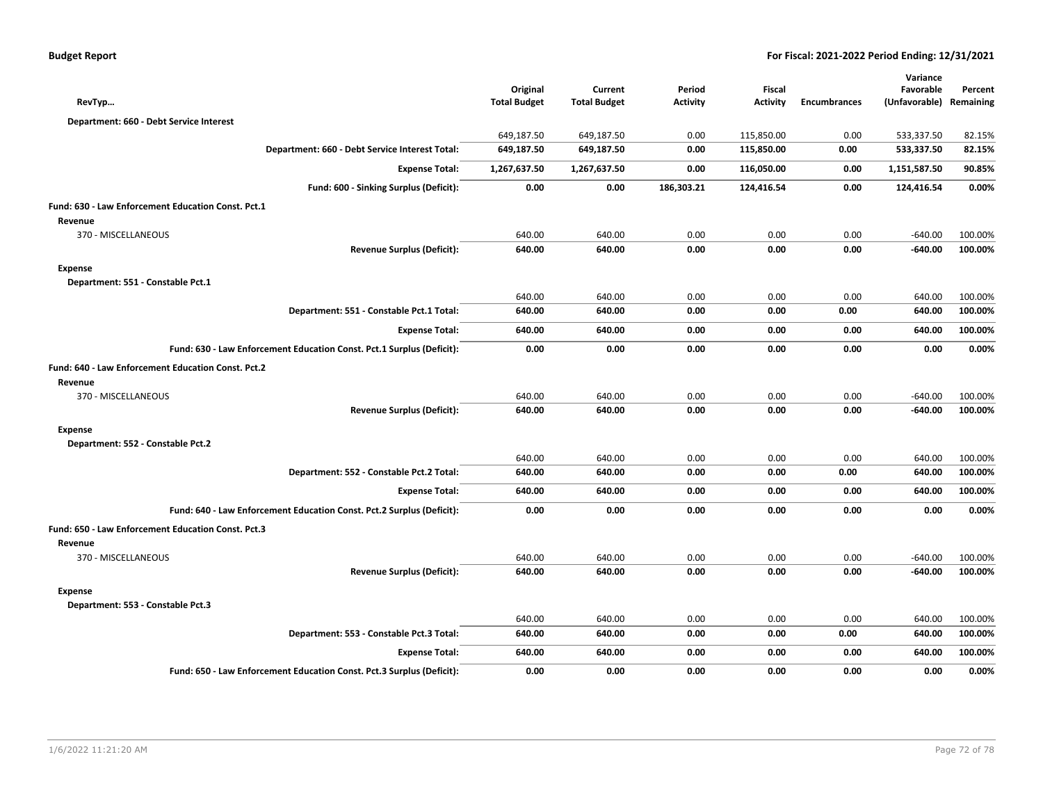| <b>Budget Report</b> |
|----------------------|
|----------------------|

|                                                                       | Original            | Current             | Period          | <b>Fiscal</b>   |                     | Variance<br>Favorable | Percent   |
|-----------------------------------------------------------------------|---------------------|---------------------|-----------------|-----------------|---------------------|-----------------------|-----------|
| RevTyp                                                                | <b>Total Budget</b> | <b>Total Budget</b> | <b>Activity</b> | <b>Activity</b> | <b>Encumbrances</b> | (Unfavorable)         | Remaining |
| Department: 660 - Debt Service Interest                               |                     |                     |                 |                 |                     |                       |           |
|                                                                       | 649,187.50          | 649,187.50          | 0.00            | 115,850.00      | 0.00                | 533,337.50            | 82.15%    |
| Department: 660 - Debt Service Interest Total:                        | 649,187.50          | 649,187.50          | 0.00            | 115,850.00      | 0.00                | 533,337.50            | 82.15%    |
| <b>Expense Total:</b>                                                 | 1,267,637.50        | 1,267,637.50        | 0.00            | 116,050.00      | 0.00                | 1,151,587.50          | 90.85%    |
| Fund: 600 - Sinking Surplus (Deficit):                                | 0.00                | 0.00                | 186,303.21      | 124,416.54      | 0.00                | 124,416.54            | 0.00%     |
| Fund: 630 - Law Enforcement Education Const. Pct.1                    |                     |                     |                 |                 |                     |                       |           |
| Revenue                                                               |                     |                     |                 |                 |                     |                       |           |
| 370 - MISCELLANEOUS                                                   | 640.00              | 640.00              | 0.00            | 0.00            | 0.00                | $-640.00$             | 100.00%   |
| <b>Revenue Surplus (Deficit):</b>                                     | 640.00              | 640.00              | 0.00            | 0.00            | 0.00                | $-640.00$             | 100.00%   |
| <b>Expense</b>                                                        |                     |                     |                 |                 |                     |                       |           |
| Department: 551 - Constable Pct.1                                     |                     |                     |                 |                 |                     |                       |           |
|                                                                       | 640.00              | 640.00              | 0.00            | 0.00            | 0.00                | 640.00                | 100.00%   |
| Department: 551 - Constable Pct.1 Total:                              | 640.00              | 640.00              | 0.00            | 0.00            | 0.00                | 640.00                | 100.00%   |
| <b>Expense Total:</b>                                                 | 640.00              | 640.00              | 0.00            | 0.00            | 0.00                | 640.00                | 100.00%   |
| Fund: 630 - Law Enforcement Education Const. Pct.1 Surplus (Deficit): | 0.00                | 0.00                | 0.00            | 0.00            | 0.00                | 0.00                  | 0.00%     |
| Fund: 640 - Law Enforcement Education Const. Pct.2                    |                     |                     |                 |                 |                     |                       |           |
| Revenue                                                               |                     |                     |                 |                 |                     |                       |           |
| 370 - MISCELLANEOUS                                                   | 640.00              | 640.00              | 0.00            | 0.00            | 0.00                | $-640.00$             | 100.00%   |
| <b>Revenue Surplus (Deficit):</b>                                     | 640.00              | 640.00              | 0.00            | 0.00            | 0.00                | $-640.00$             | 100.00%   |
| <b>Expense</b>                                                        |                     |                     |                 |                 |                     |                       |           |
| Department: 552 - Constable Pct.2                                     |                     |                     |                 |                 |                     |                       |           |
|                                                                       | 640.00              | 640.00              | 0.00            | 0.00            | 0.00                | 640.00                | 100.00%   |
| Department: 552 - Constable Pct.2 Total:                              | 640.00              | 640.00              | 0.00            | 0.00            | 0.00                | 640.00                | 100.00%   |
| <b>Expense Total:</b>                                                 | 640.00              | 640.00              | 0.00            | 0.00            | 0.00                | 640.00                | 100.00%   |
| Fund: 640 - Law Enforcement Education Const. Pct.2 Surplus (Deficit): | 0.00                | 0.00                | 0.00            | 0.00            | 0.00                | 0.00                  | 0.00%     |
| Fund: 650 - Law Enforcement Education Const. Pct.3                    |                     |                     |                 |                 |                     |                       |           |
| Revenue                                                               |                     |                     |                 |                 |                     |                       |           |
| 370 - MISCELLANEOUS                                                   | 640.00              | 640.00              | 0.00            | 0.00            | 0.00                | $-640.00$             | 100.00%   |
| <b>Revenue Surplus (Deficit):</b>                                     | 640.00              | 640.00              | 0.00            | 0.00            | 0.00                | $-640.00$             | 100.00%   |
| <b>Expense</b>                                                        |                     |                     |                 |                 |                     |                       |           |
| Department: 553 - Constable Pct.3                                     |                     |                     |                 |                 |                     |                       |           |
|                                                                       | 640.00              | 640.00              | 0.00            | 0.00            | 0.00                | 640.00                | 100.00%   |
| Department: 553 - Constable Pct.3 Total:                              | 640.00              | 640.00              | 0.00            | 0.00            | 0.00                | 640.00                | 100.00%   |
| <b>Expense Total:</b>                                                 | 640.00              | 640.00              | 0.00            | 0.00            | 0.00                | 640.00                | 100.00%   |
| Fund: 650 - Law Enforcement Education Const. Pct.3 Surplus (Deficit): | 0.00                | 0.00                | 0.00            | 0.00            | 0.00                | 0.00                  | 0.00%     |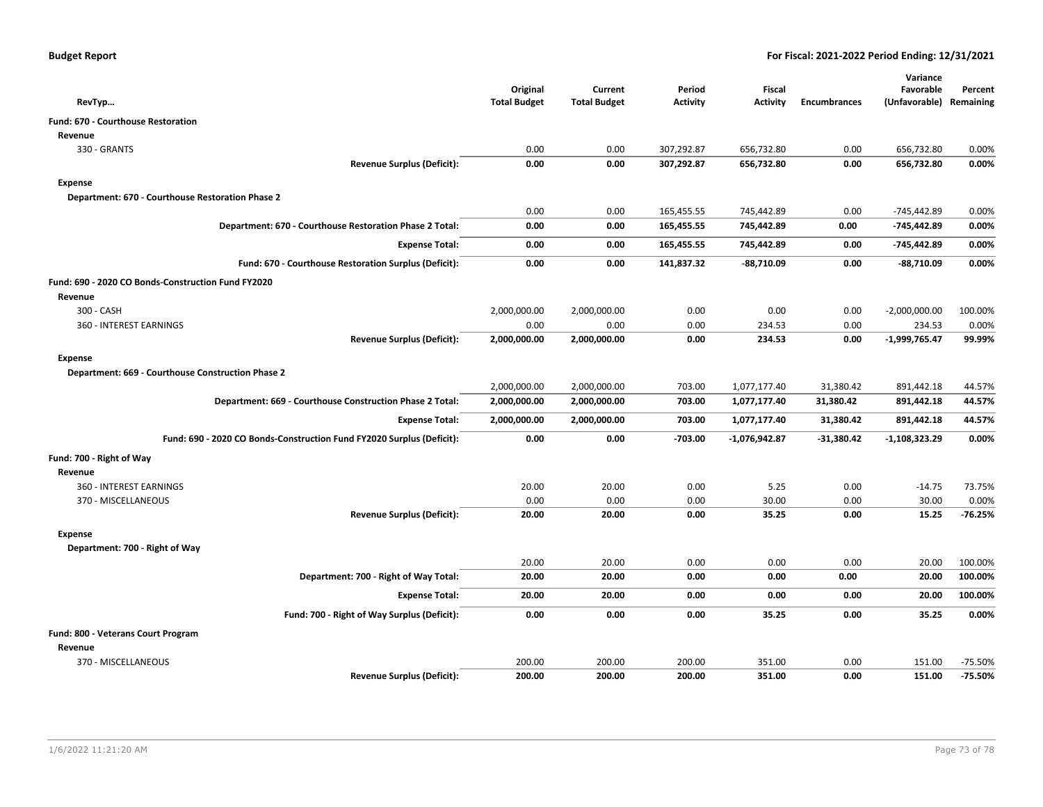|                                                                       | Original            | Current             | Period          | Fiscal          |                     | Variance<br>Favorable   | Percent   |
|-----------------------------------------------------------------------|---------------------|---------------------|-----------------|-----------------|---------------------|-------------------------|-----------|
| RevTyp                                                                | <b>Total Budget</b> | <b>Total Budget</b> | <b>Activity</b> | <b>Activity</b> | <b>Encumbrances</b> | (Unfavorable) Remaining |           |
| Fund: 670 - Courthouse Restoration                                    |                     |                     |                 |                 |                     |                         |           |
| Revenue                                                               |                     |                     |                 |                 |                     |                         |           |
| 330 - GRANTS                                                          | 0.00                | 0.00                | 307,292.87      | 656,732.80      | 0.00                | 656,732.80              | 0.00%     |
| <b>Revenue Surplus (Deficit):</b>                                     | 0.00                | 0.00                | 307,292.87      | 656,732.80      | 0.00                | 656,732.80              | 0.00%     |
| <b>Expense</b>                                                        |                     |                     |                 |                 |                     |                         |           |
| Department: 670 - Courthouse Restoration Phase 2                      |                     |                     |                 |                 |                     |                         |           |
|                                                                       | 0.00                | 0.00                | 165,455.55      | 745,442.89      | 0.00                | -745,442.89             | 0.00%     |
| Department: 670 - Courthouse Restoration Phase 2 Total:               | 0.00                | 0.00                | 165,455.55      | 745,442.89      | 0.00                | -745,442.89             | 0.00%     |
| <b>Expense Total:</b>                                                 | 0.00                | 0.00                | 165,455.55      | 745,442.89      | 0.00                | -745,442.89             | 0.00%     |
| Fund: 670 - Courthouse Restoration Surplus (Deficit):                 | 0.00                | 0.00                | 141,837.32      | -88,710.09      | 0.00                | $-88,710.09$            | 0.00%     |
| Fund: 690 - 2020 CO Bonds-Construction Fund FY2020                    |                     |                     |                 |                 |                     |                         |           |
| Revenue                                                               |                     |                     |                 |                 |                     |                         |           |
| 300 - CASH                                                            | 2,000,000.00        | 2,000,000.00        | 0.00            | 0.00            | 0.00                | $-2,000,000.00$         | 100.00%   |
| 360 - INTEREST EARNINGS                                               | 0.00                | 0.00                | 0.00            | 234.53          | 0.00                | 234.53                  | 0.00%     |
| <b>Revenue Surplus (Deficit):</b>                                     | 2,000,000.00        | 2,000,000.00        | 0.00            | 234.53          | 0.00                | $-1,999,765.47$         | 99.99%    |
| <b>Expense</b>                                                        |                     |                     |                 |                 |                     |                         |           |
| Department: 669 - Courthouse Construction Phase 2                     |                     |                     |                 |                 |                     |                         |           |
|                                                                       | 2,000,000.00        | 2,000,000.00        | 703.00          | 1,077,177.40    | 31,380.42           | 891,442.18              | 44.57%    |
| Department: 669 - Courthouse Construction Phase 2 Total:              | 2,000,000.00        | 2,000,000.00        | 703.00          | 1,077,177.40    | 31,380.42           | 891,442.18              | 44.57%    |
| <b>Expense Total:</b>                                                 | 2,000,000.00        | 2,000,000.00        | 703.00          | 1,077,177.40    | 31,380.42           | 891,442.18              | 44.57%    |
| Fund: 690 - 2020 CO Bonds-Construction Fund FY2020 Surplus (Deficit): | 0.00                | 0.00                | $-703.00$       | $-1,076,942.87$ | $-31,380.42$        | $-1,108,323.29$         | 0.00%     |
| Fund: 700 - Right of Way                                              |                     |                     |                 |                 |                     |                         |           |
| Revenue                                                               |                     |                     |                 |                 |                     |                         |           |
| 360 - INTEREST EARNINGS                                               | 20.00               | 20.00               | 0.00            | 5.25            | 0.00                | $-14.75$                | 73.75%    |
| 370 - MISCELLANEOUS                                                   | 0.00                | 0.00                | 0.00            | 30.00           | 0.00                | 30.00                   | 0.00%     |
| <b>Revenue Surplus (Deficit):</b>                                     | 20.00               | 20.00               | 0.00            | 35.25           | 0.00                | 15.25                   | $-76.25%$ |
| <b>Expense</b>                                                        |                     |                     |                 |                 |                     |                         |           |
| Department: 700 - Right of Way                                        |                     |                     |                 |                 |                     |                         |           |
|                                                                       | 20.00               | 20.00               | 0.00            | 0.00            | 0.00                | 20.00                   | 100.00%   |
| Department: 700 - Right of Way Total:                                 | 20.00               | 20.00               | 0.00            | 0.00            | 0.00                | 20.00                   | 100.00%   |
| <b>Expense Total:</b>                                                 | 20.00               | 20.00               | 0.00            | 0.00            | 0.00                | 20.00                   | 100.00%   |
| Fund: 700 - Right of Way Surplus (Deficit):                           | 0.00                | 0.00                | 0.00            | 35.25           | 0.00                | 35.25                   | 0.00%     |
| Fund: 800 - Veterans Court Program                                    |                     |                     |                 |                 |                     |                         |           |
| Revenue                                                               |                     |                     |                 |                 |                     |                         |           |
| 370 - MISCELLANEOUS                                                   | 200.00              | 200.00              | 200.00          | 351.00          | 0.00                | 151.00                  | -75.50%   |
| <b>Revenue Surplus (Deficit):</b>                                     | 200.00              | 200.00              | 200.00          | 351.00          | 0.00                | 151.00                  | $-75.50%$ |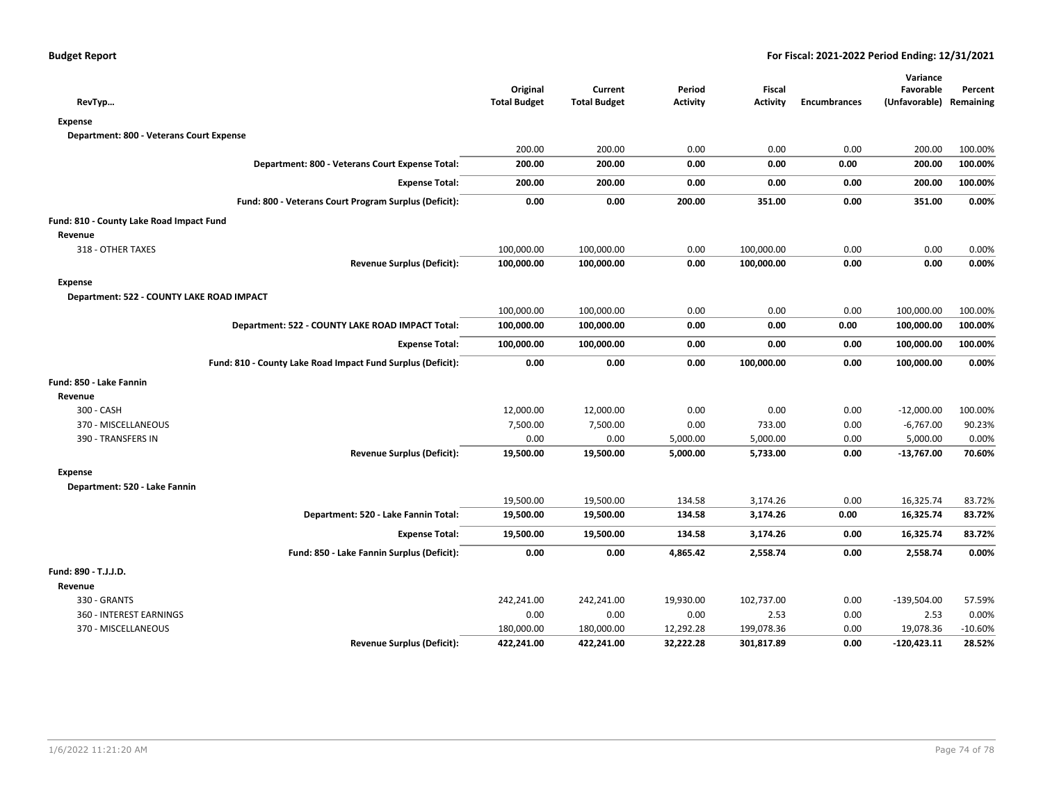|                                                             |                                 |                                |                           |                           |                     | Variance                   |                      |
|-------------------------------------------------------------|---------------------------------|--------------------------------|---------------------------|---------------------------|---------------------|----------------------------|----------------------|
|                                                             | Original<br><b>Total Budget</b> | Current<br><b>Total Budget</b> | Period<br><b>Activity</b> | Fiscal<br><b>Activity</b> | <b>Encumbrances</b> | Favorable<br>(Unfavorable) | Percent<br>Remaining |
| RevTyp                                                      |                                 |                                |                           |                           |                     |                            |                      |
| Expense                                                     |                                 |                                |                           |                           |                     |                            |                      |
| Department: 800 - Veterans Court Expense                    |                                 |                                |                           |                           |                     |                            |                      |
|                                                             | 200.00                          | 200.00                         | 0.00                      | 0.00                      | 0.00                | 200.00                     | 100.00%              |
| Department: 800 - Veterans Court Expense Total:             | 200.00                          | 200.00                         | 0.00                      | 0.00                      | 0.00                | 200.00                     | 100.00%              |
| <b>Expense Total:</b>                                       | 200.00                          | 200.00                         | 0.00                      | 0.00                      | 0.00                | 200.00                     | 100.00%              |
| Fund: 800 - Veterans Court Program Surplus (Deficit):       | 0.00                            | 0.00                           | 200.00                    | 351.00                    | 0.00                | 351.00                     | 0.00%                |
| Fund: 810 - County Lake Road Impact Fund                    |                                 |                                |                           |                           |                     |                            |                      |
| Revenue                                                     |                                 |                                |                           |                           |                     |                            |                      |
| 318 - OTHER TAXES                                           | 100,000.00                      | 100,000.00                     | 0.00                      | 100,000.00                | 0.00                | 0.00                       | 0.00%                |
| <b>Revenue Surplus (Deficit):</b>                           | 100,000.00                      | 100,000.00                     | 0.00                      | 100,000.00                | 0.00                | 0.00                       | 0.00%                |
| <b>Expense</b>                                              |                                 |                                |                           |                           |                     |                            |                      |
| Department: 522 - COUNTY LAKE ROAD IMPACT                   |                                 |                                |                           |                           |                     |                            |                      |
|                                                             | 100,000.00                      | 100,000.00                     | 0.00                      | 0.00                      | 0.00                | 100,000.00                 | 100.00%              |
| Department: 522 - COUNTY LAKE ROAD IMPACT Total:            | 100,000.00                      | 100,000.00                     | 0.00                      | 0.00                      | 0.00                | 100,000.00                 | 100.00%              |
| <b>Expense Total:</b>                                       | 100,000.00                      | 100,000.00                     | 0.00                      | 0.00                      | 0.00                | 100,000.00                 | 100.00%              |
| Fund: 810 - County Lake Road Impact Fund Surplus (Deficit): | 0.00                            | 0.00                           | 0.00                      | 100,000.00                | 0.00                | 100,000.00                 | 0.00%                |
| Fund: 850 - Lake Fannin                                     |                                 |                                |                           |                           |                     |                            |                      |
| Revenue                                                     |                                 |                                |                           |                           |                     |                            |                      |
| 300 - CASH                                                  | 12,000.00                       | 12,000.00                      | 0.00                      | 0.00                      | 0.00                | $-12,000.00$               | 100.00%              |
| 370 - MISCELLANEOUS                                         | 7,500.00                        | 7,500.00                       | 0.00                      | 733.00                    | 0.00                | $-6,767.00$                | 90.23%               |
| 390 - TRANSFERS IN                                          | 0.00                            | 0.00                           | 5,000.00                  | 5,000.00                  | 0.00                | 5,000.00                   | 0.00%                |
| <b>Revenue Surplus (Deficit):</b>                           | 19,500.00                       | 19,500.00                      | 5,000.00                  | 5,733.00                  | 0.00                | $-13,767.00$               | 70.60%               |
| <b>Expense</b>                                              |                                 |                                |                           |                           |                     |                            |                      |
| Department: 520 - Lake Fannin                               |                                 |                                |                           |                           |                     |                            |                      |
|                                                             | 19,500.00                       | 19,500.00                      | 134.58                    | 3,174.26                  | 0.00                | 16,325.74                  | 83.72%               |
| Department: 520 - Lake Fannin Total:                        | 19,500.00                       | 19,500.00                      | 134.58                    | 3,174.26                  | 0.00                | 16,325.74                  | 83.72%               |
| <b>Expense Total:</b>                                       | 19,500.00                       | 19,500.00                      | 134.58                    | 3,174.26                  | 0.00                | 16,325.74                  | 83.72%               |
| Fund: 850 - Lake Fannin Surplus (Deficit):                  | 0.00                            | 0.00                           | 4,865.42                  | 2,558.74                  | 0.00                | 2,558.74                   | 0.00%                |
| Fund: 890 - T.J.J.D.                                        |                                 |                                |                           |                           |                     |                            |                      |
| Revenue                                                     |                                 |                                |                           |                           |                     |                            |                      |
| 330 - GRANTS                                                | 242,241.00                      | 242,241.00                     | 19,930.00                 | 102,737.00                | 0.00                | $-139,504.00$              | 57.59%               |
| 360 - INTEREST EARNINGS                                     | 0.00                            | 0.00                           | 0.00                      | 2.53                      | 0.00                | 2.53                       | 0.00%                |
| 370 - MISCELLANEOUS                                         | 180,000.00                      | 180,000.00                     | 12,292.28                 | 199,078.36                | 0.00                | 19,078.36                  | $-10.60%$            |
| <b>Revenue Surplus (Deficit):</b>                           | 422,241.00                      | 422,241.00                     | 32,222.28                 | 301,817.89                | 0.00                | -120,423.11                | 28.52%               |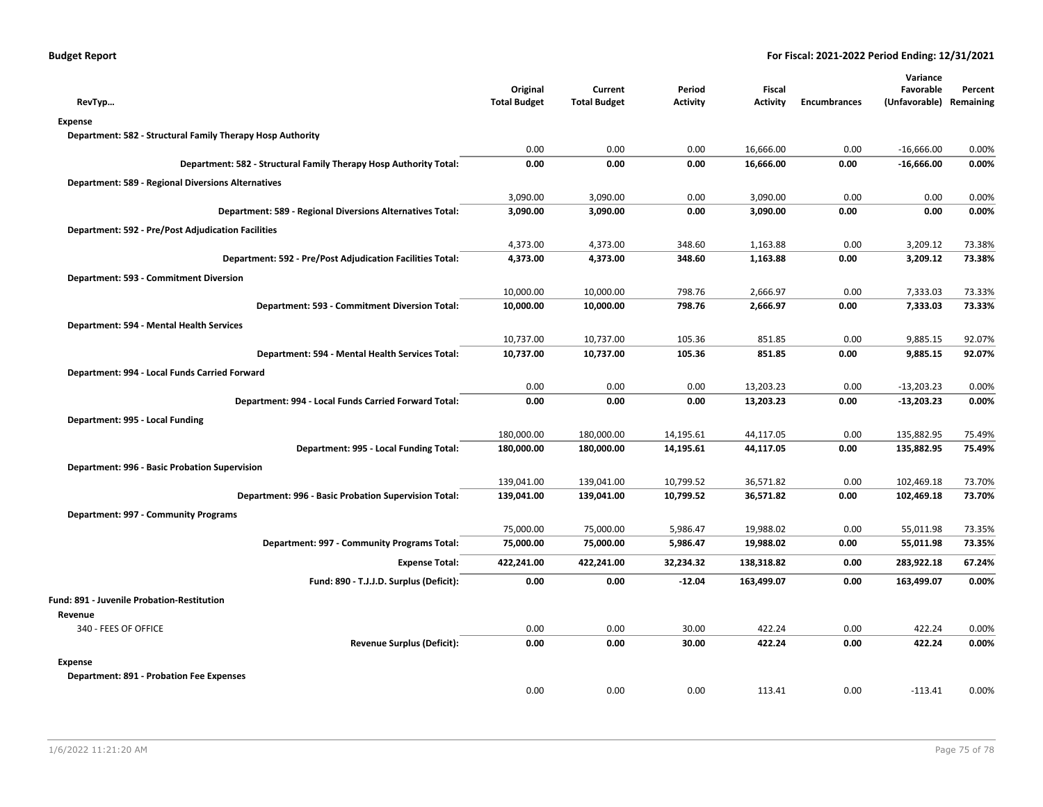| RevTyp                                                            | Original<br><b>Total Budget</b> | Current<br><b>Total Budget</b> | Period<br><b>Activity</b> | <b>Fiscal</b><br><b>Activity</b> | <b>Encumbrances</b> | Variance<br>Favorable<br>(Unfavorable) | Percent<br>Remaining |
|-------------------------------------------------------------------|---------------------------------|--------------------------------|---------------------------|----------------------------------|---------------------|----------------------------------------|----------------------|
| <b>Expense</b>                                                    |                                 |                                |                           |                                  |                     |                                        |                      |
| Department: 582 - Structural Family Therapy Hosp Authority        |                                 |                                |                           |                                  |                     |                                        |                      |
|                                                                   | 0.00                            | 0.00                           | 0.00                      | 16,666.00                        | 0.00                | $-16,666.00$                           | 0.00%                |
| Department: 582 - Structural Family Therapy Hosp Authority Total: | 0.00                            | 0.00                           | 0.00                      | 16,666.00                        | 0.00                | $-16,666.00$                           | 0.00%                |
| <b>Department: 589 - Regional Diversions Alternatives</b>         |                                 |                                |                           |                                  |                     |                                        |                      |
|                                                                   | 3,090.00                        | 3,090.00                       | 0.00                      | 3,090.00                         | 0.00                | 0.00                                   | 0.00%                |
| Department: 589 - Regional Diversions Alternatives Total:         | 3,090.00                        | 3,090.00                       | 0.00                      | 3,090.00                         | 0.00                | 0.00                                   | 0.00%                |
| <b>Department: 592 - Pre/Post Adjudication Facilities</b>         |                                 |                                |                           |                                  |                     |                                        |                      |
|                                                                   | 4,373.00                        | 4,373.00                       | 348.60                    | 1,163.88                         | 0.00                | 3,209.12                               | 73.38%               |
| Department: 592 - Pre/Post Adjudication Facilities Total:         | 4,373.00                        | 4,373.00                       | 348.60                    | 1,163.88                         | 0.00                | 3,209.12                               | 73.38%               |
| Department: 593 - Commitment Diversion                            |                                 |                                |                           |                                  |                     |                                        |                      |
|                                                                   | 10,000.00                       | 10,000.00                      | 798.76                    | 2,666.97                         | 0.00                | 7,333.03                               | 73.33%               |
| Department: 593 - Commitment Diversion Total:                     | 10,000.00                       | 10,000.00                      | 798.76                    | 2,666.97                         | 0.00                | 7,333.03                               | 73.33%               |
| Department: 594 - Mental Health Services                          |                                 |                                |                           |                                  |                     |                                        |                      |
|                                                                   | 10,737.00                       | 10,737.00                      | 105.36                    | 851.85                           | 0.00                | 9,885.15                               | 92.07%               |
| Department: 594 - Mental Health Services Total:                   | 10,737.00                       | 10,737.00                      | 105.36                    | 851.85                           | 0.00                | 9,885.15                               | 92.07%               |
| Department: 994 - Local Funds Carried Forward                     |                                 |                                |                           |                                  |                     |                                        |                      |
|                                                                   | 0.00                            | 0.00                           | 0.00                      | 13,203.23                        | 0.00                | $-13,203.23$                           | 0.00%                |
| Department: 994 - Local Funds Carried Forward Total:              | 0.00                            | 0.00                           | 0.00                      | 13,203.23                        | 0.00                | -13,203.23                             | 0.00%                |
| Department: 995 - Local Funding                                   |                                 |                                |                           |                                  |                     |                                        |                      |
|                                                                   | 180,000.00                      | 180,000.00                     | 14,195.61                 | 44,117.05                        | 0.00                | 135,882.95                             | 75.49%               |
| Department: 995 - Local Funding Total:                            | 180,000.00                      | 180,000.00                     | 14,195.61                 | 44,117.05                        | 0.00                | 135,882.95                             | 75.49%               |
| Department: 996 - Basic Probation Supervision                     |                                 |                                |                           |                                  |                     |                                        |                      |
|                                                                   | 139,041.00                      | 139,041.00                     | 10,799.52                 | 36,571.82                        | 0.00                | 102,469.18                             | 73.70%               |
| Department: 996 - Basic Probation Supervision Total:              | 139,041.00                      | 139,041.00                     | 10,799.52                 | 36,571.82                        | 0.00                | 102,469.18                             | 73.70%               |
| Department: 997 - Community Programs                              |                                 |                                |                           |                                  |                     |                                        |                      |
|                                                                   | 75,000.00                       | 75,000.00                      | 5,986.47                  | 19,988.02                        | 0.00                | 55,011.98                              | 73.35%               |
| Department: 997 - Community Programs Total:                       | 75,000.00                       | 75,000.00                      | 5,986.47                  | 19,988.02                        | 0.00                | 55,011.98                              | 73.35%               |
| <b>Expense Total:</b>                                             | 422,241.00                      | 422,241.00                     | 32,234.32                 | 138,318.82                       | 0.00                | 283,922.18                             | 67.24%               |
|                                                                   |                                 |                                |                           |                                  |                     |                                        |                      |
| Fund: 890 - T.J.J.D. Surplus (Deficit):                           | 0.00                            | 0.00                           | $-12.04$                  | 163,499.07                       | 0.00                | 163,499.07                             | 0.00%                |
| Fund: 891 - Juvenile Probation-Restitution                        |                                 |                                |                           |                                  |                     |                                        |                      |
| Revenue                                                           |                                 |                                |                           |                                  |                     |                                        |                      |
| 340 - FEES OF OFFICE                                              | 0.00                            | 0.00                           | 30.00                     | 422.24                           | 0.00                | 422.24                                 | 0.00%                |
| <b>Revenue Surplus (Deficit):</b>                                 | 0.00                            | 0.00                           | 30.00                     | 422.24                           | 0.00                | 422.24                                 | 0.00%                |
| <b>Expense</b>                                                    |                                 |                                |                           |                                  |                     |                                        |                      |
| <b>Department: 891 - Probation Fee Expenses</b>                   |                                 |                                |                           |                                  |                     |                                        |                      |
|                                                                   | 0.00                            | 0.00                           | 0.00                      | 113.41                           | 0.00                | $-113.41$                              | 0.00%                |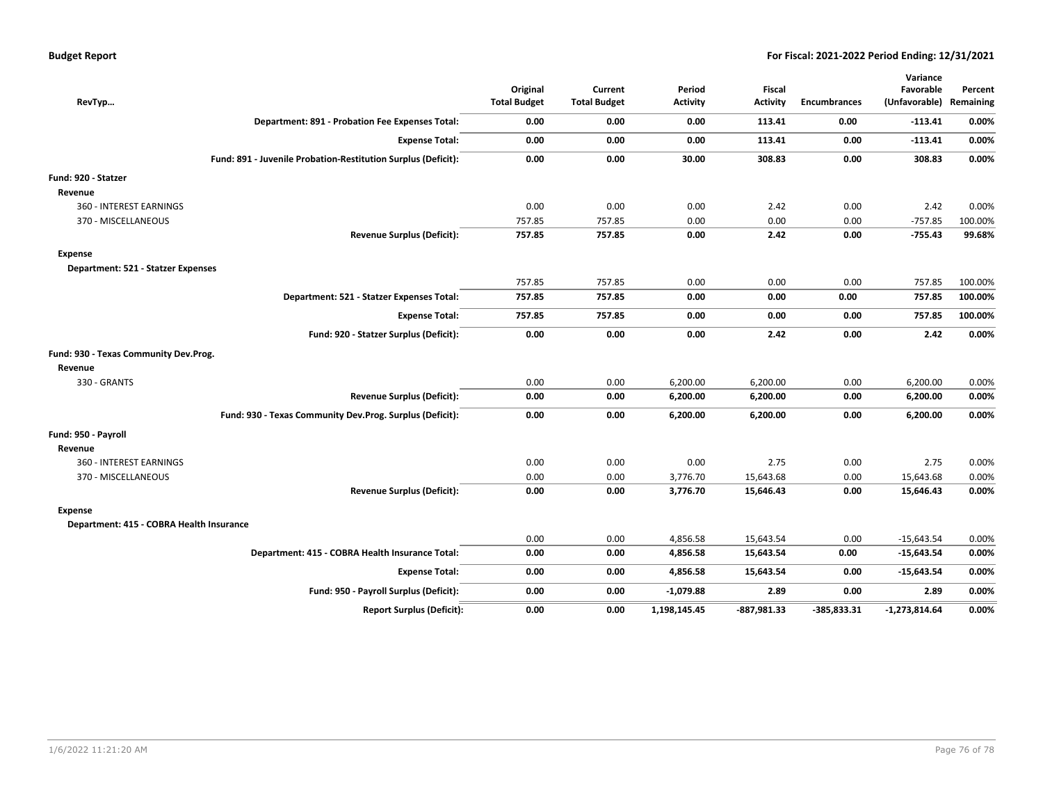| RevTyp                                   |                                                               | Original<br><b>Total Budget</b> | Current<br><b>Total Budget</b> | Period<br><b>Activity</b> | Fiscal<br><b>Activity</b> | <b>Encumbrances</b> | Variance<br>Favorable<br>(Unfavorable) Remaining | Percent |
|------------------------------------------|---------------------------------------------------------------|---------------------------------|--------------------------------|---------------------------|---------------------------|---------------------|--------------------------------------------------|---------|
|                                          | Department: 891 - Probation Fee Expenses Total:               | 0.00                            | 0.00                           | 0.00                      | 113.41                    | 0.00                | $-113.41$                                        | 0.00%   |
|                                          | <b>Expense Total:</b>                                         | 0.00                            | 0.00                           | 0.00                      | 113.41                    | 0.00                | $-113.41$                                        | 0.00%   |
|                                          | Fund: 891 - Juvenile Probation-Restitution Surplus (Deficit): | 0.00                            | 0.00                           | 30.00                     | 308.83                    | 0.00                | 308.83                                           | 0.00%   |
| Fund: 920 - Statzer                      |                                                               |                                 |                                |                           |                           |                     |                                                  |         |
| Revenue                                  |                                                               |                                 |                                |                           |                           |                     |                                                  |         |
| 360 - INTEREST EARNINGS                  |                                                               | 0.00                            | 0.00                           | 0.00                      | 2.42                      | 0.00                | 2.42                                             | 0.00%   |
| 370 - MISCELLANEOUS                      |                                                               | 757.85                          | 757.85                         | 0.00                      | 0.00                      | 0.00                | $-757.85$                                        | 100.00% |
|                                          | <b>Revenue Surplus (Deficit):</b>                             | 757.85                          | 757.85                         | 0.00                      | 2.42                      | 0.00                | $-755.43$                                        | 99.68%  |
| <b>Expense</b>                           |                                                               |                                 |                                |                           |                           |                     |                                                  |         |
| Department: 521 - Statzer Expenses       |                                                               |                                 |                                |                           |                           |                     |                                                  |         |
|                                          |                                                               | 757.85                          | 757.85                         | 0.00                      | 0.00                      | 0.00                | 757.85                                           | 100.00% |
|                                          | Department: 521 - Statzer Expenses Total:                     | 757.85                          | 757.85                         | 0.00                      | 0.00                      | 0.00                | 757.85                                           | 100.00% |
|                                          | <b>Expense Total:</b>                                         | 757.85                          | 757.85                         | 0.00                      | 0.00                      | 0.00                | 757.85                                           | 100.00% |
|                                          | Fund: 920 - Statzer Surplus (Deficit):                        | 0.00                            | 0.00                           | 0.00                      | 2.42                      | 0.00                | 2.42                                             | 0.00%   |
| Fund: 930 - Texas Community Dev.Prog.    |                                                               |                                 |                                |                           |                           |                     |                                                  |         |
| Revenue                                  |                                                               |                                 |                                |                           |                           |                     |                                                  |         |
| 330 - GRANTS                             |                                                               | 0.00                            | 0.00                           | 6,200.00                  | 6,200.00                  | 0.00                | 6,200.00                                         | 0.00%   |
|                                          | <b>Revenue Surplus (Deficit):</b>                             | 0.00                            | 0.00                           | 6,200.00                  | 6,200.00                  | 0.00                | 6,200.00                                         | 0.00%   |
|                                          | Fund: 930 - Texas Community Dev.Prog. Surplus (Deficit):      | 0.00                            | 0.00                           | 6,200.00                  | 6,200.00                  | 0.00                | 6,200.00                                         | 0.00%   |
| Fund: 950 - Payroll                      |                                                               |                                 |                                |                           |                           |                     |                                                  |         |
| Revenue                                  |                                                               |                                 |                                |                           |                           |                     |                                                  |         |
| 360 - INTEREST EARNINGS                  |                                                               | 0.00                            | 0.00                           | 0.00                      | 2.75                      | 0.00                | 2.75                                             | 0.00%   |
| 370 - MISCELLANEOUS                      |                                                               | 0.00                            | 0.00                           | 3,776.70                  | 15,643.68                 | 0.00                | 15,643.68                                        | 0.00%   |
|                                          | <b>Revenue Surplus (Deficit):</b>                             | 0.00                            | 0.00                           | 3,776.70                  | 15,646.43                 | 0.00                | 15,646.43                                        | 0.00%   |
| Expense                                  |                                                               |                                 |                                |                           |                           |                     |                                                  |         |
| Department: 415 - COBRA Health Insurance |                                                               |                                 |                                |                           |                           |                     |                                                  |         |
|                                          |                                                               | 0.00                            | 0.00                           | 4,856.58                  | 15,643.54                 | 0.00                | $-15,643.54$                                     | 0.00%   |
|                                          | Department: 415 - COBRA Health Insurance Total:               | 0.00                            | 0.00                           | 4,856.58                  | 15,643.54                 | 0.00                | $-15,643.54$                                     | 0.00%   |
|                                          | <b>Expense Total:</b>                                         | 0.00                            | 0.00                           | 4,856.58                  | 15,643.54                 | 0.00                | $-15,643.54$                                     | 0.00%   |
|                                          | Fund: 950 - Payroll Surplus (Deficit):                        | 0.00                            | 0.00                           | $-1,079.88$               | 2.89                      | 0.00                | 2.89                                             | 0.00%   |
|                                          | <b>Report Surplus (Deficit):</b>                              | 0.00                            | 0.00                           | 1,198,145.45              | $-887,981.33$             | $-385,833.31$       | $-1,273,814.64$                                  | 0.00%   |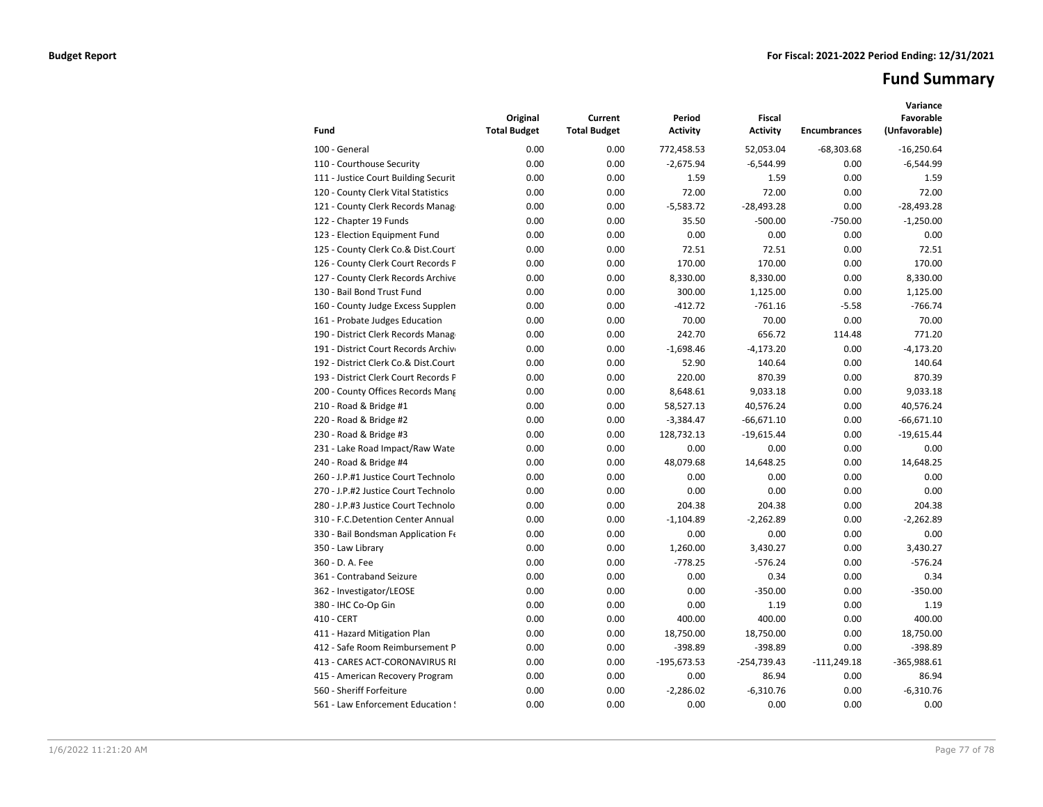# **Fund Summary**

|                                      | Original            | Current             | Period          | <b>Fiscal</b>   |                     | Variance<br>Favorable |
|--------------------------------------|---------------------|---------------------|-----------------|-----------------|---------------------|-----------------------|
| Fund                                 | <b>Total Budget</b> | <b>Total Budget</b> | <b>Activity</b> | <b>Activity</b> | <b>Encumbrances</b> | (Unfavorable)         |
| 100 - General                        | 0.00                | 0.00                | 772,458.53      | 52,053.04       | $-68,303.68$        | $-16,250.64$          |
| 110 - Courthouse Security            | 0.00                | 0.00                | $-2,675.94$     | $-6,544.99$     | 0.00                | $-6,544.99$           |
| 111 - Justice Court Building Securit | 0.00                | 0.00                | 1.59            | 1.59            | 0.00                | 1.59                  |
| 120 - County Clerk Vital Statistics  | 0.00                | 0.00                | 72.00           | 72.00           | 0.00                | 72.00                 |
| 121 - County Clerk Records Manag     | 0.00                | 0.00                | $-5,583.72$     | $-28,493.28$    | 0.00                | $-28,493.28$          |
| 122 - Chapter 19 Funds               | 0.00                | 0.00                | 35.50           | $-500.00$       | $-750.00$           | $-1,250.00$           |
| 123 - Election Equipment Fund        | 0.00                | 0.00                | 0.00            | 0.00            | 0.00                | 0.00                  |
| 125 - County Clerk Co.& Dist.Court   | 0.00                | 0.00                | 72.51           | 72.51           | 0.00                | 72.51                 |
| 126 - County Clerk Court Records P   | 0.00                | 0.00                | 170.00          | 170.00          | 0.00                | 170.00                |
| 127 - County Clerk Records Archive   | 0.00                | 0.00                | 8,330.00        | 8,330.00        | 0.00                | 8,330.00              |
| 130 - Bail Bond Trust Fund           | 0.00                | 0.00                | 300.00          | 1,125.00        | 0.00                | 1,125.00              |
| 160 - County Judge Excess Supplen    | 0.00                | 0.00                | $-412.72$       | $-761.16$       | $-5.58$             | $-766.74$             |
| 161 - Probate Judges Education       | 0.00                | 0.00                | 70.00           | 70.00           | 0.00                | 70.00                 |
| 190 - District Clerk Records Manag   | 0.00                | 0.00                | 242.70          | 656.72          | 114.48              | 771.20                |
| 191 - District Court Records Archive | 0.00                | 0.00                | $-1,698.46$     | $-4,173.20$     | 0.00                | $-4,173.20$           |
| 192 - District Clerk Co.& Dist.Court | 0.00                | 0.00                | 52.90           | 140.64          | 0.00                | 140.64                |
| 193 - District Clerk Court Records P | 0.00                | 0.00                | 220.00          | 870.39          | 0.00                | 870.39                |
| 200 - County Offices Records Mang    | 0.00                | 0.00                | 8,648.61        | 9,033.18        | 0.00                | 9,033.18              |
| 210 - Road & Bridge #1               | 0.00                | 0.00                | 58,527.13       | 40,576.24       | 0.00                | 40,576.24             |
| 220 - Road & Bridge #2               | 0.00                | 0.00                | $-3,384.47$     | $-66,671.10$    | 0.00                | $-66,671.10$          |
| 230 - Road & Bridge #3               | 0.00                | 0.00                | 128,732.13      | $-19,615.44$    | 0.00                | $-19,615.44$          |
| 231 - Lake Road Impact/Raw Wate      | 0.00                | 0.00                | 0.00            | 0.00            | 0.00                | 0.00                  |
| 240 - Road & Bridge #4               | 0.00                | 0.00                | 48,079.68       | 14,648.25       | 0.00                | 14,648.25             |
| 260 - J.P.#1 Justice Court Technolo  | 0.00                | 0.00                | 0.00            | 0.00            | 0.00                | 0.00                  |
| 270 - J.P.#2 Justice Court Technolo  | 0.00                | 0.00                | 0.00            | 0.00            | 0.00                | 0.00                  |
| 280 - J.P.#3 Justice Court Technolo  | 0.00                | 0.00                | 204.38          | 204.38          | 0.00                | 204.38                |
| 310 - F.C.Detention Center Annual    | 0.00                | 0.00                | $-1,104.89$     | $-2.262.89$     | 0.00                | $-2,262.89$           |
| 330 - Bail Bondsman Application Fe   | 0.00                | 0.00                | 0.00            | 0.00            | 0.00                | 0.00                  |
| 350 - Law Library                    | 0.00                | 0.00                | 1.260.00        | 3,430.27        | 0.00                | 3,430.27              |
| 360 - D. A. Fee                      | 0.00                | 0.00                | $-778.25$       | $-576.24$       | 0.00                | $-576.24$             |
| 361 - Contraband Seizure             | 0.00                | 0.00                | 0.00            | 0.34            | 0.00                | 0.34                  |
| 362 - Investigator/LEOSE             | 0.00                | 0.00                | 0.00            | $-350.00$       | 0.00                | $-350.00$             |
| 380 - IHC Co-Op Gin                  | 0.00                | 0.00                | 0.00            | 1.19            | 0.00                | 1.19                  |
| 410 - CERT                           | 0.00                | 0.00                | 400.00          | 400.00          | 0.00                | 400.00                |
| 411 - Hazard Mitigation Plan         | 0.00                | 0.00                | 18,750.00       | 18,750.00       | 0.00                | 18,750.00             |
| 412 - Safe Room Reimbursement P      | 0.00                | 0.00                | $-398.89$       | $-398.89$       | 0.00                | $-398.89$             |
| 413 - CARES ACT-CORONAVIRUS RI       | 0.00                | 0.00                | $-195,673.53$   | $-254,739.43$   | $-111,249.18$       | $-365,988.61$         |
| 415 - American Recovery Program      | 0.00                | 0.00                | 0.00            | 86.94           | 0.00                | 86.94                 |
| 560 - Sheriff Forfeiture             | 0.00                | 0.00                | $-2,286.02$     | $-6,310.76$     | 0.00                | $-6,310.76$           |
| 561 - Law Enforcement Education !    | 0.00                | 0.00                | 0.00            | 0.00            | 0.00                | 0.00                  |